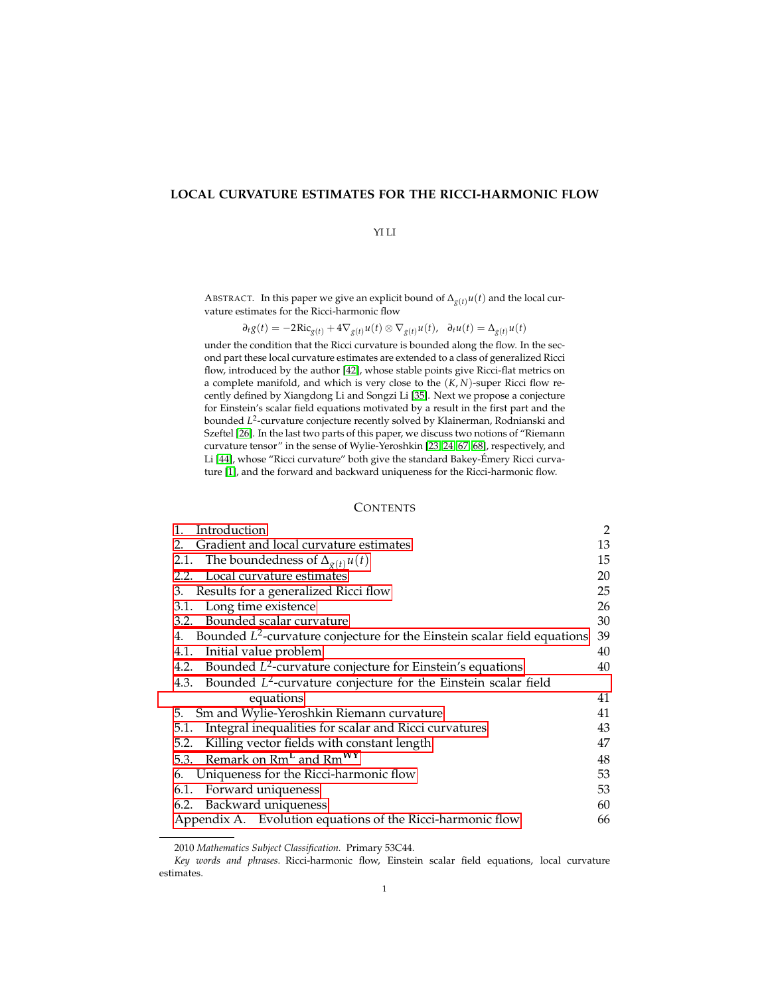## **LOCAL CURVATURE ESTIMATES FOR THE RICCI-HARMONIC FLOW**

## YI LI

ABSTRACT. In this paper we give an explicit bound of  $\Delta_{g(t)} u(t)$  and the local curvature estimates for the Ricci-harmonic flow

$$
\partial_t g(t) = -2\operatorname{Ric}_{g(t)} + 4\nabla_{g(t)} u(t) \otimes \nabla_{g(t)} u(t), \quad \partial_t u(t) = \Delta_{g(t)} u(t)
$$

under the condition that the Ricci curvature is bounded along the flow. In the second part these local curvature estimates are extended to a class of generalized Ricci flow, introduced by the author [\[42\]](#page-70-0), whose stable points give Ricci-flat metrics on a complete manifold, and which is very close to the (*K*, *N*)-super Ricci flow recently defined by Xiangdong Li and Songzi Li [\[35\]](#page-70-1). Next we propose a conjecture for Einstein's scalar field equations motivated by a result in the first part and the bounded *L* 2 -curvature conjecture recently solved by Klainerman, Rodnianski and Szeftel [\[26\]](#page-69-0). In the last two parts of this paper, we discuss two notions of "Riemann curvature tensor" in the sense of Wylie-Yeroshkin [\[23,](#page-69-1) [24,](#page-69-2) [67,](#page-71-0) [68\]](#page-71-1), respectively, and Li [\[44\]](#page-70-2), whose "Ricci curvature" both give the standard Bakey-Emery Ricci curva- ´ ture [\[1\]](#page-68-0), and the forward and backward uniqueness for the Ricci-harmonic flow.

## **CONTENTS**

| Introduction<br>1.                                                             | 2  |
|--------------------------------------------------------------------------------|----|
| Gradient and local curvature estimates<br>2.                                   | 13 |
| 2.1. The boundedness of $\Delta_{g(t)}u(t)$                                    | 15 |
| 2.2. Local curvature estimates                                                 | 20 |
| 3. Results for a generalized Ricci flow                                        | 25 |
| 3.1. Long time existence                                                       | 26 |
| 3.2. Bounded scalar curvature                                                  | 30 |
| 4. Bounded $L^2$ -curvature conjecture for the Einstein scalar field equations | 39 |
| Initial value problem<br>4.1.                                                  | 40 |
| 4.2. Bounded $L^2$ -curvature conjecture for Einstein's equations              | 40 |
| 4.3. Bounded $L^2$ -curvature conjecture for the Einstein scalar field         |    |
| equations                                                                      | 41 |
| Sm and Wylie-Yeroshkin Riemann curvature<br>5.                                 | 41 |
| Integral inequalities for scalar and Ricci curvatures<br>5.1.                  | 43 |
| Killing vector fields with constant length<br>5.2.                             | 47 |
| 5.3. Remark on Rm <sup>L</sup> and Rm <sup>WY</sup>                            | 48 |
| Uniqueness for the Ricci-harmonic flow<br>6.                                   | 53 |
| Forward uniqueness<br>6.1.                                                     | 53 |
| 6.2. Backward uniqueness                                                       | 60 |
| Appendix A. Evolution equations of the Ricci-harmonic flow                     | 66 |

<sup>2010</sup> *Mathematics Subject Classification.* Primary 53C44.

*Key words and phrases.* Ricci-harmonic flow, Einstein scalar field equations, local curvature estimates.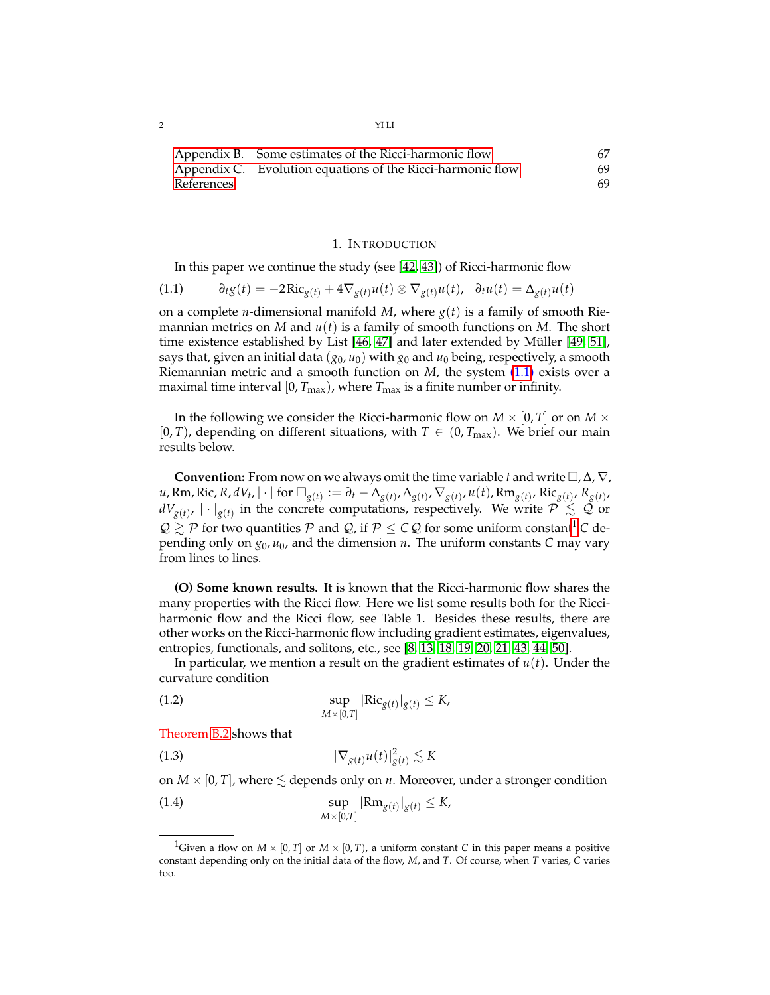| $\overline{c}$<br>- - | YI LI<br>-----<br>. |
|-----------------------|---------------------|
|                       |                     |

|            | Appendix B. Some estimates of the Ricci-harmonic flow      | 67 |
|------------|------------------------------------------------------------|----|
|            | Appendix C. Evolution equations of the Ricci-harmonic flow | 69 |
| References |                                                            | 69 |

#### 1. INTRODUCTION

<span id="page-1-1"></span><span id="page-1-0"></span>In this paper we continue the study (see [\[42,](#page-70-0) [43\]](#page-70-3)) of Ricci-harmonic flow

$$
(1.1) \t\t\t\t\partial_t g(t) = -2\operatorname{Ric}_{g(t)} + 4\nabla_{g(t)} u(t) \otimes \nabla_{g(t)} u(t), \quad \partial_t u(t) = \Delta_{g(t)} u(t)
$$

on a complete *n*-dimensional manifold *M*, where  $g(t)$  is a family of smooth Riemannian metrics on *M* and *u*(*t*) is a family of smooth functions on *M*. The short time existence established by List  $[46, 47]$  $[46, 47]$  and later extended by Müller  $[49, 51]$  $[49, 51]$ , says that, given an initial data (*g*0, *u*0) with *g*<sup>0</sup> and *u*<sup>0</sup> being, respectively, a smooth Riemannian metric and a smooth function on *M*, the system [\(1.1\)](#page-1-1) exists over a maximal time interval  $[0, T_{\text{max}})$ , where  $T_{\text{max}}$  is a finite number or infinity.

In the following we consider the Ricci-harmonic flow on  $M \times [0, T]$  or on  $M \times$ [0, *T*), depending on different situations, with  $T \in (0, T_{\text{max}})$ . We brief our main results below.

**Convention:** From now on we always omit the time variable *t* and write  $\Box$ ,  $\Delta$ ,  $\nabla$ , u, Rm, Ric, R, dV<sub>t</sub>,  $|\cdot|$  for  $\Box_{g(t)} := \partial_t - \Delta_{g(t)}, \Delta_{g(t)}, \nabla_{g(t)}, u(t)$ , Rm $_{g(t)},$  Ric $_{g(t)},$  R<sub>g(t)</sub>,  $dV_{g(t)}$ ,  $|\cdot|_{g(t)}$  in the concrete computations, respectively. We write  $\mathcal{P} \leq \mathcal{Q}$  or  $Q \gtrsim P$  for two quantities P and Q, if  $P \leq CQ$  for some uniform constant<sup>[1](#page-1-2)</sup> C depending only on  $g_0$ ,  $u_0$ , and the dimension *n*. The uniform constants *C* may vary from lines to lines.

**(O) Some known results.** It is known that the Ricci-harmonic flow shares the many properties with the Ricci flow. Here we list some results both for the Ricciharmonic flow and the Ricci flow, see Table 1. Besides these results, there are other works on the Ricci-harmonic flow including gradient estimates, eigenvalues, entropies, functionals, and solitons, etc., see [\[8,](#page-69-3) [13,](#page-69-4) [18,](#page-69-5) [19,](#page-69-6) [20,](#page-69-7) [21,](#page-69-8) [43,](#page-70-3) [44,](#page-70-2) [50\]](#page-70-8).

In particular, we mention a result on the gradient estimates of *u*(*t*). Under the curvature condition

<span id="page-1-3"></span>(1.2) 
$$
\sup_{M \times [0,T]} |\text{Ric}_{g(t)}|_{g(t)} \leq K,
$$

Theorem [B.2](#page-67-0) shows that

$$
(1.3) \t |\nabla_{g(t)} u(t)|_{g(t)}^2 \lesssim K
$$

on  $M \times [0, T]$ , where  $\leq$  depends only on *n*. Moreover, under a stronger condition

<span id="page-1-4"></span>(1.4) 
$$
\sup_{M\times[0,T]}|\text{Rm}_{g(t)}|_{g(t)}\leq K,
$$

<span id="page-1-2"></span><sup>&</sup>lt;sup>1</sup>Given a flow on  $M \times [0, T]$  or  $M \times [0, T)$ , a uniform constant *C* in this paper means a positive constant depending only on the initial data of the flow, *M*, and *T*. Of course, when *T* varies, *C* varies too.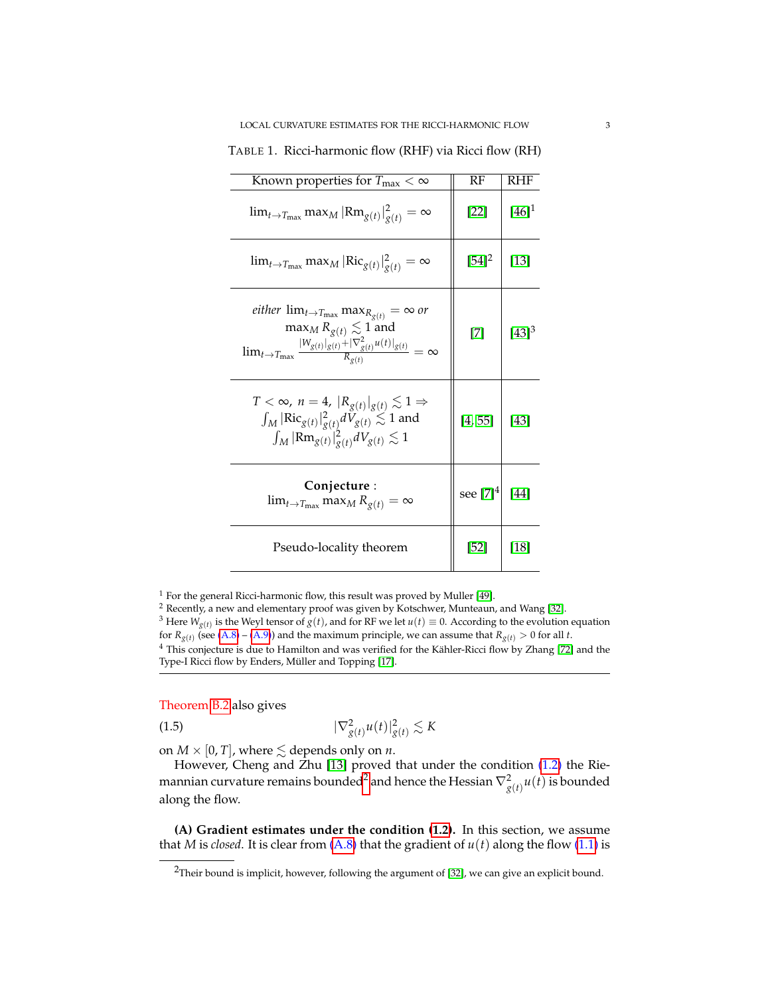| Known properties for $T_{\text{max}} < \infty$                                                                                                                                                               | RF                                                                                                                                                                                                                              | RHF        |
|--------------------------------------------------------------------------------------------------------------------------------------------------------------------------------------------------------------|---------------------------------------------------------------------------------------------------------------------------------------------------------------------------------------------------------------------------------|------------|
| $\lim_{t\to T_{\text{max}}} \max_{M}  \text{Rm}_{g(t)} _{g(t)}^2 = \infty$                                                                                                                                   | $[22]$                                                                                                                                                                                                                          | $[46]^{1}$ |
| $\lim_{t\to T_{\text{max}}} \max_{M}  \text{Ric}_{g(t)} _{g(t)}^{2} = \infty$                                                                                                                                | $[54]^{2}$                                                                                                                                                                                                                      | $[13]$     |
| <i>either</i> $\lim_{t\to T_{\text{max}}} \max_{R_{g(t)}} = \infty$ or<br>$\max_{M} R_{g(t)} \lesssim 1$ and<br>$\lim_{t\to T_{\max}}\frac{ W_{g(t)} _{g(t)}+ \nabla^2_{g(t)}u(t) _{g(t)}}{R_{o(t)}}=\infty$ | $[7] % \begin{subfigure}[t]{0.45\textwidth} \includegraphics[width=\textwidth]{images/Tripage.png} \end{subfigure} \caption{The image shows the number of different types of the estimators in the image.} \label{fig:Tripage}$ | $[43]^{3}$ |
| $T < \infty$ , $n = 4$ , $ R_{g(t)} _{g(t)} \lesssim 1 \Rightarrow$<br>$\int_M  \text{Ric}_{g(t)} _{g(t)}^2 dV_{g(t)} \lesssim 1$ and<br>$\int_M  \text{Rm}_{g(t)} _{g(t)}^2 dV_{g(t)} \lesssim 1$           | [4, 55]                                                                                                                                                                                                                         | [43]       |
| Conjecture :<br>$\lim_{t\to T_{\text{max}}} \max_{M} R_{g(t)} = \infty$                                                                                                                                      | see $[7]^4$                                                                                                                                                                                                                     | [44]       |
| Pseudo-locality theorem                                                                                                                                                                                      | $[52]$                                                                                                                                                                                                                          | [18]       |

TABLE 1. Ricci-harmonic flow (RHF) via Ricci flow (RH)

<sup>1</sup> For the general Ricci-harmonic flow, this result was proved by Muller [\[49\]](#page-70-6).

 $2$  Recently, a new and elementary proof was given by Kotschwer, Munteaun, and Wang [\[32\]](#page-70-12). <sup>3</sup> Here  $W_{g(t)}$  is the Weyl tensor of  $g(t)$ , and for RF we let  $u(t) \equiv 0$ . According to the evolution equation for  $R_{g(t)}$  (see  $(A.8) - (A.9)$  $(A.8) - (A.9)$  $(A.8) - (A.9)$ ) and the maximum principle, we can assume that  $R_{g(t)} > 0$  for all *t*. <sup>4</sup> This conjecture is due to Hamilton and was verified for the Kähler-Ricci flow by Zhang [\[72\]](#page-71-2) and the Type-I Ricci flow by Enders, Müller and Topping [\[17\]](#page-69-12).

Theorem [B.2](#page-67-0) also gives

$$
(1.5) \t\t |\nabla_{g(t)}^2 u(t)|_{g(t)}^2 \lesssim K
$$

on  $M \times [0, T]$ , where  $\leq$  depends only on *n*.

However, Cheng and Zhu [\[13\]](#page-69-4) proved that under the condition [\(1.2\)](#page-1-3) the Rie-mannian curvature remains bounded<sup>[2](#page-2-0)</sup> and hence the Hessian  $\nabla^2_{g(t)}u(t)$  is bounded along the flow.

**(A) Gradient estimates under the condition [\(1.2\)](#page-1-3).** In this section, we assume that *M* is *closed*. It is clear from  $(A.8)$  that the gradient of  $u(t)$  along the flow  $(1.1)$  is

<span id="page-2-0"></span><sup>&</sup>lt;sup>2</sup>Their bound is implicit, however, following the argument of [\[32\]](#page-70-12), we can give an explicit bound.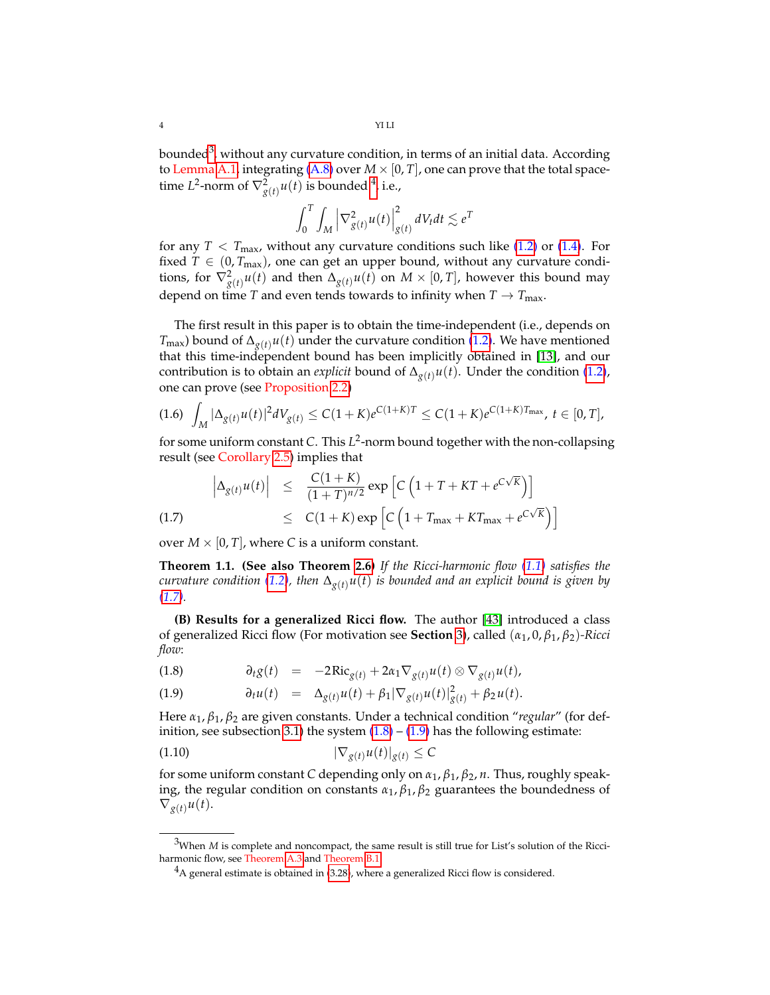bounded $^3$  $^3$ , without any curvature condition, in terms of an initial data. According to Lemma [A.1,](#page-65-2) integrating  $(A.8)$  over  $M \times [0, T]$ , one can prove that the total spacetime *L*<sup>2</sup>-norm of  $\nabla_{g(t)}^2 u(t)$  is bounded <sup>[4](#page-3-1)</sup>, i.e.,

$$
\int_0^T \int_M \left| \nabla^2_{g(t)} u(t) \right|^2_{g(t)} dV_t dt \lesssim e^T
$$

for any  $T < T_{\text{max}}$ , without any curvature conditions such like [\(1.2\)](#page-1-3) or [\(1.4\)](#page-1-4). For fixed  $T \in (0, T_{\text{max}})$ , one can get an upper bound, without any curvature conditions, for  $\nabla^2_{g(t)}u(t)$  and then  $\Delta_{g(t)}u(t)$  on  $M\times [0,T]$ , however this bound may depend on time *T* and even tends towards to infinity when  $T \rightarrow T_{\text{max}}$ .

The first result in this paper is to obtain the time-independent (i.e., depends on  $T_{\text{max}}$ ) bound of  $\Delta_{g(t)} u(t)$  under the curvature condition [\(1.2\)](#page-1-3). We have mentioned that this time-independent bound has been implicitly obtained in [\[13\]](#page-69-4), and our contribution is to obtain an *explicit* bound of  $\Delta_{g(t)}u(t)$ . Under the condition [\(1.2\)](#page-1-3), one can prove (see Proposition [2.2\)](#page-14-1)

$$
(1.6)\ \int_M |\Delta_{g(t)} u(t)|^2 dV_{g(t)} \leq C(1+K)e^{C(1+K)T} \leq C(1+K)e^{C(1+K)T_{\max}},\ t\in [0,T],
$$

for some uniform constant *C*. This *L* 2 -norm bound together with the non-collapsing result (see Corollary [2.5\)](#page-16-0) implies that

<span id="page-3-2"></span>(1.7) 
$$
\left| \Delta_{g(t)} u(t) \right| \leq \frac{C(1+K)}{(1+T)^{n/2}} \exp \left[ C \left( 1 + T + KT + e^{C\sqrt{K}} \right) \right]
$$

$$
\leq C(1+K) \exp \left[ C \left( 1 + T_{\text{max}} + KT_{\text{max}} + e^{C\sqrt{K}} \right) \right]
$$

over  $M \times [0, T]$ , where C is a uniform constant.

**Theorem 1.1. (See also Theorem [2.6\)](#page-17-0)** *If the Ricci-harmonic flow [\(1.1\)](#page-1-1) satisfies the curvature condition* [\(1.2\)](#page-1-3), then  $\Delta_{g(t)}u(t)$  *is bounded and an explicit bound is given by [\(1.7\)](#page-3-2).*

**(B) Results for a generalized Ricci flow.** The author [\[43\]](#page-70-3) introduced a class of generalized Ricci flow (For motivation see **Section** [3\)](#page-24-0), called (*α*1, 0, *β*1, *β*2)*-Ricci flow*:

(1.8) 
$$
\partial_t g(t) = -2 \text{Ric}_{g(t)} + 2 \alpha_1 \nabla_{g(t)} u(t) \otimes \nabla_{g(t)} u(t),
$$

<span id="page-3-3"></span>(1.9) 
$$
\partial_t u(t) = \Delta_{g(t)} u(t) + \beta_1 |\nabla_{g(t)} u(t)|^2_{g(t)} + \beta_2 u(t).
$$

Here *α*1, *β*1, *β*<sup>2</sup> are given constants. Under a technical condition "*regular*" (for def-inition, see subsection [3.1\)](#page-25-0) the system  $(1.8) - (1.9)$  $(1.8) - (1.9)$  $(1.8) - (1.9)$  has the following estimate:

$$
|\nabla_{g(t)} u(t)|_{g(t)} \le C
$$

for some uniform constant *C* depending only on *α*1, *β*1, *β*2, *n*. Thus, roughly speaking, the regular condition on constants  $\alpha_1$ ,  $\beta_1$ ,  $\beta_2$  guarantees the boundedness of  $\nabla_{g(t)} u(t)$ .

<span id="page-3-0"></span><sup>&</sup>lt;sup>3</sup>When *M* is complete and noncompact, the same result is still true for List's solution of the Ricciharmonic flow, see Theorem [A.3](#page-66-1) and Theorem [B.1.](#page-66-2)

<span id="page-3-1"></span> ${}^{4}$ A general estimate is obtained in [\(3.28\)](#page-31-0), where a generalized Ricci flow is considered.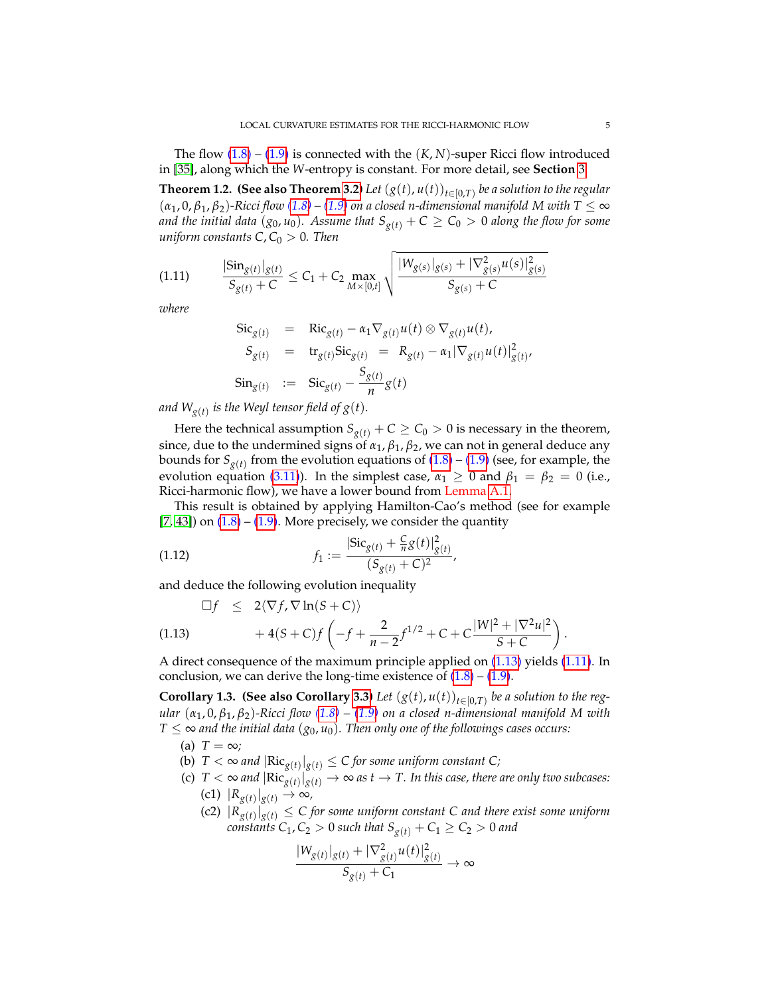The flow  $(1.8)$  –  $(1.9)$  is connected with the  $(K, N)$ -super Ricci flow introduced in [\[35\]](#page-70-1), along which the *W*-entropy is constant. For more detail, see **Section** [3.](#page-24-0)

**Theorem 1.2. (See also Theorem [3.2\)](#page-26-0)** Let  $(g(t), u(t))_{t \in [0,T)}$  be a solution to the regular  $(\alpha_1, 0, \beta_1, \beta_2)$ -Ricci flow  $(1.8)$  –  $(1.9)$  on a closed n-dimensional manifold M with T  $\leq \infty$ *and the initial data* ( $g_0$ ,  $u_0$ ). Assume that  $S_{g(t)} + C \ge C_0 > 0$  along the flow for some *uniform constants*  $C, C_0 > 0$ *. Then* 

$$
(1.11) \qquad \frac{|\text{Sin}_{g(t)}|_{g(t)}}{S_{g(t)}+C} \leq C_1 + C_2 \max_{M \times [0,t]} \sqrt{\frac{|W_{g(s)}|_{g(s)} + |\nabla^2_{g(s)}u(s)|^2_{g(s)}}{S_{g(s)}+C}}
$$

*where*

<span id="page-4-1"></span>
$$
\begin{array}{rcl}\n\operatorname{Sic}_{g(t)} & = & \operatorname{Ric}_{g(t)} - \alpha_1 \nabla_{g(t)} u(t) \otimes \nabla_{g(t)} u(t), \\
S_{g(t)} & = & \operatorname{tr}_{g(t)} \operatorname{Sic}_{g(t)} = R_{g(t)} - \alpha_1 |\nabla_{g(t)} u(t)|_{g(t)}^2, \\
\operatorname{Sin}_{g(t)} & := & \operatorname{Sic}_{g(t)} - \frac{S_{g(t)}}{n} g(t)\n\end{array}
$$

and  $W_{g(t)}$  is the Weyl tensor field of  $g(t)$ *.* 

Here the technical assumption  $S_{g(t)} + C \geq C_0 > 0$  is necessary in the theorem, since, due to the undermined signs of  $\alpha_1$ ,  $\beta_1$ ,  $\beta_2$ , we can not in general deduce any bounds for  $S_{g(t)}$  from the evolution equations of  $(1.8)$  –  $(1.9)$  (see, for example, the evolution equation [\(3.11\)](#page-25-1)). In the simplest case,  $\alpha_1 \geq 0$  and  $\beta_1 = \beta_2 = 0$  (i.e., Ricci-harmonic flow), we have a lower bound from Lemma [A.1.](#page-65-2)

This result is obtained by applying Hamilton-Cao's method (see for example [\[7,](#page-69-10) [43\]](#page-70-3)) on  $(1.8)$  –  $(1.9)$ . More precisely, we consider the quantity

(1.12) 
$$
f_1 := \frac{|\text{Sic}_{g(t)} + \frac{C}{n}g(t)|^2_{g(t)}}{(S_{g(t)} + C)^2},
$$

and deduce the following evolution inequality

<span id="page-4-0"></span>(1.13) 
$$
\Box f \leq 2 \langle \nabla f, \nabla \ln(S+C) \rangle + 4(S+C)f \left( -f + \frac{2}{n-2} f^{1/2} + C + C \frac{|W|^2 + |\nabla^2 u|^2}{S+C} \right).
$$

A direct consequence of the maximum principle applied on [\(1.13\)](#page-4-0) yields [\(1.11\)](#page-4-1). In conclusion, we can derive the long-time existence of  $(1.8) - (1.9)$  $(1.8) - (1.9)$  $(1.8) - (1.9)$ .

**Corollary 1.3. (See also Corollary [3.3\)](#page-29-1)** *Let*  $(g(t), u(t))_{t \in [0,T)}$  *be a solution to the regular* (*α*1, 0, *β*1, *β*2)*-Ricci flow [\(1.8\)](#page-3-3) – [\(1.9\)](#page-3-3) on a closed n-dimensional manifold M with T* ≤ ∞ *and the initial data* ( $g_0$ ,  $u_0$ ). Then only one of the followings cases occurs:

(a)  $T = \infty$ ;

- (b)  $T < \infty$  and  $|\text{Ric}_{g(t)}|_{g(t)} \leq C$  for some uniform constant C;
- (c)  $T < \infty$  and  $|\text{Ric}_{g(t)}|_{g(t)} \to \infty$  as  $t \to T$ . In this case, there are only two subcases:  $|R_{g(t)}|_{g(t)}$  → ∞,
	- (c2)  $|R_{g(t)}|_{g(t)} \leq C$  for some uniform constant C and there exist some uniform *constants*  $C_1$ ,  $C_2 > 0$  *such that*  $S_{g(t)} + C_1 \ge C_2 > 0$  *and*

$$
\frac{|W_{g(t)}|_{g(t)} + |\nabla^2_{g(t)}u(t)|^2_{g(t)}}{S_{g(t)} + C_1} \to \infty
$$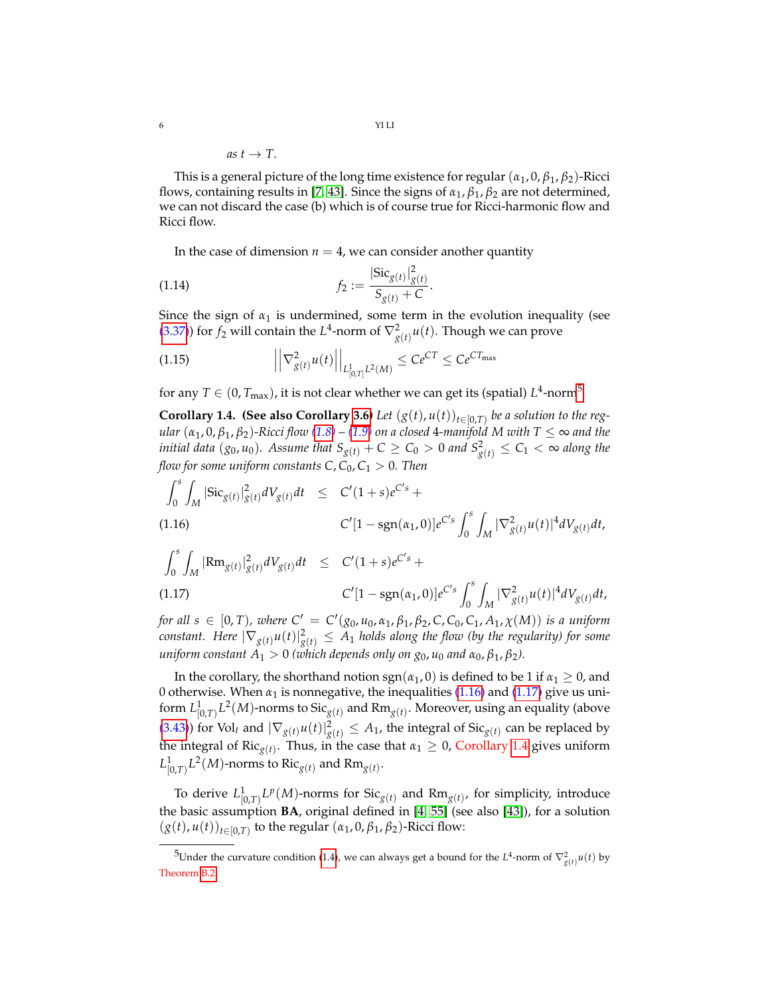as 
$$
t \rightarrow T
$$
.

This is a general picture of the long time existence for regular (*α*1, 0, *β*1, *β*2)-Ricci flows, containing results in [\[7,](#page-69-10) [43\]](#page-70-3). Since the signs of *α*1, *β*1, *β*<sup>2</sup> are not determined, we can not discard the case (b) which is of course true for Ricci-harmonic flow and Ricci flow.

In the case of dimension  $n = 4$ , we can consider another quantity

(1.14) 
$$
f_2 := \frac{|\text{Sic}_{g(t)}|_{g(t)}^2}{S_{g(t)} + C}.
$$

Since the sign of  $\alpha_1$  is undermined, some term in the evolution inequality (see [\(3.37\)](#page-33-0)) for  $f_2$  will contain the  $L^4$ -norm of  $\nabla^2_{g(t)}u(t)$ . Though we can prove

<span id="page-5-4"></span>(1.15) 
$$
\left| \left| \nabla_{g(t)}^2 u(t) \right| \right|_{L_{[0,T]}^1 L^2(M)} \leq C e^{CT} \leq C e^{CT_{\text{max}}}
$$

for any  $T\in(0,T_{\text{max}})$ , it is not clear whether we can get its (spatial)  $L^4$ -norm $^5$  $^5$ .

<span id="page-5-3"></span>**Corollary 1.4. (See also Corollary [3.6\)](#page-36-0)** *Let*  $(g(t), u(t))_{t \in [0,T)}$  *be a solution to the regular*  $(\alpha_1, 0, \beta_1, \beta_2)$ *-Ricci flow*  $(1.8)$  –  $(1.9)$  *on a closed* 4*-manifold M* with  $T \le \infty$  *and the initial data*  $(g_0, u_0)$ *. Assume that*  $S_{g(t)} + C \geq C_0 > 0$  *and*  $S_{g(t)}^2 \leq C_1 < \infty$  *along the flow for some uniform constants*  $C$ *,*  $C_0$ ,  $C_1 > 0$ *. Then* 

<span id="page-5-1"></span>
$$
\int_0^s \int_M |\text{Sic}_{g(t)}|_{g(t)}^2 dV_{g(t)} dt \leq C'(1+s)e^{C's} + C'[1-\text{sgn}(\alpha_1,0)]e^{C's} \int_0^s \int_M |\nabla_{g(t)}^2 u(t)|^4 dV_{g(t)} dt,
$$
\n(1.16)

<span id="page-5-2"></span>
$$
\int_0^s \int_M |\text{Rm}_{g(t)}|_{g(t)}^2 dV_{g(t)} dt \leq C'(1+s)e^{C's} + C'[1-\text{sgn}(\alpha_1, 0)]e^{C's} \int_0^s \int_M |\nabla_{g(t)}^2 u(t)|^4 dV_{g(t)} dt,
$$
\n(1.17)

*for all*  $s \in [0, T)$ *, where*  $C' = C'(g_0, u_0, \alpha_1, \beta_1, \beta_2, C, C_0, C_1, A_1, \chi(M))$  *is a uniform*  $constant.$  Here  $|\nabla_{g(t)}u(t)|_{g(t)}^2\leq A_1$  holds along the flow (by the regularity) for some *uniform constant*  $A_1 > 0$  *(which depends only on*  $g_0$ ,  $u_0$  *and*  $\alpha_0$ ,  $\beta_1$ ,  $\beta_2$ ).

In the corollary, the shorthand notion  $sgn(\alpha_1, 0)$  is defined to be 1 if  $\alpha_1 \geq 0$ , and 0 otherwise. When  $\alpha_1$  is nonnegative, the inequalities  $(1.16)$  and  $(1.17)$  give us uniform  $L^1_{[0,T)} L^2(M)$ -norms to  $\mathrm{Sic}_{g(t)}$  and  $\mathrm{Rm}_{g(t)}.$  Moreover, using an equality (above [\(3.43\)](#page-34-0)) for Vol<sub>t</sub> and  $|\nabla_{g(t)} u(t)|_{g(t)}^2 \leq A_1$ , the integral of Sic<sub>*g*(*t*)</sub> can be replaced by the integral of  $Ric_{g(t)}$ . Thus, in the case that  $\alpha_1 \geq 0$ , Corollary [1.4](#page-5-3) gives uniform  $L^1_{[0,T)}L^2(M)$ -norms to  $\text{\rm Ric}_{g(t)}$  and  $\text{\rm Rm}_{g(t)}.$ 

To derive  $L^1_{[0,T)} L^p(M)$ -norms for  $\text{Sic}_{g(t)}$  and  $\text{Rm}_{g(t)}$ , for simplicity, introduce the basic assumption **BA**, original defined in [\[4,](#page-69-11) [55\]](#page-70-10) (see also [\[43\]](#page-70-3)), for a solution  $(g(t), u(t))_{t \in [0,T)}$  to the regular  $(\alpha_1, 0, \beta_1, \beta_2)$ -Ricci flow:

<span id="page-5-0"></span><sup>&</sup>lt;sup>5</sup>Under the curvature condition [\(1.4\)](#page-1-4), we can always get a bound for the  $L^4$ -norm of  $\nabla^2_{g(t)}u(t)$  by Theorem [B.2.](#page-67-0)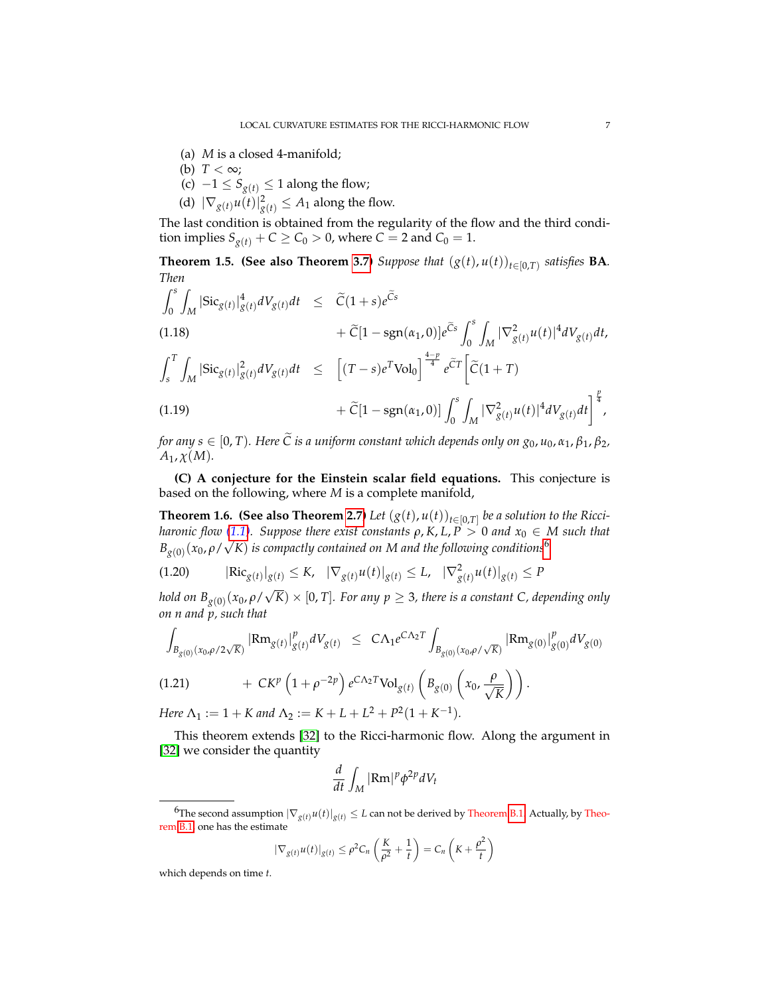- (a) *M* is a closed 4-manifold;
- (b)  $T < \infty$ ;
- (c)  $-1 \leq S_{g(t)}$  ≤ 1 along the flow;
- (d)  $|\nabla_{g(t)} u(t)|^2_{g(t)} \leq A_1$  along the flow.

The last condition is obtained from the regularity of the flow and the third condition implies  $S_{g(t)} + C \ge C_0 > 0$ , where  $C = 2$  and  $C_0 = 1$ .

**Theorem 1.5. (See also Theorem [3.7\)](#page-37-0)** *Suppose that*  $(g(t), u(t))_{t \in [0,T)}$  *satisfies* **BA***. Then*

$$
\int_{0}^{s} \int_{M} |\text{Sic}_{g(t)}|_{g(t)}^{4} dV_{g(t)} dt \leq \tilde{C} (1+s) e^{\tilde{C}s} \n+ \tilde{C} [1 - \text{sgn}(\alpha_{1}, 0)] e^{\tilde{C}s} \int_{0}^{s} \int_{M} |\nabla_{g(t)}^{2} u(t)|^{4} dV_{g(t)} dt, \n\int_{s}^{T} \int_{M} |\text{Sic}_{g(t)}|_{g(t)}^{2} dV_{g(t)} dt \leq \left[ (T - s) e^{T} \text{Vol}_{0} \right]^{\frac{4-p}{4}} e^{\tilde{C}T} \left[ \tilde{C} (1+T) \n+ \tilde{C} [1 - \text{sgn}(\alpha_{1}, 0)] \int_{0}^{s} \int_{M} |\nabla_{g(t)}^{2} u(t)|^{4} dV_{g(t)} dt \right]^{\frac{p}{4}},
$$

*for any s*  $\in$  [0, *T*). Here  $\tilde{C}$  *is a uniform constant which depends only on*  $g_0$ ,  $u_0$ ,  $\alpha_1$ ,  $\beta_1$ ,  $\beta_2$ ,  $A_1$ ,  $\chi(M)$ .

**(C) A conjecture for the Einstein scalar field equations.** This conjecture is based on the following, where *M* is a complete manifold,

<span id="page-6-2"></span>**Theorem 1.6. (See also Theorem [2.7\)](#page-22-0)** *Let*  $(g(t), u(t))_{t \in [0,T]}$  *be a solution to the Ricciharonic flow* [\(1.1\)](#page-1-1). Suppose there exist constants  $\rho$ ,  $K$ ,  $L$ ,  $P > 0$  and  $x_0 \in M$  such that  $B_{g(0)}^{-}(x_0,\rho/\sqrt{K})$  is compactly contained on M and the following conditions<sup>[6](#page-6-0)</sup>

<span id="page-6-1"></span>
$$
(1.20) \qquad |\text{Ric}_{g(t)}|_{g(t)} \le K, \quad |\nabla_{g(t)} u(t)|_{g(t)} \le L, \quad |\nabla^2_{g(t)} u(t)|_{g(t)} \le P
$$

*hold on Bg*(0) (*x*0, *ρ*/  $K) \times [0, T]$ *. For any*  $p \geq 3$ *, there is a constant C, depending only on n and p, such that*

$$
\int_{B_{g(0)}(x_0,\rho/2\sqrt{K})} |\text{Rm}_{g(t)}|_{g(t)}^p dV_{g(t)} \leq C\Lambda_1 e^{C\Lambda_2 T} \int_{B_{g(0)}(x_0,\rho/\sqrt{K})} |\text{Rm}_{g(0)}|_{g(0)}^p dV_{g(0)}
$$
\n(1.21) 
$$
+ C K^p \left(1 + \rho^{-2p}\right) e^{C\Lambda_2 T} \text{Vol}_{g(t)} \left(B_{g(0)} \left(x_0, \frac{\rho}{\sqrt{K}}\right)\right).
$$

<span id="page-6-3"></span>*Here*  $\Lambda_1 := 1 + K$  *and*  $\Lambda_2 := K + L + L^2 + P^2(1 + K^{-1})$ *.* 

This theorem extends [\[32\]](#page-70-12) to the Ricci-harmonic flow. Along the argument in [\[32\]](#page-70-12) we consider the quantity

$$
\frac{d}{dt} \int_M |\text{Rm}|^p \phi^{2p} dV_t
$$

$$
|\nabla_{g(t)} u(t)|_{g(t)} \le \rho^2 C_n \left(\frac{K}{\rho^2} + \frac{1}{t}\right) = C_n \left(K + \frac{\rho^2}{t}\right)
$$

which depends on time *t*.

<span id="page-6-0"></span> ${}^6$ The second assumption  $|\nabla_{g(t)} u(t)|_{g(t)} \leq L$  can not be derived by Theorem [B.1.](#page-66-2) Actually, by Theorem [B.1,](#page-66-2) one has the estimate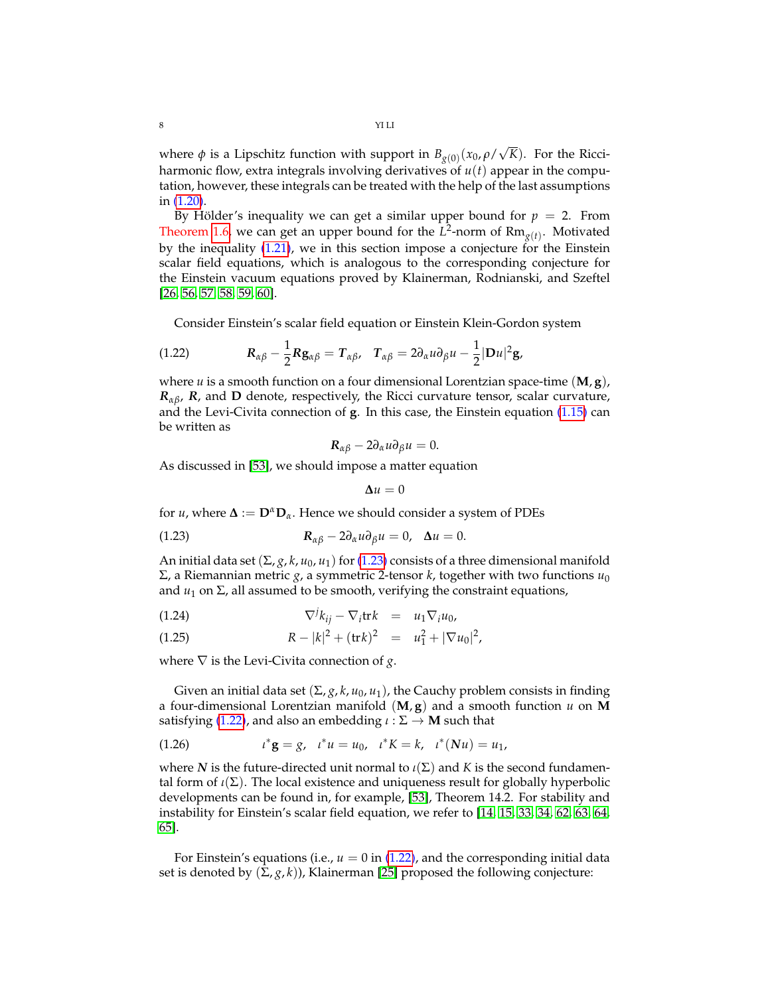where  $\phi$  is a Lipschitz function with support in  $B_{g(0)}(x_0, \rho)$ √ *K*). For the Ricciharmonic flow, extra integrals involving derivatives of *u*(*t*) appear in the computation, however, these integrals can be treated with the help of the last assumptions in [\(1.20\)](#page-6-1).

By Hölder's inequality we can get a similar upper bound for  $p = 2$ . From Theorem [1.6,](#page-6-2) we can get an upper bound for the  $L^2$ -norm of  $Rm_{g(t)}$ . Motivated by the inequality [\(1.21\)](#page-6-3), we in this section impose a conjecture for the Einstein scalar field equations, which is analogous to the corresponding conjecture for the Einstein vacuum equations proved by Klainerman, Rodnianski, and Szeftel [\[26,](#page-69-0) [56,](#page-70-13) [57,](#page-70-14) [58,](#page-70-15) [59,](#page-71-3) [60\]](#page-71-4).

<span id="page-7-1"></span>Consider Einstein's scalar field equation or Einstein Klein-Gordon system

(1.22) 
$$
\mathbf{R}_{\alpha\beta} - \frac{1}{2}\mathbf{R}\mathbf{g}_{\alpha\beta} = \mathbf{T}_{\alpha\beta}, \quad \mathbf{T}_{\alpha\beta} = 2\partial_{\alpha}u\partial_{\beta}u - \frac{1}{2}|\mathbf{D}u|^2\mathbf{g},
$$

where *u* is a smooth function on a four dimensional Lorentzian space-time (**M**, **g**), *Rαβ*, *R*, and **D** denote, respectively, the Ricci curvature tensor, scalar curvature, and the Levi-Civita connection of **g**. In this case, the Einstein equation [\(1.15\)](#page-5-4) can be written as

$$
R_{\alpha\beta}-2\partial_\alpha u\partial_\beta u=0.
$$

As discussed in [\[53\]](#page-70-16), we should impose a matter equation

<span id="page-7-0"></span>
$$
\Delta u = 0
$$

for *u*, where  $\Delta := D^{\alpha}D_{\alpha}$ . Hence we should consider a system of PDEs

(1.23) 
$$
R_{\alpha\beta} - 2\partial_{\alpha}u\partial_{\beta}u = 0, \quad \Delta u = 0.
$$

An initial data set  $(\Sigma, g, k, u_0, u_1)$  for [\(1.23\)](#page-7-0) consists of a three dimensional manifold Σ, a Riemannian metric *g*, a symmetric 2-tensor *k*, together with two functions *u*<sup>0</sup> and  $u_1$  on  $\Sigma$ , all assumed to be smooth, verifying the constraint equations,

(1.24) 
$$
\nabla^j k_{ij} - \nabla_i \text{tr} k = u_1 \nabla_i u_0,
$$

(1.25) 
$$
R - |k|^2 + (\text{tr} k)^2 = u_1^2 + |\nabla u_0|^2,
$$

where  $\nabla$  is the Levi-Civita connection of *g*.

Given an initial data set  $(\Sigma, g, k, u_0, u_1)$ , the Cauchy problem consists in finding a four-dimensional Lorentzian manifold  $(M, g)$  and a smooth function  $u$  on **M** satisfying [\(1.22\)](#page-7-1), and also an embedding *ι* : Σ → **M** such that

(1.26) 
$$
t^* \mathbf{g} = g, \quad t^* u = u_0, \quad t^* K = k, \quad t^* (Nu) = u_1,
$$

where *N* is the future-directed unit normal to  $\iota(\Sigma)$  and *K* is the second fundamental form of  $\iota(\Sigma)$ . The local existence and uniqueness result for globally hyperbolic developments can be found in, for example, [\[53\]](#page-70-16), Theorem 14.2. For stability and instability for Einstein's scalar field equation, we refer to [\[14,](#page-69-13) [15,](#page-69-14) [33,](#page-70-17) [34,](#page-70-18) [62,](#page-71-5) [63,](#page-71-6) [64,](#page-71-7) [65\]](#page-71-8).

For Einstein's equations (i.e.,  $u = 0$  in [\(1.22\)](#page-7-1), and the corresponding initial data set is denoted by  $(\Sigma, g, k)$ ), Klainerman [\[25\]](#page-69-15) proposed the following conjecture: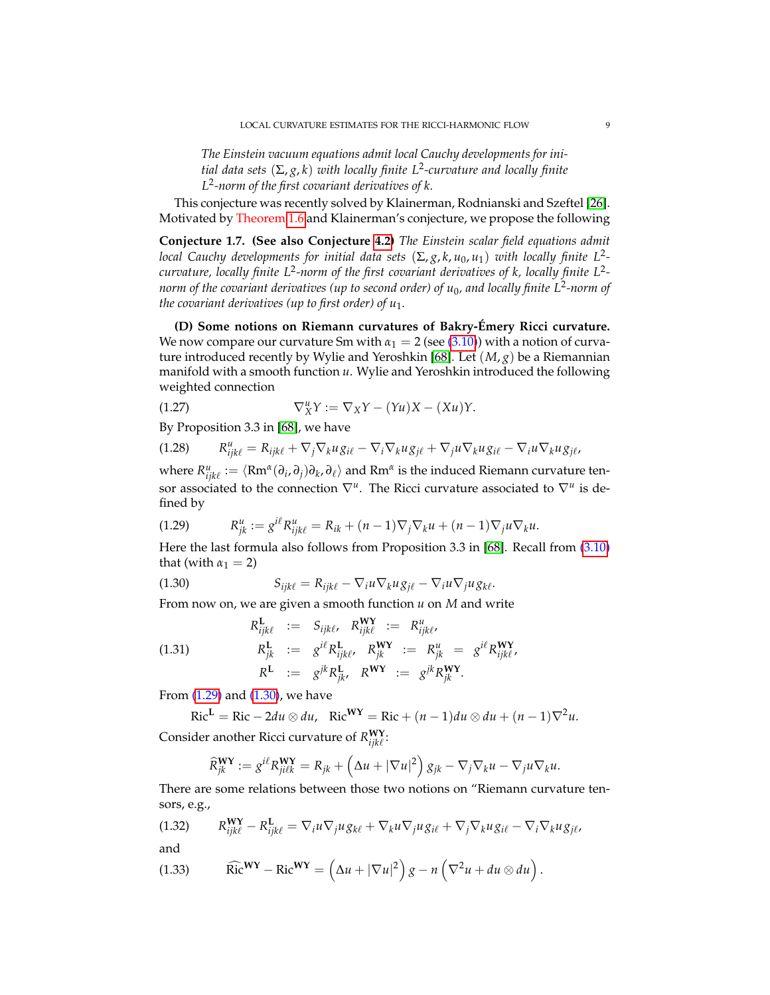*The Einstein vacuum equations admit local Cauchy developments for initial data sets* (Σ, *g*, *k*) *with locally finite L*<sup>2</sup> *-curvature and locally finite L* 2 *-norm of the first covariant derivatives of k.*

This conjecture was recently solved by Klainerman, Rodnianski and Szeftel [\[26\]](#page-69-0). Motivated by Theorem [1.6](#page-6-2) and Klainerman's conjecture, we propose the following

**Conjecture 1.7. (See also Conjecture [4.2\)](#page-40-2)** *The Einstein scalar field equations admit local Cauchy developments for initial data sets* (Σ, *g*, *k*, *u*0, *u*1) *with locally finite L*<sup>2</sup>  *curvature, locally finite L*<sup>2</sup> *-norm of the first covariant derivatives of k, locally finite L*<sup>2</sup>  *norm of the covariant derivatives (up to second order) of u*0*, and locally finite L*<sup>2</sup> *-norm of the covariant derivatives (up to first order) of*  $u_1$ *.* 

**(D) Some notions on Riemann curvatures of Bakry-Emery Ricci curvature. ´** We now compare our curvature Sm with  $\alpha_1 = 2$  (see [\(3.10\)](#page-25-2)) with a notion of curvature introduced recently by Wylie and Yeroshkin [\[68\]](#page-71-1). Let (*M*, *g*) be a Riemannian manifold with a smooth function *u*. Wylie and Yeroshkin introduced the following weighted connection

(1.27) 
$$
\nabla^u_X Y := \nabla_X Y - (Yu)X - (Xu)Y.
$$

By Proposition 3.3 in [\[68\]](#page-71-1), we have

$$
(1.28) \qquad R_{ijk\ell}^u = R_{ijk\ell} + \nabla_j \nabla_k u g_{i\ell} - \nabla_i \nabla_k u g_{j\ell} + \nabla_j u \nabla_k u g_{i\ell} - \nabla_i u \nabla_k u g_{j\ell},
$$

where  $R^u_{ijk\ell} := \langle Rm^{\alpha}(\partial_i,\partial_j)\partial_k,\partial_\ell\rangle$  and  $Rm^{\alpha}$  is the induced Riemann curvature tensor associated to the connection  $\nabla^u$ . The Ricci curvature associated to  $\nabla^u$  is defined by

<span id="page-8-0"></span>(1.29) 
$$
R_{jk}^{u} := g^{i\ell} R_{ijk\ell}^{u} = R_{ik} + (n-1) \nabla_j \nabla_k u + (n-1) \nabla_j u \nabla_k u.
$$

Here the last formula also follows from Proposition 3.3 in [\[68\]](#page-71-1). Recall from [\(3.10\)](#page-25-2) that (with  $\alpha_1 = 2$ )

<span id="page-8-1"></span>(1.30) 
$$
S_{ijk\ell} = R_{ijk\ell} - \nabla_i u \nabla_k u g_{j\ell} - \nabla_i u \nabla_j u g_{k\ell}.
$$

From now on, we are given a smooth function *u* on *M* and write

(1.31) 
$$
R_{ijk\ell}^{\mathbf{L}} := S_{ijk\ell}, \quad R_{ijk\ell}^{\mathbf{WY}} := R_{ijk\ell}^{u},
$$

$$
R_{jk}^{\mathbf{L}} := g^{i\ell} R_{ijk\ell}^{\mathbf{L}}, \quad R_{jk}^{\mathbf{WY}} := R_{jk}^{u} = g^{i\ell} R_{ijk\ell}^{\mathbf{WY}},
$$

$$
R^{\mathbf{L}} := g^{jk} R_{jk}^{\mathbf{L}}, \quad R^{\mathbf{WY}} := g^{jk} R_{jk}^{\mathbf{WY}}.
$$

From [\(1.29\)](#page-8-0) and [\(1.30\)](#page-8-1), we have

$$
Ric^{L} = Ric - 2du \otimes du, \quad Ric^{WY} = Ric + (n-1)du \otimes du + (n-1)\nabla^{2}u.
$$

Consider another Ricci curvature of  $R_{ijk\ell}^{WY}$ :

$$
\widehat{R}_{jk}^{\mathbf{WY}} := g^{i\ell} R_{ji\ell k}^{\mathbf{WY}} = R_{jk} + \left(\Delta u + |\nabla u|^2\right) g_{jk} - \nabla_j \nabla_k u - \nabla_j u \nabla_k u.
$$

There are some relations between those two notions on "Riemann curvature tensors, e.g.,

(1.32) 
$$
R_{ijk\ell}^{WY} - R_{ijk\ell}^{L} = \nabla_i u \nabla_j u g_{k\ell} + \nabla_k u \nabla_j u g_{i\ell} + \nabla_j \nabla_k u g_{i\ell} - \nabla_i \nabla_k u g_{j\ell},
$$

and

(1.33) \t\t\t
$$
\widehat{\text{Ric}}^{\mathbf{WY}} - \text{Ric}^{\mathbf{WY}} = \left(\Delta u + |\nabla u|^2\right)g - n\left(\nabla^2 u + du \otimes du\right).
$$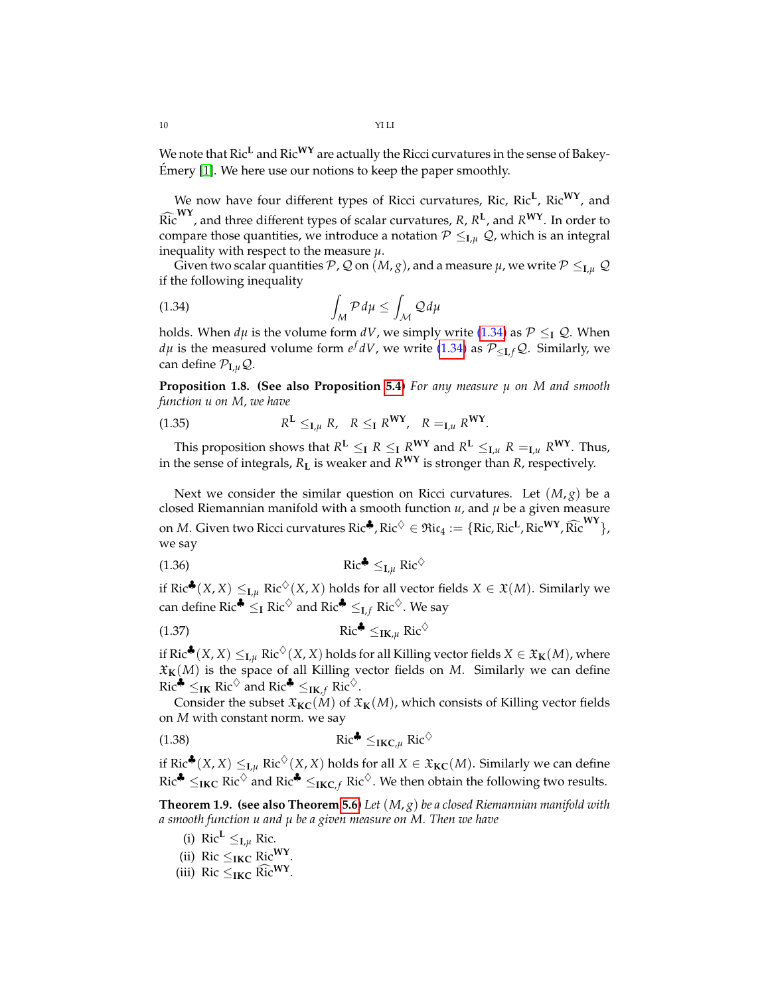We note that Ric**<sup>L</sup>** and Ric**WY** are actually the Ricci curvatures in the sense of Bakey-Emery [\[1\]](#page-68-0). We here use our notions to keep the paper smoothly. ´

We now have four different types of Ricci curvatures, Ric, Ric<sup>L</sup>, Ric<sup>WY</sup>, and  $\widehat{Ric}^{WY}$ , and three different types of scalar curvatures, *R*, *R*<sup>L</sup>, and *R*<sup>WY</sup>. In order to compare those quantities, we introduce a notation  $\mathcal{P} \leq_{\mathbf{I},\mathcal{U}} \mathcal{Q}$ , which is an integral inequality with respect to the measure *µ*.

Given two scalar quantities P, Q on  $(M, g)$ , and a measure  $\mu$ , we write  $P \leq_{I, \mu} Q$ if the following inequality

<span id="page-9-0"></span>
$$
\int_{M} \mathcal{P} d\mu \le \int_{\mathcal{M}} \mathcal{Q} d\mu
$$

holds. When  $d\mu$  is the volume form  $dV$ , we simply write [\(1.34\)](#page-9-0) as  $P \leq I Q$ . When *dµ* is the measured volume form  $e^f dV$ , we write [\(1.34\)](#page-9-0) as  $\mathcal{P}_{\leq \mathbf{I}, f}\mathcal{Q}$ . Similarly, we can define  $P_{I,\mu}Q$ .

**Proposition 1.8. (See also Proposition [5.4\)](#page-42-1)** *For any measure µ on M and smooth function u on M, we have*

$$
(1.35) \t\t RL \leq_{I,\mu} R, \t R \leq_I RWY, \t R =_{I,\mu} RWY.
$$

This proposition shows that  $R^{\mathbf{L}} \leq_{\mathbf{I}} R \leq_{\mathbf{I}} R^{\mathbf{W}\mathbf{Y}}$  and  $R^{\mathbf{L}} \leq_{\mathbf{I},u} R =_{\mathbf{I},u} R^{\mathbf{W}\mathbf{Y}}$ . Thus, in the sense of integrals, *R***<sup>L</sup>** is weaker and *R***WY** is stronger than *R*, respectively.

Next we consider the similar question on Ricci curvatures. Let  $(M, g)$  be a closed Riemannian manifold with a smooth function *u*, and *µ* be a given measure on *M*. Given two Ricci curvatures  $\text{Ric}^{\clubsuit}$ ,  $\text{Ric}^{\diamondsuit} \in \mathfrak{Ric}_4 := \{ \text{Ric}, \text{Ric}^{\sf L}, \text{Ric}^{\sf WY}, \widehat{\text{Ric}}^{\sf WY} \}$ , we say

$$
\operatorname{Ric}^{\clubsuit} \leq_{\mathbf{I},\mu} \operatorname{Ric}^{\diamondsuit}
$$

if Ric<sup>♣</sup>(*X*, *X*) ≤<sub>*I*</sub> $\mu$  Ric<sup>◇</sup>(*X*, *X*) holds for all vector fields *X* ∈ *X*(*M*). Similarly we can define Ric<sup> $\triangle$ </sup>  $\leq$ **I** Ric<sup> $\diamond$ </sup> and Ric<sup> $\triangle$ </sup>  $\leq$ <sub>**I**,*f*</sub> Ric<sup> $\diamond$ </sup>. We say

(1.37) 
$$
\operatorname{Ric}^{\clubsuit} \leq_{\mathbf{IK},\mu} \operatorname{Ric}^{\diamondsuit}
$$

if Ric<sup>♣</sup>(*X*, *X*) ≤<sub>**I**,*µ*</sub> Ric<sup>◇</sup>(*X*, *X*) holds for all Killing vector fields *X* ∈  $\mathfrak{X}_{\mathbf{K}}(M)$ , where  $\mathfrak{X}_{\mathbf{K}}(M)$  is the space of all Killing vector fields on *M*. Similarly we can define  $Ric^{\clubsuit} \leq_{IK} Ric^{\diamondsuit}$  and  $Ric^{\clubsuit} \leq_{IK,f} Ric^{\diamondsuit}$ .

Consider the subset  $\mathfrak{X}_{\mathbf{KC}}(M)$  of  $\mathfrak{X}_{\mathbf{K}}(M)$ , which consists of Killing vector fields on *M* with constant norm. we say

(1.38) Ric<sup>4</sup> 
$$
\leq_{\text{IKC},\mu}
$$
 Ric<sup>5</sup>

if Ric<sup>♣</sup>(*X*, *X*) ≤<sub>**I**,*µ*</sub> Ric<sup>☆</sup>(*X*, *X*) holds for all *X* ∈  $\mathfrak{X}_{\mathbf{KC}}(M)$ . Similarly we can define  $Ric^* \leq_{IKC} Ric^\diamondsuit$  and  $Ric^* \leq_{IKC,f} Ric^\diamondsuit$ . We then obtain the following two results.

<span id="page-9-1"></span>**Theorem 1.9. (see also Theorem [5.6\)](#page-42-2)** *Let* (*M*, *g*) *be a closed Riemannian manifold with a smooth function u and µ be a given measure on M. Then we have*

- (i)  $\text{Ric}^L \leq_{\mathbf{I},\mu} \text{Ric}$ .
- (ii) Ric  $\leq$ <sub>IKC</sub> Ric<sup>WY</sup> *.*
- (iii) Ric  $\leq$ <sub>IKC</sub> Ric<sup>WY</sup>.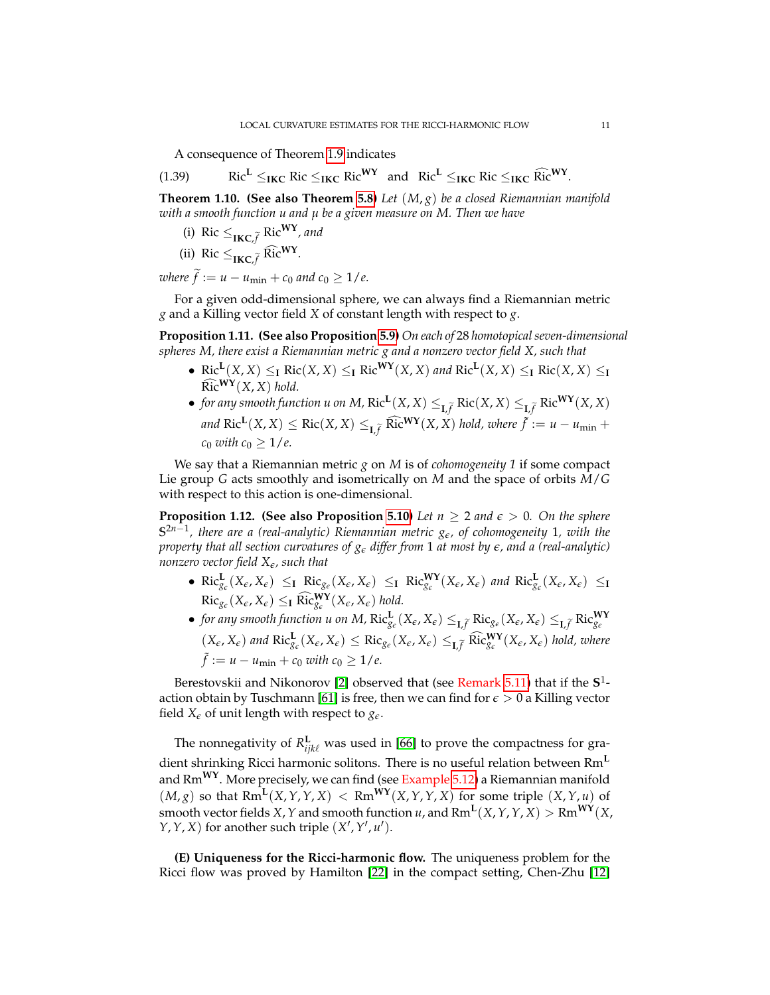A consequence of Theorem [1.9](#page-9-1) indicates

(1.39) Ric<sup>L</sup> 
$$
\leq_{IKC} \text{Ric} \leq_{IKC} \text{Ric}^{WY}
$$
 and Ric<sup>L</sup>  $\leq_{IKC} \text{Ric} \leq_{IKC} \text{Ric}^{WY}$ .

**Theorem 1.10. (See also Theorem [5.8\)](#page-45-0)** *Let* (*M*, *g*) *be a closed Riemannian manifold with a smooth function u and µ be a given measure on M. Then we have*

- (i) Ric  $\leq_{\text{IKC}, \tilde{f}} \text{Ric}^{\text{WY}}$ *, and*
- (ii) Ric  $\leq_{\text{IKC}}$   $\tilde{f}$  Ric<sup>WY</sup>.

*where*  $\tilde{f} := u - u_{\min} + c_0$  *and*  $c_0 \geq 1/e$ .

For a given odd-dimensional sphere, we can always find a Riemannian metric *g* and a Killing vector field *X* of constant length with respect to *g*.

**Proposition 1.11. (See also Proposition [5.9\)](#page-46-1)** *On each of* 28 *homotopical seven-dimensional spheres M, there exist a Riemannian metric g and a nonzero vector field X, such that*

- Ric<sup>L</sup>(*X*, *X*)  $\leq$ <sub>**I**</sub> Ric(*X*, *X*)  $\leq$ <sub>**I**</sub> Ric<sup>WY</sup>(*X*, *X*) *and* Ric<sup>L</sup>(*X*, *X*)  $\leq$ <sub>**I**</sub> Ric(*X*, *X*)  $\leq$ <sub>**I**</sub>  $\widehat{\text{Ric}}^{\text{WY}}(X, X)$  hold.
- *for any smooth function u on M,*  $\text{Ric}^{\mathbf{L}}(X,X) \leq_{\mathbf{L},\widetilde{f}} \text{Ric}(X,X) \leq_{\mathbf{L},\widetilde{f}} \text{Ric}^{\mathbf{W}\mathbf{Y}}(X,X)$  $\int \text{Ric}^{\mathbf{L}}(X,X) \leq \text{Ric}(X,X) \leq_{\mathbf{L},\widetilde{f}} \widehat{\text{Ric}}^{\mathbf{W}\mathbf{Y}}(X,X)$  hold, where  $\widetilde{f} := u - u_{\min} + u_{\min}$ *c*<sub>0</sub> *with*  $c_0 > 1/e$ .

We say that a Riemannian metric *g* on *M* is of *cohomogeneity 1* if some compact Lie group *G* acts smoothly and isometrically on *M* and the space of orbits *M*/*G* with respect to this action is one-dimensional.

**Proposition 1.12. (See also Proposition [5.10\)](#page-47-1)** Let  $n \geq 2$  and  $\epsilon > 0$ . On the sphere **S** 2*n*−1 *, there are a (real-analytic) Riemannian metric ge, of cohomogeneity* 1*, with the property that all section curvatures of g<sup>e</sup> differ from* 1 *at most by e, and a (real-analytic) nonzero vector field Xe, such that*

- $\operatorname{Ric}_{g_{\varepsilon}}^{\mathbf{L}}(X_{\varepsilon}, X_{\varepsilon}) \leq_{\mathbf{I}} \operatorname{Ric}_{g_{\varepsilon}}(X_{\varepsilon}, X_{\varepsilon}) \leq_{\mathbf{I}} \operatorname{Ric}_{g_{\varepsilon}}^{\mathbf{WY}}(X_{\varepsilon}, X_{\varepsilon})$  and  $\operatorname{Ric}_{g_{\varepsilon}}^{\mathbf{L}}(X_{\varepsilon}, X_{\varepsilon}) \leq_{\mathbf{I}}$  $\text{Ric}_{g_{\epsilon}}(X_{\epsilon}, X_{\epsilon}) \leq_{\mathbf{I}} \widehat{\text{Ric}}_{g_{\epsilon}}^{\mathbf{WY}}(X_{\epsilon}, X_{\epsilon})$  hold.
- for any smooth function u on M,  $\text{Ric}_{g_{\varepsilon}}^{\mathbf{L}}(X_{\varepsilon}, X_{\varepsilon}) \leq_{\mathbf{L}, \widetilde{f}} \text{Ric}_{g_{\varepsilon}}^{\mathbf{K}}(X_{\varepsilon}, X_{\varepsilon}) \leq_{\mathbf{L}, \widetilde{f}} \text{Ric}_{g_{\varepsilon}}^{\mathbf{WY}}$  $(X_{\epsilon}, X_{\epsilon})$  and  $\text{Ric}_{g_{\epsilon}}^{\mathbf{L}}(X_{\epsilon}, X_{\epsilon}) \leq \text{Ric}_{g_{\epsilon}}(X_{\epsilon}, X_{\epsilon}) \leq_{\mathbf{L}, \widetilde{f}} \widehat{\text{Ric}}_{g_{\epsilon}}^{\mathbf{WY}}(X_{\epsilon}, X_{\epsilon})$  hold, where  $\tilde{f} := u - u_{\min} + c_0$  with  $c_0 \geq 1/e$ .

Berestovskii and Nikonorov [\[2\]](#page-68-3) observed that (see Remark [5.11\)](#page-47-2) that if the **S** 1 - action obtain by Tuschmann [\[61\]](#page-71-9) is free, then we can find for  $\epsilon > 0$  a Killing vector field  $X_{\epsilon}$  of unit length with respect to  $g_{\epsilon}$ .

The nonnegativity of  $R^{\mathbf{L}}_{ijk\ell}$  was used in [\[66\]](#page-71-10) to prove the compactness for gradient shrinking Ricci harmonic solitons. There is no useful relation between Rm**<sup>L</sup>** and Rm**WY**. More precisely, we can find (see Example [5.12\)](#page-47-3) a Riemannian manifold  $(M, g)$  so that Rm<sup>L</sup>(X, Y, Y, X) < Rm<sup>WY</sup>(X, Y, Y, X) for some triple (X, Y, *u*) of smooth vector fields  $X$ ,  $Y$  and smooth function  $u$ , and  $\text{Rm}^{\mathbf L}(X,Y,Y,X) > \text{Rm}^{\mathbf W Y}(X,Y)$  $Y, Y, X$  for another such triple  $(X', Y', u')$ .

**(E) Uniqueness for the Ricci-harmonic flow.** The uniqueness problem for the Ricci flow was proved by Hamilton [\[22\]](#page-69-9) in the compact setting, Chen-Zhu [\[12\]](#page-69-16)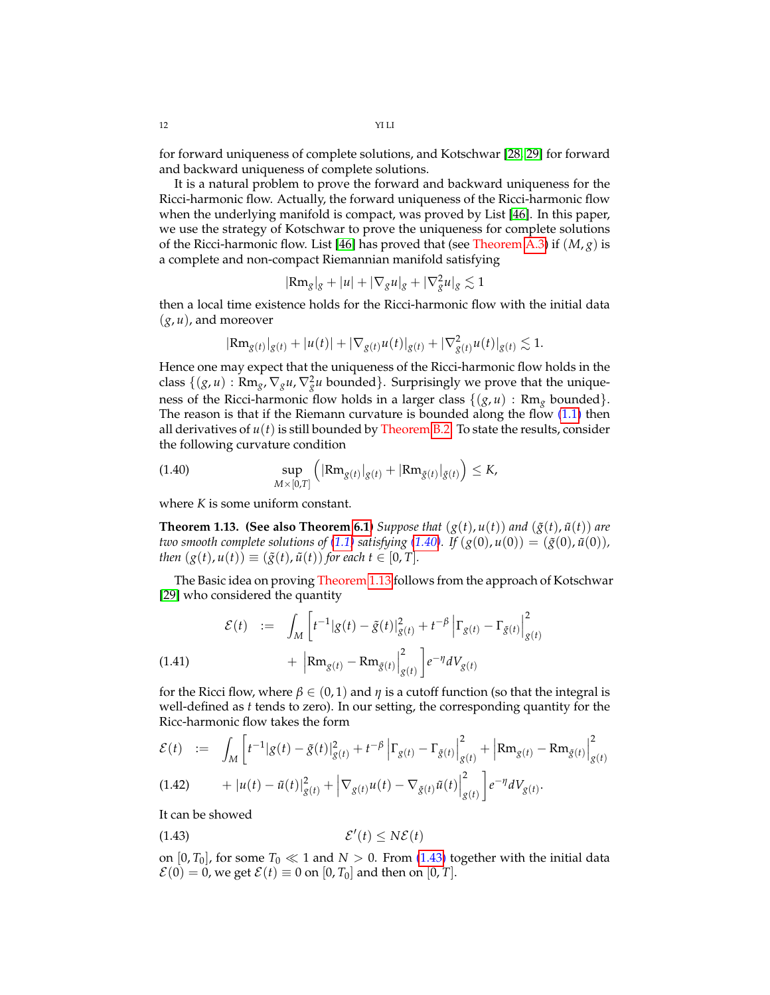for forward uniqueness of complete solutions, and Kotschwar [\[28,](#page-69-17) [29\]](#page-69-18) for forward and backward uniqueness of complete solutions.

It is a natural problem to prove the forward and backward uniqueness for the Ricci-harmonic flow. Actually, the forward uniqueness of the Ricci-harmonic flow when the underlying manifold is compact, was proved by List [\[46\]](#page-70-4). In this paper, we use the strategy of Kotschwar to prove the uniqueness for complete solutions of the Ricci-harmonic flow. List [\[46\]](#page-70-4) has proved that (see Theorem [A.3\)](#page-66-1) if (*M*, *g*) is a complete and non-compact Riemannian manifold satisfying

$$
|\text{Rm}_g|_g + |u| + |\nabla_g u|_g + |\nabla_g^2 u|_g \lesssim 1
$$

then a local time existence holds for the Ricci-harmonic flow with the initial data (*g*, *u*), and moreover

$$
|\text{Rm}_{g(t)}|_{g(t)} + |u(t)| + |\nabla_{g(t)} u(t)|_{g(t)} + |\nabla^2_{g(t)} u(t)|_{g(t)} \lesssim 1.
$$

Hence one may expect that the uniqueness of the Ricci-harmonic flow holds in the class  $\{(g, u) : \text{Rm}_g, \nabla_g u, \nabla_g^2 u \text{ bounded}\}\.$  Surprisingly we prove that the uniqueness of the Ricci-harmonic flow holds in a larger class  $\{(g, u) : Rm_g$  bounded $\}$ . The reason is that if the Riemann curvature is bounded along the flow  $(1.1)$  then all derivatives of  $u(t)$  is still bounded by Theorem [B.2.](#page-67-0) To state the results, consider the following curvature condition

<span id="page-11-0"></span>(1.40) 
$$
\sup_{M\times[0,T]}\left(|\text{Rm}_{g(t)}|_{g(t)}+|\text{Rm}_{\tilde{g}(t)}|_{\tilde{g}(t)}\right)\leq K,
$$

where *K* is some uniform constant.

<span id="page-11-1"></span>**Theorem 1.13. (See also Theorem [6.1\)](#page-52-2)** *Suppose that*  $(g(t), u(t))$  *and*  $(\tilde{g}(t), \tilde{u}(t))$  *are two smooth complete solutions of* [\(1.1\)](#page-1-1) *satisfying* [\(1.40\)](#page-11-0)*.* If  $(g(0), u(0)) = (\tilde{g}(0), \tilde{u}(0))$ *, then*  $(g(t), u(t)) \equiv (g(t), \tilde{u}(t))$  *for each t*  $\in [0, T]$ *.* 

The Basic idea on proving Theorem [1.13](#page-11-1) follows from the approach of Kotschwar [\[29\]](#page-69-18) who considered the quantity

(1.41) 
$$
\mathcal{E}(t) := \int_M \left[ t^{-1} |g(t) - \tilde{g}(t)|_{g(t)}^2 + t^{-\beta} \left| \Gamma_{g(t)} - \Gamma_{\tilde{g}(t)} \right|_{g(t)}^2 + \left| \mathbf{R} \mathbf{m}_{g(t)} - \mathbf{R} \mathbf{m}_{\tilde{g}(t)} \right|_{g(t)}^2 \right] e^{-\eta} dV_{g(t)}
$$

for the Ricci flow, where  $\beta \in (0,1)$  and  $\eta$  is a cutoff function (so that the integral is well-defined as *t* tends to zero). In our setting, the corresponding quantity for the Ricc-harmonic flow takes the form

$$
\mathcal{E}(t) := \int_M \left[ t^{-1} |g(t) - \tilde{g}(t)|_{g(t)}^2 + t^{-\beta} \left| \Gamma_{g(t)} - \Gamma_{\tilde{g}(t)} \right|_{g(t)}^2 + \left| Rm_{g(t)} - Rm_{\tilde{g}(t)} \right|_{g(t)}^2 \right]
$$
  
(1.42) 
$$
+ |u(t) - \tilde{u}(t)|_{g(t)}^2 + \left| \nabla_{g(t)} u(t) - \nabla_{\tilde{g}(t)} \tilde{u}(t) \right|_{g(t)}^2 \right] e^{-\eta} dV_{g(t)}.
$$

<span id="page-11-2"></span>*g*(*t*)

It can be showed

$$
\mathcal{E}'(t) \le N\mathcal{E}(t)
$$

on  $[0, T_0]$ , for some  $T_0 \ll 1$  and  $N > 0$ . From [\(1.43\)](#page-11-2) together with the initial data  $\mathcal{E}(0) = 0$ , we get  $\mathcal{E}(t) \equiv 0$  on  $[0, T_0]$  and then on  $[0, T]$ .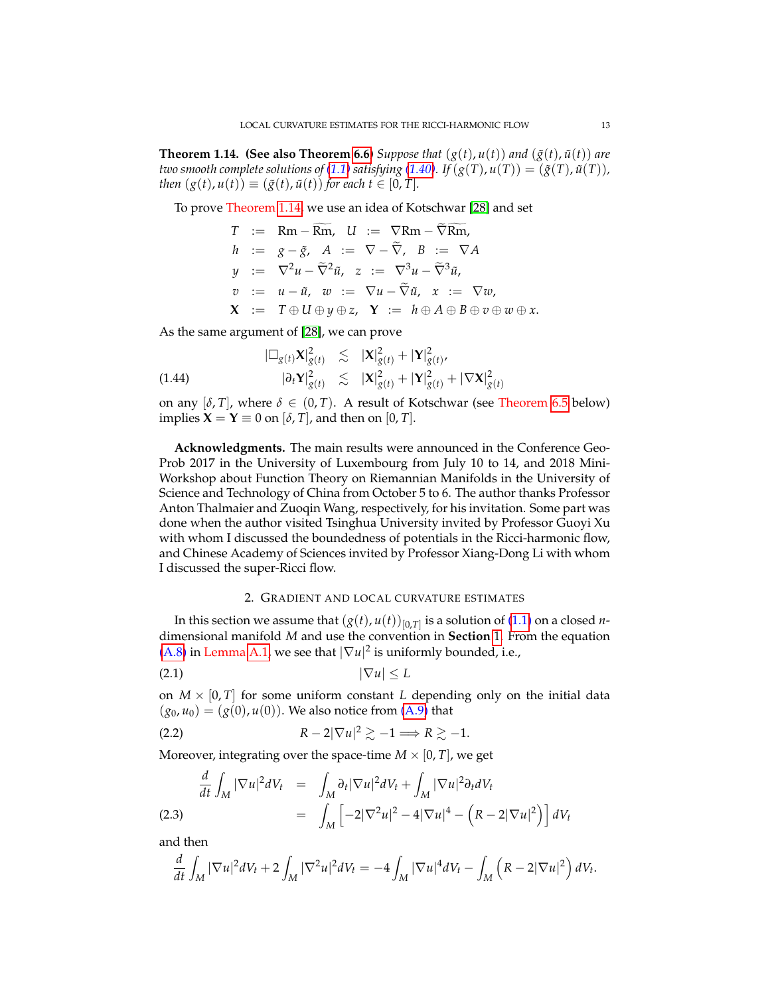<span id="page-12-1"></span>**Theorem 1.14. (See also Theorem [6.6\)](#page-59-1)** *Suppose that*  $(g(t), u(t))$  *and*  $(\tilde{g}(t), \tilde{u}(t))$  *are two smooth complete solutions of* [\(1.1\)](#page-1-1) *satisfying* [\(1.40\)](#page-11-0)*.* If  $(g(T), u(T)) = (\tilde{g}(T), \tilde{u}(T))$ *, then*  $(g(t), u(t)) \equiv (\tilde{g}(t), \tilde{u}(t))$  *for each*  $t \in [0, T]$ *.* 

To prove Theorem [1.14,](#page-12-1) we use an idea of Kotschwar [\[28\]](#page-69-17) and set

$$
T := \text{Rm} - \text{Rm}, \quad U := \nabla \text{Rm} - \text{Rm},
$$
\n
$$
h := g - \tilde{g}, \quad A := \nabla - \tilde{\nabla}, \quad B := \nabla A
$$
\n
$$
y := \nabla^2 u - \tilde{\nabla}^2 \tilde{u}, \quad z := \nabla^3 u - \tilde{\nabla}^3 \tilde{u},
$$
\n
$$
v := u - \tilde{u}, \quad w := \nabla u - \tilde{\nabla} \tilde{u}, \quad x := \nabla w,
$$
\n
$$
\mathbf{X} := T \oplus U \oplus y \oplus z, \quad \mathbf{Y} := h \oplus A \oplus B \oplus v \oplus w \oplus x.
$$

As the same argument of [\[28\]](#page-69-17), we can prove

(1.44) 
$$
\begin{array}{rcl} |\Box_{g(t)} \mathbf{X}|^2_{g(t)} & \lesssim & |\mathbf{X}|^2_{g(t)} + |\mathbf{Y}|^2_{g(t)},\\ |\partial_t \mathbf{Y}|^2_{g(t)} & \lesssim & |\mathbf{X}|^2_{g(t)} + |\mathbf{Y}|^2_{g(t)} + |\nabla \mathbf{X}|^2_{g(t)} \end{array}
$$

on any  $[\delta, T]$ , where  $\delta \in (0, T)$ . A result of Kotschwar (see Theorem [6.5](#page-59-2) below) implies  $X = Y \equiv 0$  on  $[\delta, T]$ , and then on  $[0, T]$ .

**Acknowledgments.** The main results were announced in the Conference Geo-Prob 2017 in the University of Luxembourg from July 10 to 14, and 2018 Mini-Workshop about Function Theory on Riemannian Manifolds in the University of Science and Technology of China from October 5 to 6. The author thanks Professor Anton Thalmaier and Zuoqin Wang, respectively, for his invitation. Some part was done when the author visited Tsinghua University invited by Professor Guoyi Xu with whom I discussed the boundedness of potentials in the Ricci-harmonic flow, and Chinese Academy of Sciences invited by Professor Xiang-Dong Li with whom I discussed the super-Ricci flow.

## <span id="page-12-3"></span><span id="page-12-2"></span>2. GRADIENT AND LOCAL CURVATURE ESTIMATES

<span id="page-12-0"></span>In this section we assume that  $(g(t), u(t))_{[0,T]}$  is a solution of [\(1.1\)](#page-1-1) on a closed *n*dimensional manifold *M* and use the convention in **Section** [1.](#page-1-0) From the equation [\(A.8\)](#page-65-1) in Lemma [A.1,](#page-65-2) we see that  $|\nabla u|^2$  is uniformly bounded, i.e.,

$$
|\nabla u| \leq L
$$

on  $M \times [0, T]$  for some uniform constant *L* depending only on the initial data  $(g_0, u_0) = (g(0), u(0))$ . We also notice from [\(A.9\)](#page-65-1) that

$$
(2.2) \t\t R-2|\nabla u|^2\gtrsim -1 \Longrightarrow R\gtrsim -1.
$$

Moreover, integrating over the space-time  $M \times [0, T]$ , we get

$$
\frac{d}{dt} \int_M |\nabla u|^2 dV_t = \int_M \partial_t |\nabla u|^2 dV_t + \int_M |\nabla u|^2 \partial_t dV_t
$$
\n(2.3)\n
$$
= \int_M \left[ -2|\nabla^2 u|^2 - 4|\nabla u|^4 - \left(R - 2|\nabla u|^2\right) \right] dV_t
$$

and then

$$
\frac{d}{dt}\int_M|\nabla u|^2dV_t+2\int_M|\nabla^2 u|^2dV_t=-4\int_M|\nabla u|^4dV_t-\int_M\left(R-2|\nabla u|^2\right)dV_t.
$$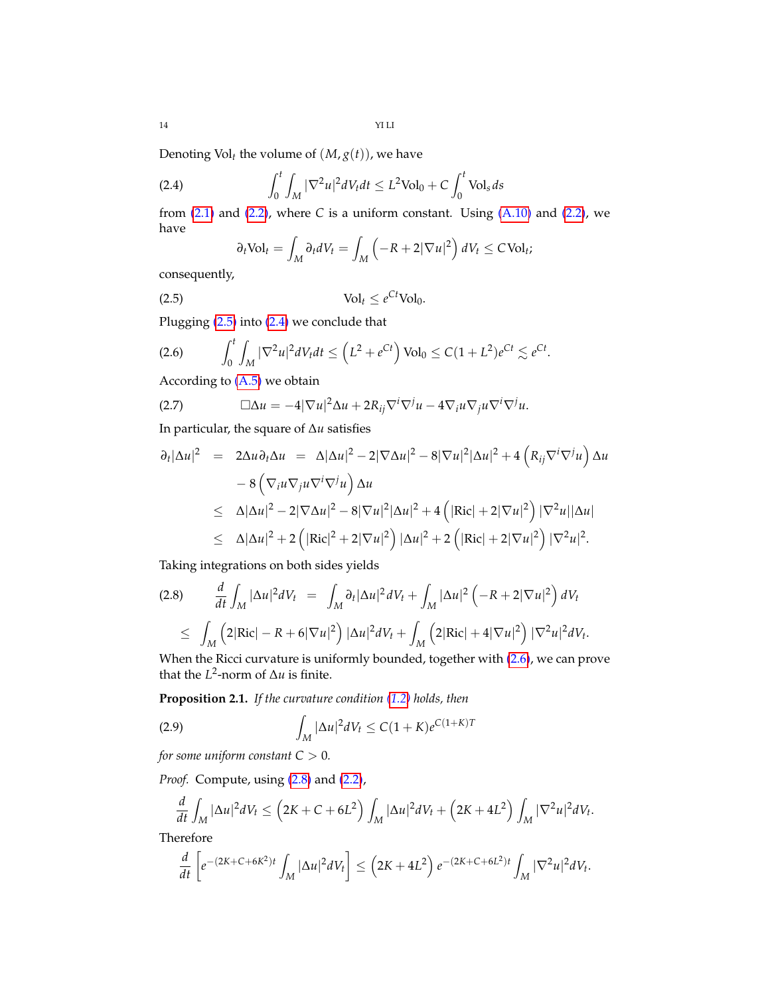14 YI LI

Denoting Vol<sub>t</sub> the volume of  $(M, g(t))$ , we have

(2.4) 
$$
\int_0^t \int_M |\nabla^2 u|^2 dV_t dt \leq L^2 \text{Vol}_0 + C \int_0^t \text{Vol}_s ds
$$

from  $(2.1)$  and  $(2.2)$ , where *C* is a uniform constant. Using  $(A.10)$  and  $(2.2)$ , we have

<span id="page-13-1"></span><span id="page-13-0"></span>
$$
\partial_t \text{Vol}_t = \int_M \partial_t dV_t = \int_M \left( -R + 2|\nabla u|^2 \right) dV_t \leq C \text{Vol}_t;
$$

consequently,

$$
\text{(2.5)} \quad \text{Vol}_t \leq e^{Ct} \text{Vol}_0.
$$

Plugging [\(2.5\)](#page-13-0) into [\(2.4\)](#page-13-1) we conclude that

<span id="page-13-2"></span>(2.6) 
$$
\int_0^t \int_M |\nabla^2 u|^2 dV_t dt \leq (L^2 + e^{Ct}) \text{Vol}_0 \leq C(1 + L^2) e^{Ct} \lesssim e^{Ct}.
$$

According to  $(A.5)$  we obtain

(2.7) 
$$
\Box \Delta u = -4|\nabla u|^2 \Delta u + 2R_{ij}\nabla^i \nabla^j u - 4\nabla_i u \nabla_j u \nabla^i \nabla^j u.
$$

In particular, the square of ∆*u* satisfies

$$
\partial_t |\Delta u|^2 = 2\Delta u \partial_t \Delta u = \Delta |\Delta u|^2 - 2|\nabla \Delta u|^2 - 8|\nabla u|^2 |\Delta u|^2 + 4\left(R_{ij}\nabla^i \nabla^j u\right) \Delta u
$$
  
\n
$$
- 8\left(\nabla_i u \nabla_j u \nabla^i \nabla^j u\right) \Delta u
$$
  
\n
$$
\leq \Delta |\Delta u|^2 - 2|\nabla \Delta u|^2 - 8|\nabla u|^2 |\Delta u|^2 + 4\left(|\text{Ric}| + 2|\nabla u|^2\right)|\nabla^2 u||\Delta u|
$$
  
\n
$$
\leq \Delta |\Delta u|^2 + 2\left(|\text{Ric}|^2 + 2|\nabla u|^2\right)|\Delta u|^2 + 2\left(|\text{Ric}| + 2|\nabla u|^2\right)|\nabla^2 u|^2.
$$

Taking integrations on both sides yields

<span id="page-13-3"></span>
$$
(2.8) \qquad \frac{d}{dt} \int_M |\Delta u|^2 dV_t \ = \ \int_M \partial_t |\Delta u|^2 dV_t + \int_M |\Delta u|^2 \left( -R + 2|\nabla u|^2 \right) dV_t
$$
  

$$
\ \leq \ \int_M \left( 2|\text{Ric}| - R + 6|\nabla u|^2 \right) |\Delta u|^2 dV_t + \int_M \left( 2|\text{Ric}| + 4|\nabla u|^2 \right) |\nabla^2 u|^2 dV_t.
$$

When the Ricci curvature is uniformly bounded, together with [\(2.6\)](#page-13-2), we can prove that the  $L^2$ -norm of  $\Delta u$  is finite.

**Proposition 2.1.** *If the curvature condition [\(1.2\)](#page-1-3) holds, then*

<span id="page-13-4"></span>(2.9) 
$$
\int_M |\Delta u|^2 dV_t \leq C(1+K)e^{C(1+K)T}
$$

*for some uniform constant*  $C > 0$ *.* 

*Proof.* Compute, using [\(2.8\)](#page-13-3) and [\(2.2\)](#page-12-3),

$$
\frac{d}{dt}\int_M |\Delta u|^2 dV_t \leq \left(2K+C+6L^2\right)\int_M |\Delta u|^2 dV_t + \left(2K+4L^2\right)\int_M |\nabla^2 u|^2 dV_t.
$$

Therefore

$$
\frac{d}{dt}\left[e^{-(2K+C+6K^2)t}\int_M|\Delta u|^2dV_t\right]\leq \left(2K+4L^2\right)e^{-(2K+C+6L^2)t}\int_M|\nabla^2 u|^2dV_t.
$$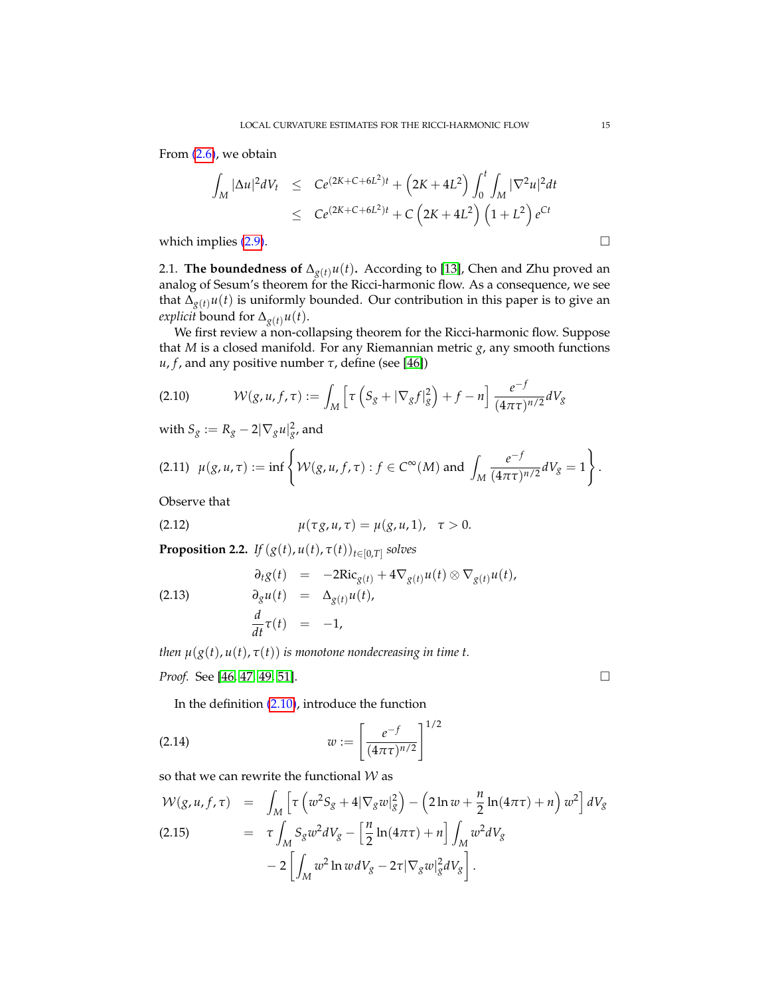From [\(2.6\)](#page-13-2), we obtain

$$
\int_{M} |\Delta u|^{2} dV_{t} \leq C e^{(2K+C+6L^{2})t} + (2K+4L^{2}) \int_{0}^{t} \int_{M} |\nabla^{2} u|^{2} dt
$$
  

$$
\leq C e^{(2K+C+6L^{2})t} + C \left(2K+4L^{2}\right) \left(1+L^{2}\right) e^{Ct}
$$

which implies  $(2.9)$ .

<span id="page-14-0"></span>2.1. **The boundedness of**  $\Delta_{g(t)}u(t)$ . According to [\[13\]](#page-69-4), Chen and Zhu proved an analog of Sesum's theorem for the Ricci-harmonic flow. As a consequence, we see that  $\Delta_{g(t)}u(t)$  is uniformly bounded. Our contribution in this paper is to give an *explicit* bound for  $\Delta_{g(t)} u(t)$ .

We first review a non-collapsing theorem for the Ricci-harmonic flow. Suppose that *M* is a closed manifold. For any Riemannian metric *g*, any smooth functions *u*, *f*, and any positive number *τ*, define (see [\[46\]](#page-70-4))

<span id="page-14-2"></span>
$$
(2.10) \qquad \mathcal{W}(g, u, f, \tau) := \int_M \left[ \tau \left( S_g + |\nabla_g f|_g^2 \right) + f - n \right] \frac{e^{-f}}{(4\pi\tau)^{n/2}} dV_g
$$

with  $S_g := R_g - 2|\nabla_g u|_{g'}^2$  and

<span id="page-14-4"></span>
$$
(2.11) \ \ \mu(g, u, \tau) := \inf \left\{ \mathcal{W}(g, u, f, \tau) : f \in C^{\infty}(M) \text{ and } \int_{M} \frac{e^{-f}}{(4\pi\tau)^{n/2}} dV_{g} = 1 \right\}.
$$

Observe that

(2.12) 
$$
\mu(\tau g, u, \tau) = \mu(g, u, 1), \quad \tau > 0.
$$

<span id="page-14-1"></span>**Proposition 2.2.** *If*  $(g(t), u(t), \tau(t))_{t \in [0,T]}$  solves

<span id="page-14-5"></span>(2.13) 
$$
\begin{aligned}\n\partial_t g(t) &= -2Ric_{g(t)} + 4\nabla_{g(t)}u(t) \otimes \nabla_{g(t)}u(t), \\
\partial_g u(t) &= \Delta_{g(t)}u(t), \\
\frac{d}{dt}\tau(t) &= -1,\n\end{aligned}
$$

*then*  $\mu(g(t), u(t), \tau(t))$  *is monotone nondecreasing in time t.* 

*Proof.* See [\[46,](#page-70-4) [47,](#page-70-5) [49,](#page-70-6) [51\]](#page-70-7). □

In the definition [\(2.10\)](#page-14-2), introduce the function

(2.14) 
$$
w := \left[\frac{e^{-f}}{(4\pi\tau)^{n/2}}\right]^{1/2}
$$

so that we can rewrite the functional  $W$  as

<span id="page-14-3"></span>
$$
\mathcal{W}(g, u, f, \tau) = \int_{M} \left[ \tau \left( w^{2} S_{g} + 4 |\nabla_{g} w|_{g}^{2} \right) - \left( 2 \ln w + \frac{n}{2} \ln(4 \pi \tau) + n \right) w^{2} \right] dV_{g}
$$
\n(2.15)\n
$$
= \tau \int_{M} S_{g} w^{2} dV_{g} - \left[ \frac{n}{2} \ln(4 \pi \tau) + n \right] \int_{M} w^{2} dV_{g}
$$
\n
$$
- 2 \left[ \int_{M} w^{2} \ln w dV_{g} - 2 \tau |\nabla_{g} w|_{g}^{2} dV_{g} \right].
$$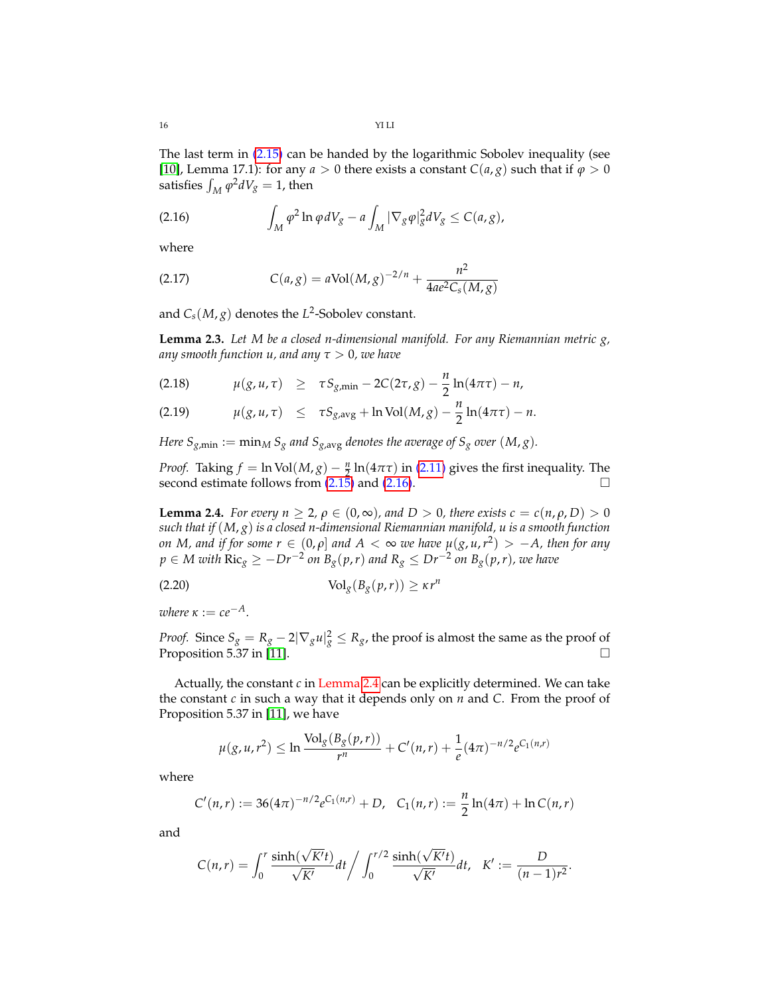The last term in [\(2.15\)](#page-14-3) can be handed by the logarithmic Sobolev inequality (see [\[10\]](#page-69-19), Lemma 17.1): for any  $a > 0$  there exists a constant  $C(a, g)$  such that if  $\varphi > 0$ satisfies  $\int_M \varphi^2 dV_g = 1$ , then

<span id="page-15-0"></span>(2.16) 
$$
\int_M \varphi^2 \ln \varphi dV_g - a \int_M |\nabla_g \varphi|_g^2 dV_g \leq C(a, g),
$$

where

(2.17) 
$$
C(a,g) = a \text{Vol}(M,g)^{-2/n} + \frac{n^2}{4ae^2C_s(M,g)}
$$

and  $C_s(M,g)$  denotes the  $L^2$ -Sobolev constant.

**Lemma 2.3.** *Let M be a closed n-dimensional manifold. For any Riemannian metric g, any smooth function u, and any τ* > 0*, we have*

(2.18) 
$$
\mu(g, u, \tau) \geq \tau S_{g, min} - 2C(2\tau, g) - \frac{n}{2} \ln(4\pi\tau) - n,
$$

(2.19) 
$$
\mu(g, u, \tau) \leq \tau S_{g, avg} + \ln Vol(M, g) - \frac{n}{2} \ln(4\pi\tau) - n.
$$

*Here*  $S_{g,min} := \min_{M} S_g$  *and*  $S_{g,avg}$  *denotes the average of*  $S_g$  *over*  $(M, g)$ *.* 

*Proof.* Taking  $f = \ln \text{Vol}(M, g) - \frac{n}{2} \ln(4\pi\tau)$  in [\(2.11\)](#page-14-4) gives the first inequality. The second estimate follows from  $(2.15)$  and  $(2.16)$ .

<span id="page-15-1"></span>**Lemma 2.4.** *For every n*  $\geq 2$ ,  $\rho \in (0, \infty)$ , and  $D > 0$ , there exists  $c = c(n, \rho, D) > 0$ *such that if* (*M*, *g*) *is a closed n-dimensional Riemannian manifold, u is a smooth function on M, and if for some*  $r \in (0,\rho]$  *and*  $A < \infty$  *we have*  $\mu(g,u,r^2) > -A$ *, then for any p* ∈ *M* with  $\text{Ric}_{g}$  ≥ −*Dr*<sup>−2</sup> on B<sub>g</sub>(p,r) and R<sub>g</sub> ≤ Dr<sup>−2</sup> on B<sub>g</sub>(p,r), we have

$$
\text{(2.20)} \quad \text{Vol}_g(B_g(p,r)) \geq \kappa r^n
$$

 $where \kappa := c e^{-A}$ 

*Proof.* Since  $S_g = R_g - 2|\nabla_g u|_g^2 \leq R_g$ , the proof is almost the same as the proof of Proposition 5.37 in [\[11\]](#page-69-20).  $\Box$ 

Actually, the constant *c* in Lemma [2.4](#page-15-1) can be explicitly determined. We can take the constant *c* in such a way that it depends only on *n* and *C*. From the proof of Proposition 5.37 in [\[11\]](#page-69-20), we have

$$
\mu(g, u, r^2) \leq \ln \frac{\text{Vol}_g(B_g(p, r))}{r^n} + C'(n, r) + \frac{1}{e}(4\pi)^{-n/2} e^{C_1(n, r)}
$$

where

$$
C'(n,r) := 36(4\pi)^{-n/2} e^{C_1(n,r)} + D, \quad C_1(n,r) := \frac{n}{2} \ln(4\pi) + \ln C(n,r)
$$

and

$$
C(n,r) = \int_0^r \frac{\sinh(\sqrt{K'}t)}{\sqrt{K'}} dt / \int_0^{r/2} \frac{\sinh(\sqrt{K'}t)}{\sqrt{K'}} dt, \quad K' := \frac{D}{(n-1)r^2}.
$$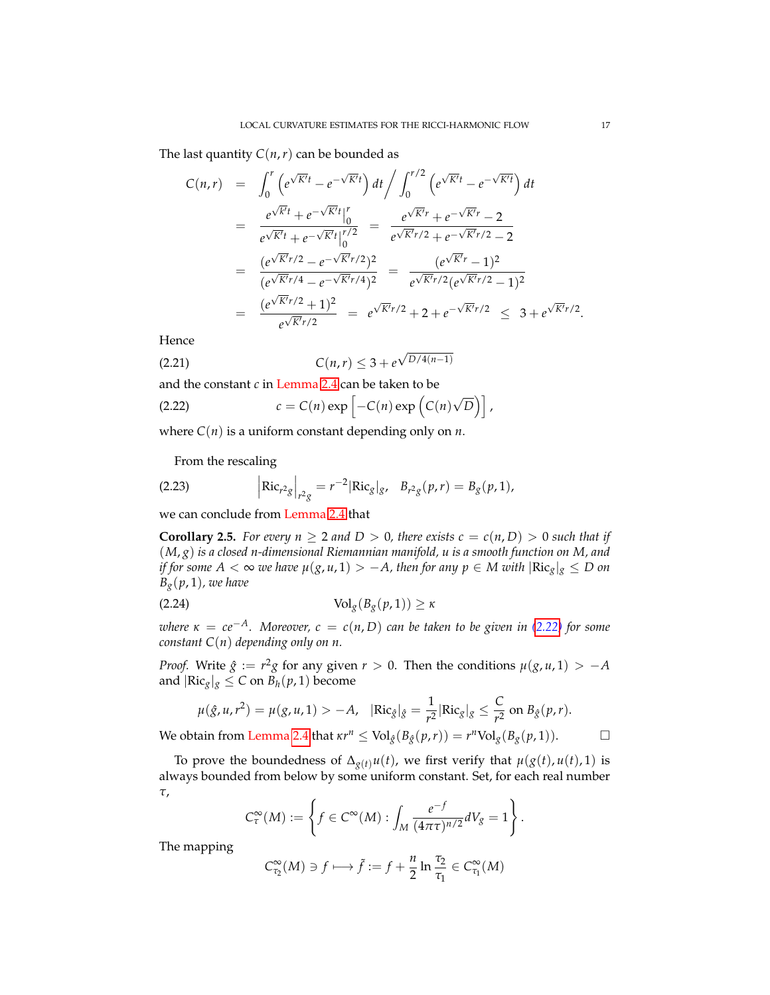The last quantity  $C(n, r)$  can be bounded as

$$
C(n,r) = \int_0^r \left( e^{\sqrt{K'}t} - e^{-\sqrt{K'}t} \right) dt \Big/ \int_0^{r/2} \left( e^{\sqrt{K'}t} - e^{-\sqrt{K'}t} \right) dt
$$
  
\n
$$
= \frac{e^{\sqrt{K'}t} + e^{-\sqrt{K'}t} \Big|_0^r}{e^{\sqrt{K'}t} + e^{-\sqrt{K'}t} \Big|_0^{r/2}} = \frac{e^{\sqrt{K'}r} + e^{-\sqrt{K'}r} - 2}{e^{\sqrt{K'}r/2} + e^{-\sqrt{K'}r/2} - 2}
$$
  
\n
$$
= \frac{(e^{\sqrt{K'}r/2} - e^{-\sqrt{K'}r/2})^2}{(e^{\sqrt{K'}r/4} - e^{-\sqrt{K'}r/4})^2} = \frac{(e^{\sqrt{K'}r} - 1)^2}{e^{\sqrt{K'}r/2} (e^{\sqrt{K'}r/2} - 1)^2}
$$
  
\n
$$
= \frac{(e^{\sqrt{K'}r/2} + 1)^2}{e^{\sqrt{K'}r/2}} = e^{\sqrt{K'}r/2} + 2 + e^{-\sqrt{K'}r/2} \le 3 + e^{\sqrt{K'}r/2}.
$$

Hence

(2.21) 
$$
C(n,r) \leq 3 + e^{\sqrt{D/4(n-1)}}
$$

and the constant *c* in Lemma [2.4](#page-15-1) can be taken to be

<span id="page-16-1"></span>(2.22) 
$$
c = C(n) \exp \left[ -C(n) \exp \left( C(n) \sqrt{D} \right) \right],
$$

where  $C(n)$  is a uniform constant depending only on *n*.

From the rescaling

(2.23) 
$$
\left| \text{Ric}_{r^2 g} \right|_{r^2 g} = r^{-2} |\text{Ric}_g|_{g}, \quad B_{r^2 g}(p, r) = B_g(p, 1),
$$

we can conclude from Lemma [2.4](#page-15-1) that

<span id="page-16-0"></span>**Corollary 2.5.** For every  $n \geq 2$  and  $D > 0$ , there exists  $c = c(n, D) > 0$  such that if (*M*, *g*) *is a closed n-dimensional Riemannian manifold, u is a smooth function on M, and if for some A* <  $\infty$  *we have*  $\mu(g, u, 1) > -A$ , then for any  $p \in M$  with  $|\text{Ric}_{g}|_{g} \leq D$  on  $B_g(p, 1)$ *, we have* 

$$
\text{(2.24)} \quad \text{Vol}_g(B_g(p, 1)) \ge \kappa
$$

*where*  $\kappa = ce^{-A}$ *. Moreover,*  $c = c(n, D)$  *can be taken to be given in* [\(2.22\)](#page-16-1) *for some constant C*(*n*) *depending only on n.*

*Proof.* Write  $\hat{g} := r^2 g$  for any given  $r > 0$ . Then the conditions  $\mu(g, u, 1) > -A$ and  $|\text{Ric}_g|_g \leq C$  on  $B_h(p, 1)$  become

$$
\mu(\hat{g}, u, r^2) = \mu(g, u, 1) > -A, \quad |\text{Ric}_{\hat{g}}|_{\hat{g}} = \frac{1}{r^2} |\text{Ric}_{g}|_{g} \le \frac{C}{r^2} \text{ on } B_{\hat{g}}(p, r).
$$

We obtain from Lemma [2.4](#page-15-1) that  $\kappa r^n \leq \text{Vol}_{\hat{g}}(B_{\hat{g}}(p,r)) = r^n \text{Vol}_{g}(B_g(p,1)).$ 

To prove the boundedness of  $\Delta_{g(t)} u(t)$ , we first verify that  $\mu(g(t), u(t), 1)$  is always bounded from below by some uniform constant. Set, for each real number *τ*,

$$
C^{\infty}_{\tau}(M) := \left\{ f \in C^{\infty}(M) : \int_{M} \frac{e^{-f}}{(4\pi\tau)^{n/2}} dV_{g} = 1 \right\}.
$$

The mapping

$$
C_{\tau_2}^{\infty}(M) \ni f \longmapsto \tilde{f} := f + \frac{n}{2} \ln \frac{\tau_2}{\tau_1} \in C_{\tau_1}^{\infty}(M)
$$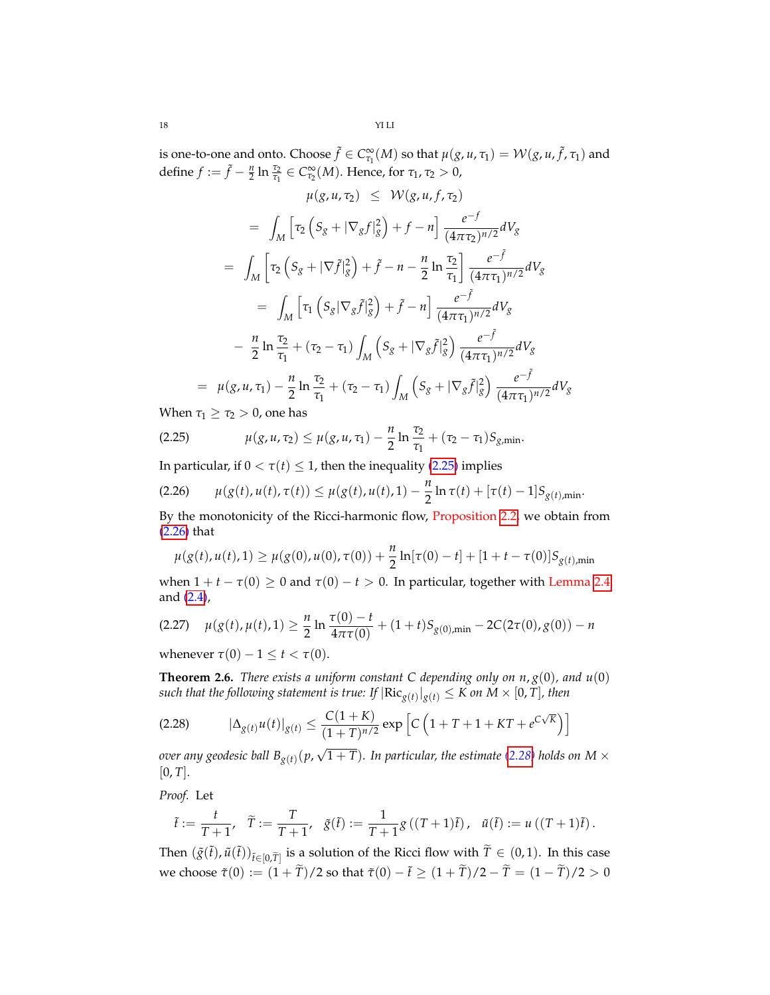is one-to-one and onto. Choose  $\tilde{f} \in C^{\infty}_{\tau_1}(M)$  so that  $\mu(g, u, \tau_1) = \mathcal{W}(g, u, \tilde{f}, \tau_1)$  and define  $f := \tilde{f} - \frac{n}{2} \ln \frac{\tau_2}{\tau_1} \in C_{\tau_2}^{\infty}(M)$ . Hence, for  $\tau_1, \tau_2 > 0$ ,

$$
\mu(g, u, \tau_2) \leq \mathcal{W}(g, u, f, \tau_2)
$$
\n
$$
= \int_M \left[ \tau_2 \left( S_g + |\nabla_g f|_g^2 \right) + f - n \right] \frac{e^{-f}}{(4\pi\tau_2)^{n/2}} dV_g
$$
\n
$$
= \int_M \left[ \tau_2 \left( S_g + |\nabla f|_g^2 \right) + \tilde{f} - n - \frac{n}{2} \ln \frac{\tau_2}{\tau_1} \right] \frac{e^{-\tilde{f}}}{(4\pi\tau_1)^{n/2}} dV_g
$$
\n
$$
= \int_M \left[ \tau_1 \left( S_g |\nabla_g \tilde{f}|_g^2 \right) + \tilde{f} - n \right] \frac{e^{-\tilde{f}}}{(4\pi\tau_1)^{n/2}} dV_g
$$
\n
$$
- \frac{n}{2} \ln \frac{\tau_2}{\tau_1} + (\tau_2 - \tau_1) \int_M \left( S_g + |\nabla_g \tilde{f}|_g^2 \right) \frac{e^{-\tilde{f}}}{(4\pi\tau_1)^{n/2}} dV_g
$$
\n
$$
= \mu(g, u, \tau_1) - \frac{n}{2} \ln \frac{\tau_2}{\tau_1} + (\tau_2 - \tau_1) \int_M \left( S_g + |\nabla_g \tilde{f}|_g^2 \right) \frac{e^{-\tilde{f}}}{(4\pi\tau_1)^{n/2}} dV_g
$$

When  $\tau_1 \geq \tau_2 > 0$ , one has

<span id="page-17-1"></span>(2.25) 
$$
\mu(g, u, \tau_2) \leq \mu(g, u, \tau_1) - \frac{n}{2} \ln \frac{\tau_2}{\tau_1} + (\tau_2 - \tau_1) S_{g, \min}.
$$

In particular, if  $0 < \tau(t) \leq 1$ , then the inequality [\(2.25\)](#page-17-1) implies

<span id="page-17-2"></span>
$$
(2.26) \qquad \mu(g(t), u(t), \tau(t)) \leq \mu(g(t), u(t), 1) - \frac{n}{2} \ln \tau(t) + [\tau(t) - 1] S_{g(t), \min}.
$$

By the monotonicity of the Ricci-harmonic flow, Proposition [2.2,](#page-14-1) we obtain from [\(2.26\)](#page-17-2) that

$$
\mu(g(t), u(t), 1) \ge \mu(g(0), u(0), \tau(0)) + \frac{n}{2} \ln[\tau(0) - t] + [1 + t - \tau(0)] S_{g(t), \min}
$$

when  $1 + t - \tau(0) \ge 0$  and  $\tau(0) - t > 0$ . In particular, together with Lemma [2.4](#page-15-1) and [\(2.4\)](#page-13-1),

<span id="page-17-4"></span>
$$
(2.27) \quad \mu(g(t), \mu(t), 1) \ge \frac{n}{2} \ln \frac{\tau(0) - t}{4\pi \tau(0)} + (1+t) S_{g(0), \min} - 2C(2\tau(0), g(0)) - n
$$

whenever  $\tau(0) - 1 \leq t < \tau(0)$ .

<span id="page-17-0"></span>**Theorem 2.6.** *There exists a uniform constant C depending only on*  $n$ *,*  $g(0)$ *, and*  $u(0)$  $s$ uch that the following statement is true: If  $|{\rm Ric}_{g(t)}|_{g(t)} \leq K$  on  $M \times [0,T]$ , then

<span id="page-17-3"></span>(2.28) 
$$
|\Delta_{g(t)} u(t)|_{g(t)} \le \frac{C(1+K)}{(1+T)^{n/2}} \exp\left[C\left(1+T+1+KT+e^{C\sqrt{K}}\right)\right]
$$

*over any geodesic ball Bg*(*t*) (*p*,  $(1 + T)$ *. In particular, the estimate [\(2.28\)](#page-17-3) holds on M*  $\times$  $[0, T]$ .

*Proof.* Let

$$
\tilde{t} := \frac{t}{T+1}, \quad \tilde{T} := \frac{T}{T+1}, \quad \tilde{g}(\tilde{t}) := \frac{1}{T+1} g((T+1)\tilde{t}), \quad \tilde{u}(\tilde{t}) := u((T+1)\tilde{t}).
$$

Then  $(\tilde{g}(\tilde{t}), \tilde{u}(\tilde{t}))_{\tilde{t} \in [0,\tilde{T}]}$  is a solution of the Ricci flow with  $\tilde{T} \in (0,1)$ . In this case we choose  $\tilde{\tau}(0) := (1 + \tilde{T})/2$  so that  $\tilde{\tau}(0) - \tilde{t} \ge (1 + \tilde{T})/2 - \tilde{T} = (1 - \tilde{T})/2 > 0$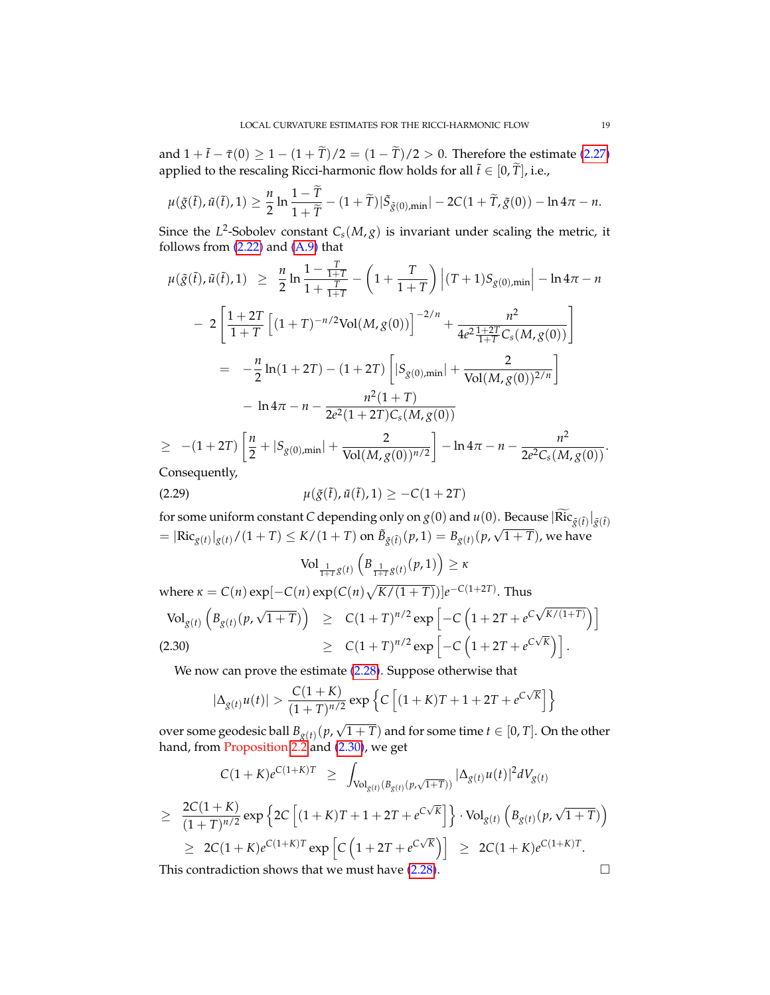and  $1 + \tilde{t} - \tilde{\tau}(0) \ge 1 - (1 + \tilde{T})/2 = (1 - \tilde{T})/2 > 0$ . Therefore the estimate [\(2.27\)](#page-17-4) applied to the rescaling Ricci-harmonic flow holds for all  $\tilde{t} \in [0, \tilde{T}]$ , i.e.,

$$
\mu(\tilde{g}(\tilde{t}),\tilde{u}(\tilde{t}),1) \geq \frac{n}{2}\ln\frac{1-T}{1+\tilde{T}} - (1+\tilde{T})|\tilde{S}_{\tilde{g}(0),\min}|-2C(1+\tilde{T},\tilde{g}(0))- \ln 4\pi - n.
$$

Since the  $L^2$ -Sobolev constant  $C_s(M,g)$  is invariant under scaling the metric, it follows from [\(2.22\)](#page-16-1) and [\(A.9\)](#page-65-1) that

$$
\mu(\tilde{g}(\tilde{t}), \tilde{u}(\tilde{t}), 1) \geq \frac{n}{2} \ln \frac{1 - \frac{T}{1 + T}}{1 + \frac{T}{1 + T}} - \left(1 + \frac{T}{1 + T}\right) \left| (T + 1)S_{g(0), \min} \right| - \ln 4\pi - n
$$
  
\n
$$
- 2 \left[ \frac{1 + 2T}{1 + T} \left[ (1 + T)^{-n/2} \text{Vol}(M, g(0)) \right]^{-2/n} + \frac{n^2}{4e^2 \frac{1 + 2T}{1 + T} C_s(M, g(0))} \right]
$$
  
\n
$$
= -\frac{n}{2} \ln(1 + 2T) - (1 + 2T) \left[ |S_{g(0), \min} | + \frac{2}{\text{Vol}(M, g(0))^{2/n}} \right]
$$
  
\n
$$
- \ln 4\pi - n - \frac{n^2 (1 + T)}{2e^2 (1 + 2T) C_s(M, g(0))}
$$
  
\n
$$
\geq -(1 + 2T) \left[ \frac{n}{2} + |S_{g(0), \min} | + \frac{2}{\text{Vol}(M, g(0))^{n/2}} \right] - \ln 4\pi - n - \frac{n^2}{2e^2 C_s(M, g(0))}.
$$

Consequently,

$$
\mu(\tilde{g}(\tilde{t}), \tilde{u}(\tilde{t}), 1) \ge -C(1+2T)
$$

for some uniform constant *C* depending only on  $g(0)$  and  $u(0)$ . Because  $|\text{Ric}_{\tilde{g}(\tilde{t})}|_{\tilde{g}(\tilde{t})}$  $=$   $|\text{Ric}_{g(t)}|_{g(t)}/(1+T) \leq K/(1+T)$  on  $\tilde{B}_{\tilde{g}(\tilde{t})}(p, 1) = B_{g(t)}(p,$ √  $(1+T)$ , we have

 $\mathrm{Vol}_{\frac{1}{1+T}g(t)}\left(B_{\frac{1}{1+T}g(t)}(p,1)\right)\geq\kappa$ 

<span id="page-18-0"></span>where 
$$
\kappa = C(n) \exp[-C(n) \exp(C(n)\sqrt{K/(1+T)})]e^{-C(1+2T)}
$$
. Thus  
\n
$$
\text{Vol}_{g(t)} \left( B_{g(t)}(p, \sqrt{1+T}) \right) \geq C(1+T)^{n/2} \exp \left[ -C \left( 1 + 2T + e^{C\sqrt{K/(1+T)}} \right) \right]
$$
\n(2.30) 
$$
\geq C(1+T)^{n/2} \exp \left[ -C \left( 1 + 2T + e^{C\sqrt{K}} \right) \right].
$$

We now can prove the estimate [\(2.28\)](#page-17-3). Suppose otherwise that

$$
|\Delta_{g(t)} u(t)| > \frac{C(1+K)}{(1+T)^{n/2}} \exp \left\{ C \left[ (1+K)T + 1 + 2T + e^{C\sqrt{K}} \right] \right\}
$$

over some geodesic ball *Bg*(*t*) (*p*,  $\overline{1+T}$ ) and for some time  $t\in [0,T].$  On the other hand, from Proposition [2.2](#page-14-1) and [\(2.30\)](#page-18-0), we get

$$
C(1+K)e^{C(1+K)T} \geq \int_{\text{Vol}_{g(t)}(B_{g(t)}(p,\sqrt{1+T}))} |\Delta_{g(t)} u(t)|^2 dV_{g(t)}
$$
  
\n
$$
\geq \frac{2C(1+K)}{(1+T)^{n/2}} \exp \left\{ 2C \left[ (1+K)T + 1 + 2T + e^{C\sqrt{K}} \right] \right\} \cdot \text{Vol}_{g(t)} \left( B_{g(t)}(p,\sqrt{1+T}) \right)
$$
  
\n
$$
\geq 2C(1+K)e^{C(1+K)T} \exp \left[ C \left( 1 + 2T + e^{C\sqrt{K}} \right) \right] \geq 2C(1+K)e^{C(1+K)T}.
$$

This contradiction shows that we must have  $(2.28)$ .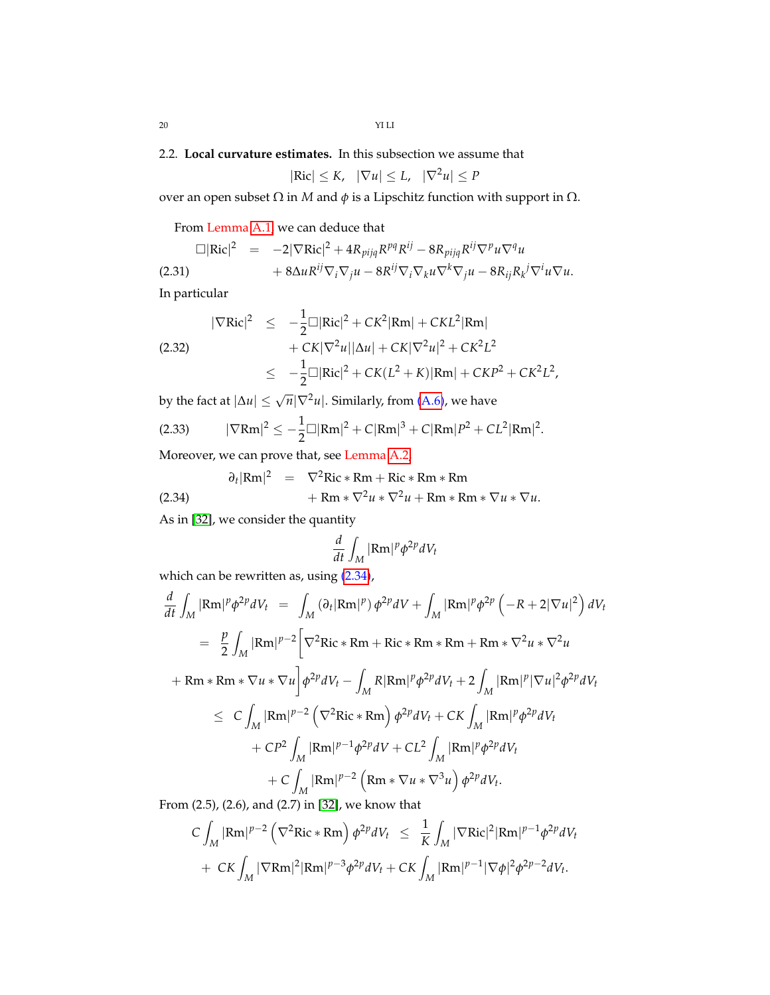# <span id="page-19-0"></span>2.2. **Local curvature estimates.** In this subsection we assume that

$$
|\text{Ric}| \leq K, \quad |\nabla u| \leq L, \quad |\nabla^2 u| \leq P
$$

over an open subset  $Ω$  in  $M$  and  $φ$  is a Lipschitz function with support in  $Ω$ .

From Lemma [A.1,](#page-65-2) we can deduce that

$$
\Box |\text{Ric}|^2 = -2|\nabla \text{Ric}|^2 + 4R_{pijq}R^{pq}R^{ij} - 8R_{pijq}R^{ij}\nabla^p u \nabla^q u
$$
\n
$$
+ 8\Delta u R^{ij}\nabla_i \nabla_j u - 8R^{ij}\nabla_i \nabla_k u \nabla^k \nabla_j u - 8R_{ij}R_k^j \nabla^i u \nabla u.
$$
\n(2.31)

In particular

<span id="page-19-2"></span>
$$
|\nabla \text{Ric}|^2 \leq -\frac{1}{2} \Box |\text{Ric}|^2 + C K^2 |\text{Rm}| + C K L^2 |\text{Rm}|
$$
  
(2.32)  

$$
+ C K |\nabla^2 u| |\Delta u| + C K |\nabla^2 u|^2 + C K^2 L^2
$$
  

$$
\leq -\frac{1}{2} \Box |\text{Ric}|^2 + C K (L^2 + K) |\text{Rm}| + C K P^2 + C K^2 L^2,
$$

by the fact at  $|\Delta u| \leq \sqrt{n} |\nabla^2 u|$ . Similarly, from [\(A.6\)](#page-65-3), we have

<span id="page-19-3"></span>
$$
(2.33) \t |\nabla \text{Rm}|^2 \leq -\frac{1}{2} \square |\text{Rm}|^2 + C|\text{Rm}|^3 + C|\text{Rm}|P^2 + CL^2|\text{Rm}|^2
$$

Moreover, we can prove that, see Lemma [A.2,](#page-65-4)

<span id="page-19-1"></span>
$$
\partial_t |\text{Rm}|^2 = \nabla^2 \text{Ric} * \text{Rm} + \text{Ric} * \text{Rm} * \text{Rm}
$$
\n
$$
+ \text{Rm} * \nabla^2 u * \nabla^2 u + \text{Rm} * \text{Rm} * \nabla u * \nabla u.
$$
\n(2.34)

As in [\[32\]](#page-70-12), we consider the quantity

$$
\frac{d}{dt} \int_M |\text{Rm}|^p \phi^{2p} dV_t
$$

.

which can be rewritten as, using  $(2.34)$ ,

$$
\frac{d}{dt} \int_M |\text{Rm}|^p \phi^{2p} dV_t = \int_M (\partial_t |\text{Rm}|^p) \phi^{2p} dV + \int_M |\text{Rm}|^p \phi^{2p} \left( -R + 2|\nabla u|^2 \right) dV_t
$$
\n
$$
= \frac{p}{2} \int_M |\text{Rm}|^{p-2} \left[ \nabla^2 \text{Ric} * \text{Rm} + \text{Ric} * \text{Rm} * \text{Rm} + \text{Rm} * \nabla^2 u * \nabla^2 u \right. \right.
$$
\n
$$
+ \text{Rm} * \text{Rm} * \nabla u * \nabla u \right] \phi^{2p} dV_t - \int_M R |\text{Rm}|^p \phi^{2p} dV_t + 2 \int_M |\text{Rm}|^p |\nabla u|^2 \phi^{2p} dV_t
$$
\n
$$
\leq C \int_M |\text{Rm}|^{p-2} \left( \nabla^2 \text{Ric} * \text{Rm} \right) \phi^{2p} dV_t + C K \int_M |\text{Rm}|^p \phi^{2p} dV_t
$$
\n
$$
+ C P^2 \int_M |\text{Rm}|^{p-1} \phi^{2p} dV + C L^2 \int_M |\text{Rm}|^p \phi^{2p} dV_t
$$
\n
$$
+ C \int_M |\text{Rm}|^{p-2} \left( \text{Rm} * \nabla u * \nabla^3 u \right) \phi^{2p} dV_t.
$$

From (2.5), (2.6), and (2.7) in [\[32\]](#page-70-12), we know that

$$
C\int_{M} |\text{Rm}|^{p-2} \left(\nabla^2 \text{Ric} * \text{Rm}\right) \phi^{2p} dV_t \leq \frac{1}{K} \int_{M} |\nabla \text{Ric}|^2 |\text{Rm}|^{p-1} \phi^{2p} dV_t
$$
  
+ 
$$
C K \int_{M} |\nabla \text{Rm}|^2 |\text{Rm}|^{p-3} \phi^{2p} dV_t + C K \int_{M} |\text{Rm}|^{p-1} |\nabla \phi|^2 \phi^{2p-2} dV_t.
$$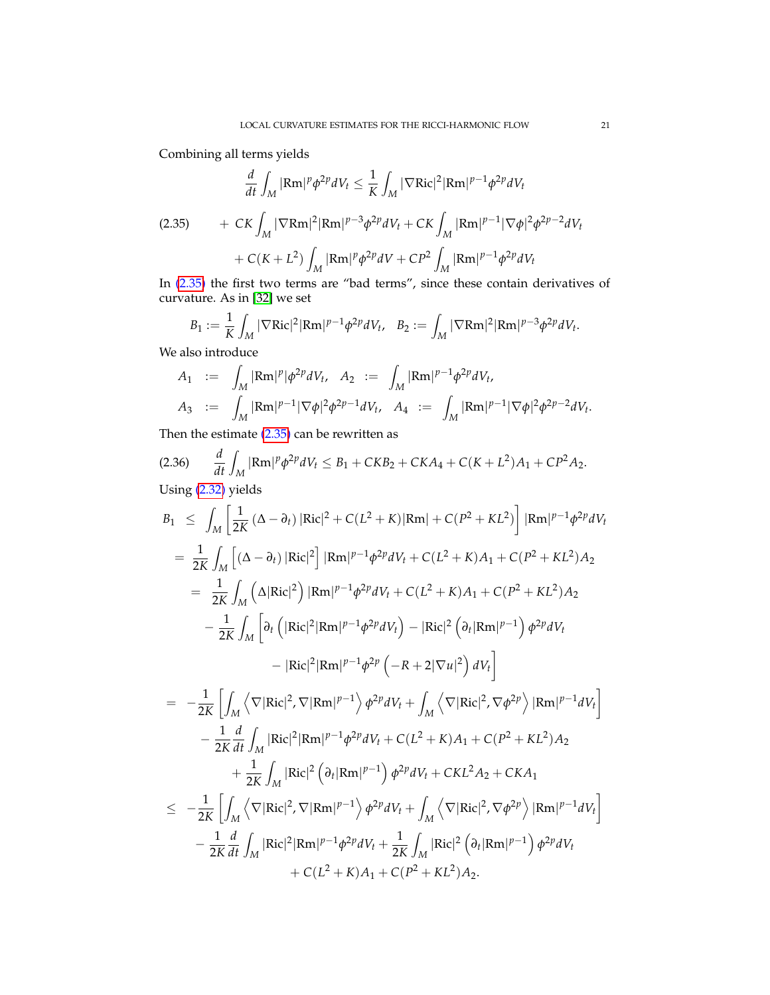Combining all terms yields

<span id="page-20-0"></span>
$$
\frac{d}{dt} \int_{M} |\text{Rm}|^{p} \phi^{2p} dV_{t} \le \frac{1}{K} \int_{M} |\nabla \text{Ric}|^{2} |\text{Rm}|^{p-1} \phi^{2p} dV_{t}
$$
\n(2.35) 
$$
+ C K \int_{M} |\nabla \text{Rm}|^{2} |\text{Rm}|^{p-3} \phi^{2p} dV_{t} + C K \int_{M} |\text{Rm}|^{p-1} |\nabla \phi|^{2} \phi^{2p-2} dV_{t}
$$
\n
$$
+ C(K + L^{2}) \int_{M} |\text{Rm}|^{p} \phi^{2p} dV + C P^{2} \int_{M} |\text{Rm}|^{p-1} \phi^{2p} dV_{t}
$$

In [\(2.35\)](#page-20-0) the first two terms are "bad terms", since these contain derivatives of curvature. As in [\[32\]](#page-70-12) we set

$$
B_1 := \frac{1}{K} \int_M |\nabla \text{Ric}|^2 |\text{Rm}|^{p-1} \phi^{2p} dV_t, \quad B_2 := \int_M |\nabla \text{Rm}|^2 |\text{Rm}|^{p-3} \phi^{2p} dV_t.
$$

We also introduce

$$
A_1 := \int_M |\text{Rm}|^p |\phi^{2p} dV_t, A_2 := \int_M |\text{Rm}|^{p-1} \phi^{2p} dV_t,
$$
  

$$
A_3 := \int_M |\text{Rm}|^{p-1} |\nabla \phi|^2 \phi^{2p-1} dV_t, A_4 := \int_M |\text{Rm}|^{p-1} |\nabla \phi|^2 \phi^{2p-2} dV_t.
$$

Then the estimate  $(2.35)$  can be rewritten as

<span id="page-20-1"></span>(2.36) 
$$
\frac{d}{dt} \int_M |\text{Rm}|^p \phi^{2p} dV_t \leq B_1 + CKB_2 + CKA_4 + C(K + L^2)A_1 + CP^2A_2.
$$
  
Using (2.32) yields

$$
B_1 \leq \int_M \left[ \frac{1}{2K} (\Delta - \partial_t) |\text{Ric}|^2 + C(L^2 + K) |\text{Rm}| + C(P^2 + KL^2) \right] |\text{Rm}|^{p-1} \phi^{2p} dV_t
$$
  
\n
$$
= \frac{1}{2K} \int_M \left[ (\Delta - \partial_t) |\text{Ric}|^2 \right] |\text{Rm}|^{p-1} \phi^{2p} dV_t + C(L^2 + K) A_1 + C(P^2 + KL^2) A_2
$$
  
\n
$$
= \frac{1}{2K} \int_M (\Delta |\text{Ric}|^2) |\text{Rm}|^{p-1} \phi^{2p} dV_t + C(L^2 + K) A_1 + C(P^2 + KL^2) A_2
$$
  
\n
$$
- \frac{1}{2K} \int_M \left[ \partial_t (|\text{Ric}|^2 |\text{Rm}|^{p-1} \phi^{2p} dV_t) - |\text{Ric}|^2 (\partial_t |\text{Rm}|^{p-1}) \phi^{2p} dV_t \right]
$$
  
\n
$$
- |\text{Ric}|^2 |\text{Rm}|^{p-1} \phi^{2p} \left( -R + 2|\nabla u|^2 \right) dV_t \right]
$$
  
\n
$$
= -\frac{1}{2K} \left[ \int_M \left\langle \nabla |\text{Ric}|^2, \nabla |\text{Rm}|^{p-1} \right\rangle \phi^{2p} dV_t + \int_M \left\langle \nabla |\text{Ric}|^2, \nabla \phi^{2p} \right\rangle |\text{Rm}|^{p-1} dV_t \right]
$$
  
\n
$$
- \frac{1}{2K} \frac{d}{dt} \int_M |\text{Ric}|^2 |\text{Rm}|^{p-1} \phi^{2p} dV_t + C(L^2 + K) A_1 + C(P^2 + KL^2) A_2
$$
  
\n
$$
+ \frac{1}{2K} \int_M |\text{Ric}|^2 (\partial_t |\text{Rm}|^{p-1}) \phi^{2p} dV_t + \int_M \left\langle \nabla |\text{Ric}|^2, \nabla \phi^{2p} \right\rangle |\text{Rm}|^{p-1} dV_t \right]
$$
  
\n
$$
- \frac{1}{2K} \frac{d}{dt} \int_M |\text{Ric}|^2 |\text
$$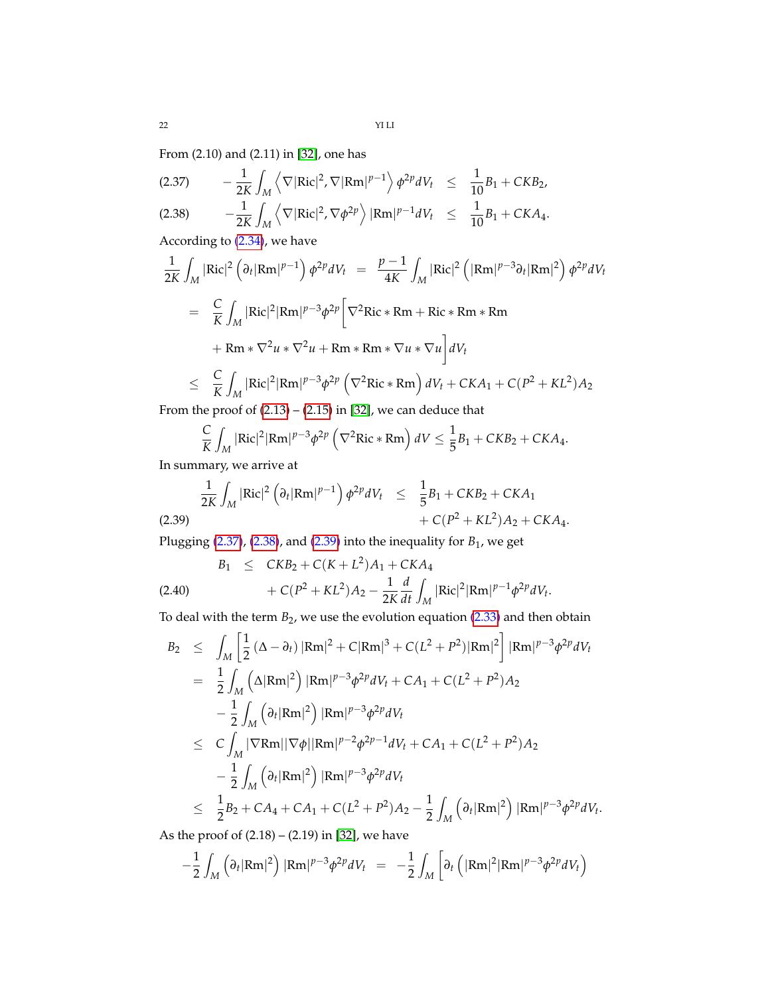From (2.10) and (2.11) in [\[32\]](#page-70-12), one has

<span id="page-21-0"></span>*M*

$$
(2.37) \qquad -\frac{1}{2K} \int_M \left\langle \nabla |\text{Ric}|^2, \nabla |\text{Rm}|^{p-1} \right\rangle \phi^{2p} dV_t \leq \frac{1}{10} B_1 + CKB_2,
$$
\n
$$
(2.38) \qquad -\frac{1}{2K} \int_M \left\langle \nabla |\text{Ric}|^2, \nabla \phi^{2p} \right\rangle |\text{Rm}|^{p-1} dV_t \leq \frac{1}{10} B_1 + CKA_4.
$$

According to [\(2.34\)](#page-19-1), we have

$$
\frac{1}{2K} \int_M |\text{Ric}|^2 \left(\partial_t |\text{Rm}|^{p-1}\right) \phi^{2p} dV_t = \frac{p-1}{4K} \int_M |\text{Ric}|^2 \left(|\text{Rm}|^{p-3} \partial_t |\text{Rm}|^2\right) \phi^{2p} dV_t
$$
  
\n
$$
= \frac{C}{K} \int_M |\text{Ric}|^2 |\text{Rm}|^{p-3} \phi^{2p} \left[\nabla^2 \text{Ric} * \text{Rm} + \text{Ric} * \text{Rm} * \text{Rm}
$$
  
\n
$$
+ \text{Rm} * \nabla^2 u * \nabla^2 u + \text{Rm} * \text{Rm} * \nabla u * \nabla u\right] dV_t
$$
  
\n
$$
\leq \frac{C}{K} \int_M |\text{Ric}|^2 |\text{Rm}|^{p-3} \phi^{2p} \left(\nabla^2 \text{Ric} * \text{Rm}\right) dV_t + \text{CKA}_1 + \text{C}(P^2 + KL^2) A_2
$$

From the proof of  $(2.13) - (2.15)$  $(2.13) - (2.15)$  $(2.13) - (2.15)$  in  $[32]$ , we can deduce that

$$
\frac{C}{K}\int_M |\text{Ric}|^2 |\text{Rm}|^{p-3} \phi^{2p} \left(\nabla^2 \text{Ric} * \text{Rm}\right) dV \le \frac{1}{5}B_1 + CKB_2 + CKA_4.
$$

In summary, we arrive at

<span id="page-21-1"></span>
$$
\frac{1}{2K} \int_M |\text{Ric}|^2 \left( \partial_t |\text{Rm}|^{p-1} \right) \phi^{2p} dV_t \leq \frac{1}{5} B_1 + CKB_2 + CKA_1 + C(P^2 + KL^2) A_2 + CKA_4.
$$
\n(2.39)

Plugging  $(2.37)$ ,  $(2.38)$ , and  $(2.39)$  into the inequality for  $B_1$ , we get

<span id="page-21-2"></span>
$$
B_1 \leq CKB_2 + C(K + L^2)A_1 + CKA_4
$$
  
(2.40) 
$$
+ C(P^2 + KL^2)A_2 - \frac{1}{2K} \frac{d}{dt} \int_M |\text{Ric}|^2 |\text{Rm}|^{p-1} \phi^{2p} dV_t.
$$

To deal with the term  $B_2$ , we use the evolution equation [\(2.33\)](#page-19-3) and then obtain

$$
B_2 \leq \int_M \left[ \frac{1}{2} (\Delta - \partial_t) |\text{Rm}|^2 + C |\text{Rm}|^3 + C(L^2 + P^2) |\text{Rm}|^2 \right] |\text{Rm}|^{p-3} \phi^{2p} dV_t
$$
  
\n
$$
= \frac{1}{2} \int_M (\Delta |\text{Rm}|^2) |\text{Rm}|^{p-3} \phi^{2p} dV_t + CA_1 + C(L^2 + P^2) A_2
$$
  
\n
$$
- \frac{1}{2} \int_M (\partial_t |\text{Rm}|^2) |\text{Rm}|^{p-3} \phi^{2p} dV_t
$$
  
\n
$$
\leq C \int_M |\nabla \text{Rm}| |\nabla \phi| |\text{Rm}|^{p-2} \phi^{2p-1} dV_t + CA_1 + C(L^2 + P^2) A_2
$$
  
\n
$$
- \frac{1}{2} \int_M (\partial_t |\text{Rm}|^2) |\text{Rm}|^{p-3} \phi^{2p} dV_t
$$
  
\n
$$
\leq \frac{1}{2} B_2 + CA_4 + CA_1 + C(L^2 + P^2) A_2 - \frac{1}{2} \int_M (\partial_t |\text{Rm}|^2) |\text{Rm}|^{p-3} \phi^{2p} dV_t.
$$

As the proof of (2.18) – (2.19) in [\[32\]](#page-70-12), we have

$$
-\frac{1}{2}\int_M \left(\partial_t |\text{Rm}|^2\right) |\text{Rm}|^{p-3} \phi^{2p} dV_t = -\frac{1}{2}\int_M \left[\partial_t \left(|\text{Rm}|^2 |\text{Rm}|^{p-3} \phi^{2p} dV_t\right)\right]
$$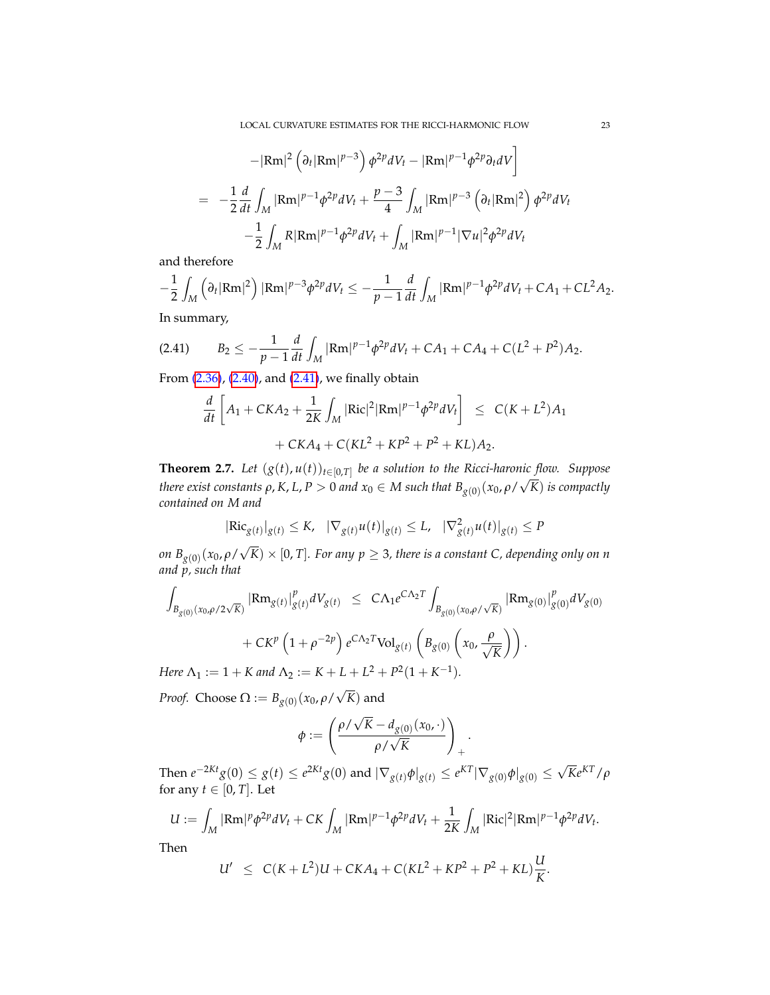$$
-|\text{Rm}|^2 \left(\partial_t |\text{Rm}|^{p-3}\right) \phi^{2p} dV_t - |\text{Rm}|^{p-1} \phi^{2p} \partial_t dV \Big]
$$
  
= 
$$
-\frac{1}{2} \frac{d}{dt} \int_M |\text{Rm}|^{p-1} \phi^{2p} dV_t + \frac{p-3}{4} \int_M |\text{Rm}|^{p-3} \left(\partial_t |\text{Rm}|^2\right) \phi^{2p} dV_t
$$

$$
-\frac{1}{2} \int_M R |\text{Rm}|^{p-1} \phi^{2p} dV_t + \int_M |\text{Rm}|^{p-1} |\nabla u|^2 \phi^{2p} dV_t
$$

and therefore

$$
-\frac{1}{2}\int_M (\partial_t |\text{Rm}|^2) |\text{Rm}|^{p-3} \phi^{2p} dV_t \leq -\frac{1}{p-1}\frac{d}{dt}\int_M |\text{Rm}|^{p-1} \phi^{2p} dV_t + CA_1 + CL^2 A_2.
$$

In summary,

$$
(2.41) \tB_2 \le -\frac{1}{p-1}\frac{d}{dt}\int_M |\text{Rm}|^{p-1}\phi^{2p}dV_t + CA_1 + CA_4 + C(L^2 + P^2)A_2.
$$

From [\(2.36\)](#page-20-1), [\(2.40\)](#page-21-2), and [\(2.41\)](#page-22-1), we finally obtain

<span id="page-22-1"></span>
$$
\frac{d}{dt} \left[ A_1 + CKA_2 + \frac{1}{2K} \int_M |\text{Ric}|^2 |\text{Rm}|^{p-1} \phi^{2p} dV_t \right] \le C(K + L^2) A_1 + CKA_4 + C(KL^2 + KP^2 + P^2 + KL) A_2.
$$

<span id="page-22-0"></span>**Theorem 2.7.** *Let*  $(g(t), u(t))_{t \in [0,T]}$  *be a solution to the Ricci-haronic flow. Suppose there exist constants*  $\rho$ *, K, L, P*  $>0$  *and*  $x_0 \in M$  *such that*  $B_{g(0)}(x_0, \rho/\sqrt{K})$  *is compactly contained on M and*

$$
|\text{Ric}_{g(t)}|_{g(t)} \leq K, \quad |\nabla_{g(t)} u(t)|_{g(t)} \leq L, \quad |\nabla^2_{g(t)} u(t)|_{g(t)} \leq P
$$

*on Bg*(0) (*x*0, *ρ*/  $F(K) \times [0,T]$ . For any  $p \geq 3$ , there is a constant C, depending only on  $n$ *and p, such that*

$$
\int_{B_{g(0)}(x_0,\rho/2\sqrt{K})} |\text{Rm}_{g(t)}|_{g(t)}^p dV_{g(t)} \leq C\Lambda_1 e^{C\Lambda_2 T} \int_{B_{g(0)}(x_0,\rho/\sqrt{K})} |\text{Rm}_{g(0)}|_{g(0)}^p dV_{g(0)} + C K^p (1+\rho^{-2p}) e^{C\Lambda_2 T} \text{Vol}_{g(t)} (B_{g(0)}(x_0, \frac{\rho}{\sqrt{K}})).
$$
\nHere  $\Lambda_t := 1 + K$  and  $\Lambda_t := K + I + I^2 + B^2 (1 + K^{-1})$ 

*Here*  $\Lambda_1 := 1 + K$  and  $\Lambda_2 := K + L + L^2 + P^2(1 + K^{-1}).$ √

*Proof.* Choose  $\Omega := B_{g(0)}(x_0, \rho)$ *K*) and

$$
\phi := \left( \frac{\rho / \sqrt{K} - d_{g(0)}(x_0, \cdot)}{\rho / \sqrt{K}} \right)_+.
$$

Then  $e^{-2Kt}g(0) \le g(t) \le e^{2Kt}g(0)$  and  $|\nabla_{g(t)} \phi|_{g(t)} \le e^{KT} |\nabla_{g(0)} \phi|_{g(0)} \le \sqrt{K}e^{KT}/\rho$ for any  $t \in [0, T]$ . Let

$$
U := \int_M |\text{Rm}|^p \phi^{2p} dV_t + CK \int_M |\text{Rm}|^{p-1} \phi^{2p} dV_t + \frac{1}{2K} \int_M |\text{Ric}|^2 |\text{Rm}|^{p-1} \phi^{2p} dV_t.
$$

Then

$$
U' \ \leq \ C(K+L^2)U + CKA_4 + C(KL^2 + KP^2 + P^2 + KL)\frac{U}{K}.
$$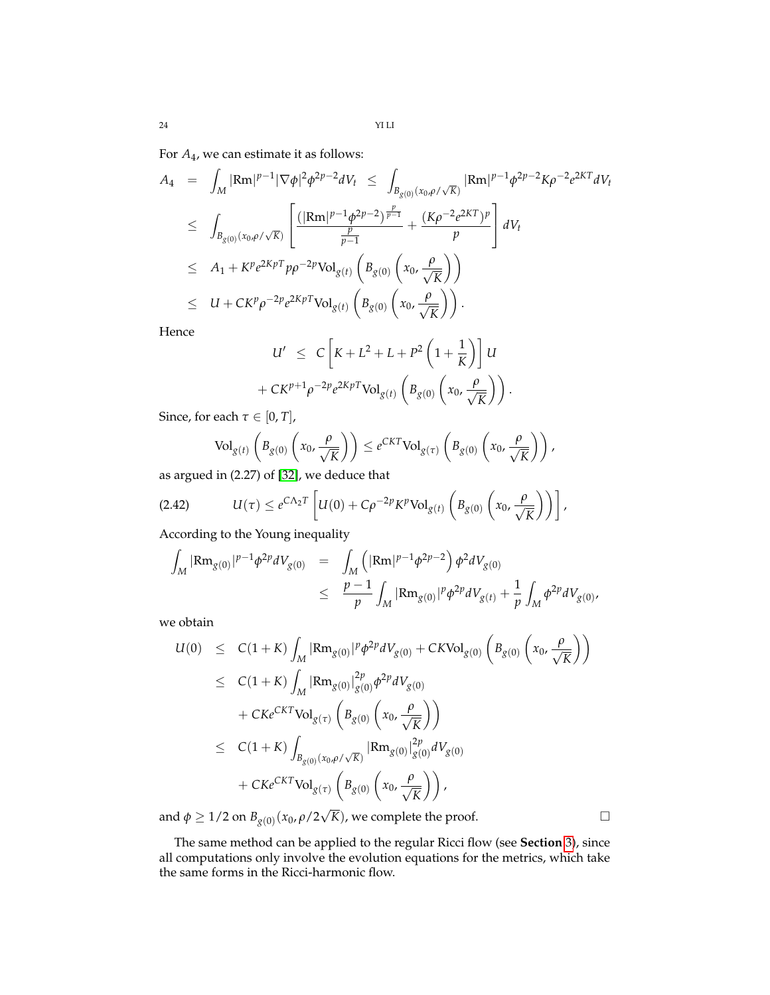For *A*4, we can estimate it as follows:

$$
A_4 = \int_M |\text{Rm}|^{p-1} |\nabla \phi|^2 \phi^{2p-2} dV_t \leq \int_{B_{g(0)}(x_0, \rho/\sqrt{K})} |\text{Rm}|^{p-1} \phi^{2p-2} K \rho^{-2} e^{2KT} dV_t
$$
  
\n
$$
\leq \int_{B_{g(0)}(x_0, \rho/\sqrt{K})} \left[ \frac{(|\text{Rm}|^{p-1} \phi^{2p-2})^{\frac{p}{p-1}}}{\frac{p}{p-1}} + \frac{(K \rho^{-2} e^{2KT})^p}{p} \right] dV_t
$$
  
\n
$$
\leq A_1 + K^p e^{2KpT} p \rho^{-2p} \text{Vol}_{g(t)} \left( B_{g(0)} \left( x_0, \frac{\rho}{\sqrt{K}} \right) \right)
$$
  
\n
$$
\leq U + C K^p \rho^{-2p} e^{2KpT} \text{Vol}_{g(t)} \left( B_{g(0)} \left( x_0, \frac{\rho}{\sqrt{K}} \right) \right).
$$

Hence

$$
U' \leq C \left[ K + L^2 + L + P^2 \left( 1 + \frac{1}{K} \right) \right] U
$$
  
+ 
$$
C K^{p+1} \rho^{-2p} e^{2K p T} \text{Vol}_{g(t)} \left( B_{g(0)} \left( x_0, \frac{\rho}{\sqrt{K}} \right) \right).
$$

Since, for each  $\tau \in [0, T]$ ,

$$
\text{Vol}_{g(t)}\left(B_{g(0)}\left(x_0,\frac{\rho}{\sqrt{K}}\right)\right) \leq e^{CKT} \text{Vol}_{g(\tau)}\left(B_{g(0)}\left(x_0,\frac{\rho}{\sqrt{K}}\right)\right),\,
$$

as argued in (2.27) of [\[32\]](#page-70-12), we deduce that

$$
(2.42) \tU(\tau) \leq e^{C\Lambda_2 T} \left[ U(0) + C\rho^{-2p} K^p \text{Vol}_{g(t)} \left( B_{g(0)} \left( x_0, \frac{\rho}{\sqrt{K}} \right) \right) \right],
$$

According to the Young inequality

$$
\int_{M} |\text{Rm}_{g(0)}|^{p-1} \phi^{2p} dV_{g(0)} = \int_{M} \left( |\text{Rm}|^{p-1} \phi^{2p-2} \right) \phi^{2} dV_{g(0)}
$$
  

$$
\leq \frac{p-1}{p} \int_{M} |\text{Rm}_{g(0)}|^{p} \phi^{2p} dV_{g(t)} + \frac{1}{p} \int_{M} \phi^{2p} dV_{g(0)},
$$

we obtain

$$
U(0) \leq C(1+K) \int_{M} |\text{Rm}_{g(0)}|^{p} \phi^{2p} dV_{g(0)} + CKVol_{g(0)} \left( B_{g(0)} \left( x_{0}, \frac{\rho}{\sqrt{K}} \right) \right)
$$
  
\n
$$
\leq C(1+K) \int_{M} |\text{Rm}_{g(0)}|_{g(0)}^{2p} \phi^{2p} dV_{g(0)}
$$
  
\n
$$
+ CKe^{CKT} \text{Vol}_{g(\tau)} \left( B_{g(0)} \left( x_{0}, \frac{\rho}{\sqrt{K}} \right) \right)
$$
  
\n
$$
\leq C(1+K) \int_{B_{g(0)}(x_{0}, \rho/\sqrt{K})} |\text{Rm}_{g(0)}|_{g(0)}^{2p} dV_{g(0)}
$$
  
\n
$$
+ CKe^{CKT} \text{Vol}_{g(\tau)} \left( B_{g(0)} \left( x_{0}, \frac{\rho}{\sqrt{K}} \right) \right),
$$
  
\nand  $\phi \geq 1/2$  on  $B_{g(0)}(x_{0}, \rho/2\sqrt{K})$ , we complete the proof.

The same method can be applied to the regular Ricci flow (see **Section** [3\)](#page-24-0), since all computations only involve the evolution equations for the metrics, which take the same forms in the Ricci-harmonic flow.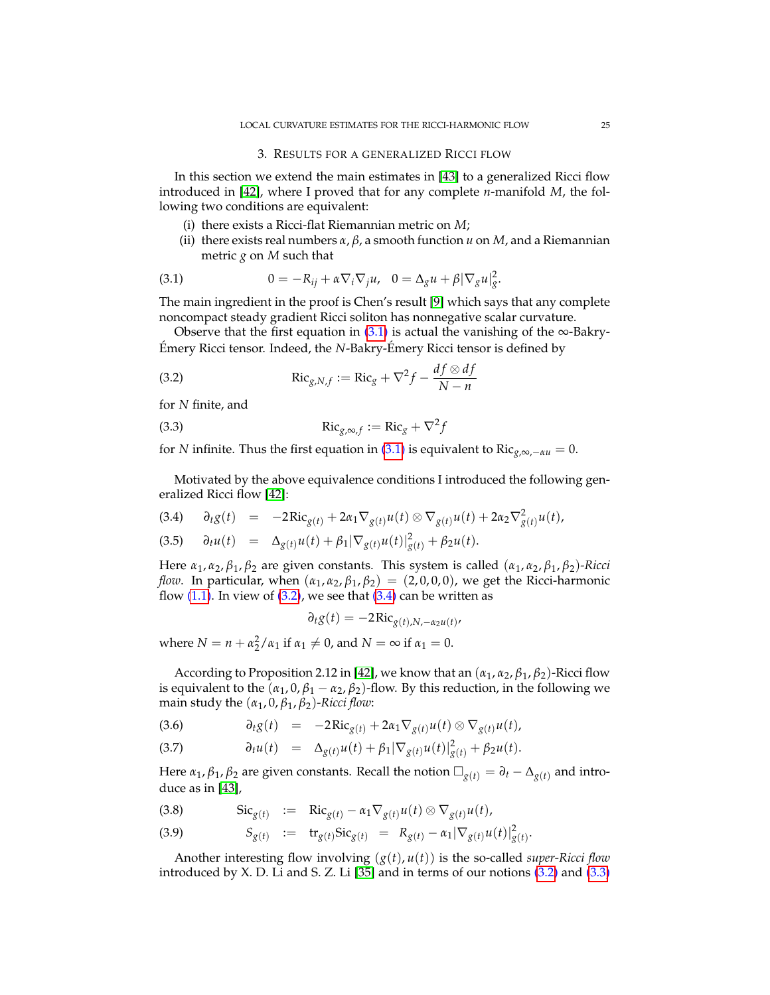<span id="page-24-0"></span>In this section we extend the main estimates in [\[43\]](#page-70-3) to a generalized Ricci flow introduced in [\[42\]](#page-70-0), where I proved that for any complete *n*-manifold *M*, the following two conditions are equivalent:

- (i) there exists a Ricci-flat Riemannian metric on *M*;
- <span id="page-24-1"></span>(ii) there exists real numbers *α*, *β*, a smooth function *u* on *M*, and a Riemannian metric *g* on *M* such that

(3.1) 
$$
0 = -R_{ij} + \alpha \nabla_i \nabla_j u, \quad 0 = \Delta_g u + \beta |\nabla_g u|_g^2.
$$

The main ingredient in the proof is Chen's result [\[9\]](#page-69-21) which says that any complete noncompact steady gradient Ricci soliton has nonnegative scalar curvature.

Observe that the first equation in  $(3.1)$  is actual the vanishing of the ∞-Bakry-Émery Ricci tensor. Indeed, the *N*-Bakry-Émery Ricci tensor is defined by

<span id="page-24-2"></span>(3.2) 
$$
\operatorname{Ric}_{g,N,f} := \operatorname{Ric}_g + \nabla^2 f - \frac{df \otimes df}{N - n}
$$

for *N* finite, and

<span id="page-24-4"></span>(3.3) 
$$
\operatorname{Ric}_{g,\infty,f} := \operatorname{Ric}_g + \nabla^2 f
$$

for *N* infinite. Thus the first equation in [\(3.1\)](#page-24-1) is equivalent to Ric<sub>*g*,∞,−*αu* = 0.</sub>

Motivated by the above equivalence conditions I introduced the following generalized Ricci flow [\[42\]](#page-70-0):

$$
(3.4) \qquad \partial_t g(t) = -2 \text{Ric}_{g(t)} + 2\alpha_1 \nabla_{g(t)} u(t) \otimes \nabla_{g(t)} u(t) + 2\alpha_2 \nabla^2_{g(t)} u(t),
$$

<span id="page-24-3"></span>
$$
(3.5) \quad \partial_t u(t) = \Delta_{g(t)} u(t) + \beta_1 |\nabla_{g(t)} u(t)|^2_{g(t)} + \beta_2 u(t).
$$

Here *α*1, *α*2, *β*1, *β*<sup>2</sup> are given constants. This system is called (*α*1, *α*2, *β*1, *β*2)*-Ricci flow*. In particular, when  $(\alpha_1, \alpha_2, \beta_1, \beta_2) = (2, 0, 0, 0)$ , we get the Ricci-harmonic flow  $(1.1)$ . In view of  $(3.2)$ , we see that  $(3.4)$  can be written as

$$
\partial_t g(t) = -2 \text{Ric}_{g(t),N,-\alpha_2 u(t)}
$$

where  $N = n + \alpha_2^2 / \alpha_1$  if  $\alpha_1 \neq 0$ , and  $N = \infty$  if  $\alpha_1 = 0$ .

According to Proposition 2.12 in [\[42\]](#page-70-0), we know that an  $(\alpha_1, \alpha_2, \beta_1, \beta_2)$ -Ricci flow is equivalent to the  $(\alpha_1, 0, \beta_1 - \alpha_2, \beta_2)$ -flow. By this reduction, in the following we main study the  $(\alpha_1, 0, \beta_1, \beta_2)$ *-Ricci flow*:

<span id="page-24-5"></span>
$$
(3.6) \t\t\t\t\t\partial_t g(t) = -2\mathrm{Ric}_{g(t)} + 2\alpha_1 \nabla_{g(t)} u(t) \otimes \nabla_{g(t)} u(t),
$$

(3.7) 
$$
\partial_t u(t) = \Delta_{g(t)} u(t) + \beta_1 |\nabla_{g(t)} u(t)|^2_{g(t)} + \beta_2 u(t).
$$

Here  $\alpha_1$ ,  $\beta_1$ ,  $\beta_2$  are given constants. Recall the notion  $\Box_{g(t)} = \partial_t - \Delta_{g(t)}$  and introduce as in [\[43\]](#page-70-3),

Sic*g*(*t*) := Ric (3.8) *<sup>g</sup>*(*t*) − *α*1∇*g*(*t*)*u*(*t*) ⊗ ∇*g*(*t*)*u*(*t*),

(3.9) 
$$
S_{g(t)} := \mathbf{tr}_{g(t)} \mathbf{Sic}_{g(t)} = R_{g(t)} - \alpha_1 |\nabla_{g(t)} u(t)|^2_{g(t)}.
$$

Another interesting flow involving (*g*(*t*), *u*(*t*)) is the so-called *super-Ricci flow* introduced by X. D. Li and S. Z. Li  $[35]$  and in terms of our notions  $(3.2)$  and  $(3.3)$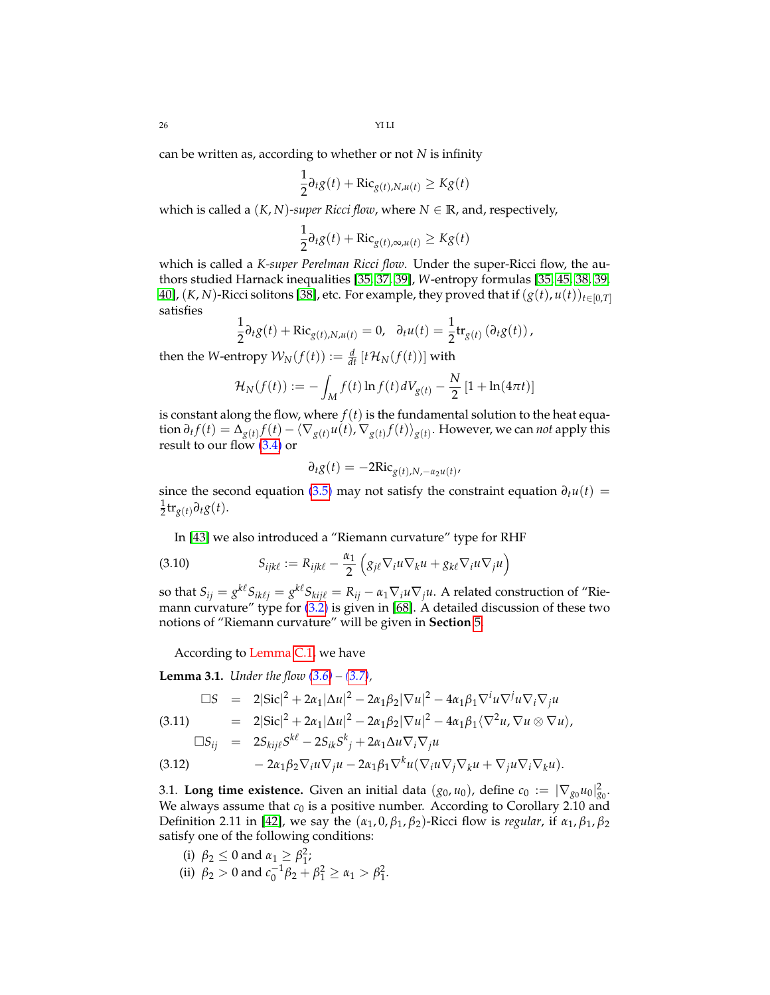can be written as, according to whether or not *N* is infinity

$$
\frac{1}{2}\partial_t g(t) + \text{Ric}_{g(t),N,u(t)} \geq Kg(t)
$$

which is called a  $(K, N)$ -super Ricci flow, where  $N \in \mathbb{R}$ , and, respectively,

$$
\frac{1}{2}\partial_t g(t) + \text{Ric}_{g(t),\infty,u(t)} \geq Kg(t)
$$

which is called a *K-super Perelman Ricci flow*. Under the super-Ricci flow, the authors studied Harnack inequalities [\[35,](#page-70-1) [37,](#page-70-19) [39\]](#page-70-20), *W*-entropy formulas [\[35,](#page-70-1) [45,](#page-70-21) [38,](#page-70-22) [39,](#page-70-20) [40\]](#page-70-23), (*K*, *N*)-Ricci solitons [\[38\]](#page-70-22), etc. For example, they proved that if  $(g(t), u(t))_{t \in [0,T]}$ satisfies

$$
\frac{1}{2}\partial_t g(t) + \text{Ric}_{g(t),N,u(t)} = 0, \quad \partial_t u(t) = \frac{1}{2} \text{tr}_{g(t)} \left( \partial_t g(t) \right),
$$

then the *W*-entropy  $\mathcal{W}_N(f(t)) := \frac{d}{dt} \left[ t \mathcal{H}_N(f(t)) \right]$  with

$$
\mathcal{H}_N(f(t)) := -\int_M f(t) \ln f(t) dV_{g(t)} - \frac{N}{2} [1 + \ln(4\pi t)]
$$

is constant along the flow, where  $f(t)$  is the fundamental solution to the heat equa- $\int f(t) = \Delta_{g(t)} f(t) - \langle \nabla_{g(t)} u(t), \nabla_{g(t)} f(t) \rangle_{g(t)}.$  However, we can *not* apply this result to our flow [\(3.4\)](#page-24-3) or

$$
\partial_t g(t) = -2\text{Ric}_{g(t),N,-\alpha_2 u(t)}
$$

since the second equation [\(3.5\)](#page-24-3) may not satisfy the constraint equation  $\partial_t u(t)$  =  $\frac{1}{2}$ **tr**<sub>*g*(*t*)</sub> $\partial_t g(t)$ .

<span id="page-25-2"></span>In [\[43\]](#page-70-3) we also introduced a "Riemann curvature" type for RHF

(3.10) 
$$
S_{ijk\ell} := R_{ijk\ell} - \frac{\alpha_1}{2} \left( g_{j\ell} \nabla_i u \nabla_k u + g_{k\ell} \nabla_i u \nabla_j u \right)
$$

so that  $S_{ij} = g^{k\ell}S_{ik\ell j} = g^{k\ell}S_{kij\ell} = R_{ij} - \alpha_1\nabla_i u \nabla_j u$ . A related construction of "Riemann curvature" type for [\(3.2\)](#page-24-2) is given in [\[68\]](#page-71-1). A detailed discussion of these two notions of "Riemann curvature" will be given in **Section** [5.](#page-40-1)

According to Lemma [C.1,](#page-68-4) we have

**Lemma 3.1.** *Under the flow [\(3.6\)](#page-24-5) – [\(3.7\)](#page-24-5),*

<span id="page-25-1"></span>
$$
\Box S = 2|\text{Sic}|^2 + 2\alpha_1|\Delta u|^2 - 2\alpha_1\beta_2|\nabla u|^2 - 4\alpha_1\beta_1\nabla^i u \nabla^j u \nabla_j u
$$
\n
$$
(3.11) = 2|\text{Sic}|^2 + 2\alpha_1|\Delta u|^2 - 2\alpha_1\beta_2|\nabla u|^2 - 4\alpha_1\beta_1\langle\nabla^2 u, \nabla u \otimes \nabla u\rangle,
$$
\n
$$
\Box S_{\cdot\cdot\cdot} = 2S_{\cdot\cdot\cdot}S^{k\ell} - 2S_{\cdot\cdot\cdot}S^{k\ell} + 2\alpha_2\Delta u \nabla_j \nabla_j u
$$

$$
\Box S_{ij} = 2S_{kij\ell} S^{k\ell} - 2S_{ik} S^k{}_j + 2\alpha_1 \Delta u \nabla_i \nabla_j u
$$

(3.12) 
$$
-2\alpha_1\beta_2\nabla_i u\nabla_j u - 2\alpha_1\beta_1\nabla^k u(\nabla_i u\nabla_j\nabla_k u + \nabla_j u\nabla_i\nabla_k u).
$$

<span id="page-25-0"></span>3.1. **Long time existence.** Given an initial data  $(g_0, u_0)$ , define  $c_0 := |\nabla_{g_0} u_0|_{g_0}^2$ . We always assume that  $c_0$  is a positive number. According to Corollary 2.10 and Definition 2.11 in [\[42\]](#page-70-0), we say the (*α*1, 0, *β*1, *β*2)-Ricci flow is *regular*, if *α*1, *β*1, *β*<sup>2</sup> satisfy one of the following conditions:

(i) 
$$
\beta_2 \leq 0
$$
 and  $\alpha_1 \geq \beta_1^2$ ;

(ii)  $\beta_2 > 0$  and  $c_0^{-1}\beta_2 + \beta_1^2 \ge \alpha_1 > \beta_1^2$ .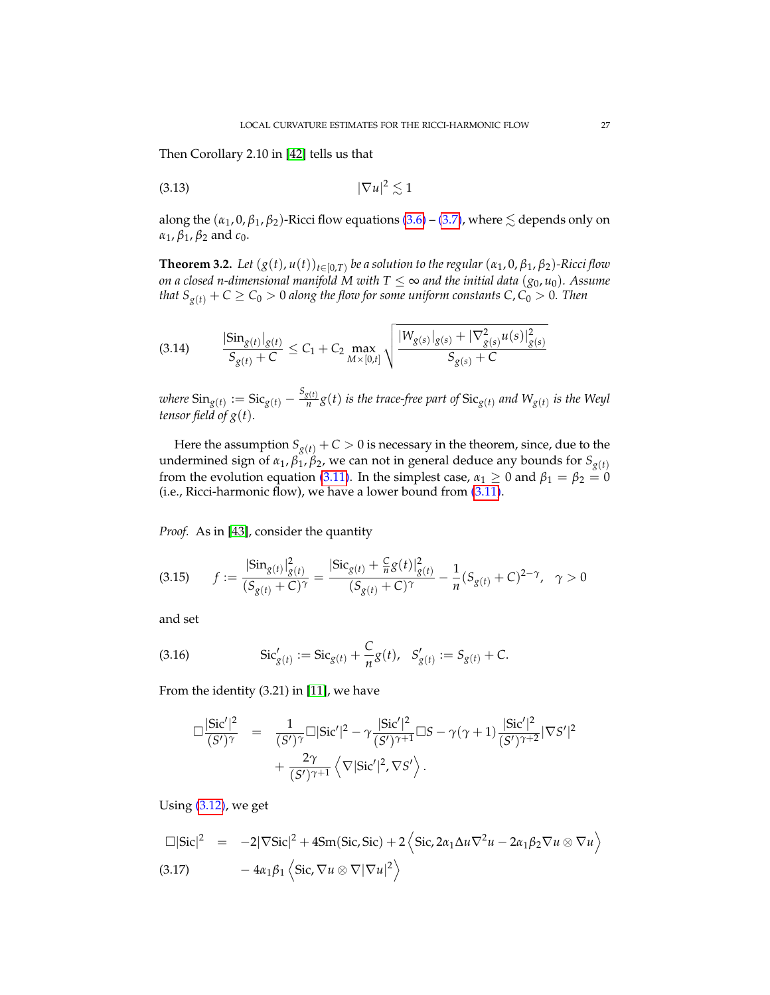Then Corollary 2.10 in [\[42\]](#page-70-0) tells us that

<span id="page-26-1"></span>
$$
(3.13)\t\t |\nabla u|^2 \lesssim 1
$$

along the  $(\alpha_1, 0, \beta_1, \beta_2)$ -Ricci flow equations  $(3.6)$  –  $(3.7)$ , where  $\lesssim$  depends only on  $\alpha_1$ ,  $\beta_1$ ,  $\beta_2$  and  $c_0$ .

<span id="page-26-0"></span>**Theorem 3.2.** Let  $(g(t), u(t))_{t \in [0,T)}$  be a solution to the regular  $(\alpha_1, 0, \beta_1, \beta_2)$ -Ricci flow *on a closed n-dimensional manifold* M with  $T \leq \infty$  and the initial data  $(g_0, u_0)$ . Assume *that*  $S_{g(t)} + C \ge C_0 > 0$  *along the flow for some uniform constants*  $C, C_0 > 0$ *. Then* 

$$
\text{(3.14)} \qquad \frac{|\text{Sin}_{g(t)}|_{g(t)}}{S_{g(t)}+C} \leq C_1 + C_2 \max_{M \times [0,t]} \sqrt{\frac{|W_{g(s)}|_{g(s)} + |\nabla^2_{g(s)} u(s)|^2_{g(s)}}{S_{g(s)}+C}}
$$

 $\text{where } \text{Sin}_{g(t)} := \text{Sic}_{g(t)} - \frac{S_{g(t)}}{n}$  $\frac{g(t)}{n}g(t)$  *is the trace-free part of*  $\text{Sic}_{g(t)}$  *and*  $\text{W}_{g(t)}$  *<i>is the Weyl tensor field of g*(*t*)*.*

Here the assumption  $S_{g(t)}$  + *C* > 0 is necessary in the theorem, since, due to the undermined sign of  $\alpha_1$ ,  $\beta_1$ ,  $\beta_2$ , we can not in general deduce any bounds for  $S_{g(t)}$ from the evolution equation [\(3.11\)](#page-25-1). In the simplest case,  $\alpha_1 \geq 0$  and  $\beta_1 = \beta_2 = 0$ (i.e., Ricci-harmonic flow), we have a lower bound from [\(3.11\)](#page-25-1).

*Proof.* As in [\[43\]](#page-70-3), consider the quantity

$$
(3.15) \qquad f := \frac{|\text{Sin}_{g(t)}|_{g(t)}^2}{(S_{g(t)} + C)^{\gamma}} = \frac{|\text{Sic}_{g(t)} + \frac{C}{n}g(t)|_{g(t)}^2}{(S_{g(t)} + C)^{\gamma}} - \frac{1}{n}(S_{g(t)} + C)^{2-\gamma}, \quad \gamma > 0
$$

and set

(3.16) 
$$
\operatorname{Sic}'_{g(t)} := \operatorname{Sic}_{g(t)} + \frac{C}{n} g(t), \quad S'_{g(t)} := S_{g(t)} + C.
$$

From the identity (3.21) in [\[11\]](#page-69-20), we have

$$
\Box \frac{|\text{Sic}'|^2}{(S')^{\gamma}} = \frac{1}{(S')^{\gamma}} \Box |\text{Sic}'|^{2} - \gamma \frac{|\text{Sic}'|^{2}}{(S')^{\gamma+1}} \Box S - \gamma(\gamma+1) \frac{|\text{Sic}'|^{2}}{(S')^{\gamma+2}} |\nabla S'|^{2} + \frac{2\gamma}{(S')^{\gamma+1}} \left\langle \nabla |\text{Sic}'|^{2}, \nabla S' \right\rangle.
$$

Using [\(3.12\)](#page-25-1), we get

$$
\Box|\text{Sic}|^2 = -2|\nabla \text{Sic}|^2 + 4\text{Sm}(\text{Sic}, \text{Sic}) + 2\left\langle \text{Sic}, 2\alpha_1 \Delta u \nabla^2 u - 2\alpha_1 \beta_2 \nabla u \otimes \nabla u \right\rangle
$$
  
(3.17) 
$$
-4\alpha_1 \beta_1 \left\langle \text{Sic}, \nabla u \otimes \nabla |\nabla u|^2 \right\rangle
$$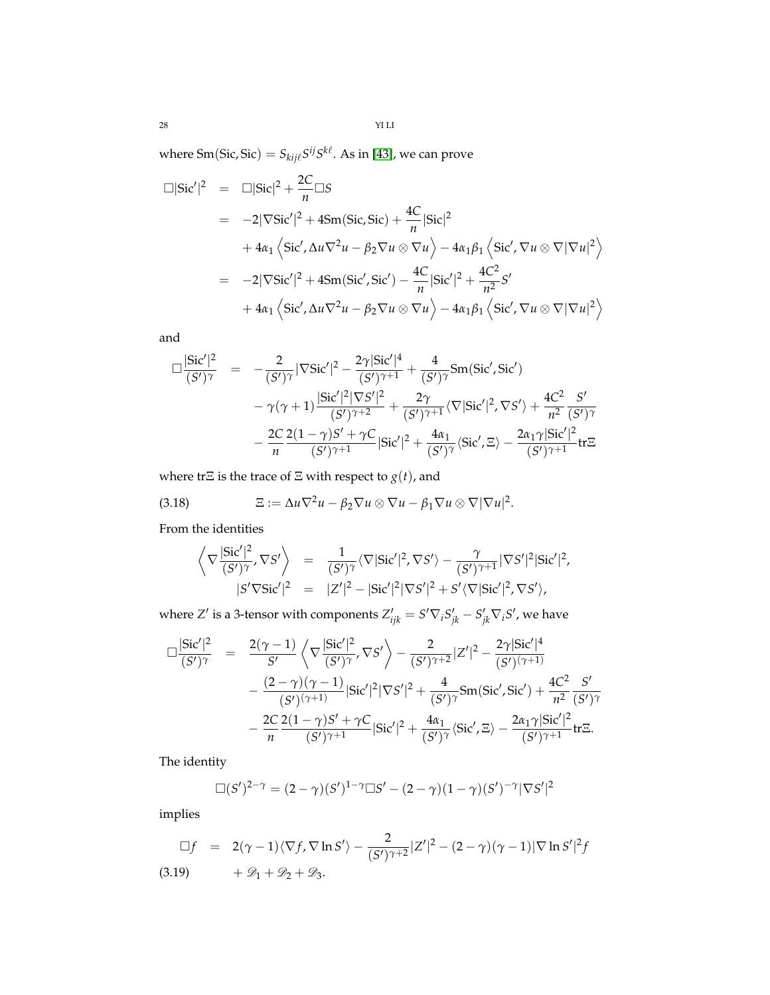where  $\mathop{\mathrm{Sm}}\nolimits(\mathop{\mathrm{Sic}}\nolimits,\mathop{\mathrm{Sic}}\nolimits)=S_{kij\ell}S^{ij}S^{k\ell}.$  As in [\[43\]](#page-70-3), we can prove

$$
\Box|\text{Sic}'|^{2} = \Box|\text{Sic}|^{2} + \frac{2C}{n}\Box S
$$
  
= -2|\nabla \text{Sic}'|^{2} + 4\text{Sm}(\text{Sic}, \text{Sic}) + \frac{4C}{n}|\text{Sic}|^{2}  
+ 4\alpha\_{1}\left\langle \text{Sic}', \Delta u\nabla^{2} u - \beta\_{2}\nabla u \otimes \nabla u \right\rangle - 4\alpha\_{1}\beta\_{1}\left\langle \text{Sic}', \nabla u \otimes \nabla |\nabla u|^{2} \right\rangle  
= -2|\nabla \text{Sic}'|^{2} + 4\text{Sm}(\text{Sic}', \text{Sic}') - \frac{4C}{n}|\text{Sic}'|^{2} + \frac{4C^{2}}{n^{2}}S'  
+ 4\alpha\_{1}\left\langle \text{Sic}', \Delta u\nabla^{2} u - \beta\_{2}\nabla u \otimes \nabla u \right\rangle - 4\alpha\_{1}\beta\_{1}\left\langle \text{Sic}', \nabla u \otimes \nabla |\nabla u|^{2} \right\rangle

and

$$
\Box \frac{|\text{Sic}'|^{2}}{(S')^{\gamma}} = -\frac{2}{(S')^{\gamma}} |\nabla \text{Sic}'|^{2} - \frac{2\gamma |\text{Sic}'|^{4}}{(S')^{\gamma+1}} + \frac{4}{(S')^{\gamma}} \text{Sm}(\text{Sic}', \text{Sic}')
$$
  
-  $\gamma(\gamma+1) \frac{|\text{Sic}'|^{2} |\nabla S'|^{2}}{(S')^{\gamma+2}} + \frac{2\gamma}{(S')^{\gamma+1}} \langle \nabla |\text{Sic}'|^{2}, \nabla S' \rangle + \frac{4C^{2}}{n^{2}} \frac{S'}{(S')^{\gamma}} - \frac{2C}{n} \frac{2(1-\gamma)S' + \gamma C}{(S')^{\gamma+1}} |\text{Sic}'|^{2} + \frac{4\alpha_{1}}{(S')^{\gamma}} \langle \text{Sic}', \Xi \rangle - \frac{2\alpha_{1}\gamma |\text{Sic}'|^{2}}{(S')^{\gamma+1}} \text{tr}\Xi$ 

where tr $\Xi$  is the trace of  $\Xi$  with respect to  $g(t)$ , and

(3.18) 
$$
\Xi := \Delta u \nabla^2 u - \beta_2 \nabla u \otimes \nabla u - \beta_1 \nabla u \otimes \nabla |\nabla u|^2.
$$

From the identities

<span id="page-27-1"></span>
$$
\left\langle \nabla \frac{|\text{Sic}'|^2}{(S')^{\gamma}}, \nabla S' \right\rangle = \frac{1}{(S')^{\gamma}} \langle \nabla |\text{Sic}'|^2, \nabla S' \rangle - \frac{\gamma}{(S')^{\gamma+1}} |\nabla S'|^2 |\text{Sic}'|^2, |S'\nabla \text{Sic}'|^2 = |Z'|^2 - |\text{Sic}'|^2 |\nabla S'|^2 + S' \langle \nabla |\text{Sic}'|^2, \nabla S' \rangle,
$$

where *Z'* is a 3-tensor with components  $Z'_{ijk} = S' \nabla_i S'_{jk} - S'_{jk} \nabla_i S'$ , we have

$$
\Box \frac{|\text{Sic}'|^{2}}{(S')^{\gamma}} = \frac{2(\gamma - 1)}{S'} \left\langle \nabla \frac{|\text{Sic}'|^{2}}{(S')^{\gamma}}, \nabla S' \right\rangle - \frac{2}{(S')^{\gamma+2}} |Z'|^{2} - \frac{2\gamma |\text{Sic}'|^{4}}{(S')^{\gamma+1}} \n- \frac{(2 - \gamma)(\gamma - 1)}{(S')^{\gamma+1}} |\text{Sic}'|^{2} |\nabla S'|^{2} + \frac{4}{(S')^{\gamma}} \text{Sm}(\text{Sic}', \text{Sic}') + \frac{4C^{2}}{n^{2}} \frac{S'}{(S')^{\gamma}} \n- \frac{2C}{n} \frac{2(1 - \gamma)S' + \gamma C}{(S')^{\gamma+1}} |\text{Sic}'|^{2} + \frac{4\alpha_{1}}{(S')^{\gamma}} \langle \text{Sic}', \Xi \rangle - \frac{2\alpha_{1}\gamma |\text{Sic}'|^{2}}{(S')^{\gamma+1}} \text{tr}\Xi.
$$

The identity

$$
\Box(S')^{2-\gamma} = (2-\gamma)(S')^{1-\gamma}\Box S' - (2-\gamma)(1-\gamma)(S')^{-\gamma}|\nabla S'|^2
$$

implies

<span id="page-27-0"></span>
$$
\Box f = 2(\gamma - 1)\langle \nabla f, \nabla \ln S' \rangle - \frac{2}{(S')^{\gamma+2}} |Z'|^2 - (2 - \gamma)(\gamma - 1)|\nabla \ln S'|^2 f
$$
\n
$$
(3.19) + \mathcal{D}_1 + \mathcal{D}_2 + \mathcal{D}_3.
$$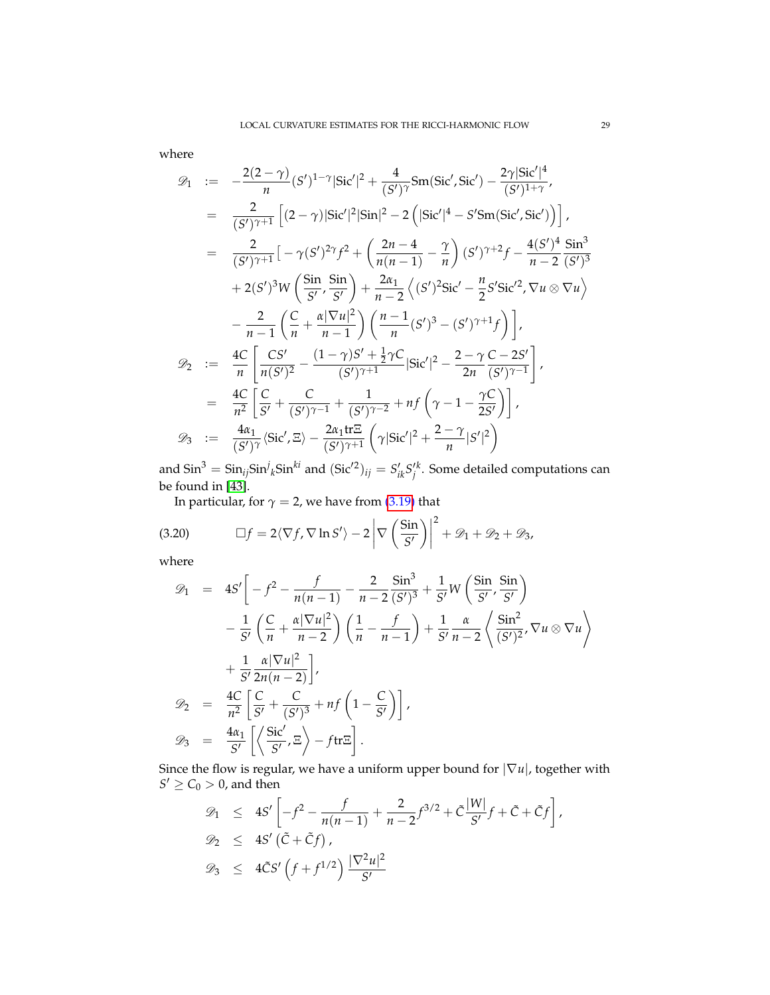where

$$
\mathcal{D}_{1} := -\frac{2(2-\gamma)}{n} (S')^{1-\gamma} |\text{Sic}'|^{2} + \frac{4}{(S')^{\gamma}} \text{Sm}(\text{Sic}', \text{Sic}') - \frac{2\gamma |\text{Sic}'|^{4}}{(S')^{1+\gamma}},
$$
\n
$$
= \frac{2}{(S')^{\gamma+1}} \left[ (2-\gamma) |\text{Sic}'|^{2} |\text{Sin}|^{2} - 2 \left( |\text{Sic}'|^{4} - S' \text{Sm}(\text{Sic}', \text{Sic}') \right) \right],
$$
\n
$$
= \frac{2}{(S')^{\gamma+1}} \left[ -\gamma (S')^{2\gamma} f^{2} + \left( \frac{2n-4}{n(n-1)} - \frac{\gamma}{n} \right) (S')^{\gamma+2} f - \frac{4(S')^{4}}{n-2} \frac{\text{Sin}^{3}}{(S')^{3}} + 2(S')^{3} W \left( \frac{\text{Sin}}{\text{S}'} , \frac{\text{Sin}}{\text{S}'} \right) + \frac{2\alpha_{1}}{n-2} \left( (S')^{2} \text{Sic}' - \frac{n}{2} S' \text{Sic}'^{2} , \nabla u \otimes \nabla u \right) - \frac{2}{n-1} \left( \frac{C}{n} + \frac{\alpha |\nabla u|^{2}}{n-1} \right) \left( \frac{n-1}{n} (S')^{3} - (S')^{\gamma+1} f \right) \right],
$$
\n
$$
\mathcal{D}_{2} := \frac{4C}{n} \left[ \frac{CS'}{n(S')^{2}} - \frac{(1-\gamma)S' + \frac{1}{2}\gamma C}{(S')^{\gamma+1}} |\text{Sic}'|^{2} - \frac{2-\gamma}{2n} \frac{C-2S'}{(S')^{\gamma-1}} \right],
$$
\n
$$
= \frac{4C}{n^{2}} \left[ \frac{C}{S'} + \frac{C}{(S')^{\gamma-1}} + \frac{1}{(S')^{\gamma-2}} + nf \left( \gamma - 1 - \frac{\gamma C}{2S'} \right) \right],
$$
\n
$$
\mathcal{D}_{3} := \frac{4\alpha_{1}}{(S')^{\gamma}} \langle \text{Sic}', \Xi \rangle - \frac{2\alpha_{1} \text{tr} \Xi}{(S')^{\gamma+1}} \left( \gamma
$$

and  $\sin^3 = \sin_{ij} \sin^j{}_k \sin^{ki}$  and  $(\text{Sic}'^2)_{ij} = S'_{ik} S'^k_j$ . Some detailed computations can be found in [\[43\]](#page-70-3).

In particular, for  $\gamma = 2$ , we have from [\(3.19\)](#page-27-0) that

(3.20) 
$$
\Box f = 2 \langle \nabla f, \nabla \ln S' \rangle - 2 \left| \nabla \left( \frac{\sin}{S'} \right) \right|^2 + \mathcal{D}_1 + \mathcal{D}_2 + \mathcal{D}_3,
$$

where

D<sup>1</sup> = 4*S* 0 − *f* <sup>2</sup> − *f n*(*n* − 1) − 2 *n* − 2 Sin<sup>3</sup> (*S* 0) 3 + 1 *S* <sup>0</sup> *W* Sin *S* 0 , Sin *S* 0 − 1 *S* 0 *C n* + *α*|∇*u*| 2 *n* − 2 1 *n* − *f n* − 1 + 1 *S* 0 *α n* − 2 \* Sin<sup>2</sup> (*S* 0) 2 , ∇*u* ⊗ ∇*u* + + 1 *S* 0 *α*|∇*u*| 2 2*n*(*n* − 2) , D<sup>2</sup> = 4*C n* 2 *C S* <sup>0</sup> + *C* (*S* 0) 3 <sup>+</sup> *n f* 1 − *C S* 0 , D<sup>3</sup> = 4*α*<sup>1</sup> *S* 0 Sic<sup>0</sup> *S* 0 , Ξ − *f*trΞ .

Since the flow is regular, we have a uniform upper bound for |∇*u*|, together with  $S' \geq C_0 > 0$ , and then

$$
\mathcal{D}_1 \leq 4S' \left[ -f^2 - \frac{f}{n(n-1)} + \frac{2}{n-2} f^{3/2} + \tilde{C} \frac{|W|}{S'} f + \tilde{C} + \tilde{C} f \right],
$$
  

$$
\mathcal{D}_2 \leq 4S' (\tilde{C} + \tilde{C}f),
$$
  

$$
\mathcal{D}_3 \leq 4\tilde{C}S' \left( f + f^{1/2} \right) \frac{|\nabla^2 u|^2}{S'}
$$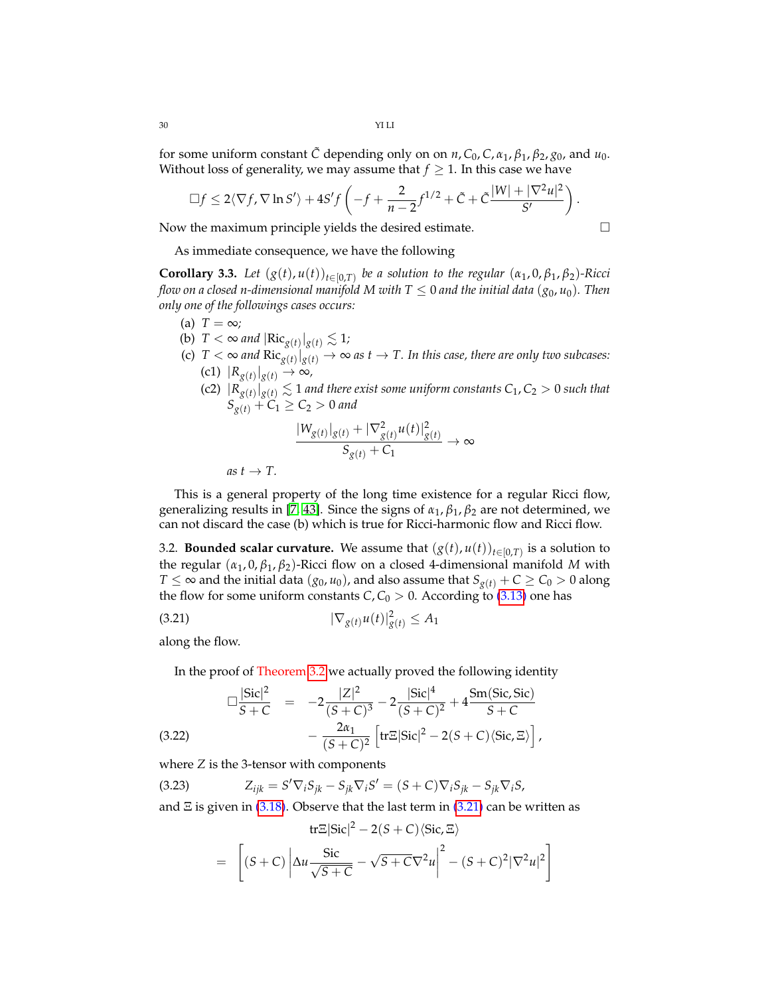for some uniform constant  $\tilde{C}$  depending only on on  $n$ ,  $C_0$ ,  $C$ ,  $\alpha_1$ ,  $\beta_1$ ,  $\beta_2$ ,  $g_0$ , and  $u_0$ . Without loss of generality, we may assume that  $f\geq 1.$  In this case we have

$$
\Box f \leq 2\langle \nabla f, \nabla \ln S'\rangle + 4S'f\left(-f + \frac{2}{n-2}f^{1/2} + \tilde{C} + \tilde{C}\frac{|W| + |\nabla^2 u|^2}{S'}\right).
$$

Now the maximum principle yields the desired estimate.

As immediate consequence, we have the following

<span id="page-29-1"></span>**Corollary 3.3.** Let  $(g(t), u(t))_{t \in [0,T)}$  be a solution to the regular  $(\alpha_1, 0, \beta_1, \beta_2)$ -Ricci *flow on a closed n-dimensional manifold M with*  $T \leq 0$  *and the initial data* ( $g_0$ ,  $u_0$ ). Then *only one of the followings cases occurs:*

- (a)  $T = \infty$ ;
- (b)  $T < \infty$  and  $|\text{Ric}_{g(t)}|_{g(t)} \lesssim 1$ ;
- (c)  $T < \infty$  and  $Ric_{g(t)}|_{g(t)} \to \infty$  as  $t \to T$ . In this case, there are only two subcases:  $|R_{g(t)}|_{g(t)}$  → ∞,
	- $\left| \frac{1}{R_{g(t)}(t)} \right|_{g(t)} \lesssim 1$  and there exist some uniform constants  $C_1$ ,  $C_2 > 0$  such that  $S_{g(t)} + C_1 \ge C_2 > 0$  *and*

$$
\frac{|W_{g(t)}|_{g(t)} + |\nabla^2_{g(t)} u(t)|^2_{g(t)}}{S_{g(t)} + C_1} \to \infty
$$

 $as t \rightarrow T$ .

This is a general property of the long time existence for a regular Ricci flow, generalizing results in [\[7,](#page-69-10) [43\]](#page-70-3). Since the signs of *α*1, *β*1, *β*<sup>2</sup> are not determined, we can not discard the case (b) which is true for Ricci-harmonic flow and Ricci flow.

<span id="page-29-0"></span>3.2. **Bounded scalar curvature.** We assume that  $(g(t), u(t))_{t \in [0,T)}$  is a solution to the regular  $(α<sub>1</sub>, 0, β<sub>1</sub>, β<sub>2</sub>)$ -Ricci flow on a closed 4-dimensional manifold *M* with *T* ≤ ∞ and the initial data ( $g_0$ ,  $u_0$ ), and also assume that  $S_{g(t)}$  + *C* ≥ *C*<sub>0</sub> > 0 along the flow for some uniform constants *C*,  $C_0 > 0$ . According to [\(3.13\)](#page-26-1) one has

(3.21) 
$$
|\nabla_{g(t)} u(t)|_{g(t)}^2 \leq A_1
$$

along the flow.

<span id="page-29-3"></span><span id="page-29-2"></span>In the proof of Theorem [3.2](#page-26-0) we actually proved the following identity

$$
\Box \frac{|\text{Sic}|^2}{S+C} = -2 \frac{|Z|^2}{(S+C)^3} - 2 \frac{|\text{Sic}|^4}{(S+C)^2} + 4 \frac{\text{Sm}( \text{Sic, Sic})}{S+C}
$$
  
(3.22)  

$$
-\frac{2\alpha_1}{(S+C)^2} \left[ \text{tr} \Xi |\text{Sic}|^2 - 2(S+C) \langle \text{Sic}, \Xi \rangle \right],
$$

where *Z* is the 3-tensor with components

 $Z_{ijk} = S' \nabla_i S_{jk} - S_{jk} \nabla_i S' = (S + C) \nabla_i S_{jk} - S_{jk} \nabla_i S,$ 

and  $\Xi$  is given in [\(3.18\)](#page-27-1). Observe that the last term in [\(3.21\)](#page-29-2) can be written as

tr
$$
\mathbb{E}|\text{Sic}|^2 - 2(S+C)\langle \text{Sic}, \Xi \rangle
$$
  
= 
$$
\left[ (S+C) \left| \Delta u \frac{\text{Sic}}{\sqrt{S+C}} - \sqrt{S+C} \nabla^2 u \right|^2 - (S+C)^2 |\nabla^2 u|^2 \right]
$$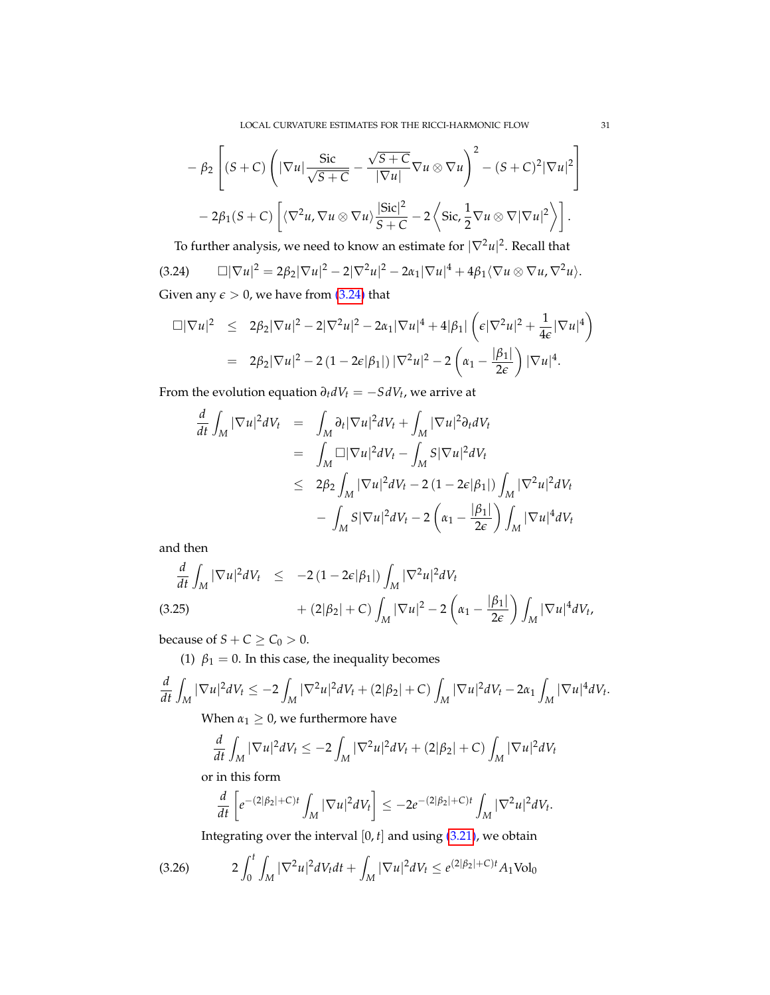LOCAL CURVATURE ESTIMATES FOR THE RICCI-HARMONIC FLOW 31

$$
-\beta_2 \left[ (S+C)\left( |\nabla u| \frac{\text{Sic}}{\sqrt{S+C}} - \frac{\sqrt{S+C}}{|\nabla u|} \nabla u \otimes \nabla u \right)^2 - (S+C)^2 |\nabla u|^2 \right] -2\beta_1 (S+C)\left[ \langle \nabla^2 u, \nabla u \otimes \nabla u \rangle \frac{|\text{Sic}|^2}{S+C} - 2 \left\langle \text{Sic}, \frac{1}{2} \nabla u \otimes \nabla |\nabla u|^2 \right\rangle \right].
$$

<span id="page-30-0"></span>To further analysis, we need to know an estimate for  $|\nabla^2 u|^2.$  Recall that  $(3.24)$   $\Box |\nabla u|^2 = 2\beta_2 |\nabla u|^2 - 2|\nabla^2 u|^2 - 2\alpha_1 |\nabla u|^4 + 4\beta_1 \langle \nabla u \otimes \nabla u, \nabla^2 u \rangle.$ Given any  $\epsilon > 0$ , we have from  $(3.24)$  that

$$
\Box |\nabla u|^2 \leq 2\beta_2 |\nabla u|^2 - 2|\nabla^2 u|^2 - 2\alpha_1 |\nabla u|^4 + 4|\beta_1| \left( \epsilon |\nabla^2 u|^2 + \frac{1}{4\epsilon} |\nabla u|^4 \right)
$$
  
=  $2\beta_2 |\nabla u|^2 - 2 (1 - 2\epsilon |\beta_1|) |\nabla^2 u|^2 - 2 \left( \alpha_1 - \frac{|\beta_1|}{2\epsilon} \right) |\nabla u|^4.$ 

From the evolution equation  $\partial_t dV_t = -S dV_t$ , we arrive at

$$
\frac{d}{dt} \int_M |\nabla u|^2 dV_t = \int_M \partial_t |\nabla u|^2 dV_t + \int_M |\nabla u|^2 \partial_t dV_t
$$
\n
$$
= \int_M \Box |\nabla u|^2 dV_t - \int_M S |\nabla u|^2 dV_t
$$
\n
$$
\leq 2\beta_2 \int_M |\nabla u|^2 dV_t - 2 (1 - 2\epsilon |\beta_1|) \int_M |\nabla^2 u|^2 dV_t
$$
\n
$$
- \int_M S |\nabla u|^2 dV_t - 2 \left( \alpha_1 - \frac{|\beta_1|}{2\epsilon} \right) \int_M |\nabla u|^4 dV_t
$$

and then

<span id="page-30-2"></span>
$$
\frac{d}{dt} \int_M |\nabla u|^2 dV_t \le -2 (1 - 2\epsilon |\beta_1|) \int_M |\nabla^2 u|^2 dV_t \n+ (2|\beta_2| + C) \int_M |\nabla u|^2 - 2 \left( \alpha_1 - \frac{|\beta_1|}{2\epsilon} \right) \int_M |\nabla u|^4 dV_t,
$$
\n(3.25)

because of  $S + C \geq C_0 > 0$ .

(1)  $\beta_1 = 0$ . In this case, the inequality becomes

$$
\frac{d}{dt}\int_M |\nabla u|^2 dV_t \le -2\int_M |\nabla^2 u|^2 dV_t + (2|\beta_2|+C)\int_M |\nabla u|^2 dV_t - 2\alpha_1 \int_M |\nabla u|^4 dV_t.
$$
  
When  $x_i > 0$  we furthermore have

When  $\alpha_1 \geq 0$ , we furthermore have

$$
\frac{d}{dt} \int_M |\nabla u|^2 dV_t \le -2 \int_M |\nabla^2 u|^2 dV_t + (2|\beta_2| + C) \int_M |\nabla u|^2 dV_t
$$

or in this form

$$
\frac{d}{dt}\left[e^{-(2|\beta_2|+C)t}\int_M|\nabla u|^2dV_t\right]\leq -2e^{-(2|\beta_2|+C)t}\int_M|\nabla^2 u|^2dV_t.
$$

<span id="page-30-1"></span>Integrating over the interval  $[0, t]$  and using  $(3.21)$ , we obtain

$$
(3.26) \t2\int_0^t \int_M |\nabla^2 u|^2 dV_t dt + \int_M |\nabla u|^2 dV_t \leq e^{(2|\beta_2|+C)t} A_1 \text{Vol}_0
$$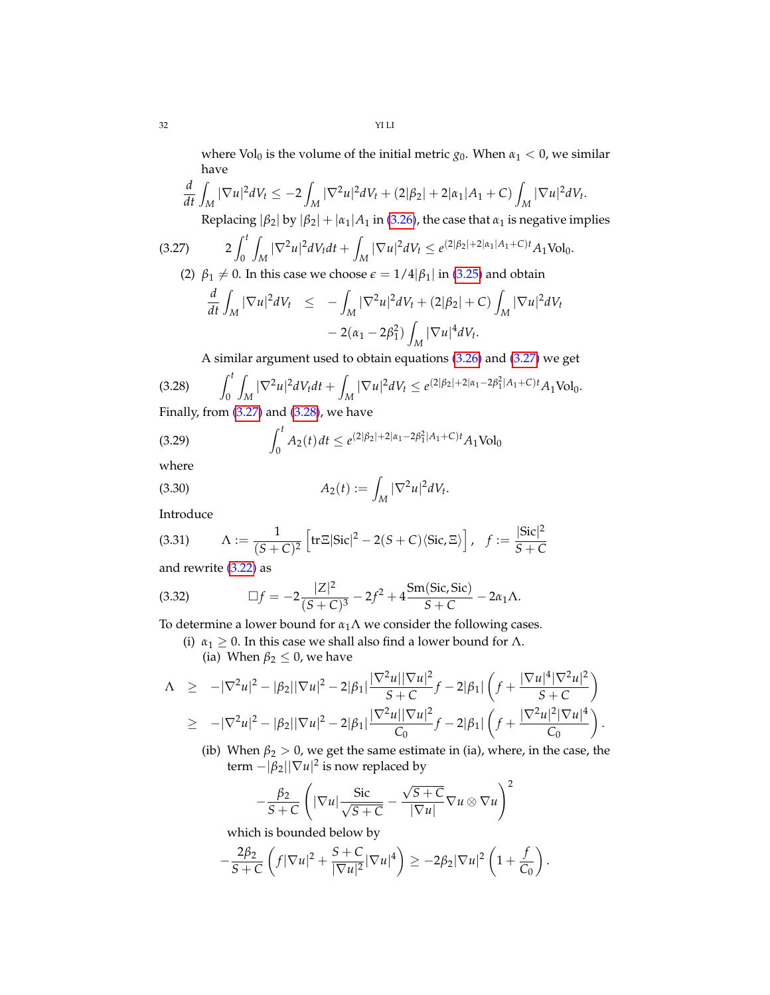where Vol<sub>0</sub> is the volume of the initial metric  $g_0$ . When  $\alpha_1 < 0$ , we similar have

$$
\frac{d}{dt} \int_M |\nabla u|^2 dV_t \le -2 \int_M |\nabla^2 u|^2 dV_t + (2|\beta_2| + 2|\alpha_1|A_1 + C) \int_M |\nabla u|^2 dV_t.
$$

<span id="page-31-1"></span>Replacing  $|\beta_2|$  by  $|\beta_2| + |\alpha_1|A_1$  in [\(3.26\)](#page-30-1), the case that  $\alpha_1$  is negative implies

$$
(3.27) \t2\int_0^t \int_M |\nabla^2 u|^2 dV_t dt + \int_M |\nabla u|^2 dV_t \leq e^{(2|\beta_2| + 2|\alpha_1|A_1 + C)t} A_1 \text{Vol}_0.
$$

(2)  $\beta_1 \neq 0$ . In this case we choose  $\epsilon = 1/4|\beta_1|$  in [\(3.25\)](#page-30-2) and obtain

$$
\frac{d}{dt}\int_M |\nabla u|^2 dV_t \leq -\int_M |\nabla^2 u|^2 dV_t + (2|\beta_2| + C) \int_M |\nabla u|^2 dV_t
$$

$$
- 2(\alpha_1 - 2\beta_1^2) \int_M |\nabla u|^4 dV_t.
$$

<span id="page-31-3"></span><span id="page-31-0"></span>A similar argument used to obtain equations [\(3.26\)](#page-30-1) and [\(3.27\)](#page-31-1) we get

$$
(3.28)\qquad \int_0^t \int_M |\nabla^2 u|^2 dV_t dt + \int_M |\nabla u|^2 dV_t \le e^{(2|\beta_2| + 2|\alpha_1 - 2\beta_1^2|A_1 + C)t} A_1 \text{Vol}_0.
$$

Finally, from  $(3.27)$  and  $(3.28)$ , we have

(3.29) 
$$
\int_0^t A_2(t) dt \le e^{(2|\beta_2|+2|\alpha_1-2\beta_1^2|A_1+C)t} A_1 \text{Vol}_0
$$

where

(3.30) 
$$
A_2(t) := \int_M |\nabla^2 u|^2 dV_t.
$$

Introduce

(3.31) 
$$
\Lambda := \frac{1}{(S+C)^2} \left[ \text{tr} \Xi |\text{Sic}|^2 - 2(S+C) \langle \text{Sic}, \Xi \rangle \right], \quad f := \frac{|\text{Sic}|^2}{S+C}
$$

and rewrite [\(3.22\)](#page-29-3) as

(3.32) 
$$
\Box f = -2 \frac{|Z|^2}{(S+C)^3} - 2f^2 + 4 \frac{\text{Sm}(Sic, Sic)}{S+C} - 2\alpha_1 \Lambda.
$$

To determine a lower bound for  $\alpha_1 \Lambda$  we consider the following cases.

<span id="page-31-2"></span>(i)  $\alpha_1 \geq 0$ . In this case we shall also find a lower bound for  $\Lambda$ . (ia) When  $\beta_2 \leq 0$ , we have

$$
\Lambda \ge -|\nabla^2 u|^2 - |\beta_2||\nabla u|^2 - 2|\beta_1|\frac{|\nabla^2 u||\nabla u|^2}{S+C}f - 2|\beta_1|\left(f + \frac{|\nabla u|^4|\nabla^2 u|^2}{S+C}\right)
$$
  
\n
$$
\ge -|\nabla^2 u|^2 - |\beta_2||\nabla u|^2 - 2|\beta_1|\frac{|\nabla^2 u||\nabla u|^2}{C_0}f - 2|\beta_1|\left(f + \frac{|\nabla^2 u|^2|\nabla u|^4}{C_0}\right)
$$

(ib) When  $\beta_2 > 0$ , we get the same estimate in (ia), where, in the case, the term  $-|\beta_2||\nabla u|^2$  is now replaced by

.

$$
-\frac{\beta_2}{S+C}\left(|\nabla u|\frac{\text{Sic}}{\sqrt{S+C}}-\frac{\sqrt{S+C}}{|\nabla u|}\nabla u\otimes \nabla u\right)^2
$$

which is bounded below by

$$
-\frac{2\beta_2}{S+C}\left(f|\nabla u|^2+\frac{S+C}{|\nabla u|^2}|\nabla u|^4\right)\geq-2\beta_2|\nabla u|^2\left(1+\frac{f}{C_0}\right).
$$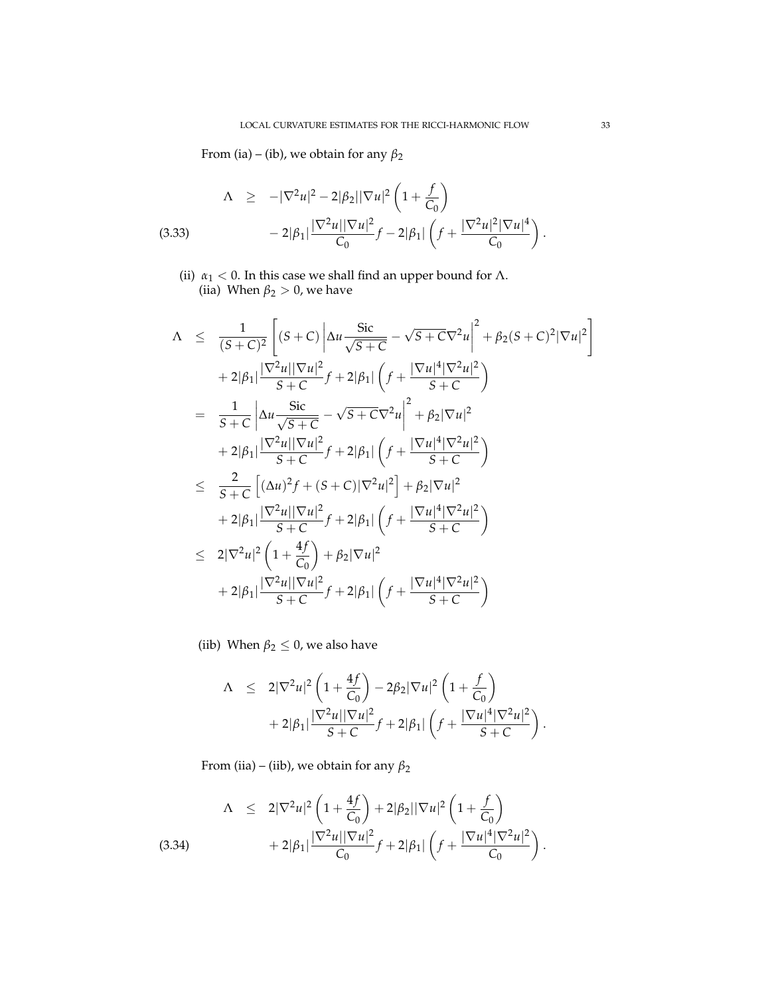From (ia) – (ib), we obtain for any  $\beta_2$ 

$$
\Lambda \geq -|\nabla^2 u|^2 - 2|\beta_2||\nabla u|^2 \left(1 + \frac{f}{C_0}\right)
$$
  
(3.33) 
$$
-2|\beta_1| \frac{|\nabla^2 u||\nabla u|^2}{C_0} f - 2|\beta_1| \left(f + \frac{|\nabla^2 u|^2 |\nabla u|^4}{C_0}\right).
$$

(ii)  $\alpha_1 < 0$ . In this case we shall find an upper bound for  $\Lambda$ . (iia) When  $\beta_2 > 0$ , we have

$$
\Lambda \leq \frac{1}{(S+C)^2} \left[ (S+C) \left| \Delta u \frac{\text{Sic}}{\sqrt{S+C}} - \sqrt{S+C} v^2 u \right|^2 + \beta_2 (S+C)^2 |\nabla u|^2 \right] \n+ 2|\beta_1| \frac{|\nabla^2 u||\nabla u|^2}{S+C} f + 2|\beta_1| \left( f + \frac{|\nabla u|^4 |\nabla^2 u|^2}{S+C} \right) \n= \frac{1}{S+C} \left| \Delta u \frac{\text{Sic}}{\sqrt{S+C}} - \sqrt{S+C} v^2 u \right|^2 + \beta_2 |\nabla u|^2 \n+ 2|\beta_1| \frac{|\nabla^2 u||\nabla u|^2}{S+C} f + 2|\beta_1| \left( f + \frac{|\nabla u|^4 |\nabla^2 u|^2}{S+C} \right) \n\leq \frac{2}{S+C} \left[ (\Delta u)^2 f + (S+C) |\nabla^2 u|^2 \right] + \beta_2 |\nabla u|^2 \n+ 2|\beta_1| \frac{|\nabla^2 u||\nabla u|^2}{S+C} f + 2|\beta_1| \left( f + \frac{|\nabla u|^4 |\nabla^2 u|^2}{S+C} \right) \n\leq 2|\nabla^2 u|^2 \left( 1 + \frac{4f}{C_0} \right) + \beta_2 |\nabla u|^2 \n+ 2|\beta_1| \frac{|\nabla^2 u||\nabla u|^2}{S+C} f + 2|\beta_1| \left( f + \frac{|\nabla u|^4 |\nabla^2 u|^2}{S+C} \right)
$$

(iib) When  $\beta_2 \leq 0$ , we also have

$$
\Lambda \leq 2|\nabla^2 u|^2 \left(1 + \frac{4f}{C_0}\right) - 2\beta_2 |\nabla u|^2 \left(1 + \frac{f}{C_0}\right) + 2|\beta_1| \frac{|\nabla^2 u||\nabla u|^2}{S + C} f + 2|\beta_1| \left(f + \frac{|\nabla u|^4 |\nabla^2 u|^2}{S + C}\right).
$$

<span id="page-32-0"></span>From (iia) – (iib), we obtain for any *β*<sup>2</sup>

$$
\Lambda \leq 2|\nabla^2 u|^2 \left(1 + \frac{4f}{C_0}\right) + 2|\beta_2||\nabla u|^2 \left(1 + \frac{f}{C_0}\right) + 2|\beta_1| \frac{|\nabla^2 u||\nabla u|^2}{C_0} f + 2|\beta_1| \left(f + \frac{|\nabla u|^4 |\nabla^2 u|^2}{C_0}\right).
$$
\n(3.34)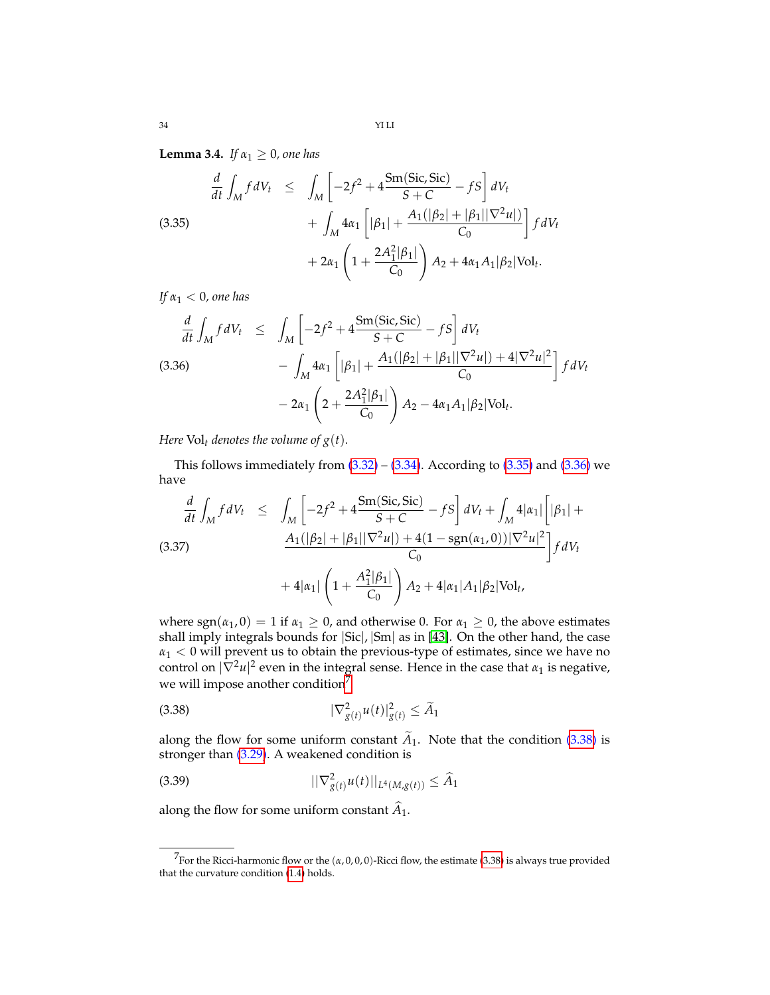**Lemma 3.4.** *If*  $\alpha_1 \geq 0$ *, one has* 

<span id="page-33-1"></span>(3.35)  
\n
$$
\frac{d}{dt} \int_M f dV_t \leq \int_M \left[ -2f^2 + 4 \frac{\text{Sm}(Sic, Sic)}{S + C} - fS \right] dV_t + \int_M 4\alpha_1 \left[ |\beta_1| + \frac{A_1(|\beta_2| + |\beta_1||\nabla^2 u|)}{C_0} \right] f dV_t + 2\alpha_1 \left( 1 + \frac{2A_1^2|\beta_1|}{C_0} \right) A_2 + 4\alpha_1 A_1 |\beta_2| \text{Vol}_t.
$$

*If α*<sup>1</sup> < 0*, one has*

<span id="page-33-2"></span>
$$
\frac{d}{dt} \int_{M} f dV_{t} \leq \int_{M} \left[ -2f^{2} + 4 \frac{\text{Sm}(Sic, Sic)}{S + C} - fS \right] dV_{t}
$$
\n(3.36)\n
$$
- \int_{M} 4\alpha_{1} \left[ |\beta_{1}| + \frac{A_{1}(|\beta_{2}| + |\beta_{1}| |\nabla^{2} u|) + 4|\nabla^{2} u|^{2}}{C_{0}} \right] f dV_{t}
$$
\n
$$
- 2\alpha_{1} \left( 2 + \frac{2A_{1}^{2}|\beta_{1}|}{C_{0}} \right) A_{2} - 4\alpha_{1} A_{1}|\beta_{2}|\text{Vol}_{t}.
$$

*Here*  $Vol_t$  *denotes the volume of*  $g(t)$ *.* 

This follows immediately from  $(3.32)$  –  $(3.34)$ . According to  $(3.35)$  and  $(3.36)$  we have

<span id="page-33-0"></span>
$$
\frac{d}{dt} \int_{M} f dV_{t} \leq \int_{M} \left[ -2f^{2} + 4 \frac{\text{Sm}(Sic, Sic)}{S + C} - fS \right] dV_{t} + \int_{M} 4|\alpha_{1}| \left[ |\beta_{1}| + \frac{A_{1}(|\beta_{2}| + |\beta_{1}| |\nabla^{2} u|) + 4(1 - \text{sgn}(\alpha_{1}, 0)) |\nabla^{2} u|^{2}}{C_{0}} \right] f dV_{t}
$$
\n
$$
+ 4|\alpha_{1}| \left( 1 + \frac{A_{1}^{2}|\beta_{1}|}{C_{0}} \right) A_{2} + 4|\alpha_{1}| A_{1}|\beta_{2}|\text{Vol}_{t},
$$

where  $sgn(\alpha_1, 0) = 1$  if  $\alpha_1 \geq 0$ , and otherwise 0. For  $\alpha_1 \geq 0$ , the above estimates shall imply integrals bounds for |Sic|, |Sm| as in [\[43\]](#page-70-3). On the other hand, the case *α*<sup>1</sup> < 0 will prevent us to obtain the previous-type of estimates, since we have no control on  $|\nabla^2 u|^2$  even in the integral sense. Hence in the case that  $\alpha_1$  is negative, we will impose another condition<sup>[7](#page-33-3)</sup>:

<span id="page-33-4"></span>
$$
|\nabla_{g(t)}^2 u(t)|_{g(t)}^2 \le \widetilde{A}_1
$$

along the flow for some uniform constant  $A_1$ . Note that the condition [\(3.38\)](#page-33-4) is stronger than [\(3.29\)](#page-31-3). A weakened condition is

$$
||\nabla_{g(t)}^2 u(t)||_{L^4(M,g(t))} \le \widehat{A}_1
$$

along the flow for some uniform constant  $A_1$ .

<span id="page-33-3"></span> $^7$ For the Ricci-harmonic flow or the  $(α, 0, 0, 0)$ -Ricci flow, the estimate [\(3.38\)](#page-33-4) is always true provided that the curvature condition [\(1.4\)](#page-1-4) holds.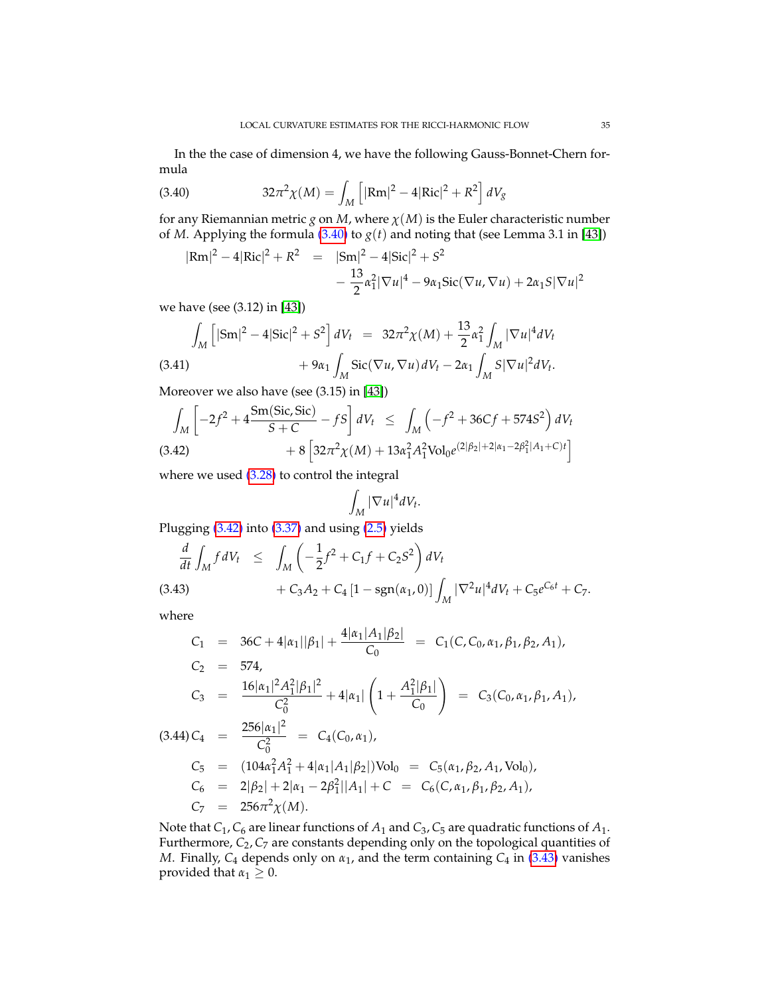In the the case of dimension 4, we have the following Gauss-Bonnet-Chern formula

<span id="page-34-1"></span>(3.40) 
$$
32\pi^2 \chi(M) = \int_M \left[ |\text{Rm}|^2 - 4|\text{Ric}|^2 + R^2 \right] dV_g
$$

for any Riemannian metric *g* on *M*, where  $\chi(M)$  is the Euler characteristic number of *M*. Applying the formula [\(3.40\)](#page-34-1) to  $g(t)$  and noting that (see Lemma 3.1 in [\[43\]](#page-70-3))

$$
|\text{Rm}|^2 - 4|\text{Ric}|^2 + R^2 = |\text{Sm}|^2 - 4|\text{Sic}|^2 + S^2
$$
  

$$
-\frac{13}{2}\alpha_1^2|\nabla u|^4 - 9\alpha_1\text{Sic}(\nabla u, \nabla u) + 2\alpha_1S|\nabla u|^2
$$

we have (see (3.12) in [\[43\]](#page-70-3))

$$
\int_{M} \left[ |\mathrm{Sm}|^{2} - 4|\mathrm{Sic}|^{2} + S^{2} \right] dV_{t} = 32\pi^{2} \chi(M) + \frac{13}{2} \alpha_{1}^{2} \int_{M} |\nabla u|^{4} dV_{t}
$$
\n(3.41)\n
$$
+ 9\alpha_{1} \int_{M} \mathrm{Sic}(\nabla u, \nabla u) dV_{t} - 2\alpha_{1} \int_{M} S |\nabla u|^{2} dV_{t}.
$$

Moreover we also have (see (3.15) in [\[43\]](#page-70-3))

<span id="page-34-2"></span>
$$
\int_{M} \left[ -2f^{2} + 4 \frac{\text{Sm}(Sic, Sic)}{S + C} - fS \right] dV_{t} \le \int_{M} \left( -f^{2} + 36Cf + 574S^{2} \right) dV_{t}
$$
\n(3.42)\n
$$
+ 8 \left[ 32\pi^{2}\chi(M) + 13\alpha_{1}^{2}A_{1}^{2} \text{Vol}_{0}e^{(2|\beta_{2}|+2|\alpha_{1}-2\beta_{1}^{2}|A_{1}+C)t} \right]
$$

where we used  $(3.28)$  to control the integral

$$
\int_M |\nabla u|^4 dV_t.
$$

Plugging  $(3.42)$  into  $(3.37)$  and using  $(2.5)$  yields

<span id="page-34-0"></span>
$$
\frac{d}{dt} \int_M f dV_t \le \int_M \left( -\frac{1}{2} f^2 + C_1 f + C_2 S^2 \right) dV_t \n+ C_3 A_2 + C_4 \left[ 1 - \text{sgn}(\alpha_1, 0) \right] \int_M |\nabla^2 u|^4 dV_t + C_5 e^{C_6 t} + C_7.
$$

where

$$
C_1 = 36C + 4|\alpha_1||\beta_1| + \frac{4|\alpha_1|A_1|\beta_2|}{C_0} = C_1(C, C_0, \alpha_1, \beta_1, \beta_2, A_1),
$$
  
\n
$$
C_2 = 574,
$$
  
\n
$$
C_3 = \frac{16|\alpha_1|^2 A_1^2 |\beta_1|^2}{C_0^2} + 4|\alpha_1| \left(1 + \frac{A_1^2|\beta_1|}{C_0}\right) = C_3(C_0, \alpha_1, \beta_1, A_1),
$$
  
\n
$$
(3.44) C_4 = \frac{256|\alpha_1|^2}{C_0^2} = C_4(C_0, \alpha_1),
$$
  
\n
$$
C_5 = (104\alpha_1^2 A_1^2 + 4|\alpha_1|A_1|\beta_2|) \text{Vol}_0 = C_5(\alpha_1, \beta_2, A_1, \text{Vol}_0),
$$
  
\n
$$
C_6 = 2|\beta_2| + 2|\alpha_1 - 2\beta_1^2||A_1| + C = C_6(C, \alpha_1, \beta_1, \beta_2, A_1),
$$
  
\n
$$
C_7 = 256\pi^2 \chi(M).
$$

Note that  $C_1$ ,  $C_6$  are linear functions of  $A_1$  and  $C_3$ ,  $C_5$  are quadratic functions of  $A_1$ . Furthermore, *C*2, *C*<sup>7</sup> are constants depending only on the topological quantities of *M*. Finally,  $C_4$  depends only on  $\alpha_1$ , and the term containing  $C_4$  in [\(3.43\)](#page-34-0) vanishes provided that  $\alpha_1 \geq 0$ .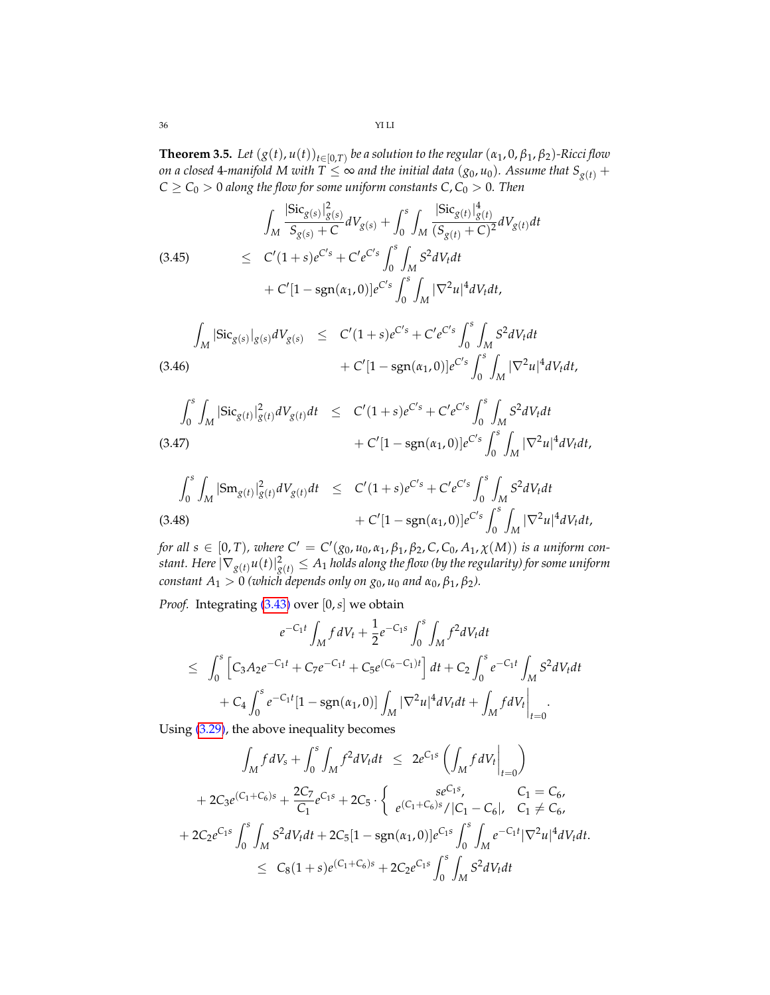**Theorem 3.5.** Let  $(g(t), u(t))_{t \in [0,T)}$  be a solution to the regular  $(\alpha_1, 0, \beta_1, \beta_2)$ -Ricci flow *on a closed* 4*-manifold* M with  $T \leq \infty$  *and the initial data* (*g*<sub>0</sub>, *u*<sub>0</sub>)*. Assume that*  $S_{g(t)}$  +  $C \geq C_0 > 0$  *along the flow for some uniform constants*  $C, C_0 > 0$ *. Then* 

$$
\int_{M} \frac{|\text{Sic}_{g(s)}|_{g(s)}^{2}}{S_{g(s)} + C} dV_{g(s)} + \int_{0}^{s} \int_{M} \frac{|\text{Sic}_{g(t)}|_{g(t)}^{4}}{(S_{g(t)} + C)^{2}} dV_{g(t)} dt
$$
\n
$$
\leq C'(1+s)e^{C's} + C'e^{C's} \int_{0}^{s} \int_{M} S^{2} dV_{t} dt + C'[1 - \text{sgn}(\alpha_{1}, 0)]e^{C's} \int_{0}^{s} \int_{M} |\nabla^{2} u|^{4} dV_{t} dt,
$$

$$
\int_{M} |\text{Sic}_{g(s)}|_{g(s)} dV_{g(s)} \leq C'(1+s)e^{C's} + C'e^{C's} \int_{0}^{s} \int_{M} S^2 dV_t dt + C'[1 - \text{sgn}(\alpha_1, 0)]e^{C's} \int_{0}^{s} \int_{M} |\nabla^2 u|^4 dV_t dt,
$$

$$
\int_0^s \int_M |\text{Sic}_{g(t)}|_{g(t)}^2 dV_{g(t)} dt \leq C'(1+s)e^{C's} + C'e^{C's} \int_0^s \int_M S^2 dV_t dt + C'[1 - \text{sgn}(\alpha_1, 0)]e^{C's} \int_0^s \int_M |\nabla^2 u|^4 dV_t dt,
$$

$$
\int_0^s \int_M |Sm_{g(t)}|_{g(t)}^2 dV_{g(t)} dt \leq C'(1+s)e^{C's} + C'e^{C's} \int_0^s \int_M S^2 dV_t dt + C'[1 - sgn(\alpha_1, 0)]e^{C's} \int_0^s \int_M |\nabla^2 u|^4 dV_t dt,
$$

*for all s*  $\in$  [0, *T*), where  $C' = C'(g_0, u_0, \alpha_1, \beta_1, \beta_2, C, C_0, A_1, \chi(M))$  *is a uniform con*stant. Here  $|\nabla_{g(t)} u(t)|^2_{g(t)} \leq A_1$  holds along the flow (by the regularity) for some uniform *constant*  $A_1 > 0$  *(which depends only on*  $g_0$ *,*  $u_0$  *and*  $\alpha_0$ ,  $\beta_1$ ,  $\beta_2$ ).

*Proof.* Integrating [\(3.43\)](#page-34-0) over [0, *s*] we obtain

$$
e^{-C_1t} \int_M f dV_t + \frac{1}{2} e^{-C_1s} \int_0^s \int_M f^2 dV_t dt
$$
  
\n
$$
\leq \int_0^s \left[ C_3 A_2 e^{-C_1t} + C_7 e^{-C_1t} + C_5 e^{(C_6 - C_1)t} \right] dt + C_2 \int_0^s e^{-C_1t} \int_M S^2 dV_t dt
$$
  
\n
$$
+ C_4 \int_0^s e^{-C_1t} [1 - \text{sgn}(\alpha_1, 0)] \int_M |\nabla^2 u|^4 dV_t dt + \int_M f dV_t \Big|_{t=0}.
$$

Using [\(3.29\)](#page-31-3), the above inequality becomes

$$
\int_{M} f dV_{s} + \int_{0}^{s} \int_{M} f^{2} dV_{t} dt \leq 2e^{C_{1}s} \left( \int_{M} f dV_{t} \Big|_{t=0} \right)
$$
  
+ 2C\_{3}e^{(C\_{1}+C\_{6})s} + \frac{2C\_{7}}{C\_{1}} e^{C\_{1}s} + 2C\_{5} \cdot \left\{ e^{(C\_{1}+C\_{6})s} / |C\_{1} - C\_{6}|, C\_{1} \neq C\_{6}, \right.  
+ 2C\_{2}e^{C\_{1}s} \int\_{0}^{s} \int\_{M} S^{2} dV\_{t} dt + 2C\_{5} [1 - sgn(\alpha\_{1}, 0)] e^{C\_{1}s} \int\_{0}^{s} \int\_{M} e^{-C\_{1}t} |\nabla^{2} u|^{4} dV\_{t} dt.  
 $\leq C_{8} (1+s) e^{(C_{1}+C_{6})s} + 2C_{2}e^{C_{1}s} \int_{0}^{s} \int_{M} S^{2} dV_{t} dt$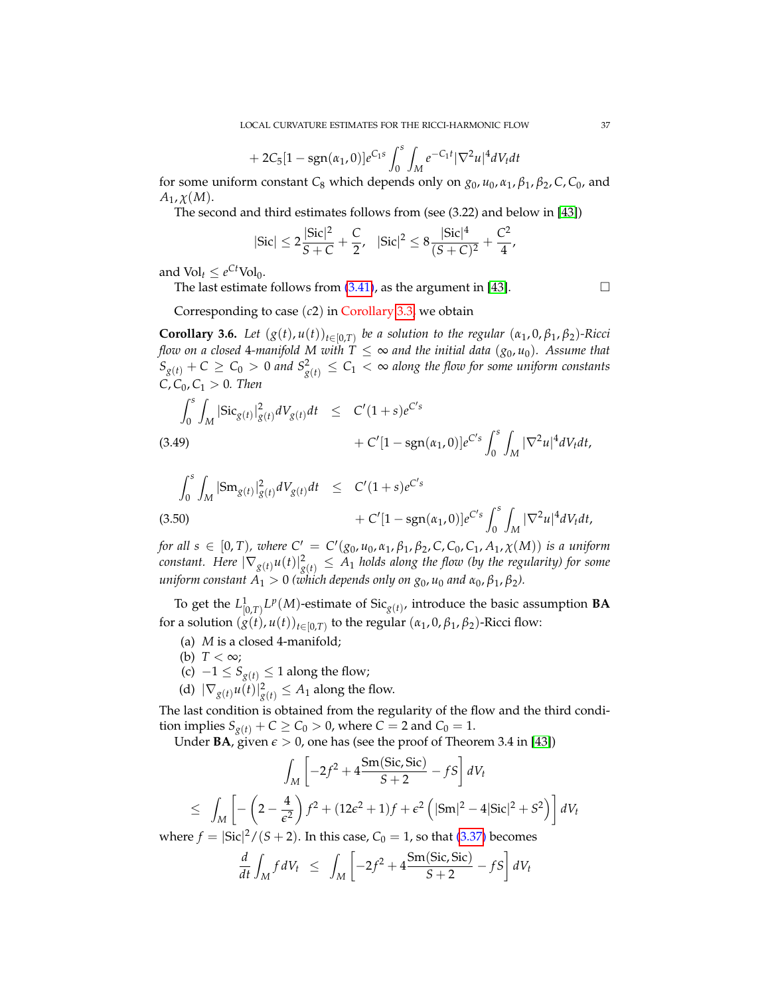+ 
$$
2C_5[1 - \text{sgn}(\alpha_1, 0)]e^{C_1s} \int_0^s \int_M e^{-C_1t} |\nabla^2 u|^4 dV_t dt
$$

for some uniform constant  $C_8$  which depends only on  $g_0$ ,  $u_0$ ,  $\alpha_1$ ,  $\beta_1$ ,  $\beta_2$ ,  $C$ ,  $C_0$ , and  $A_1$ ,  $\chi(M)$ .

The second and third estimates follows from (see (3.22) and below in [\[43\]](#page-70-0))

$$
|\text{Sic}| \leq 2\frac{|\text{Sic}|^2}{S+C} + \frac{C}{2}, \quad |\text{Sic}|^2 \leq 8\frac{|\text{Sic}|^4}{(S+C)^2} + \frac{C^2}{4},
$$

and  $\text{Vol}_t \leq e^{Ct} \text{Vol}_0$ .

The last estimate follows from  $(3.41)$ , as the argument in [\[43\]](#page-70-0).

Corresponding to case (*c*2) in Corollary [3.3,](#page-29-0) we obtain

**Corollary 3.6.** Let  $(g(t), u(t))_{t \in [0,T)}$  be a solution to the regular  $(\alpha_1, 0, \beta_1, \beta_2)$ -Ricci *flow on a closed* 4-manifold M with  $T \leq \infty$  and the initial data  $(g_0, u_0)$ . Assume that  $S_{g(t)} + C \geq C_0 > 0$  and  $S^2_{g(t)} \leq C_1 < \infty$  along the flow for some uniform constants  $C, C_0, C_1 > 0$ *. Then* 

$$
\int_0^s \int_M |\text{Sic}_{g(t)}|_{g(t)}^2 dV_{g(t)} dt \leq C'(1+s)e^{C's} + C'[1 - \text{sgn}(\alpha_1, 0)]e^{C's} \int_0^s \int_M |\nabla^2 u|^4 dV_t dt,
$$
\n(3.49)

$$
\int_0^s \int_M |\mathrm{Sm}_{g(t)}|^2_{g(t)} dV_{g(t)} dt \leq C'(1+s)e^{C's} + C'[1-\mathrm{sgn}(\alpha_1, 0)]e^{C's} \int_0^s \int_M |\nabla^2 u|^4 dV_t dt,
$$
\n(3.50)

*for all*  $s \in [0, T)$ *, where*  $C' = C'(g_0, u_0, \alpha_1, \beta_1, \beta_2, C, C_0, C_1, A_1, \chi(M))$  *is a uniform*  $constant.$  Here  $|\nabla_{g(t)}u(t)|^2_{g(t)}\leq A_1$  holds along the flow (by the regularity) for some *uniform constant*  $A_1 > 0$  *(which depends only on*  $g_0$ *,*  $u_0$  *and*  $\alpha_0$ ,  $\beta_1$ ,  $\beta_2$ ).

To get the  $L^1_{[0,T)} L^p(M)$ -estimate of Sic<sub>*g*(*t*)</sub>, introduce the basic assumption **BA** for a solution  $(g(t), u(t))_{t \in [0,T)}$  to the regular  $(\alpha_1, 0, \beta_1, \beta_2)$ -Ricci flow:

- (a) *M* is a closed 4-manifold;
- (b)  $T < \infty$ ;
- (c)  $-1 \leq S_{g(t)}$  ≤ 1 along the flow;
- (d)  $|\nabla_{g(t)} u(t)|_{g(t)}^2 \leq A_1$  along the flow.

The last condition is obtained from the regularity of the flow and the third condition implies  $S_{g(t)} + C \ge C_0 > 0$ , where  $C = 2$  and  $C_0 = 1$ .

Under **BA**, given  $\epsilon > 0$ , one has (see the proof of Theorem 3.4 in [\[43\]](#page-70-0))

$$
\int_{M} \left[ -2f^{2} + 4 \frac{\text{Sm}(Sic, Sic)}{S+2} - fS \right] dV_{t}
$$
\n
$$
\leq \int_{M} \left[ -\left( 2 - \frac{4}{\epsilon^{2}} \right) f^{2} + (12\epsilon^{2} + 1)f + \epsilon^{2} \left( |\text{Sm}|^{2} - 4|\text{Sic}|^{2} + S^{2} \right) \right] dV_{t}
$$
\n
$$
\text{a.s.} \int_{R} \left[ -\left( 2 - \frac{4}{\epsilon^{2}} \right) f^{2} + (12\epsilon^{2} + 1)f + \epsilon^{2} \left( |\text{Sm}|^{2} - 4|\text{Sic}|^{2} + S^{2} \right) \right] dV_{t}
$$

where  $f = |{\rm Sic}|^2 / (S + 2)$ . In this case,  $C_0 = 1$ , so that [\(3.37\)](#page-33-0) becomes

$$
\frac{d}{dt} \int_M f dV_t \leq \int_M \left[ -2f^2 + 4 \frac{\text{Sm}(Sic, Sic)}{S+2} - fS \right] dV_t
$$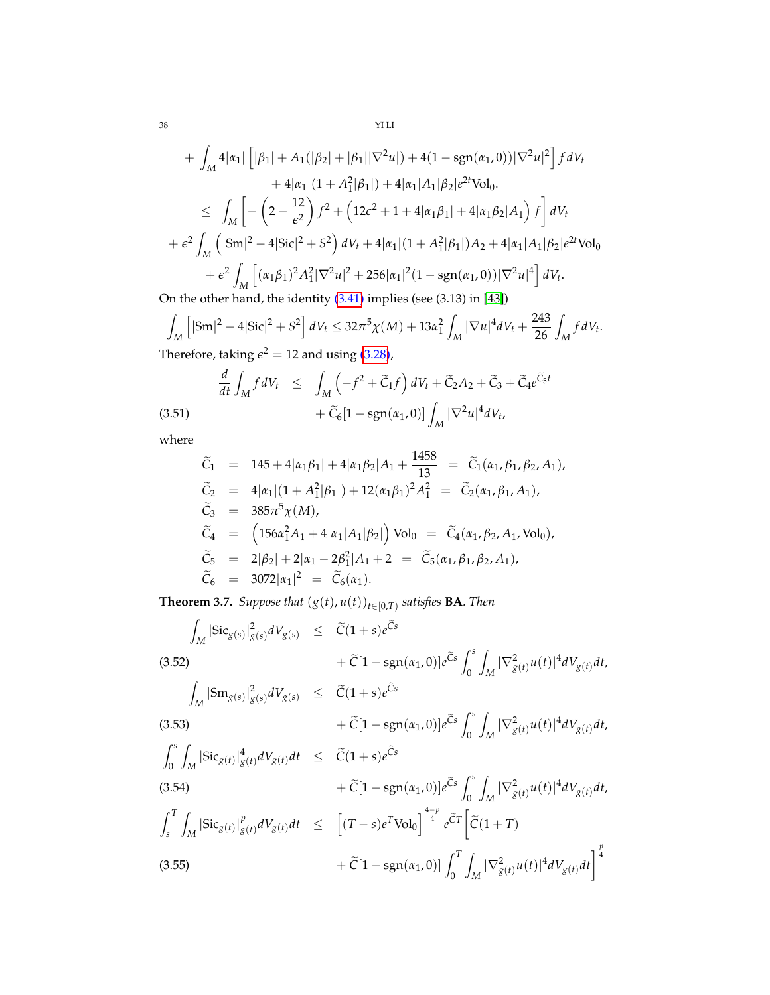$$
+ \int_{M} 4|\alpha_{1}| \left[ |\beta_{1}| + A_{1}(|\beta_{2}| + |\beta_{1}| |\nabla^{2} u|) + 4(1 - \text{sgn}(\alpha_{1}, 0)) |\nabla^{2} u|^{2} \right] f dV_{t}
$$
  
\n
$$
+ 4|\alpha_{1}| (1 + A_{1}^{2}|\beta_{1}|) + 4|\alpha_{1}|A_{1}|\beta_{2}|e^{2t} \text{Vol}_{0}.
$$
  
\n
$$
\leq \int_{M} \left[ -\left( 2 - \frac{12}{\epsilon^{2}} \right) f^{2} + \left( 12\epsilon^{2} + 1 + 4|\alpha_{1}\beta_{1}| + 4|\alpha_{1}\beta_{2}|A_{1} \right) f \right] dV_{t}
$$
  
\n
$$
+ \epsilon^{2} \int_{M} \left( |\text{Sm}|^{2} - 4|\text{Sic}|^{2} + S^{2} \right) dV_{t} + 4|\alpha_{1}| (1 + A_{1}^{2}|\beta_{1}|) A_{2} + 4|\alpha_{1}|A_{1}|\beta_{2}|e^{2t} \text{Vol}_{0}
$$
  
\n
$$
+ \epsilon^{2} \int_{M} \left[ (\alpha_{1}\beta_{1})^{2} A_{1}^{2} |\nabla^{2} u|^{2} + 256|\alpha_{1}|^{2} (1 - \text{sgn}(\alpha_{1}, 0)) |\nabla^{2} u|^{4} \right] dV_{t}.
$$
  
\nIn the other hand, the identity (3.41) implies (see (3.13) in [43])

On the other hand, the identity [\(3.41\)](#page-34-0) implies (see (3.13) in [\[43\]](#page-70-0))

$$
\int_{M} \left[ |\mathrm{Sm}|^{2} - 4|\mathrm{Sic}|^{2} + S^{2} \right] dV_{t} \le 32\pi^{5} \chi(M) + 13\alpha_{1}^{2} \int_{M} |\nabla u|^{4} dV_{t} + \frac{243}{26} \int_{M} f dV_{t}.
$$
\nTherefore, taking  $c^{2} = 12$  and using (3.28).

Therefore, taking  $\epsilon^2 = 12$  and using [\(3.28\)](#page-31-0),

<span id="page-37-0"></span>(3.51) 
$$
\frac{d}{dt} \int_M f dV_t \leq \int_M \left( -f^2 + \widetilde{C}_1 f \right) dV_t + \widetilde{C}_2 A_2 + \widetilde{C}_3 + \widetilde{C}_4 e^{\widetilde{C}_5 t} + \widetilde{C}_6 \left[ 1 - \text{sgn}(\alpha_1, 0) \right] \int_M |\nabla^2 u|^4 dV_t,
$$

where

$$
\begin{array}{rcl}\n\widetilde{C}_1 & = & 145 + 4|\alpha_1\beta_1| + 4|\alpha_1\beta_2|A_1 + \frac{1458}{13} = \widetilde{C}_1(\alpha_1, \beta_1, \beta_2, A_1), \\
\widetilde{C}_2 & = & 4|\alpha_1|(1 + A_1^2|\beta_1|) + 12(\alpha_1\beta_1)^2 A_1^2 = \widetilde{C}_2(\alpha_1, \beta_1, A_1), \\
\widetilde{C}_3 & = & 385\pi^5 \chi(M), \\
\widetilde{C}_4 & = & \left(156\alpha_1^2 A_1 + 4|\alpha_1|A_1|\beta_2|\right) \text{Vol}_0 = \widetilde{C}_4(\alpha_1, \beta_2, A_1, \text{Vol}_0), \\
\widetilde{C}_5 & = & 2|\beta_2| + 2|\alpha_1 - 2\beta_1^2|A_1 + 2 = \widetilde{C}_5(\alpha_1, \beta_1, \beta_2, A_1), \\
\widetilde{C}_6 & = & 3072|\alpha_1|^2 = \widetilde{C}_6(\alpha_1).\n\end{array}
$$

**Theorem 3.7.** *Suppose that* (*g*(*t*), *u*(*t*))*t*∈[0,*T*) *satisfies* **BA***. Then*

<span id="page-37-1"></span>
$$
\int_{M} |\text{Sic}_{g(s)}|_{g(s)}^{2} dV_{g(s)} \leq \tilde{C}(1+s)e^{\tilde{C}s} \n+ \tilde{C}[1 - \text{sgn}(\alpha_{1}, 0)]e^{\tilde{C}s} \int_{0}^{s} \int_{M} |\nabla_{g(t)}^{2} u(t)|^{4} dV_{g(t)} dt, \n\int_{M} |\text{Sm}_{g(s)}|_{g(s)}^{2} dV_{g(s)} \leq \tilde{C}(1+s)e^{\tilde{C}s} \n+ \tilde{C}[1 - \text{sgn}(\alpha_{1}, 0)]e^{\tilde{C}s} \int_{0}^{s} \int_{M} |\nabla_{g(t)}^{2} u(t)|^{4} dV_{g(t)} dt, \n\int_{0}^{s} \int_{M} |\text{Sic}_{g(t)}|_{g(t)}^{4} dV_{g(t)} dt \leq \tilde{C}(1+s)e^{\tilde{C}s} \n+ \tilde{C}[1 - \text{sgn}(\alpha_{1}, 0)]e^{\tilde{C}s} \int_{0}^{s} \int_{M} |\nabla_{g(t)}^{2} u(t)|^{4} dV_{g(t)} dt, \n\int_{s}^{T} \int_{M} |\text{Sic}_{g(t)}|_{g(t)}^{p} dV_{g(t)} dt \leq \left[ (T-s)e^{T} \text{Vol}_{0} \right]^{\frac{4-p}{4}} e^{\tilde{C}T} \left[ \tilde{C}(1+T) \n+ \tilde{C}[1 - \text{sgn}(\alpha_{1}, 0)] \int_{0}^{T} \int_{M} |\nabla_{g(t)}^{2} u(t)|^{4} dV_{g(t)} dt \right]^{\frac{p}{4}}
$$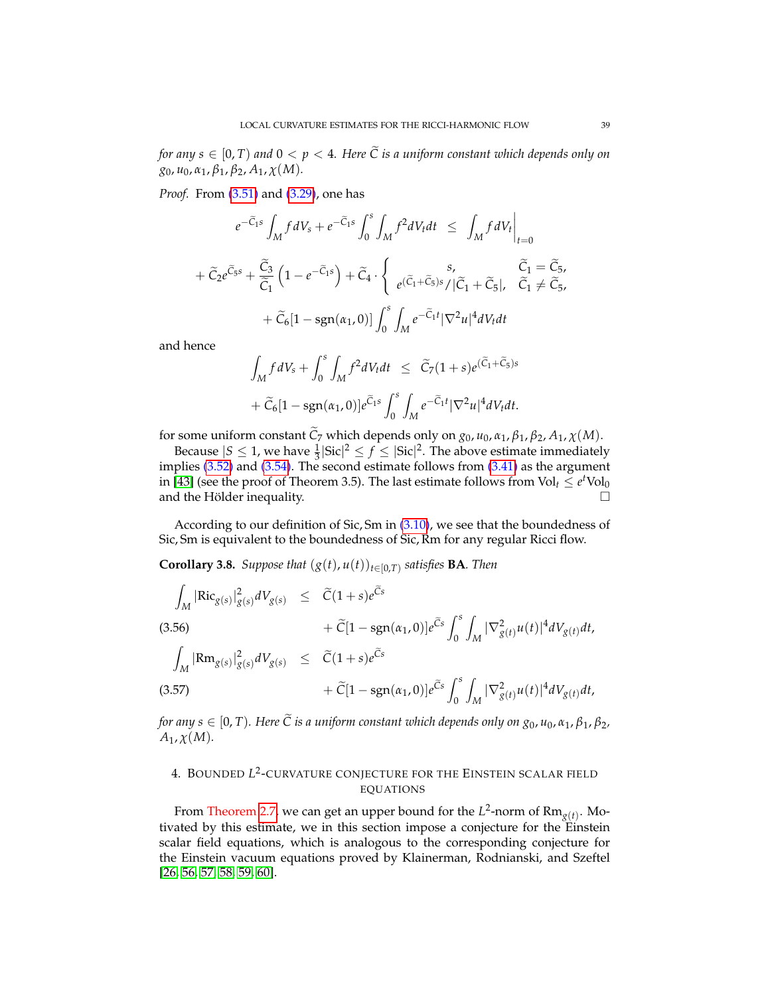*for any*  $s \in [0, T)$  *and*  $0 < p < 4$ *. Here*  $\widetilde{C}$  *is a uniform constant which depends only on g*0, *u*0, *α*1, *β*1, *β*2, *A*1, *χ*(*M*)*.*

*Proof.* From [\(3.51\)](#page-37-0) and [\(3.29\)](#page-31-1), one has

$$
e^{-\widetilde{C}_{1}s} \int_{M} f dV_{s} + e^{-\widetilde{C}_{1}s} \int_{0}^{s} \int_{M} f^{2} dV_{t} dt \le \int_{M} f dV_{t} \Big|_{t=0}
$$
  
+  $\widetilde{C}_{2} e^{\widetilde{C}_{5}s} + \frac{\widetilde{C}_{3}}{\widetilde{C}_{1}} \left(1 - e^{-\widetilde{C}_{1}s}\right) + \widetilde{C}_{4} \cdot \begin{cases} s, & \widetilde{C}_{1} = \widetilde{C}_{5}, \\ e^{(\widetilde{C}_{1} + \widetilde{C}_{5})s} / |\widetilde{C}_{1} + \widetilde{C}_{5}|, & \widetilde{C}_{1} \neq \widetilde{C}_{5}, \\ + \widetilde{C}_{6} [1 - \text{sgn}(\alpha_{1}, 0)] \int_{0}^{s} \int_{M} e^{-\widetilde{C}_{1}t} |\nabla^{2} u|^{4} dV_{t} dt \end{cases}$ 

and hence

$$
\int_M f dV_s + \int_0^s \int_M f^2 dV_t dt \leq \widetilde{C}_7 (1+s) e^{(\widetilde{C}_1 + \widetilde{C}_5)s}
$$
  
+  $\widetilde{C}_6 [1 - \text{sgn}(\alpha_1, 0)] e^{\widetilde{C}_1 s} \int_0^s \int_M e^{-\widetilde{C}_1 t} |\nabla^2 u|^4 dV_t dt.$ 

for some uniform constant  $\tilde{C}_7$  which depends only on  $g_0$ ,  $u_0$ ,  $\alpha_1$ ,  $\beta_1$ ,  $\beta_2$ ,  $A_1$ ,  $\chi(M)$ .

Because  $|S \leq 1$ , we have  $\frac{1}{3}|\text{Sic}|^2 \leq f \leq |\text{Sic}|^2$ . The above estimate immediately implies [\(3.52\)](#page-37-1) and [\(3.54\)](#page-37-1). The second estimate follows from [\(3.41\)](#page-34-0) as the argument in [\[43\]](#page-70-0) (see the proof of Theorem 3.5). The last estimate follows from  $Vol_t \le e^tVol_0$ and the Hölder inequality.  $\Box$ 

According to our definition of Sic, Sm in  $(3.10)$ , we see that the boundedness of Sic, Sm is equivalent to the boundedness of Sic, Rm for any regular Ricci flow.

**Corollary 3.8.** *Suppose that*  $(g(t), u(t))_{t \in [0,T)}$  *satisfies* **BA***. Then* 

$$
\int_{M} |\text{Ric}_{g(s)}|_{g(s)}^{2} dV_{g(s)} \leq \tilde{C}(1+s)e^{\tilde{C}s} \n+ \tilde{C}[1 - \text{sgn}(\alpha_{1}, 0)]e^{\tilde{C}s} \int_{0}^{s} \int_{M} |\nabla_{g(t)}^{2} u(t)|^{4} dV_{g(t)}dt, \n\int_{M} |\text{Rm}_{g(s)}|_{g(s)}^{2} dV_{g(s)} \leq \tilde{C}(1+s)e^{\tilde{C}s} \n+ \tilde{C}[1 - \text{sgn}(\alpha_{1}, 0)]e^{\tilde{C}s} \int_{0}^{s} \int_{M} |\nabla_{g(t)}^{2} u(t)|^{4} dV_{g(t)}dt,
$$

*for any s*  $\in$  [0, *T*). Here  $\widetilde{C}$  *is a uniform constant which depends only on*  $g_0$ *,*  $u_0$ *,*  $\alpha_1$ *,*  $\beta_1$ *,*  $\beta_2$ *,*  $A_1$ ,  $\chi(M)$ .

## 4. BOUNDED *L* 2 -CURVATURE CONJECTURE FOR THE EINSTEIN SCALAR FIELD EQUATIONS

From Theorem [2.7,](#page-22-0) we can get an upper bound for the  $L^2$ -norm of  $Rm_{g(t)}$ . Motivated by this estimate, we in this section impose a conjecture for the Einstein scalar field equations, which is analogous to the corresponding conjecture for the Einstein vacuum equations proved by Klainerman, Rodnianski, and Szeftel [\[26,](#page-69-0) [56,](#page-70-1) [57,](#page-70-2) [58,](#page-70-3) [59,](#page-71-0) [60\]](#page-71-1).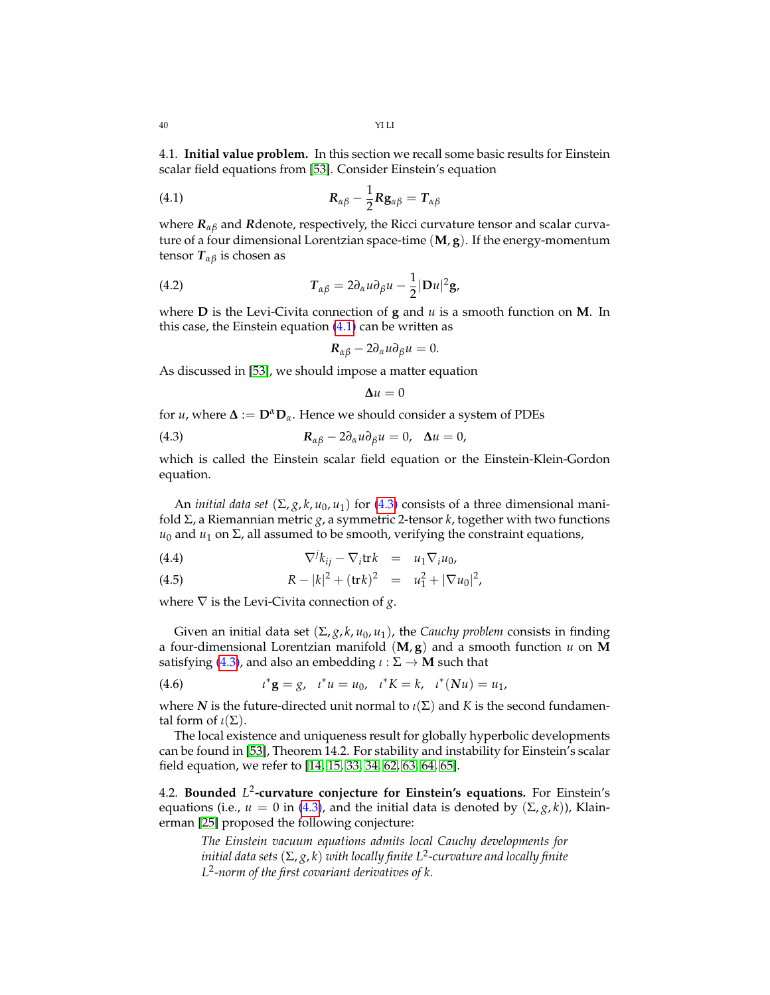4.1. **Initial value problem.** In this section we recall some basic results for Einstein scalar field equations from [\[53\]](#page-70-4). Consider Einstein's equation

(4.1) 
$$
R_{\alpha\beta} - \frac{1}{2}Rg_{\alpha\beta} = T_{\alpha\beta}
$$

where *Rαβ* and *R*denote, respectively, the Ricci curvature tensor and scalar curvature of a four dimensional Lorentzian space-time (**M**, **g**). If the energy-momentum tensor *Tαβ* is chosen as

(4.2) 
$$
T_{\alpha\beta} = 2\partial_{\alpha}u\partial_{\beta}u - \frac{1}{2}|Du|^2g,
$$

where **D** is the Levi-Civita connection of **g** and *u* is a smooth function on **M**. In this case, the Einstein equation  $(4.1)$  can be written as

<span id="page-39-0"></span>
$$
R_{\alpha\beta}-2\partial_\alpha u\partial_\beta u=0.
$$

As discussed in [\[53\]](#page-70-4), we should impose a matter equation

<span id="page-39-1"></span>
$$
\Delta u = 0
$$

for *u*, where  $\Delta := D^{\alpha}D_{\alpha}$ . Hence we should consider a system of PDEs

(4.3) 
$$
\mathbf{R}_{\alpha\beta} - 2\partial_{\alpha}u\partial_{\beta}u = 0, \quad \Delta u = 0,
$$

which is called the Einstein scalar field equation or the Einstein-Klein-Gordon equation.

An *initial data set*  $(\Sigma, g, k, u_0, u_1)$  for  $(4.3)$  consists of a three dimensional manifold Σ, a Riemannian metric *g*, a symmetric 2-tensor *k*, together with two functions  $u_0$  and  $u_1$  on  $\Sigma$ , all assumed to be smooth, verifying the constraint equations,

(4.4) 
$$
\nabla^j k_{ij} - \nabla_i \text{tr} k = u_1 \nabla_i u_0,
$$

(4.5) 
$$
R - |k|^2 + (\text{tr} k)^2 = u_1^2 + |\nabla u_0|^2,
$$

where  $\nabla$  is the Levi-Civita connection of *g*.

Given an initial data set (Σ, *g*, *k*, *u*0, *u*1), the *Cauchy problem* consists in finding a four-dimensional Lorentzian manifold (**M**, **g**) and a smooth function *u* on **M** satisfying [\(4.3\)](#page-39-1), and also an embedding  $\iota : \Sigma \to M$  such that

(4.6) 
$$
t^* \mathbf{g} = g, \quad t^* u = u_0, \quad t^* K = k, \quad t^* (Nu) = u_1,
$$

where *N* is the future-directed unit normal to  $\iota(\Sigma)$  and *K* is the second fundamental form of  $\iota(\Sigma)$ .

The local existence and uniqueness result for globally hyperbolic developments can be found in [\[53\]](#page-70-4), Theorem 14.2. For stability and instability for Einstein's scalar field equation, we refer to [\[14,](#page-69-1) [15,](#page-69-2) [33,](#page-70-5) [34,](#page-70-6) [62,](#page-71-2) [63,](#page-71-3) [64,](#page-71-4) [65\]](#page-71-5).

4.2. **Bounded** *L* 2 **-curvature conjecture for Einstein's equations.** For Einstein's equations (i.e.,  $u = 0$  in [\(4.3\)](#page-39-1), and the initial data is denoted by  $(\Sigma, g, k)$ ), Klainerman [\[25\]](#page-69-3) proposed the following conjecture:

*The Einstein vacuum equations admits local Cauchy developments for initial data sets* (Σ, *g*, *k*) *with locally finite L*<sup>2</sup> *-curvature and locally finite L* 2 *-norm of the first covariant derivatives of k.*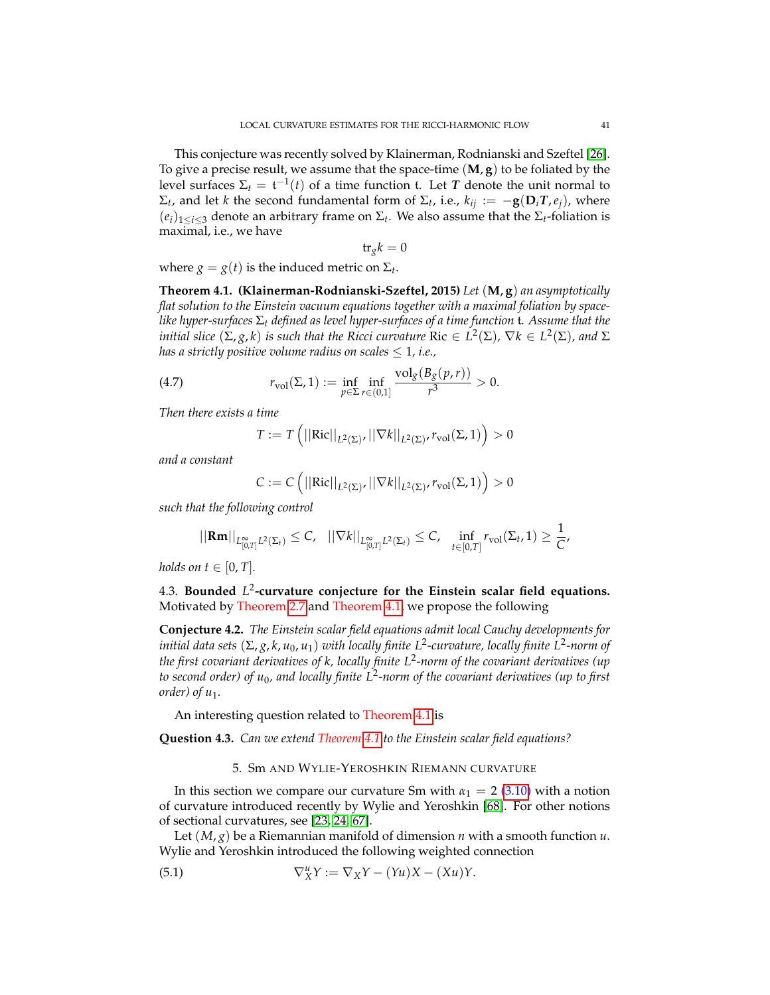This conjecture was recently solved by Klainerman, Rodnianski and Szeftel [\[26\]](#page-69-0). To give a precise result, we assume that the space-time (**M**, **g**) to be foliated by the level surfaces  $\Sigma_t = \mathfrak{t}^{-1}(t)$  of a time function  $\mathfrak{t}$ . Let  $T$  denote the unit normal to  $Σ_t$ , and let *k* the second fundamental form of  $Σ_t$ , i.e.,  $k_{ij} := −{\bf g}({\bf D}_i{\bf T},e_j)$ , where  $(e_i)_{1 \leq i \leq 3}$  denote an arbitrary frame on  $\Sigma_t$ . We also assume that the  $\Sigma_t$ -foliation is maximal, i.e., we have

$$
\mathrm{tr}_g k = 0
$$

where  $g = g(t)$  is the induced metric on  $\Sigma_t$ .

<span id="page-40-0"></span>**Theorem 4.1. (Klainerman-Rodnianski-Szeftel, 2015)** *Let* (**M**, **g**) *an asymptotically flat solution to the Einstein vacuum equations together with a maximal foliation by spacelike hyper-surfaces* Σ*<sup>t</sup> defined as level hyper-surfaces of a time function* t*. Assume that the*  $i$  *initial slice*  $(\Sigma, g, k)$  *is such that the Ricci curvature*  $\mathrm{Ric}\in L^2(\Sigma)$ *,*  $\nabla k\in L^2(\Sigma)$ *, and*  $\Sigma$ *has a strictly positive volume radius on scales*  $\leq 1$ *, i.e.,* 

(4.7) 
$$
r_{\text{vol}}(\Sigma, 1) := \inf_{p \in \Sigma} \inf_{r \in (0,1]} \frac{\text{vol}_g(B_g(p,r))}{r^3} > 0.
$$

*Then there exists a time*

$$
T := T\left(||\mathrm{Ric}||_{L^2(\Sigma)}, ||\nabla k||_{L^2(\Sigma)}, r_{\mathrm{vol}}(\Sigma, 1)\right) > 0
$$

*and a constant*

$$
C := C \left( ||\mathrm{Ric}||_{L^2(\Sigma)}, ||\nabla k||_{L^2(\Sigma)}, r_{\mathrm{vol}}(\Sigma, 1) \right) > 0
$$

*such that the following control*

$$
||\mathbf{Rm}||_{L^{\infty}_{[0,T]}L^{2}(\Sigma_{t})}\leq C, \quad ||\nabla k||_{L^{\infty}_{[0,T]}L^{2}(\Sigma_{t})}\leq C, \quad \inf_{t\in[0,T]}r_{\text{vol}}(\Sigma_{t},1)\geq\frac{1}{C},
$$

*holds on*  $t \in [0, T]$ *.* 

4.3. **Bounded** *L* 2 **-curvature conjecture for the Einstein scalar field equations.** Motivated by Theorem [2.7](#page-22-0) and Theorem [4.1,](#page-40-0) we propose the following

**Conjecture 4.2.** *The Einstein scalar field equations admit local Cauchy developments for initial data sets* (Σ, *g*, *k*, *u*0, *u*1) *with locally finite L*<sup>2</sup> *-curvature, locally finite L*<sup>2</sup> *-norm of the first covariant derivatives of k, locally finite L*<sup>2</sup> *-norm of the covariant derivatives (up to second order) of u*0*, and locally finite L*<sup>2</sup> *-norm of the covariant derivatives (up to first order*) of  $u_1$ .

An interesting question related to Theorem [4.1](#page-40-0) is

**Question 4.3.** *Can we extend Theorem [4.1](#page-40-0) to the Einstein scalar field equations?*

### 5. Sm AND WYLIE-YEROSHKIN RIEMANN CURVATURE

In this section we compare our curvature Sm with  $\alpha_1 = 2$  [\(3.10\)](#page-25-0) with a notion of curvature introduced recently by Wylie and Yeroshkin [\[68\]](#page-71-6). For other notions of sectional curvatures, see [\[23,](#page-69-4) [24,](#page-69-5) [67\]](#page-71-7).

Let (*M*, *g*) be a Riemannian manifold of dimension *n* with a smooth function *u*. Wylie and Yeroshkin introduced the following weighted connection

(5.1) 
$$
\nabla^u_X Y := \nabla_X Y - (Yu)X - (Xu)Y.
$$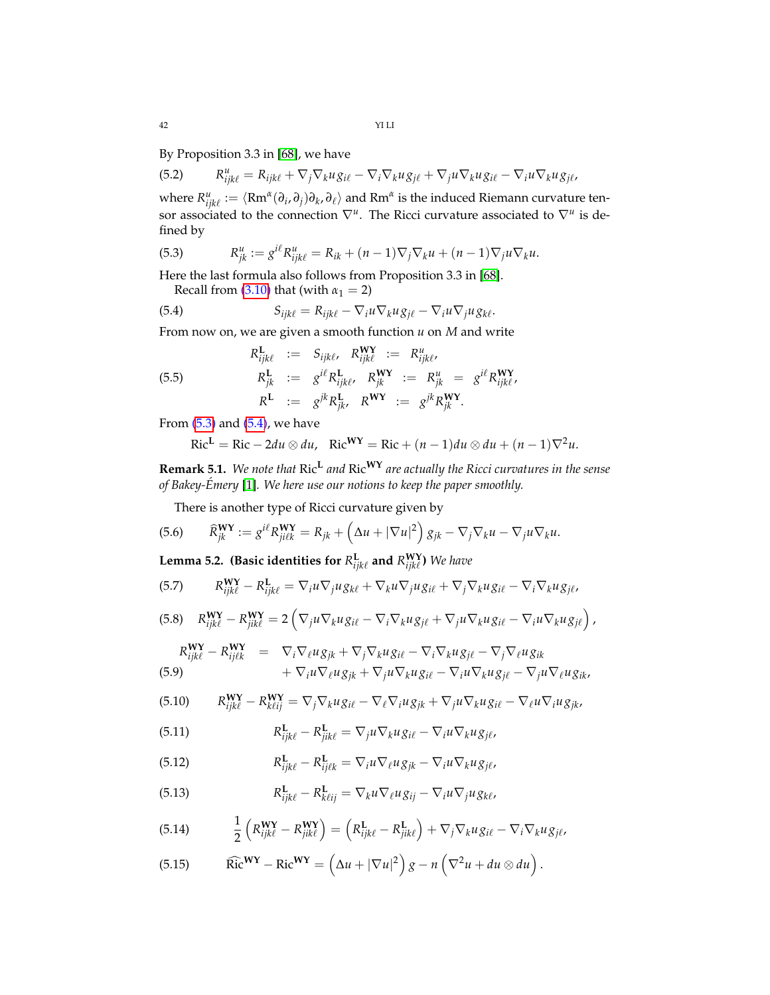By Proposition 3.3 in [\[68\]](#page-71-6), we have

(5.2) 
$$
R_{ijk\ell}^u = R_{ijk\ell} + \nabla_j \nabla_k u g_{i\ell} - \nabla_i \nabla_k u g_{j\ell} + \nabla_j u \nabla_k u g_{i\ell} - \nabla_i u \nabla_k u g_{j\ell},
$$

where  $R^u_{ijk\ell} := \langle Rm^{\alpha}(\partial_i,\partial_j)\partial_k,\partial_\ell\rangle$  and  $Rm^{\alpha}$  is the induced Riemann curvature tensor associated to the connection  $\nabla^u$ . The Ricci curvature associated to  $\nabla^u$  is defined by

<span id="page-41-0"></span>(5.3) 
$$
R_{jk}^u := g^{i\ell} R_{ijk\ell}^u = R_{ik} + (n-1)\nabla_j \nabla_k u + (n-1)\nabla_j u \nabla_k u.
$$

Here the last formula also follows from Proposition 3.3 in [\[68\]](#page-71-6). Recall from  $(3.10)$  that (with  $\alpha_1 = 2$ )

<span id="page-41-1"></span>(5.4) 
$$
S_{ijk\ell} = R_{ijk\ell} - \nabla_i u \nabla_k u g_{j\ell} - \nabla_i u \nabla_j u g_{k\ell}.
$$

From now on, we are given a smooth function *u* on *M* and write

<span id="page-41-2"></span>(5.5)  
\n
$$
R_{ijk\ell}^{L} := S_{ijk\ell}, R_{ijk\ell}^{WY} := R_{ijk\ell}^{u},
$$
\n
$$
R_{jk}^{L} := g^{i\ell} R_{ijk\ell}^{L}, R_{jk}^{WY} := R_{jk}^{u} = g^{i\ell} R_{ijk\ell}^{WY},
$$
\n
$$
R^{L} := g^{jk} R_{jk}^{L}, R^{WY} := g^{jk} R_{jk}^{WY}.
$$

From  $(5.3)$  and  $(5.4)$ , we have

$$
Ric^{L} = Ric - 2du \otimes du, \quad Ric^{WY} = Ric + (n-1)du \otimes du + (n-1)\nabla^{2}u.
$$

**Remark 5.1.** *We note that* Ric**<sup>L</sup>** *and* Ric**WY** *are actually the Ricci curvatures in the sense of Bakey-Emery ´* [\[1\]](#page-68-0)*. We here use our notions to keep the paper smoothly.*

There is another type of Ricci curvature given by

(5.6) 
$$
\widehat{R}_{jk}^{\mathbf{WY}} := g^{i\ell} R_{j i \ell k}^{\mathbf{WY}} = R_{jk} + \left( \Delta u + |\nabla u|^2 \right) g_{jk} - \nabla_j \nabla_k u - \nabla_j u \nabla_k u.
$$

**Lemma 5.2. (Basic identities for**  $R^{\mathbf{L}}_{ijk\ell}$  **and**  $R^{W\mathbf{Y}}_{ijk\ell}$ **) We have** 

(5.7) 
$$
R_{ijk\ell}^{WY} - R_{ijk\ell}^{L} = \nabla_i u \nabla_j u g_{k\ell} + \nabla_k u \nabla_j u g_{i\ell} + \nabla_j \nabla_k u g_{i\ell} - \nabla_i \nabla_k u g_{j\ell},
$$

(5.8) 
$$
R_{ijk\ell}^{WY} - R_{jik\ell}^{WY} = 2\left(\nabla_j u \nabla_k u g_{i\ell} - \nabla_i \nabla_k u g_{j\ell} + \nabla_j u \nabla_k u g_{i\ell} - \nabla_i u \nabla_k u g_{j\ell}\right),
$$

$$
R_{ijk\ell}^{WY} - R_{ijk\ell}^{WY} = \nabla_i \nabla_\ell u g_{jk} + \nabla_j \nabla_k u g_{i\ell} - \nabla_i \nabla_k u g_{j\ell} - \nabla_j \nabla_\ell u g_{ik}
$$
\n
$$
+ \nabla_i u \nabla_\ell u g_{jk} + \nabla_j u \nabla_k u g_{i\ell} - \nabla_i u \nabla_k u g_{j\ell} - \nabla_j u \nabla_\ell u g_{ik},
$$
\n(5.9)

$$
(5.10) \qquad R_{ijk\ell}^{WY} - R_{k\ell ij}^{WY} = \nabla_j \nabla_k u g_{i\ell} - \nabla_\ell \nabla_i u g_{jk} + \nabla_j u \nabla_k u g_{i\ell} - \nabla_\ell u \nabla_i u g_{jk},
$$

(5.11) 
$$
R_{ijk\ell}^{\mathbf{L}} - R_{jik\ell}^{\mathbf{L}} = \nabla_j u \nabla_k u g_{i\ell} - \nabla_i u \nabla_k u g_{j\ell},
$$

(5.12) 
$$
R_{ijk\ell}^{\mathbf{L}} - R_{ij\ell k}^{\mathbf{L}} = \nabla_i u \nabla_\ell u g_{jk} - \nabla_i u \nabla_k u g_{j\ell},
$$

(5.13) 
$$
R_{ijk\ell}^{\mathbf{L}} - R_{k\ell ij}^{\mathbf{L}} = \nabla_k u \nabla_\ell u g_{ij} - \nabla_i u \nabla_j u g_{k\ell},
$$

(5.14) 
$$
\frac{1}{2}\left(R_{ijk\ell}^{W\mathbf{Y}}-R_{jik\ell}^{W\mathbf{Y}}\right)=\left(R_{ijk\ell}^{\mathbf{L}}-R_{jik\ell}^{\mathbf{L}}\right)+\nabla_j\nabla_k u g_{i\ell}-\nabla_i\nabla_k u g_{j\ell},
$$

(5.15) \t
$$
\widehat{\text{Ric}}^{\mathbf{WY}} - \text{Ric}^{\mathbf{WY}} = \left(\Delta u + |\nabla u|^2\right)g - n\left(\nabla^2 u + du \otimes du\right).
$$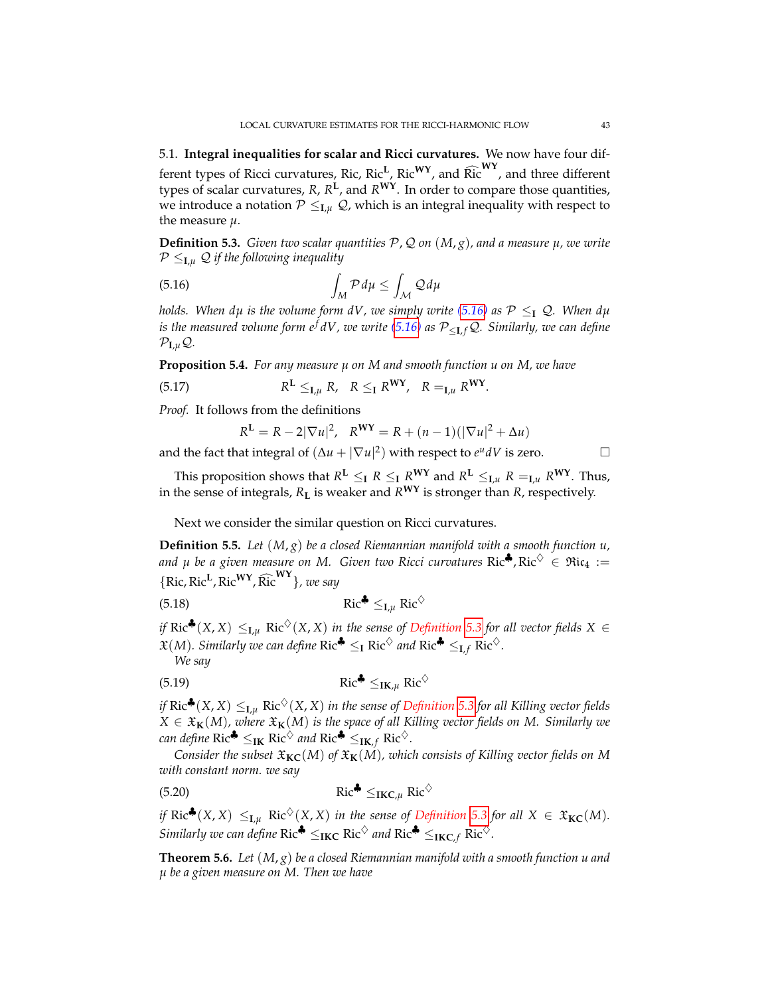5.1. **Integral inequalities for scalar and Ricci curvatures.** We now have four different types of Ricci curvatures, Ric, Ric<sup>L</sup>, Ric<sup>WY</sup>, and Ric<sup>WY</sup>, and three different types of scalar curvatures, *R*, *R* **L** , and *R***WY**. In order to compare those quantities, we introduce a notation  $\mathcal{P} \leq_{\mathbf{I},\mu} \mathcal{Q}$ , which is an integral inequality with respect to the measure *µ*.

<span id="page-42-1"></span>**Definition 5.3.** *Given two scalar quantities* P, Q *on* (*M*, *g*)*, and a measure µ, we write*  $P \leq_{\mathbf{I},\mu} Q$  if the following inequality

<span id="page-42-0"></span>
$$
\int_{M} \mathcal{P} d\mu \le \int_{\mathcal{M}} \mathcal{Q} d\mu
$$

*holds. When dµ is the volume form dV, we simply write* [\(5.16\)](#page-42-0) *as*  $P \leq I$  Q. When dµ *is the measured volume form*  $e^f dV$ *, we write* [\(5.16\)](#page-42-0) *as*  $P_{\leq I,f} Q$ *. Similarly, we can define*  $\mathcal{P}_{\mathbf{I},\mu} \mathcal{Q}$ .

**Proposition 5.4.** *For any measure µ on M and smooth function u on M, we have*

(5.17) 
$$
R^{L} \leq_{\mathbf{I},\mu} R, \quad R \leq_{\mathbf{I}} R^{\mathbf{W}\mathbf{Y}}, \quad R =_{\mathbf{I},\mu} R^{\mathbf{W}\mathbf{Y}}.
$$

*Proof.* It follows from the definitions

$$
R^{\mathbf{L}} = R - 2|\nabla u|^2
$$
,  $R^{\mathbf{WY}} = R + (n - 1)(|\nabla u|^2 + \Delta u)$ 

and the fact that integral of  $(\Delta u + |\nabla u|^2)$  with respect to  $e^u dV$  is zero.

This proposition shows that  $R^L \leq_I R \leq_I R^{WY}$  and  $R^L \leq_{I,\mu} R =_{I,\mu} R^{WY}$ . Thus, in the sense of integrals, *R***<sup>L</sup>** is weaker and *R***WY** is stronger than *R*, respectively.

Next we consider the similar question on Ricci curvatures.

**Definition 5.5.** *Let* (*M*, *g*) *be a closed Riemannian manifold with a smooth function u,* and  $\mu$  be a given measure on M. Given two Ricci curvatures Ric<sup>4</sup>, Ric<sup> $\diamond$ </sup>  $\in$  Ric<sub>4</sub> :=  $\{Ric, Ric^L, Ric^{WY}, \widehat{Ric}^{WY}\}$ *, we say* 

$$
\operatorname{Ric}^{\clubsuit} \leq_{\mathrm{I},\mu} \operatorname{Ric}^{\diamondsuit}
$$

*if* Ric<sup>♦</sup>(*X*, *X*)  $\leq$ <sub>*Lµ*</sub> Ric<sup> $\diamond$ </sup>(*X*, *X*) *in the sense of Definition* [5.3](#page-42-1) *for all vector fields X* ∈  $\mathfrak{X}(M)$ *. Similarly we can define*  $\text{Ric}^{\clubsuit} \leq_{\text{I}} \text{Ric}^{\diamond}$  *and*  $\text{Ric}^{\clubsuit} \leq_{\text{I},f} \text{Ric}^{\diamond}$ *.* 

*We say*

$$
\operatorname{Ric}^{\clubsuit} \leq_{\operatorname{IK},\mu} \operatorname{Ric}^{\lozenge}
$$

*if*  $Ric$ <sup> $\clubsuit$ </sup> $(X, X) \leq_{I,\mu} Ric$ <sup> $\diamondsuit$ </sup> $(X, X)$  *in the sense of Definition* [5.3](#page-42-1) *for all Killing vector fields*  $X \in \mathfrak{X}_\mathbf{K}(M)$ , where  $\mathfrak{X}_\mathbf{K}(M)$  is the space of all Killing vector fields on M. Similarly we *can define*  $\text{Ric}^{\clubsuit} \leq_{\text{IK}} \text{Ric}^{\diamondsuit}$  *and*  $\text{Ric}^{\clubsuit} \leq_{\text{IK},f} \text{Ric}^{\diamondsuit}$ *.* 

*Consider the subset*  $\mathfrak{X}_{\mathbf{KC}}(M)$  *of*  $\mathfrak{X}_{\mathbf{K}}(M)$ *, which consists of Killing vector fields on* M *with constant norm. we say*

$$
\operatorname{Ric}^{\clubsuit} \leq_{\operatorname{IKC},\mu} \operatorname{Ric}^{\lozenge}
$$

*if*  $Ric^{\clubsuit}(X, X) \leq_{\mathbf{I}, \mu} Ric^{\diamondsuit}(X, X)$  *in the sense of Definition* [5.3](#page-42-1) *for all*  $X \in \mathfrak{X}_{\mathbf{KC}}(M)$ *. Similarly we can define*  $Ric^{\clubsuit} \leq_{\textbf{IKC}} Ric^{\diamondsuit}$  *and*  $Ric^{\clubsuit} \leq_{\textbf{IKC},f} Ric^{\diamondsuit}$ *.* 

<span id="page-42-2"></span>**Theorem 5.6.** *Let* (*M*, *g*) *be a closed Riemannian manifold with a smooth function u and µ be a given measure on M. Then we have*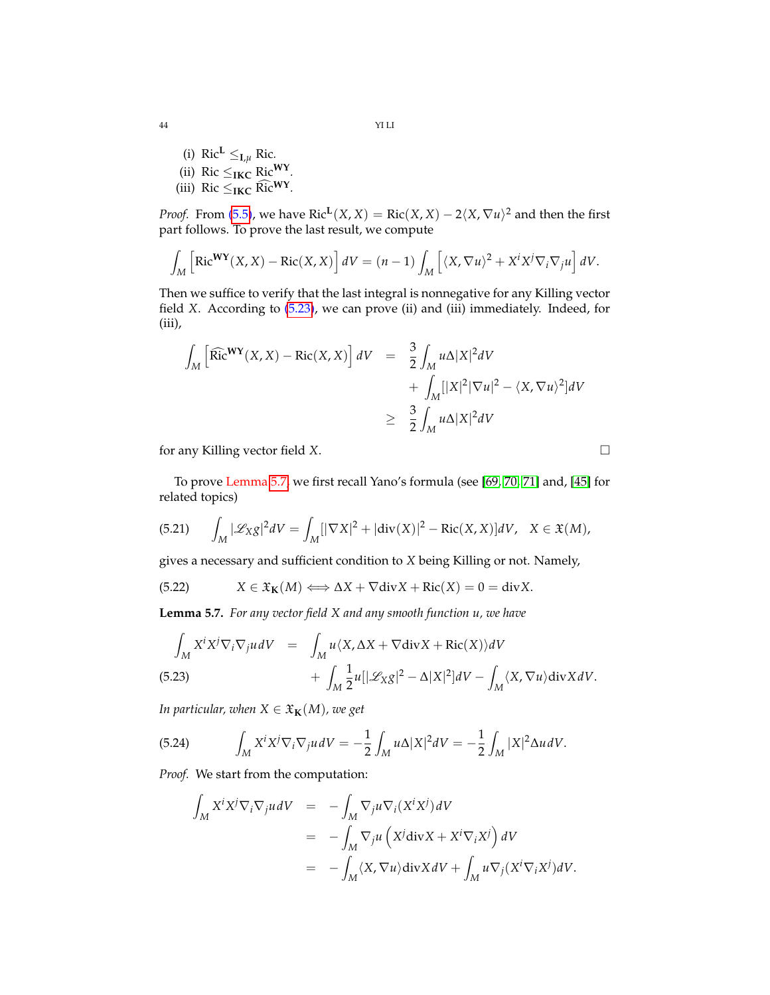44 YI LI

(i)  $\text{Ric}^L \leq_{I,\mu} \text{Ric}$ . (ii) Ric  $\leq$ <sub>IKC</sub> Ric<sup>WY</sup>. (iii) Ric  $\leq$ **IKC** Ric<sup>WY</sup>.

*Proof.* From [\(5.5\)](#page-41-2), we have  $\text{Ric}^{\mathbf{L}}(X,X) = \text{Ric}(X,X) - 2\langle X,\nabla u\rangle^2$  and then the first part follows. To prove the last result, we compute

$$
\int_M \left[ \text{Ric}^{\mathbf{WY}}(X,X) - \text{Ric}(X,X) \right] dV = (n-1) \int_M \left[ \langle X, \nabla u \rangle^2 + X^i X^j \nabla_i \nabla_j u \right] dV.
$$

Then we suffice to verify that the last integral is nonnegative for any Killing vector field *X*. According to [\(5.23\)](#page-43-0), we can prove (ii) and (iii) immediately. Indeed, for (iii),

$$
\int_{M} \left[ \widehat{\text{Ric}}^{\mathbf{WY}}(\mathbf{X}, \mathbf{X}) - \text{Ric}(\mathbf{X}, \mathbf{X}) \right] dV = \frac{3}{2} \int_{M} u \Delta |\mathbf{X}|^{2} dV
$$
  
+ 
$$
\int_{M} [|\mathbf{X}|^{2} |\nabla u|^{2} - \langle \mathbf{X}, \nabla u \rangle^{2}] dV
$$
  

$$
\geq \frac{3}{2} \int_{M} u \Delta |\mathbf{X}|^{2} dV
$$

for any Killing vector field *X*.

To prove Lemma [5.7,](#page-43-1) we first recall Yano's formula (see [\[69,](#page-71-8) [70,](#page-71-9) [71\]](#page-71-10) and, [\[45\]](#page-70-7) for related topics)

(5.21) 
$$
\int_M |\mathcal{L}_X g|^2 dV = \int_M [|\nabla X|^2 + |\text{div}(X)|^2 - \text{Ric}(X, X)] dV, \quad X \in \mathfrak{X}(M),
$$

gives a necessary and sufficient condition to *X* being Killing or not. Namely,

(5.22) 
$$
X \in \mathfrak{X}_{\mathbf{K}}(M) \Longleftrightarrow \Delta X + \nabla \text{div} X + \text{Ric}(X) = 0 = \text{div} X.
$$

<span id="page-43-1"></span>**Lemma 5.7.** *For any vector field X and any smooth function u, we have*

<span id="page-43-0"></span>
$$
\int_{M} X^{i} X^{j} \nabla_{i} \nabla_{j} u dV = \int_{M} u \langle X, \Delta X + \nabla \text{div} X + \text{Ric}(X) \rangle dV \n+ \int_{M} \frac{1}{2} u[|\mathcal{L}_{X}g|^{2} - \Delta |X|^{2}] dV - \int_{M} \langle X, \nabla u \rangle \text{div} X dV.
$$

*In particular, when*  $X \in \mathfrak{X}_{\mathbf{K}}(M)$ *, we get* 

(5.24) 
$$
\int_M X^i X^j \nabla_i \nabla_j u dV = -\frac{1}{2} \int_M u \Delta |X|^2 dV = -\frac{1}{2} \int_M |X|^2 \Delta u dV.
$$

*Proof.* We start from the computation:

$$
\int_{M} X^{i} X^{j} \nabla_{j} u dV = - \int_{M} \nabla_{j} u \nabla_{i} (X^{i} X^{j}) dV
$$
  
\n
$$
= - \int_{M} \nabla_{j} u (X^{j} \text{div} X + X^{i} \nabla_{i} X^{j}) dV
$$
  
\n
$$
= - \int_{M} \langle X, \nabla u \rangle \text{div} X dV + \int_{M} u \nabla_{j} (X^{i} \nabla_{i} X^{j}) dV.
$$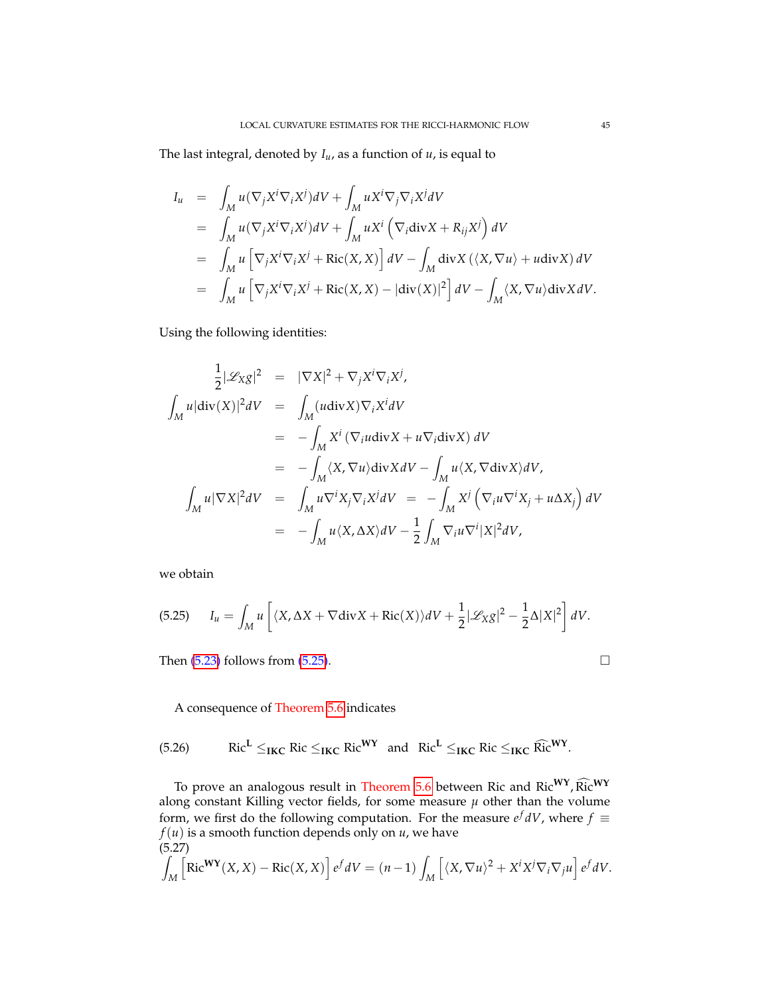The last integral, denoted by *Iu*, as a function of *u*, is equal to

$$
I_u = \int_M u(\nabla_j X^i \nabla_i X^j) dV + \int_M u X^i \nabla_j \nabla_i X^j dV
$$
  
\n
$$
= \int_M u(\nabla_j X^i \nabla_i X^j) dV + \int_M u X^i (\nabla_i \text{div} X + R_{ij} X^j) dV
$$
  
\n
$$
= \int_M u [\nabla_j X^i \nabla_i X^j + \text{Ric}(X, X)] dV - \int_M \text{div} X (\langle X, \nabla u \rangle + u \text{div} X) dV
$$
  
\n
$$
= \int_M u [\nabla_j X^i \nabla_i X^j + \text{Ric}(X, X) - |\text{div}(X)|^2] dV - \int_M \langle X, \nabla u \rangle \text{div} X dV.
$$

Using the following identities:

$$
\frac{1}{2}|\mathcal{L}_{XS}|^2 = |\nabla X|^2 + \nabla_j X^i \nabla_i X^j,
$$
\n
$$
\int_M u|\text{div}(X)|^2 dV = \int_M (u\text{div}X)\nabla_i X^i dV
$$
\n
$$
= -\int_M X^i (\nabla_i u \text{div}X + u \nabla_i \text{div}X) dV
$$
\n
$$
= -\int_M \langle X, \nabla u \rangle \text{div}X dV - \int_M u \langle X, \nabla \text{div}X \rangle dV,
$$
\n
$$
\int_M u|\nabla X|^2 dV = \int_M u \nabla^i X_j \nabla_i X^j dV = -\int_M X^j (\nabla_i u \nabla^i X_j + u \Delta X_j) dV
$$
\n
$$
= -\int_M u \langle X, \Delta X \rangle dV - \frac{1}{2} \int_M \nabla_i u \nabla^i |X|^2 dV,
$$

we obtain

<span id="page-44-1"></span>*M*

<span id="page-44-0"></span>(5.25) 
$$
I_u = \int_M u \left[ \langle X, \Delta X + \nabla \text{div} X + \text{Ric}(X) \rangle dV + \frac{1}{2} |\mathcal{L}_X g|^2 - \frac{1}{2} \Delta |X|^2 \right] dV.
$$

Then  $(5.23)$  follows from  $(5.25)$ .

A consequence of Theorem [5.6](#page-42-2) indicates

(5.26)  $\qquad \text{Ric}^L \leq_{\text{IKC}} \text{Ric} \leq_{\text{IKC}} \text{Ric}^{\text{WY}} \text{ and } \text{Ric}^L \leq_{\text{IKC}} \text{Ric} \leq_{\text{IKC}} \text{Ric}^{\text{WY}}.$ 

To prove an analogous result in Theorem [5.6](#page-42-2) between Ric and Ric<sup>WY</sup>, Ric<sup>WY</sup> along constant Killing vector fields, for some measure  $\mu$  other than the volume form, we first do the following computation. For the measure  $e^f dV$ , where  $f \equiv$  $f(u)$  is a smooth function depends only on  $u$ , we have (5.27) Z  $\left[\text{Ric}^{\mathbf{W}\mathbf{Y}}(X,X) - \text{Ric}(X,X)\right]e^f dV = (n-1)$  $\left[ \langle X, \nabla u \rangle^2 + X^i X^j \nabla_i \nabla_j u \right] e^f dV.$ 

*M*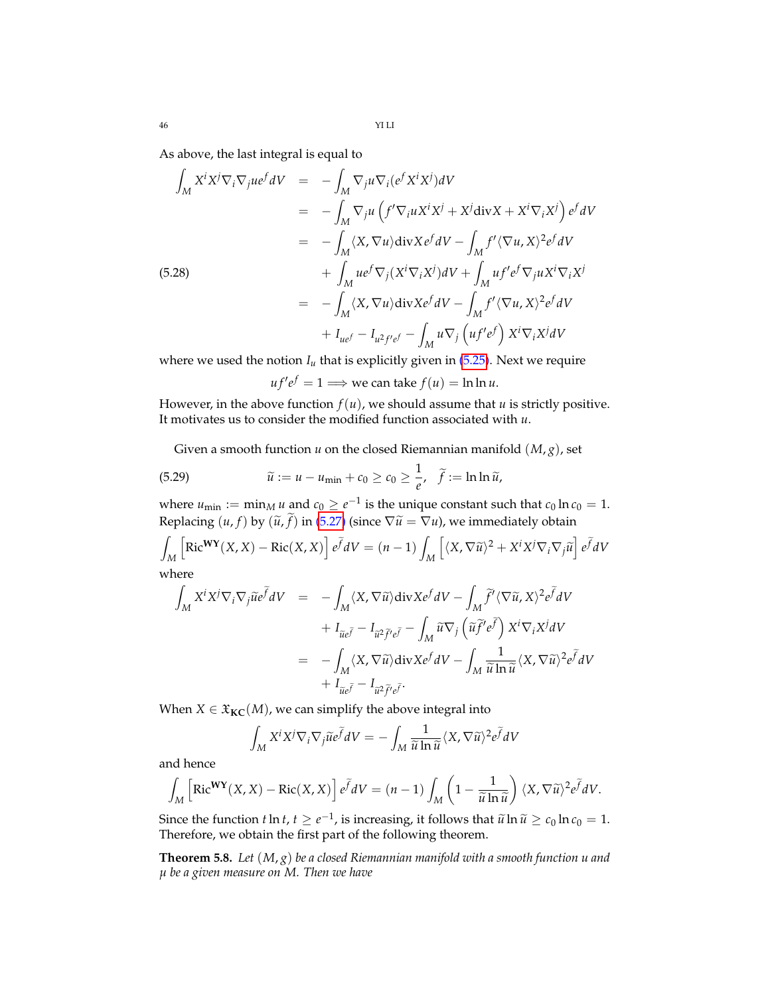As above, the last integral is equal to

$$
\int_{M} X^{i}X^{j}\nabla_{i}\nabla_{j}u e^{f}dV = -\int_{M} \nabla_{j}u \nabla_{i}(e^{f}X^{i}X^{j})dV
$$
\n
$$
= -\int_{M} \nabla_{j}u \left(f'\nabla_{i}u X^{i}X^{j} + X^{j} \text{div}X + X^{i}\nabla_{i}X^{j}\right)e^{f}dV
$$
\n
$$
= -\int_{M} \langle X, \nabla u \rangle \text{div}X e^{f}dV - \int_{M} f' \langle \nabla u, X \rangle^{2}e^{f}dV
$$
\n(5.28)\n
$$
+ \int_{M} u e^{f} \nabla_{j}(X^{i} \nabla_{i}X^{j})dV + \int_{M} u f' e^{f} \nabla_{j}u X^{i} \nabla_{i}X^{j}
$$
\n
$$
= -\int_{M} \langle X, \nabla u \rangle \text{div}X e^{f}dV - \int_{M} f' \langle \nabla u, X \rangle^{2}e^{f}dV
$$
\n
$$
+ I_{ue^{f}} - I_{u^{2}f'e^{f}} - \int_{M} u \nabla_{j} \left(uf'e^{f}\right)X^{i} \nabla_{i}X^{j}dV
$$

where we used the notion  $I_u$  that is explicitly given in  $(5.25)$ . Next we require

 $uf'e^f = 1 \Longrightarrow$  we can take  $f(u) = \ln \ln u$ .

However, in the above function  $f(u)$ , we should assume that  $u$  is strictly positive. It motivates us to consider the modified function associated with *u*.

Given a smooth function *u* on the closed Riemannian manifold (*M*, *g*), set

(5.29) 
$$
\widetilde{u} := u - u_{\min} + c_0 \geq c_0 \geq \frac{1}{e}, \quad \widetilde{f} := \ln \ln \widetilde{u},
$$

where  $u_{\min} := \min_M u$  and  $c_0 \ge e^{-1}$  is the unique constant such that  $c_0 \ln c_0 = 1$ . Replacing  $(u, f)$  by  $(\tilde{u}, \tilde{f})$  in [\(5.27\)](#page-44-1) (since  $\nabla \tilde{u} = \nabla u$ ), we immediately obtain

$$
\int_{M} \left[ \text{Ric}^{\mathbf{WY}}(X, X) - \text{Ric}(X, X) \right] e^{\tilde{f}} dV = (n - 1) \int_{M} \left[ \langle X, \nabla \tilde{u} \rangle^{2} + X^{i} X^{j} \nabla_{i} \nabla_{j} \tilde{u} \right] e^{\tilde{f}} dV
$$

where

$$
\int_{M} X^{i} X^{j} \nabla_{i} \nabla_{j} \widetilde{u} e^{\widetilde{f}} dV = - \int_{M} \langle X, \nabla \widetilde{u} \rangle \text{div} X e^{f} dV - \int_{M} \widetilde{f}' \langle \nabla \widetilde{u}, X \rangle^{2} e^{\widetilde{f}} dV \n+ I_{\widetilde{u} e \widetilde{f}} - I_{\widetilde{u}^{2} \widetilde{f}' e^{\widetilde{f}}} - \int_{M} \widetilde{u} \nabla_{j} \left( \widetilde{u} \widetilde{f}' e^{\widetilde{f}} \right) X^{i} \nabla_{i} X^{j} dV \n= - \int_{M} \langle X, \nabla \widetilde{u} \rangle \text{div} X e^{f} dV - \int_{M} \frac{1}{\widetilde{u} \ln \widetilde{u}} \langle X, \nabla \widetilde{u} \rangle^{2} e^{\widetilde{f}} dV \n+ I_{\widetilde{u} e \widetilde{f}} - I_{\widetilde{u}^{2} \widetilde{f}' e \widetilde{f}}.
$$

When  $X \in \mathfrak{X}_{\mathbf{KC}}(M)$ , we can simplify the above integral into

$$
\int_M X^i X^j \nabla_i \nabla_j \widetilde{u} e^{\widetilde{f}} dV = -\int_M \frac{1}{\widetilde{u} \ln \widetilde{u}} \langle X, \nabla \widetilde{u} \rangle^2 e^{\widetilde{f}} dV
$$

and hence

$$
\int_M \left[ \text{Ric}^{\mathbf{WY}}(X,X) - \text{Ric}(X,X) \right] e^{\widetilde{f}} dV = (n-1) \int_M \left( 1 - \frac{1}{\widetilde{u} \ln \widetilde{u}} \right) \langle X, \nabla \widetilde{u} \rangle^2 e^{\widetilde{f}} dV.
$$

Since the function *t* ln *t*,  $t \ge e^{-1}$ , is increasing, it follows that  $\tilde{u} \ln \tilde{u} \ge c_0 \ln c_0 = 1$ .<br>Therefore we obtain the first part of the following theorem Therefore, we obtain the first part of the following theorem.

<span id="page-45-0"></span>**Theorem 5.8.** *Let* (*M*, *g*) *be a closed Riemannian manifold with a smooth function u and µ be a given measure on M. Then we have*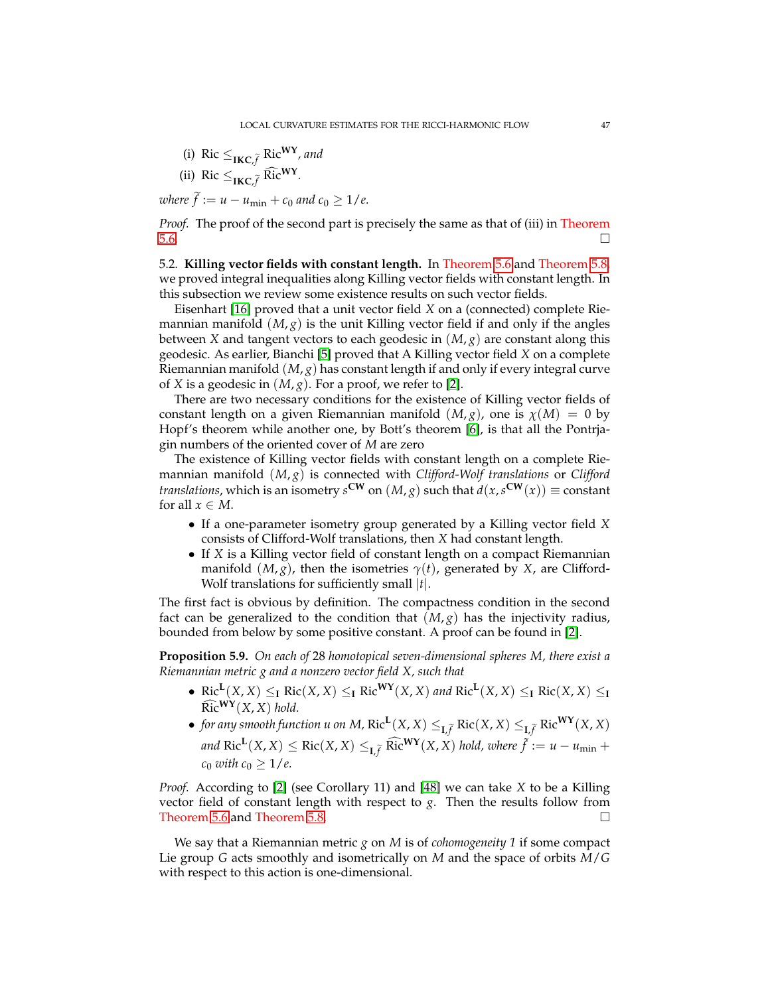(i) Ric 
$$
\leq_{\text{IKC}, \tilde{f}}
$$
 Ric<sup>WY</sup>, and

(ii) Ric 
$$
\leq_{\text{IKC}, \tilde{f}} \widehat{\text{Ric}}^{\text{WY}}.
$$

 $$ 

*Proof.* The proof of the second part is precisely the same as that of (iii) in Theorem  $5.6.$ 

5.2. **Killing vector fields with constant length.** In Theorem [5.6](#page-42-2) and Theorem [5.8,](#page-45-0) we proved integral inequalities along Killing vector fields with constant length. In this subsection we review some existence results on such vector fields.

Eisenhart [\[16\]](#page-69-6) proved that a unit vector field *X* on a (connected) complete Riemannian manifold  $(M, g)$  is the unit Killing vector field if and only if the angles between *X* and tangent vectors to each geodesic in (*M*, *g*) are constant along this geodesic. As earlier, Bianchi [\[5\]](#page-69-7) proved that A Killing vector field *X* on a complete Riemannian manifold (*M*, *g*) has constant length if and only if every integral curve of *X* is a geodesic in  $(M, g)$ . For a proof, we refer to [\[2\]](#page-68-1).

There are two necessary conditions for the existence of Killing vector fields of constant length on a given Riemannian manifold  $(M, g)$ , one is  $\chi(M) = 0$  by Hopf's theorem while another one, by Bott's theorem [\[6\]](#page-69-8), is that all the Pontrjagin numbers of the oriented cover of *M* are zero

The existence of Killing vector fields with constant length on a complete Riemannian manifold (*M*, *g*) is connected with *Clifford-Wolf translations* or *Clifford translations,* which is an isometry  $s^{\text{CW}}$  on  $(M, g)$  such that  $d(x, s^{\text{CW}}(x)) \equiv \text{constant}$ for all  $x \in M$ .

- If a one-parameter isometry group generated by a Killing vector field *X* consists of Clifford-Wolf translations, then *X* had constant length.
- If *X* is a Killing vector field of constant length on a compact Riemannian manifold  $(M, g)$ , then the isometries  $\gamma(t)$ , generated by *X*, are Clifford-Wolf translations for sufficiently small |*t*|.

The first fact is obvious by definition. The compactness condition in the second fact can be generalized to the condition that  $(M, g)$  has the injectivity radius, bounded from below by some positive constant. A proof can be found in [\[2\]](#page-68-1).

**Proposition 5.9.** *On each of* 28 *homotopical seven-dimensional spheres M, there exist a Riemannian metric g and a nonzero vector field X, such that*

- Ric<sup>L</sup>(*X*, *X*)  $\leq$ <sub>**I**</sub> Ric(*X*, *X*)  $\leq$ <sub>**I**</sub> Ric<sup>WY</sup>(*X*, *X*) *and* Ric<sup>L</sup>(*X*, *X*)  $\leq$ <sub>**I**</sub> Ric(*X*, *X*)  $\leq$ <sub>**I**</sub>  $\widehat{\text{Ric}}^{\text{WY}}(X, X)$  *hold.*
- *for any smooth function u on M,*  $\text{Ric}^{\mathbf{L}}(X,X) \leq_{\mathbf{L},\widetilde{f}} \text{Ric}(X,X) \leq_{\mathbf{L},\widetilde{f}} \text{Ric}^{\mathbf{W}\mathbf{Y}}(X,X)$  $\int \text{Ric}^{\mathbf{L}}(X,X) \leq \text{Ric}(X,X) \leq_{\mathbf{L},\widetilde{f}} \widehat{\text{Ric}}^{\mathbf{W}\mathbf{Y}}(X,X)$  hold, where  $\widetilde{f} := u - u_{\min} + u_{\min}$  $c_0$  *with*  $c_0 \geq 1/e$ .

*Proof.* According to [\[2\]](#page-68-1) (see Corollary 11) and [\[48\]](#page-70-8) we can take *X* to be a Killing vector field of constant length with respect to *g*. Then the results follow from Theorem [5.6](#page-42-2) and Theorem [5.8.](#page-45-0) □

We say that a Riemannian metric *g* on *M* is of *cohomogeneity 1* if some compact Lie group *G* acts smoothly and isometrically on *M* and the space of orbits *M*/*G* with respect to this action is one-dimensional.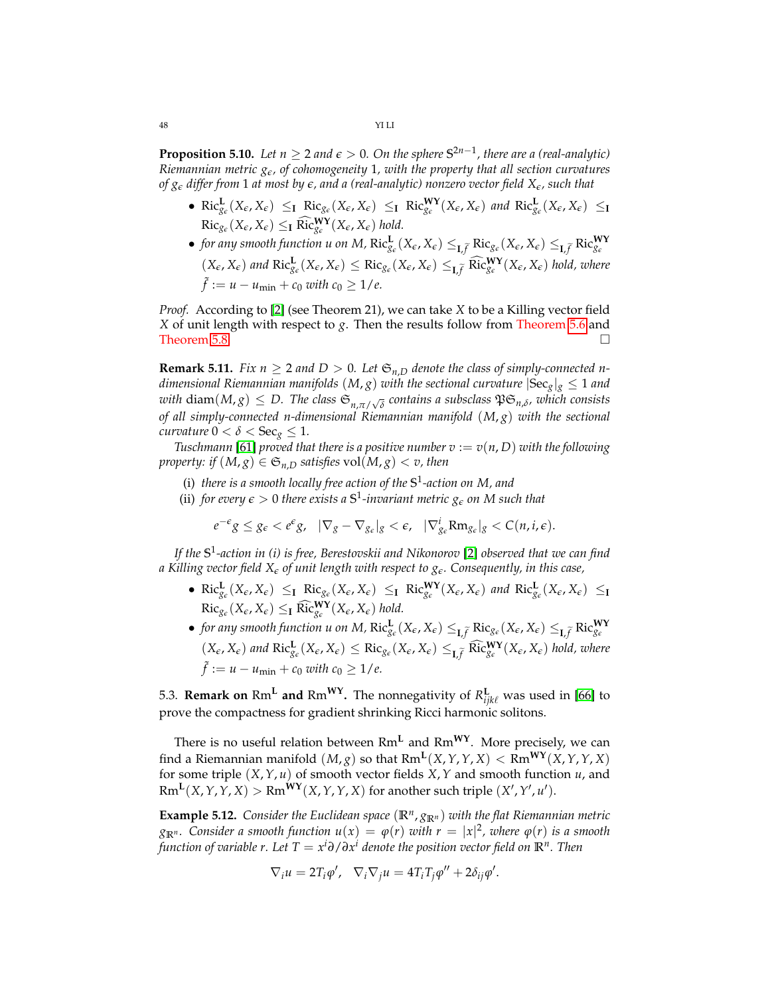**Proposition 5.10.** Let  $n \geq 2$  and  $\epsilon > 0$ . On the sphere  $S^{2n-1}$ , there are a (real-analytic) *Riemannian metric ge, of cohomogeneity* 1*, with the property that all section curvatures of g<sup>e</sup> differ from* 1 *at most by e, and a (real-analytic) nonzero vector field Xe, such that*

- $\operatorname{Ric}_{g_{\varepsilon}}^{\mathbf{L}}(X_{\varepsilon}, X_{\varepsilon}) \leq_{\mathbf{I}} \operatorname{Ric}_{g_{\varepsilon}}(X_{\varepsilon}, X_{\varepsilon}) \leq_{\mathbf{I}} \operatorname{Ric}_{g_{\varepsilon}}^{\mathbf{WY}}(X_{\varepsilon}, X_{\varepsilon})$  and  $\operatorname{Ric}_{g_{\varepsilon}}^{\mathbf{L}}(X_{\varepsilon}, X_{\varepsilon}) \leq_{\mathbf{I}}$  $\text{Ric}_{g_{\epsilon}}(X_{\epsilon}, X_{\epsilon}) \leq_{\mathbf{I}} \widehat{\text{Ric}}_{g_{\epsilon}}^{\mathbf{W}\mathbf{Y}}(X_{\epsilon}, X_{\epsilon}) \text{ hold.}$
- for any smooth function u on M,  $\text{Ric}_{g_{\epsilon}}^{\mathbf{L}}(X_{\epsilon}, X_{\epsilon}) \leq_{\mathbf{L}, \widetilde{f}} \text{Ric}_{g_{\epsilon}}^{\mathbf{K}}(X_{\epsilon}, X_{\epsilon}) \leq_{\mathbf{L}, \widetilde{f}} \text{Ric}_{g_{\epsilon}}^{\mathbf{WY}}$  $(X_{\epsilon}, X_{\epsilon})$  and  $\text{Ric}_{g_{\epsilon}}^{\mathbf{L}}(X_{\epsilon}, X_{\epsilon}) \leq \text{Ric}_{g_{\epsilon}}(X_{\epsilon}, X_{\epsilon}) \leq_{\mathbf{L}, \widetilde{f}} \widehat{\text{Ric}}_{g_{\epsilon}}^{\mathbf{WY}}(X_{\epsilon}, X_{\epsilon})$  hold, where  $\tilde{f} := u - u_{\min} + c_0$  with  $c_0 \geq 1/e$ .

*Proof.* According to [\[2\]](#page-68-1) (see Theorem 21), we can take *X* to be a Killing vector field *X* of unit length with respect to *g*. Then the results follow from Theorem [5.6](#page-42-2) and Theorem [5.8.](#page-45-0)  $\Box$ 

**Remark 5.11.** *Fix*  $n \geq 2$  *and*  $D > 0$ . Let  $\mathfrak{S}_{n,D}$  *denote the class of simply-connected ndimensional Riemannian manifolds*  $(M, g)$  *with the sectional curvature*  $|Sec_{g}|_{g} \leq 1$  *and*  $with \text{ diam}(M, g) \leq D$ . The class  $\mathfrak{S}_{n, \pi/\sqrt{\delta}}$  contains a subsclass  $\mathfrak{PS}_{n, \delta}$ , which consists *of all simply-connected n-dimensional Riemannian manifold* (*M*, *g*) *with the sectional curvature*  $0 < \delta <$  Sec<sub>g</sub>  $\leq 1$ *.* 

*Tuschmann* [\[61\]](#page-71-11) *proved that there is a positive number*  $v := v(n, D)$  *with the following property: if*  $(M, g) \in \mathfrak{S}_{n,D}$  *satisfies* vol $(M, g) < v$ *, then* 

- (i) *there is a smooth locally free action of the* **S** 1 *-action on M, and*
- (ii) *for every*  $\epsilon > 0$  *there exists a*  $S^1$ *-invariant metric*  $g_{\epsilon}$  *on M* such that

$$
e^{-\epsilon}g\leq g_{\epsilon}
$$

*If the* **S** 1 *-action in (i) is free, Berestovskii and Nikonorov* [\[2\]](#page-68-1) *observed that we can find a Killing vector field X<sup>e</sup> of unit length with respect to ge. Consequently, in this case,*

- $\operatorname{Ric}_{g_{\varepsilon}}^{\mathbf{L}}(X_{\varepsilon}, X_{\varepsilon}) \leq_{\mathbf{I}} \operatorname{Ric}_{g_{\varepsilon}}(X_{\varepsilon}, X_{\varepsilon}) \leq_{\mathbf{I}} \operatorname{Ric}_{g_{\varepsilon}}^{\mathbf{WY}}(X_{\varepsilon}, X_{\varepsilon})$  and  $\operatorname{Ric}_{g_{\varepsilon}}^{\mathbf{L}}(X_{\varepsilon}, X_{\varepsilon}) \leq_{\mathbf{I}}$  $\text{Ric}_{g_{\epsilon}}(X_{\epsilon}, X_{\epsilon}) \leq_{\mathbf{I}} \widehat{\text{Ric}}_{g_{\epsilon}}^{\mathbf{W}\mathbf{Y}}(X_{\epsilon}, X_{\epsilon}) \text{ hold.}$
- for any smooth function u on M,  $\text{Ric}_{g_{\epsilon}}^{\mathbf{L}}(X_{\epsilon}, X_{\epsilon}) \leq_{\mathbf{L}, \widetilde{f}} \text{Ric}_{g_{\epsilon}}(X_{\epsilon}, X_{\epsilon}) \leq_{\mathbf{L}, \widetilde{f}} \text{Ric}_{g_{\epsilon}}^{\mathbf{WY}}$  $(X_{\epsilon}, X_{\epsilon})$  and  $\text{Ric}_{g_{\epsilon}}^{\mathbf{L}}(X_{\epsilon}, X_{\epsilon}) \leq \text{Ric}_{g_{\epsilon}}(X_{\epsilon}, X_{\epsilon}) \leq_{\mathbf{L}, \widetilde{f}} \widehat{\text{Ric}}_{g_{\epsilon}}^{\mathbf{WY}}(X_{\epsilon}, X_{\epsilon})$  hold, where  $\tilde{f} := u - u_{\min} + c_0$  with  $c_0 \geq 1/e$ .

5.3. **Remark on**  $\text{Rm}^{\text{L}}$  and  $\text{Rm}^{\text{WY}}$ . The nonnegativity of  $R^{\text{L}}_{ijk\ell}$  was used in [\[66\]](#page-71-12) to prove the compactness for gradient shrinking Ricci harmonic solitons.

There is no useful relation between Rm**<sup>L</sup>** and Rm**WY**. More precisely, we can find a Riemannian manifold  $(M, g)$  so that  $\text{Rm}^{\text{L}}(X, Y, Y, X) < \text{Rm}^{\text{WY}}(X, Y, Y, X)$ for some triple (*X*,*Y*, *u*) of smooth vector fields *X*,*Y* and smooth function *u*, and  $\text{Rm}^{\mathbf{L}}(X,Y,Y,X) > \text{Rm}^{\mathbf{W}\mathbf{Y}}(X,Y,Y,X)$  for another such triple  $(X',Y',u').$ 

**Example 5.12.** *Consider the Euclidean space*  $(\mathbb{R}^n, g_{\mathbb{R}^n})$  *with the flat Riemannian metric*  $g_{\mathbb{R}^n}$ *. Consider a smooth function*  $u(x) = \varphi(r)$  *with*  $r = |x|^2$ *, where*  $\varphi(r)$  *is a smooth function of variable r. Let T* = *x <sup>i</sup>∂*/*∂x <sup>i</sup> denote the position vector field on* **R***<sup>n</sup> . Then*

$$
\nabla_i u = 2T_i \varphi', \quad \nabla_i \nabla_j u = 4T_i T_j \varphi'' + 2\delta_{ij} \varphi'.
$$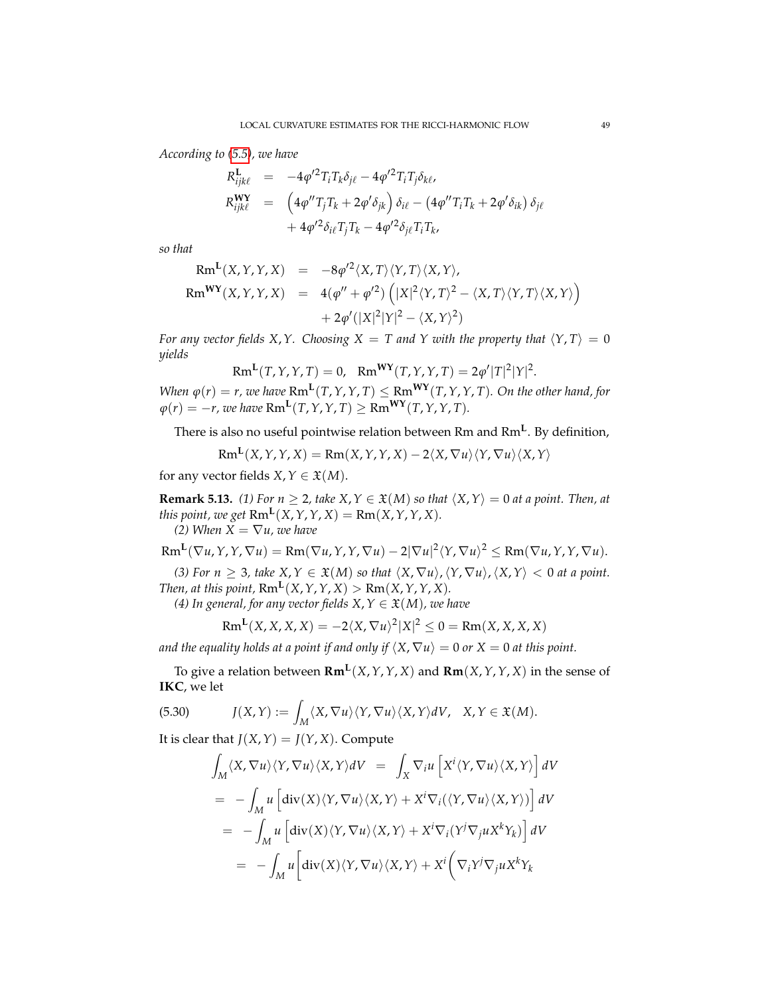*According to [\(5.5\)](#page-41-2), we have*

$$
R_{ijk\ell}^{\mathbf{L}} = -4\varphi'^{2}T_{i}T_{k}\delta_{j\ell} - 4\varphi'^{2}T_{i}T_{j}\delta_{k\ell},
$$
  
\n
$$
R_{ijk\ell}^{\mathbf{WY}} = \left(4\varphi''T_{j}T_{k} + 2\varphi'\delta_{jk}\right)\delta_{i\ell} - \left(4\varphi''T_{i}T_{k} + 2\varphi'\delta_{ik}\right)\delta_{j\ell} + 4\varphi'^{2}\delta_{i\ell}T_{j}T_{k} - 4\varphi'^{2}\delta_{j\ell}T_{i}T_{k},
$$

*so that*

$$
Rm^{L}(X,Y,Y,X) = -8\varphi'^{2}\langle X,T\rangle\langle Y,T\rangle\langle X,Y\rangle,
$$
  
\n
$$
Rm^{WY}(X,Y,Y,X) = 4(\varphi'' + \varphi'^{2}) ([X|^{2}\langle Y,T\rangle^{2} - \langle X,T\rangle\langle Y,T\rangle\langle X,Y\rangle) + 2\varphi'(|X|^{2}|Y|^{2} - \langle X,Y\rangle^{2})
$$

*For any vector fields X,Y. Choosing X = T and Y with the property that*  $\langle Y, T \rangle = 0$ *yields*

$$
Rm^{L}(T, Y, Y, T) = 0, \quad Rm^{WY}(T, Y, Y, T) = 2\varphi'|T|^{2}|Y|^{2}.
$$

*When*  $\varphi(r) = r$ , we have  $\text{Rm}^{\mathbf{L}}(T, Y, Y, T) \leq \text{Rm}^{\mathbf{W}\mathbf{Y}}(T, Y, Y, T)$ . On the other hand, for  $\varphi(r) = -r$ , we have  $\text{Rm}^{\mathbf{L}}(T, Y, Y, T) \geq \text{Rm}^{\mathbf{W}\mathbf{Y}}(T, Y, Y, T)$ .

There is also no useful pointwise relation between Rm and Rm**<sup>L</sup>** . By definition,

$$
Rm^{L}(X,Y,Y,X) = Rm(X,Y,Y,X) - 2\langle X, \nabla u \rangle \langle Y, \nabla u \rangle \langle X, Y \rangle
$$

for any vector fields *X*,  $Y \in \mathfrak{X}(M)$ .

**Remark 5.13.** (1) For  $n \ge 2$ , take  $X, Y \in \mathfrak{X}(M)$  so that  $\langle X, Y \rangle = 0$  at a point. Then, at *this point, we get*  $\text{Rm}^{\mathbf{L}}(X, Y, Y, X) = \text{Rm}(X, Y, Y, X)$ *.* 

*(2)* When  $X = \nabla u$ , we have

$$
Rm^{L}(\nabla u,Y,Y,\nabla u)=Rm(\nabla u,Y,Y,\nabla u)-2|\nabla u|^{2}\langle Y,\nabla u\rangle^{2}\leq Rm(\nabla u,Y,Y,\nabla u).
$$

*(3) For n*  $\geq$  3*, take X,Y*  $\in$   $\mathfrak{X}(M)$  *so that*  $\langle X, \nabla u \rangle$ ,  $\langle Y, \nabla u \rangle$ ,  $\langle X, Y \rangle$  < 0 *at a point. Then, at this point,*  $\text{Rm}^{\mathbf{L}}(X, Y, Y, X) > \text{Rm}(X, Y, Y, X)$ .

*(4) In general, for any vector fields*  $X, Y \in \mathfrak{X}(M)$ *, we have* 

$$
\operatorname{Rm}^{\mathbf{L}}(X, X, X, X) = -2\langle X, \nabla u \rangle^2 |X|^2 \leq 0 = \operatorname{Rm}(X, X, X, X)
$$

*and the equality holds at a point if and only if*  $(X, \nabla u) = 0$  *or*  $X = 0$  *at this point.* 

To give a relation between **Rm<sup>L</sup>** (*X*,*Y*,*Y*, *X*) and **Rm**(*X*,*Y*,*Y*, *X*) in the sense of **IKC**, we let

(5.30) 
$$
J(X,Y) := \int_M \langle X, \nabla u \rangle \langle Y, \nabla u \rangle \langle X, Y \rangle dV, \quad X, Y \in \mathfrak{X}(M).
$$

It is clear that  $J(X, Y) = J(Y, X)$ . Compute

$$
\int_{M} \langle X, \nabla u \rangle \langle Y, \nabla u \rangle \langle X, Y \rangle dV = \int_{X} \nabla_{i} u \left[ X^{i} \langle Y, \nabla u \rangle \langle X, Y \rangle \right] dV
$$
\n
$$
= - \int_{M} u \left[ \text{div}(X) \langle Y, \nabla u \rangle \langle X, Y \rangle + X^{i} \nabla_{i} (\langle Y, \nabla u \rangle \langle X, Y \rangle) \right] dV
$$
\n
$$
= - \int_{M} u \left[ \text{div}(X) \langle Y, \nabla u \rangle \langle X, Y \rangle + X^{i} \nabla_{i} (Y^{j} \nabla_{j} u X^{k} Y_{k}) \right] dV
$$
\n
$$
= - \int_{M} u \left[ \text{div}(X) \langle Y, \nabla u \rangle \langle X, Y \rangle + X^{i} \left( \nabla_{i} Y^{j} \nabla_{j} u X^{k} Y_{k} \right) \right] dV
$$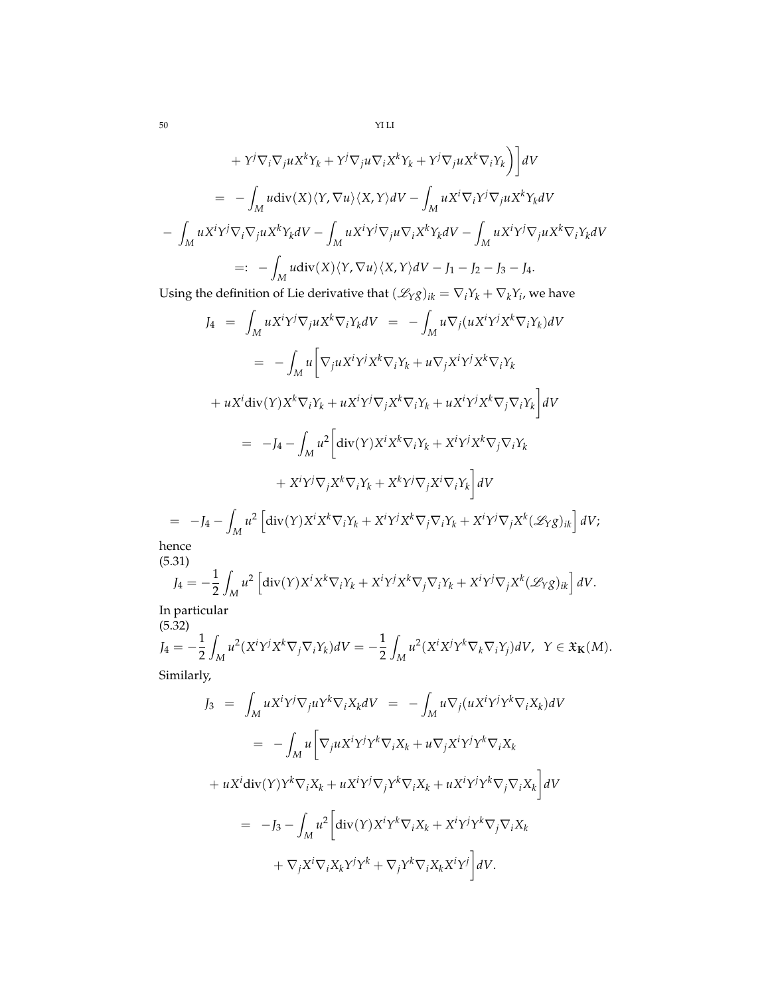50 YI LI

$$
+ Y^j \nabla_i \nabla_j u X^k Y_k + Y^j \nabla_j u \nabla_i X^k Y_k + Y^j \nabla_j u X^k \nabla_i Y_k \Big) \Big] dV
$$
  
\n
$$
= - \int_M u \text{div}(X) \langle Y, \nabla u \rangle \langle X, Y \rangle dV - \int_M u X^i \nabla_i Y^j \nabla_j u X^k Y_k dV
$$
  
\n
$$
- \int_M u X^i Y^j \nabla_j u X^k Y_k dV - \int_M u X^i Y^j \nabla_j u \nabla_i X^k Y_k dV - \int_M u X^i Y^j \nabla_j u X^k \nabla_i Y_k dV
$$
  
\n
$$
=: - \int_M u \text{div}(X) \langle Y, \nabla u \rangle \langle X, Y \rangle dV - J_1 - J_2 - J_3 - J_4.
$$

Using the definition of Lie derivative that  $(\mathscr{L}_Y g)_{ik} = \nabla_i Y_k + \nabla_k Y_i$ , we have

$$
J_4 = \int_M uX^iY^j \nabla_j uX^k \nabla_i Y_k dV = -\int_M u \nabla_j (uX^iY^jX^k \nabla_i Y_k) dV
$$
  
\n
$$
= -\int_M u \left[ \nabla_j uX^iY^jX^k \nabla_i Y_k + u \nabla_j X^iY^jX^k \nabla_i Y_k \right]
$$
  
\n
$$
+ uX^i \text{div}(Y) X^k \nabla_i Y_k + uX^iY^j \nabla_j X^k \nabla_i Y_k + uX^iY^jX^k \nabla_j \nabla_i Y_k \right] dV
$$
  
\n
$$
= -J_4 - \int_M u^2 \left[ \text{div}(Y) X^i X^k \nabla_i Y_k + X^iY^jX^k \nabla_j \nabla_i Y_k \right]
$$
  
\n
$$
+ X^iY^j \nabla_j X^k \nabla_i Y_k + X^kY^j \nabla_j X^i \nabla_i Y_k \right] dV
$$
  
\n
$$
= -J_4 - \int_M u^2 \left[ \text{div}(Y) X^i X^k \nabla_i Y_k + X^iY^j X^k \nabla_j \nabla_i Y_k + X^iY^j \nabla_j X^k (X^j \chi)_{ik} \right] dV;
$$
  
\n
$$
= -J_4 - \int_M u^2 \left[ \text{div}(Y) X^i X^k \nabla_i Y_k + X^iY^j X^k \nabla_j \nabla_i Y_k + X^iY^j \nabla_j X^k (X^j \chi)_{ik} \right] dV;
$$

hence (5.31)

$$
J_4 = -\frac{1}{2} \int_M u^2 \left[ \text{div}(Y) X^i X^k \nabla_i Y_k + X^i Y^j X^k \nabla_j \nabla_i Y_k + X^i Y^j \nabla_j X^k (\mathcal{L}_Y g)_{ik} \right] dV.
$$

In particular

<span id="page-49-0"></span>(5.32)  
\n
$$
J_4 = -\frac{1}{2} \int_M u^2 (X^i Y^j X^k \nabla_j \nabla_i Y_k) dV = -\frac{1}{2} \int_M u^2 (X^i X^j Y^k \nabla_k \nabla_i Y_j) dV, \ \ Y \in \mathfrak{X}_K(M).
$$
\nSimilarly

Similarly,

$$
J_3 = \int_M uX^iY^j \nabla_j uY^k \nabla_i X_k dV = -\int_M u \nabla_j (uX^iY^jY^k \nabla_i X_k) dV
$$
  

$$
= -\int_M u \left[ \nabla_j uX^iY^jY^k \nabla_i X_k + u \nabla_j X^iY^jY^k \nabla_i X_k \right]
$$
  

$$
+ uX^i \text{div}(Y)Y^k \nabla_i X_k + uX^iY^j \nabla_j Y^k \nabla_i X_k + uX^iY^jY^k \nabla_j \nabla_i X_k \right] dV
$$
  

$$
= -J_3 - \int_M u^2 \left[ \text{div}(Y)X^iY^k \nabla_i X_k + X^iY^jY^k \nabla_j \nabla_i X_k \right]
$$
  

$$
+ \nabla_j X^i \nabla_i X_k Y^j Y^k + \nabla_j Y^k \nabla_i X_k X^i Y^j \right] dV.
$$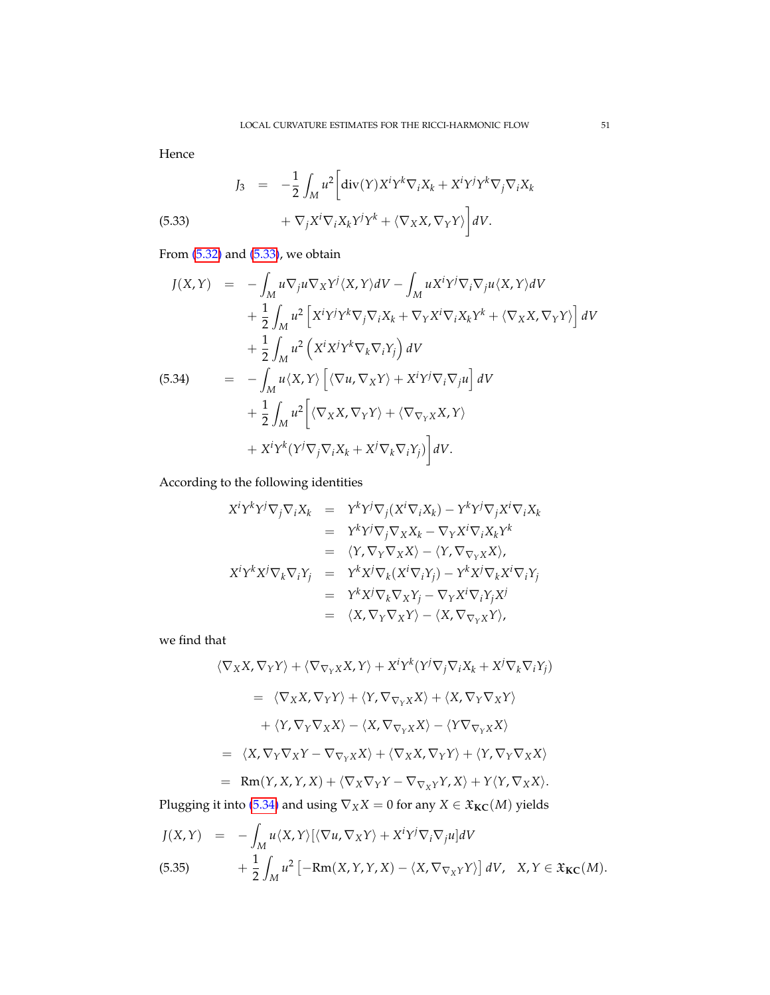Hence

<span id="page-50-0"></span>(5.33) 
$$
J_3 = -\frac{1}{2} \int_M u^2 \left[ \text{div}(Y) X^i Y^k \nabla_i X_k + X^i Y^j Y^k \nabla_j \nabla_i X_k \right. \\ \left. + \nabla_j X^i \nabla_i X_k Y^j Y^k + \langle \nabla_X X, \nabla_Y Y \rangle \right] dV.
$$

From  $(5.32)$  and  $(5.33)$ , we obtain

<span id="page-50-1"></span>
$$
J(X,Y) = -\int_{M} u \nabla_{j} u \nabla_{X} Y^{j} \langle X, Y \rangle dV - \int_{M} u X^{i} Y^{j} \nabla_{i} \nabla_{j} u \langle X, Y \rangle dV
$$
  
+ 
$$
\frac{1}{2} \int_{M} u^{2} \left[ X^{i} Y^{j} Y^{k} \nabla_{j} \nabla_{i} X_{k} + \nabla_{Y} X^{i} \nabla_{i} X_{k} Y^{k} + \langle \nabla_{X} X, \nabla_{Y} Y \rangle \right] dV
$$
  
+ 
$$
\frac{1}{2} \int_{M} u^{2} \left( X^{i} X^{j} Y^{k} \nabla_{k} \nabla_{i} Y_{j} \right) dV
$$
  
(5.34)  
= 
$$
- \int_{M} u \langle X, Y \rangle \left[ \langle \nabla u, \nabla_{X} Y \rangle + X^{i} Y^{j} \nabla_{i} \nabla_{j} u \right] dV
$$
  
+ 
$$
\frac{1}{2} \int_{M} u^{2} \left[ \langle \nabla_{X} X, \nabla_{Y} Y \rangle + \langle \nabla_{\nabla_{Y} X} X, Y \rangle \right.
$$
  
+ 
$$
X^{i} Y^{k} (Y^{j} \nabla_{j} \nabla_{i} X_{k} + X^{j} \nabla_{k} \nabla_{i} Y_{j}) \right] dV.
$$

According to the following identities

$$
X^{i}Y^{k}Y^{j}\nabla_{j}\nabla_{i}X_{k} = Y^{k}Y^{j}\nabla_{j}(X^{i}\nabla_{i}X_{k}) - Y^{k}Y^{j}\nabla_{j}X^{i}\nabla_{i}X_{k}
$$
  
\n
$$
= Y^{k}Y^{j}\nabla_{j}\nabla_{X}X_{k} - \nabla_{Y}X^{i}\nabla_{i}X_{k}Y^{k}
$$
  
\n
$$
= \langle Y, \nabla_{Y}\nabla_{X}X \rangle - \langle Y, \nabla_{\nabla_{Y}X}X \rangle,
$$
  
\n
$$
X^{i}Y^{k}X^{j}\nabla_{k}\nabla_{i}Y_{j} = Y^{k}X^{j}\nabla_{k}(X^{i}\nabla_{i}Y_{j}) - Y^{k}X^{j}\nabla_{k}X^{i}\nabla_{i}Y_{j}
$$
  
\n
$$
= Y^{k}X^{j}\nabla_{k}\nabla_{X}Y_{j} - \nabla_{Y}X^{i}\nabla_{i}Y_{j}X^{j}
$$
  
\n
$$
= \langle X, \nabla_{Y}\nabla_{X}Y \rangle - \langle X, \nabla_{\nabla_{Y}X}Y \rangle,
$$

we find that

$$
\langle \nabla_X X, \nabla_Y Y \rangle + \langle \nabla_{\nabla_Y X} X, Y \rangle + X^i Y^k (Y^j \nabla_j \nabla_i X_k + X^j \nabla_k \nabla_i Y_j)
$$
  
\n
$$
= \langle \nabla_X X, \nabla_Y Y \rangle + \langle Y, \nabla_{\nabla_Y X} X \rangle + \langle X, \nabla_Y \nabla_X Y \rangle
$$
  
\n
$$
+ \langle Y, \nabla_Y \nabla_X X \rangle - \langle X, \nabla_{\nabla_Y X} X \rangle - \langle Y \nabla_{\nabla_Y X} X \rangle
$$
  
\n
$$
= \langle X, \nabla_Y \nabla_X Y - \nabla_{\nabla_Y X} X \rangle + \langle \nabla_X X, \nabla_Y Y \rangle + \langle Y, \nabla_Y \nabla_X X \rangle
$$
  
\n
$$
= \operatorname{Rm}(Y, X, Y, X) + \langle \nabla_X \nabla_Y Y - \nabla_{\nabla_X Y} Y, X \rangle + Y \langle Y, \nabla_X X \rangle.
$$
  
\nPlugging it into (5.34) and using  $\nabla_X X = 0$  for any  $X \in \mathfrak{X}_{\mathbf{KC}}(M)$  yields

<span id="page-50-2"></span>
$$
J(X,Y) = -\int_M u \langle X, Y \rangle [\langle \nabla u, \nabla_X Y \rangle + X^i Y^j \nabla_i \nabla_j u] dV \n(5.35) + \frac{1}{2} \int_M u^2 [-Rm(X, Y, Y, X) - \langle X, \nabla_{\nabla_X Y} Y \rangle] dV, \quad X, Y \in \mathfrak{X}_{\mathbf{KC}}(M).
$$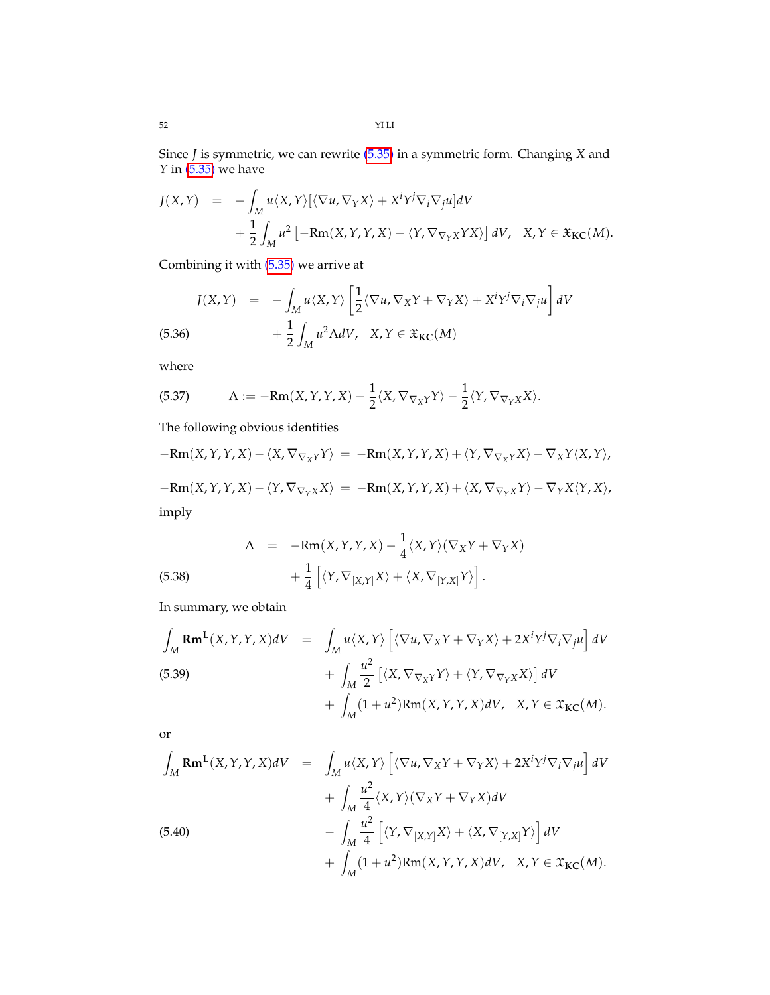Since *J* is symmetric, we can rewrite [\(5.35\)](#page-50-2) in a symmetric form. Changing *X* and *Y* in [\(5.35\)](#page-50-2) we have

$$
J(X,Y) = -\int_M u \langle X, Y \rangle [\langle \nabla u, \nabla_Y X \rangle + X^i Y^j \nabla_i \nabla_j u] dV + \frac{1}{2} \int_M u^2 [-Rm(X, Y, Y, X) - \langle Y, \nabla_{\nabla_Y X} YX \rangle] dV, \quad X, Y \in \mathfrak{X}_{\mathbf{KC}}(M).
$$

Combining it with [\(5.35\)](#page-50-2) we arrive at

(5.36) 
$$
J(X,Y) = -\int_M u \langle X, Y \rangle \left[ \frac{1}{2} \langle \nabla u, \nabla_X Y + \nabla_Y X \rangle + X^i Y^j \nabla_i \nabla_j u \right] dV + \frac{1}{2} \int_M u^2 \Lambda dV, \quad X, Y \in \mathfrak{X}_{\mathbf{KC}}(M)
$$

where

(5.37) 
$$
\Lambda := -Rm(X,Y,Y,X) - \frac{1}{2}\langle X, \nabla_{\nabla_X Y} Y \rangle - \frac{1}{2}\langle Y, \nabla_{\nabla_Y X} X \rangle.
$$

The following obvious identities

$$
-Rm(X,Y,Y,X) - \langle X, \nabla_{\nabla_X Y} Y \rangle = -Rm(X,Y,Y,X) + \langle Y, \nabla_{\nabla_X Y} X \rangle - \nabla_X Y \langle X, Y \rangle,
$$
  

$$
-Rm(X,Y,Y,X) - \langle Y, \nabla_{\nabla_Y X} X \rangle = -Rm(X,Y,Y,X) + \langle X, \nabla_{\nabla_Y X} Y \rangle - \nabla_Y X \langle Y, X \rangle,
$$
  
imply

(5.38) 
$$
\Lambda = -\text{Rm}(X, Y, Y, X) - \frac{1}{4} \langle X, Y \rangle (\nabla_X Y + \nabla_Y X) + \frac{1}{4} \left[ \langle Y, \nabla_{[X, Y]} X \rangle + \langle X, \nabla_{[Y, X]} Y \rangle \right].
$$

In summary, we obtain

$$
\int_{M} \mathbf{Rm^{L}}(X,Y,Y,X)dV = \int_{M} u \langle X,Y \rangle \left[ \langle \nabla u, \nabla_{X} Y + \nabla_{Y} X \rangle + 2X^{i}Y^{j}\nabla_{i}\nabla_{j} u \right] dV \n+ \int_{M} \frac{u^{2}}{2} \left[ \langle X, \nabla_{\nabla_{X} Y} Y \rangle + \langle Y, \nabla_{\nabla_{Y} X} X \rangle \right] dV \n+ \int_{M} (1 + u^{2}) \mathbf{Rm}(X,Y,Y,X) dV, \quad X,Y \in \mathfrak{X}_{\mathbf{KC}}(M).
$$

or

$$
\int_{M} \mathbf{Rm^{L}}(X,Y,Y,X)dV = \int_{M} u \langle X,Y \rangle \left[ \langle \nabla u, \nabla_{X} Y + \nabla_{Y} X \rangle + 2X^{i}Y^{j}\nabla_{i}\nabla_{j} u \right] dV \n+ \int_{M} \frac{u^{2}}{4} \langle X,Y \rangle (\nabla_{X} Y + \nabla_{Y} X) dV \n- \int_{M} \frac{u^{2}}{4} \left[ \langle Y, \nabla_{[X,Y]} X \rangle + \langle X, \nabla_{[Y,X]} Y \rangle \right] dV \n+ \int_{M} (1+u^{2}) \mathbf{Rm}(X,Y,Y,X) dV, X,Y \in \mathfrak{X}_{\mathbf{KC}}(M).
$$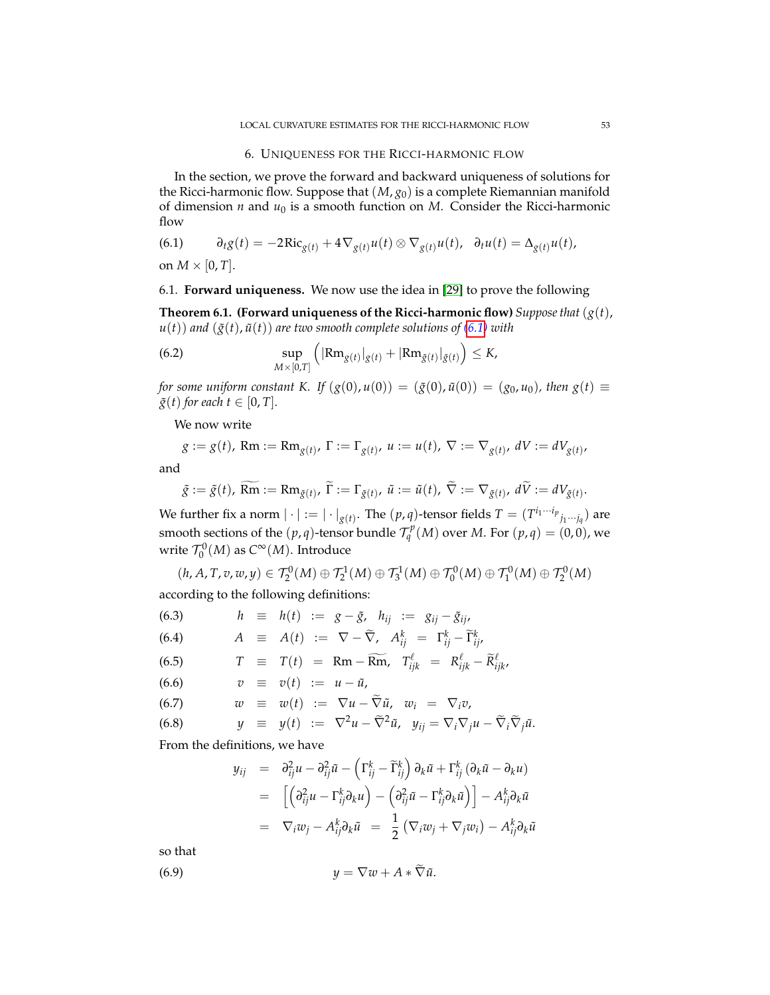### 6. UNIQUENESS FOR THE RICCI-HARMONIC FLOW

In the section, we prove the forward and backward uniqueness of solutions for the Ricci-harmonic flow. Suppose that (*M*, *g*0) is a complete Riemannian manifold of dimension  $n$  and  $u_0$  is a smooth function on  $M$ . Consider the Ricci-harmonic flow

<span id="page-52-0"></span>(6.1) 
$$
\partial_t g(t) = -2\mathrm{Ric}_{g(t)} + 4\nabla_{g(t)} u(t) \otimes \nabla_{g(t)} u(t), \quad \partial_t u(t) = \Delta_{g(t)} u(t),
$$

on  $M \times [0, T]$ .

### 6.1. **Forward uniqueness.** We now use the idea in [\[29\]](#page-69-9) to prove the following

<span id="page-52-3"></span>**Theorem 6.1. (Forward uniqueness of the Ricci-harmonic flow)** *Suppose that*  $(g(t))$ ,  $u(t)$ ) and  $(\tilde{g}(t), \tilde{u}(t))$  are two smooth complete solutions of  $(6.1)$  with

<span id="page-52-1"></span>(6.2) 
$$
\sup_{M\times[0,T]}\left(|\text{Rm}_{g(t)}|_{g(t)}+|\text{Rm}_{\tilde{g}(t)}|_{\tilde{g}(t)}\right)\leq K,
$$

*for some uniform constant K. If*  $(g(0), u(0)) = (\tilde{g}(0), \tilde{u}(0)) = (g_0, u_0)$ , then  $g(t) \equiv$  $\tilde{g}(t)$  *for each*  $t \in [0, T]$ *.* 

We now write

$$
g := g(t)
$$
, Rm := Rm<sub>g(t)</sub>,  $\Gamma := \Gamma_{g(t)}$ ,  $u := u(t)$ ,  $\nabla := \nabla_{g(t)}$ ,  $dV := dV_{g(t)}$ ,

and

$$
\tilde{g} := \tilde{g}(t), \ \widetilde{\operatorname{Rm}} := \operatorname{Rm}_{\tilde{g}(t)}, \ \widetilde{\Gamma} := \Gamma_{\tilde{g}(t)}, \ \tilde{u} := \tilde{u}(t), \ \widetilde{\nabla} := \nabla_{\tilde{g}(t)}, \ d\widetilde{V} := dV_{\tilde{g}(t)}.
$$

We further fix a norm  $|\cdot| := |\cdot|_{g(t)}$ . The  $(p, q)$ -tensor fields  $T = (T^{i_1 \cdots i_p}_{j_1 \cdots j_q})$  are smooth sections of the  $(p, q)$ -tensor bundle  $\mathcal{T}_q^p(M)$  over *M*. For  $(p, q) = (0, 0)$ , we write  $\mathcal{T}_0^0(M)$  as  $C^{\infty}(M)$ . Introduce

$$
(h, A, T, v, w, y) \in \mathcal{T}_2^0(M) \oplus \mathcal{T}_2^1(M) \oplus \mathcal{T}_3^1(M) \oplus \mathcal{T}_0^0(M) \oplus \mathcal{T}_1^0(M) \oplus \mathcal{T}_2^0(M)
$$
  
according to the following definitions:

<span id="page-52-4"></span>(6.3) 
$$
h \equiv h(t) := g - \tilde{g}, \quad h_{ij} := g_{ij} - \tilde{g}_{ij},
$$
  
\n(6.4) 
$$
A \equiv A(t) := \nabla - \tilde{\nabla}, \quad A_{ij}^k = \Gamma_{ij}^k - \tilde{\Gamma}_{ij}^k,
$$
  
\n(6.5) 
$$
T \equiv T(t) = \text{Rm} - \widetilde{\text{Rm}}, \quad T_{ijk}^\ell = R_{ijk}^\ell - \widetilde{R}_{ijk}^\ell,
$$
  
\n(6.6) 
$$
v \equiv v(t) := u - \tilde{u},
$$
  
\n(6.7) 
$$
w \equiv w(t) := \nabla u - \tilde{\nabla} \tilde{u}, \quad w_i = \nabla_i v,
$$
  
\n(6.8) 
$$
y \equiv y(t) := \nabla^2 u - \tilde{\nabla}^2 \tilde{u}, \quad y_{ij} = \nabla_i \nabla_j u - \tilde{\nabla}_i \tilde{\nabla}_j \tilde{u}.
$$

From the definitions, we have

<span id="page-52-2"></span>
$$
y_{ij} = \partial_{ij}^{2} u - \partial_{ij}^{2} \tilde{u} - (\Gamma_{ij}^{k} - \tilde{\Gamma}_{ij}^{k}) \partial_{k} \tilde{u} + \Gamma_{ij}^{k} (\partial_{k} \tilde{u} - \partial_{k} u)
$$
  
\n
$$
= [(\partial_{ij}^{2} u - \Gamma_{ij}^{k} \partial_{k} u) - (\partial_{ij}^{2} \tilde{u} - \Gamma_{ij}^{k} \partial_{k} \tilde{u})] - A_{ij}^{k} \partial_{k} \tilde{u}
$$
  
\n
$$
= \nabla_{i} w_{j} - A_{ij}^{k} \partial_{k} \tilde{u} = \frac{1}{2} (\nabla_{i} w_{j} + \nabla_{j} w_{i}) - A_{ij}^{k} \partial_{k} \tilde{u}
$$

so that

$$
(6.9) \t\t y = \nabla w + A * \nabla \tilde{u}.
$$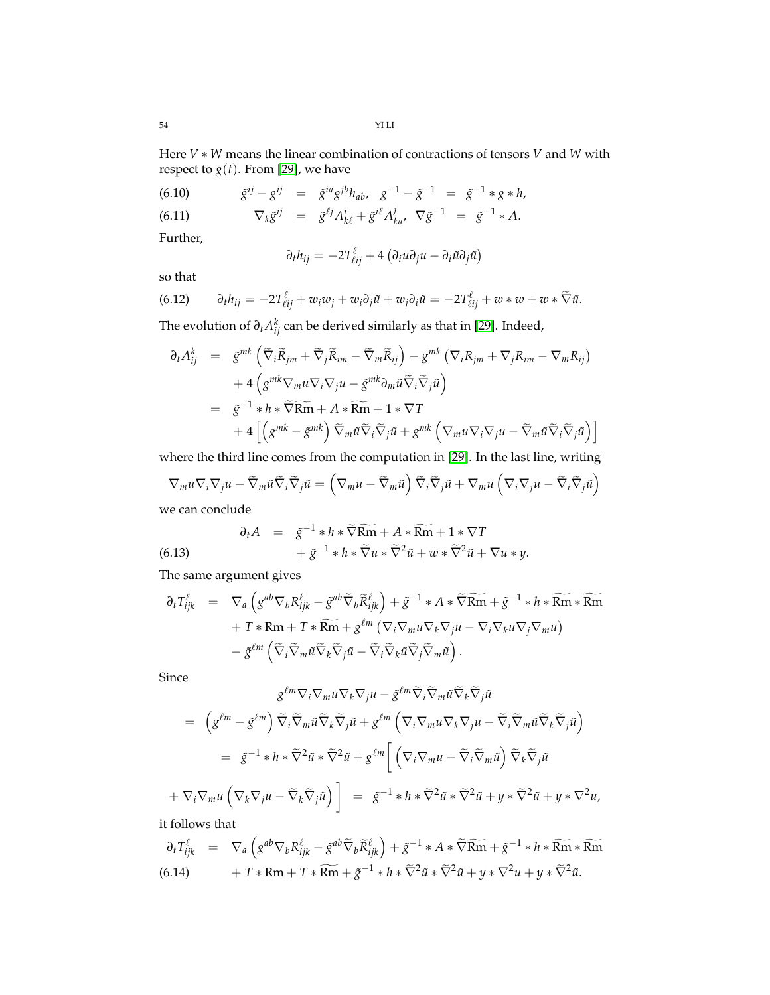Here *V* ∗ *W* means the linear combination of contractions of tensors *V* and *W* with respect to  $g(t)$ . From [\[29\]](#page-69-9), we have

(6.10) 
$$
\tilde{g}^{ij} - g^{ij} = \tilde{g}^{ia} g^{jb} h_{ab}, \quad g^{-1} - \tilde{g}^{-1} = \tilde{g}^{-1} * g * h,
$$
  
(6.11) 
$$
\nabla_k \tilde{g}^{ij} = \tilde{g}^{\ell j} A^i_{k\ell} + \tilde{g}^{i\ell} A^j_{ka}, \quad \nabla \tilde{g}^{-1} = \tilde{g}^{-1} * A.
$$

Further,

$$
\partial_t h_{ij} = -2T_{\ell ij}^{\ell} + 4(\partial_i u \partial_j u - \partial_i \tilde{u} \partial_j \tilde{u})
$$

so that

<span id="page-53-0"></span>(6.12) 
$$
\partial_t h_{ij} = -2T^{\ell}_{\ell ij} + w_i w_j + w_i \partial_j \tilde{u} + w_j \partial_i \tilde{u} = -2T^{\ell}_{\ell ij} + w * w + w * \tilde{\nabla} \tilde{u}.
$$

The evolution of *∂tA k ij* can be derived similarly as that in [\[29\]](#page-69-9). Indeed,

$$
\partial_t A_{ij}^k = \tilde{g}^{mk} \left( \tilde{\nabla}_i \tilde{R}_{jm} + \tilde{\nabla}_j \tilde{R}_{im} - \tilde{\nabla}_m \tilde{R}_{ij} \right) - g^{mk} \left( \nabla_i R_{jm} + \nabla_j R_{im} - \nabla_m R_{ij} \right) + 4 \left( g^{mk} \nabla_m u \nabla_i \nabla_j u - \tilde{g}^{mk} \partial_m \tilde{u} \tilde{\nabla}_i \tilde{\nabla}_j \tilde{u} \right) = \tilde{g}^{-1} * h * \tilde{\nabla} \widetilde{Rm} + A * \widetilde{Rm} + 1 * \nabla T + 4 \left[ \left( g^{mk} - \tilde{g}^{mk} \right) \tilde{\nabla}_m \tilde{u} \tilde{\nabla}_i \tilde{\nabla}_j \tilde{u} + g^{mk} \left( \nabla_m u \nabla_i \nabla_j u - \tilde{\nabla}_m \tilde{u} \tilde{\nabla}_i \tilde{\nabla}_j \tilde{u} \right) \right]
$$

where the third line comes from the computation in [\[29\]](#page-69-9). In the last line, writing

$$
\nabla_m u \nabla_i \nabla_j u - \widetilde{\nabla}_m \widetilde{u} \widetilde{\nabla}_i \widetilde{\nabla}_j \widetilde{u} = \left( \nabla_m u - \widetilde{\nabla}_m \widetilde{u} \right) \widetilde{\nabla}_i \widetilde{\nabla}_j \widetilde{u} + \nabla_m u \left( \nabla_i \nabla_j u - \widetilde{\nabla}_i \widetilde{\nabla}_j \widetilde{u} \right)
$$

we can conclude

(6.13) 
$$
\partial_t A = \tilde{g}^{-1} * h * \widetilde{\nabla} \widetilde{Rm} + A * \widetilde{Rm} + 1 * \nabla T + \tilde{g}^{-1} * h * \widetilde{\nabla} u * \widetilde{\nabla}^2 \tilde{u} + w * \widetilde{\nabla}^2 \tilde{u} + \nabla u * y.
$$

The same argument gives

$$
\partial_t T_{ijk}^{\ell} = \nabla_a \left( g^{ab} \nabla_b R_{ijk}^{\ell} - \tilde{g}^{ab} \tilde{\nabla}_b \tilde{R}_{ijk}^{\ell} \right) + \tilde{g}^{-1} * A * \tilde{\nabla} \widetilde{Rm} + \tilde{g}^{-1} * h * \widetilde{Rm} * \widetilde{Rm} \n+ T * Rm + T * \widetilde{Rm} + g^{\ell m} \left( \nabla_i \nabla_m u \nabla_k \nabla_j u - \nabla_i \nabla_k u \nabla_j \nabla_m u \right) \n- \tilde{g}^{\ell m} \left( \tilde{\nabla}_i \tilde{\nabla}_m \tilde{u} \tilde{\nabla}_k \tilde{\nabla}_j \tilde{u} - \tilde{\nabla}_i \tilde{\nabla}_k \tilde{u} \tilde{\nabla}_j \tilde{\nabla}_m \tilde{u} \right).
$$

Since

 $+$ 

$$
g^{\ell m} \nabla_i \nabla_m u \nabla_k \nabla_j u - \tilde{g}^{\ell m} \tilde{\nabla}_i \tilde{\nabla}_m \tilde{u} \tilde{\nabla}_k \tilde{\nabla}_j \tilde{u}
$$
  
\n
$$
= \left( g^{\ell m} - \tilde{g}^{\ell m} \right) \tilde{\nabla}_i \tilde{\nabla}_m \tilde{u} \tilde{\nabla}_k \tilde{\nabla}_j \tilde{u} + g^{\ell m} \left( \nabla_i \nabla_m u \nabla_k \nabla_j u - \tilde{\nabla}_i \tilde{\nabla}_m \tilde{u} \tilde{\nabla}_k \tilde{\nabla}_j \tilde{u} \right)
$$
  
\n
$$
= \tilde{g}^{-1} * h * \tilde{\nabla}^2 \tilde{u} * \tilde{\nabla}^2 \tilde{u} + g^{\ell m} \left[ \left( \nabla_i \nabla_m u - \tilde{\nabla}_i \tilde{\nabla}_m \tilde{u} \right) \tilde{\nabla}_k \tilde{\nabla}_j \tilde{u} \right]
$$
  
\n
$$
\nabla_i \nabla_m u \left( \nabla_k \nabla_j u - \tilde{\nabla}_k \tilde{\nabla}_j \tilde{u} \right) \right] = \tilde{g}^{-1} * h * \tilde{\nabla}^2 \tilde{u} * \tilde{\nabla}^2 \tilde{u} + y * \tilde{\nabla}^2 \tilde{u} + y * \nabla^2 u,
$$

it follows that

$$
\partial_t T_{ijk}^{\ell} = \nabla_a \left( g^{ab} \nabla_b R_{ijk}^{\ell} - \tilde{g}^{ab} \tilde{\nabla}_b \tilde{R}_{ijk}^{\ell} \right) + \tilde{g}^{-1} * A * \tilde{\nabla} \widetilde{Rm} + \tilde{g}^{-1} * h * \widetilde{Rm} * \widetilde{Rm}
$$
\n
$$
(6.14) + T * Rm + T * \widetilde{Rm} + \tilde{g}^{-1} * h * \tilde{\nabla}^2 \tilde{u} * \tilde{\nabla}^2 \tilde{u} + y * \nabla^2 u + y * \tilde{\nabla}^2 \tilde{u}.
$$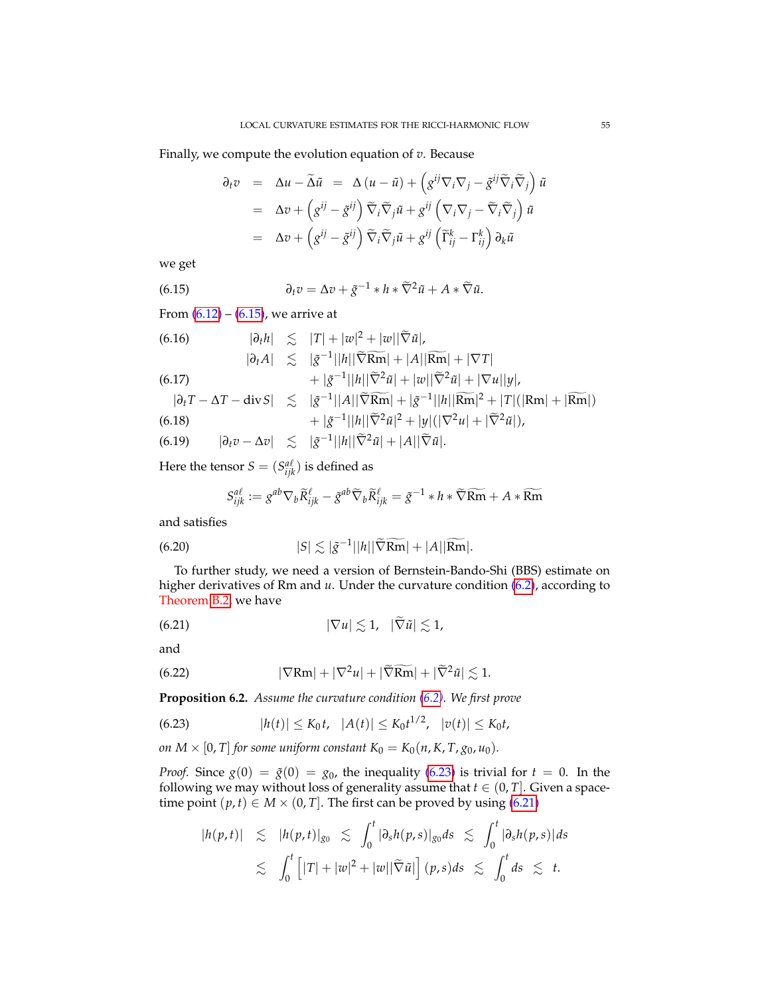Finally, we compute the evolution equation of *v*. Because

<span id="page-54-0"></span>
$$
\partial_t v = \Delta u - \widetilde{\Delta} \widetilde{u} = \Delta (u - \widetilde{u}) + \left( g^{ij} \nabla_i \nabla_j - \widetilde{g}^{ij} \widetilde{\nabla}_i \widetilde{\nabla}_j \right) \widetilde{u}
$$
  
\n
$$
= \Delta v + \left( g^{ij} - \widetilde{g}^{ij} \right) \widetilde{\nabla}_i \widetilde{\nabla}_j \widetilde{u} + g^{ij} \left( \nabla_i \nabla_j - \widetilde{\nabla}_i \widetilde{\nabla}_j \right) \widetilde{u}
$$
  
\n
$$
= \Delta v + \left( g^{ij} - \widetilde{g}^{ij} \right) \widetilde{\nabla}_i \widetilde{\nabla}_j \widetilde{u} + g^{ij} \left( \widetilde{\Gamma}^k_{ij} - \Gamma^k_{ij} \right) \partial_k \widetilde{u}
$$

we get

(6.15) 
$$
\partial_t v = \Delta v + \tilde{g}^{-1} * h * \tilde{\nabla}^2 \tilde{u} + A * \tilde{\nabla} \tilde{u}.
$$

From  $(6.12) - (6.15)$  $(6.12) - (6.15)$  $(6.12) - (6.15)$ , we arrive at

<span id="page-54-5"></span>(6.16)  
\n
$$
|\partial_t h| \leq |T| + |w|^2 + |w||\widetilde{\nabla}\tilde{u}|,
$$
\n
$$
|\partial_t A| \leq |\tilde{g}^{-1}||h||\widetilde{\nabla}\tilde{R}\tilde{m}| + |A||\tilde{R}\tilde{m}| + |\nabla T|
$$
\n(6.17)  
\n
$$
+ |\tilde{g}^{-1}||h||\widetilde{\nabla}^2\tilde{u}| + |w||\widetilde{\nabla}^2\tilde{u}| + |\nabla u||y|,
$$
\n
$$
|\partial_t T - \Delta T - \text{div} S| \leq |\tilde{g}^{-1}||A||\widetilde{\nabla}\tilde{R}\tilde{m}| + |\tilde{g}^{-1}||h||\tilde{R}\tilde{m}|^2 + |T|(|Rm| + |\widetilde{R}\tilde{m}|).
$$
\n(6.18)  
\n
$$
+ |\tilde{g}^{-1}||h||\widetilde{\nabla}^2\tilde{u}|^2 + |y|(|\nabla^2 u| + |\widetilde{\nabla}^2\tilde{u}|),
$$
\n(6.19)  
\n
$$
|\partial_t v - \Delta v| \leq |\tilde{g}^{-1}||h||\widetilde{\nabla}^2\tilde{u}| + |A||\widetilde{\nabla}\tilde{u}|.
$$

Here the tensor  $S = (S_{ijk}^{a\ell})$  is defined as

<span id="page-54-6"></span><span id="page-54-2"></span>
$$
S_{ijk}^{a\ell} := g^{ab} \nabla_b \widetilde{R}_{ijk}^{\ell} - \tilde{g}^{ab} \widetilde{\nabla}_b \widetilde{R}_{ijk}^{\ell} = \tilde{g}^{-1} * h * \widetilde{\nabla} \widetilde{Rm} + A * \widetilde{Rm}
$$

and satisfies

(6.20) 
$$
|S| \lesssim |\tilde{g}^{-1}||h||\widetilde{\nabla}\widetilde{\mathbf{Rm}}| + |A||\widetilde{\mathbf{Rm}}|.
$$

To further study, we need a version of Bernstein-Bando-Shi (BBS) estimate on higher derivatives of Rm and *u*. Under the curvature condition [\(6.2\)](#page-52-1), according to Theorem [B.2,](#page-67-0) we have

(6.21) 
$$
|\nabla u| \lesssim 1, \quad |\tilde{\nabla} \tilde{u}| \lesssim 1,
$$

<span id="page-54-3"></span>and

(6.22) 
$$
|\nabla \text{Rm}| + |\nabla^2 u| + |\widetilde{\nabla} \widetilde{\text{Rm}}| + |\widetilde{\nabla}^2 \widetilde{u}| \lesssim 1.
$$

<span id="page-54-4"></span>**Proposition 6.2.** *Assume the curvature condition [\(6.2\)](#page-52-1). We first prove*

<span id="page-54-1"></span>
$$
(6.23) \t\t\t |h(t)| \leq K_0 t, \t |A(t)| \leq K_0 t^{1/2}, \t |v(t)| \leq K_0 t,
$$

*on*  $M \times [0, T]$  *for some uniform constant*  $K_0 = K_0(n, K, T, g_0, u_0)$ *.* 

*Proof.* Since  $g(0) = \tilde{g}(0) = g_0$ , the inequality [\(6.23\)](#page-54-1) is trivial for  $t = 0$ . In the following we may without loss of generality assume that  $t \in (0, T]$ . Given a spacetime point  $(p, t) \in M \times (0, T]$ . The first can be proved by using  $(6.21)$ 

$$
|h(p,t)| \leq |h(p,t)|_{g_0} \leq \int_0^t |\partial_s h(p,s)|_{g_0} ds \leq \int_0^t |\partial_s h(p,s)| ds
$$
  

$$
\leq \int_0^t [|T|+|w|^2+|w||\widetilde{\nabla} \tilde{u}|] (p,s) ds \leq \int_0^t ds \leq t.
$$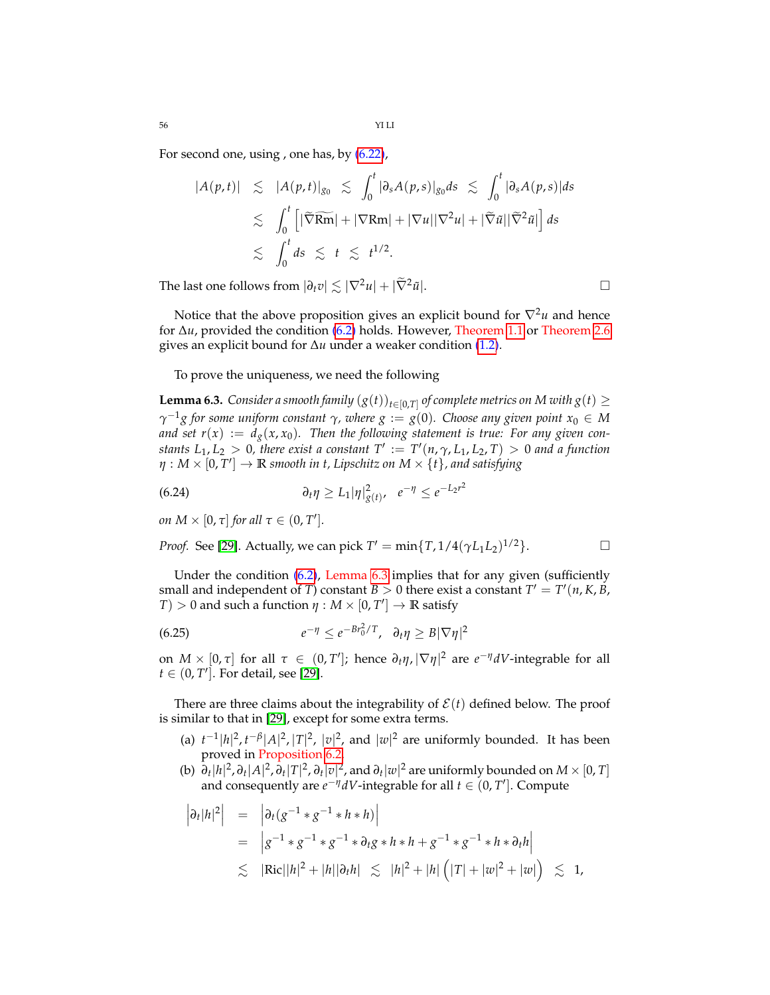56 YI LI

For second one, using , one has, by [\(6.22\)](#page-54-3),

$$
|A(p,t)| \leq |A(p,t)|_{g_0} \leq \int_0^t |\partial_s A(p,s)|_{g_0} ds \leq \int_0^t |\partial_s A(p,s)| ds
$$
  

$$
\leq \int_0^t \left[ |\widetilde{\nabla} \widetilde{\mathbf{Rm}}| + |\nabla \mathbf{Rm}| + |\nabla u| |\nabla^2 u| + |\widetilde{\nabla} \widetilde{u}| |\widetilde{\nabla}^2 \widetilde{u}| \right] ds
$$
  

$$
\leq \int_0^t ds \leq t \leq t^{1/2}.
$$

The last one follows from  $|\partial_t v| \lesssim |\nabla^2 u| + |\tilde{\nabla}^2 \tilde{u}|.$ 

Notice that the above proposition gives an explicit bound for  $\nabla^2 u$  and hence for ∆*u*, provided the condition [\(6.2\)](#page-52-1) holds. However, Theorem [1.1](#page-3-0) or Theorem [2.6](#page-17-0) gives an explicit bound for ∆*u* under a weaker condition [\(1.2\)](#page-1-0).

To prove the uniqueness, we need the following

<span id="page-55-0"></span>**Lemma 6.3.** *Consider a smooth family*  $(g(t))_{t\in[0,T]}$  *of complete metrics on M with*  $g(t)\geq$ *γ* <sup>−</sup>1*g for some uniform constant γ, where g* := *g*(0)*. Choose any given point x*<sup>0</sup> ∈ *M and set*  $r(x) := d_g(x, x_0)$ . Then the following statement is true: For any given con*stants*  $L_1, L_2 > 0$ , there exist a constant  $T' := T'(n, \gamma, L_1, L_2, T) > 0$  and a function  $\eta: M\times [0,T']\to \mathbb{R}$  smooth in t, Lipschitz on  $M\times \{t\}$ , and satisfying

(6.24) 
$$
\partial_t \eta \geq L_1 |\eta|^2_{g(t)}, \quad e^{-\eta} \leq e^{-L_2 r^2}
$$

*on*  $M \times [0, \tau]$  *for all*  $\tau \in (0, T']$ *.* 

*Proof.* See [\[29\]](#page-69-9). Actually, we can pick  $T' = \min\{T, 1/4(\gamma L_1 L_2)^{1/2}\}$ . □

Under the condition  $(6.2)$ , Lemma  $6.3$  implies that for any given (sufficiently small and independent of *T*) constant  $B > 0$  there exist a constant  $T' = T'(n, K, B, K)$ *T*)  $> 0$  and such a function  $\eta : M \times [0, T'] \rightarrow \mathbb{R}$  satisfy

<span id="page-55-1"></span>
$$
(6.25) \t\t\t e^{-\eta} \le e^{-Br_0^2/T}, \quad \partial_t \eta \ge B|\nabla \eta|^2
$$

on  $M \times [0, \tau]$  for all  $\tau \in (0, T']$ ; hence  $\partial_t \eta$ ,  $|\nabla \eta|^2$  are  $e^{-\eta} dV$ -integrable for all  $t \in (0, T']$ . For detail, see [\[29\]](#page-69-9).

There are three claims about the integrability of  $\mathcal{E}(t)$  defined below. The proof is similar to that in [\[29\]](#page-69-9), except for some extra terms.

- (a)  $t^{-1} |h|^2, t^{-\beta} |A|^2, |T|^2, |v|^2$ , and  $|w|^2$  are uniformly bounded. It has been proved in Proposition [6.2.](#page-54-4)
- (b)  $\partial_t |h|^2$ ,  $\partial_t |A|^2$ ,  $\partial_t |T|^2$ ,  $\partial_t |v|^2$ , and  $\partial_t |w|^2$  are uniformly bounded on  $M\times [0,T]$ and consequently are  $e^{-\eta}dV$ -integrable for all  $t \in (0, T']$ . Compute

$$
\begin{array}{rcl}\n\left|\partial_t|h|^2\right| & = & \left|\partial_t(g^{-1} * g^{-1} * h * h)\right| \\
& = & \left|g^{-1} * g^{-1} * g^{-1} * \partial_t g * h * h + g^{-1} * g^{-1} * h * \partial_t h\right| \\
& \lesssim & |\text{Ric}||h|^2 + |h||\partial_t h| \leq & |h|^2 + |h| \left(|T| + |w|^2 + |w|\right) \leq 1,\n\end{array}
$$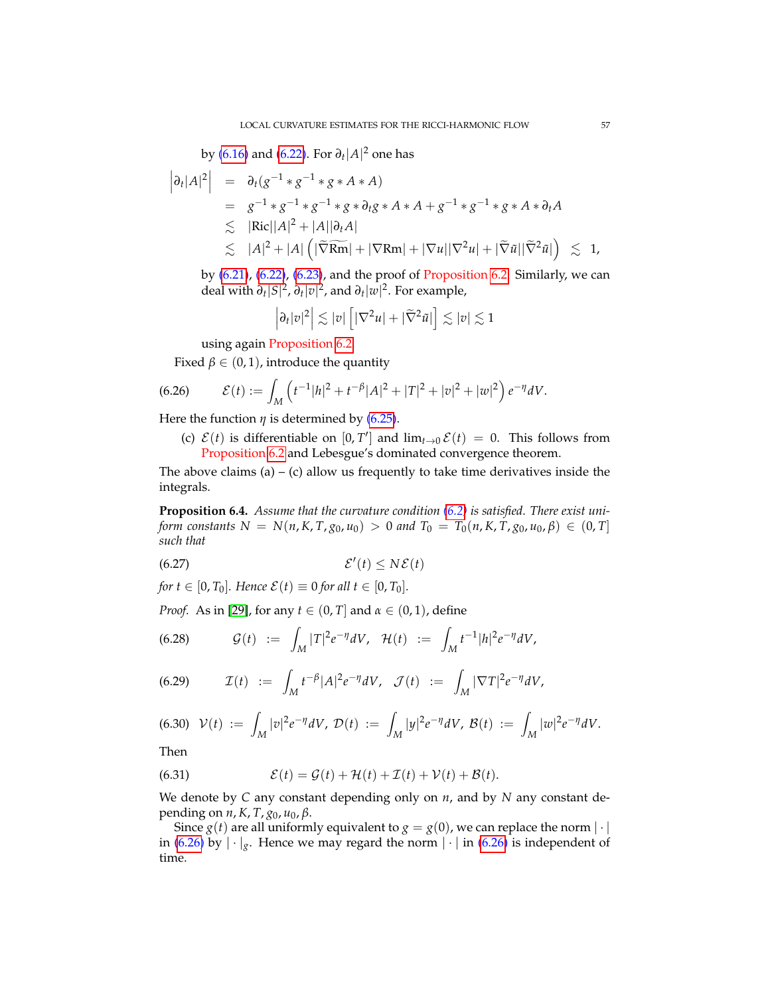by [\(6.16\)](#page-54-5) and [\(6.22\)](#page-54-3). For *∂t* |*A*| <sup>2</sup> one has

$$
\begin{array}{rcl}\n\left|\partial_{t}|A|^{2}\right| & = & \partial_{t}(g^{-1}*g^{-1}*g*A*A) \\
& = & g^{-1}*g^{-1}*g* \partial_{t}g*A*A+g^{-1}*g^{-1}*g*A*\partial_{t}A \\
& \lesssim & |\text{Ric}||A|^{2}+|A||\partial_{t}A| \\
& \lesssim & |A|^{2}+|A|\left(|\widetilde{\nabla}\widetilde{\text{Rm}}|+|\nabla\text{Rm}|+|\nabla u||\nabla^{2}u|+|\widetilde{\nabla}\widetilde{u}||\widetilde{\nabla}^{2}\widetilde{u}|\right) \\
& \lesssim & 1,\n\end{array}
$$

by [\(6.21\)](#page-54-2), [\(6.22\)](#page-54-3), [\(6.23\)](#page-54-1), and the proof of Proposition [6.2.](#page-54-4) Similarly, we can deal with  $\partial_t |S|^2$ ,  $\partial_t |v|^2$ , and  $\partial_t |w|^2$ . For example,

$$
\left|\partial_t|v|^2\right|\lesssim |v|\left[|\nabla^2 u|+|\widetilde{\nabla}^2\tilde{u}|\right]\lesssim |v|\lesssim 1
$$

<span id="page-56-0"></span>using again Proposition [6.2.](#page-54-4)

Fixed  $\beta \in (0, 1)$ , introduce the quantity

(6.26) 
$$
\mathcal{E}(t) := \int_M \left( t^{-1} |h|^2 + t^{-\beta} |A|^2 + |T|^2 + |v|^2 + |w|^2 \right) e^{-\eta} dV.
$$

Here the function  $\eta$  is determined by [\(6.25\)](#page-55-1).

(c)  $\mathcal{E}(t)$  is differentiable on  $[0, T']$  and  $\lim_{t\to 0} \mathcal{E}(t) = 0$ . This follows from Proposition [6.2](#page-54-4) and Lebesgue's dominated convergence theorem.

The above claims (a) – (c) allow us frequently to take time derivatives inside the integrals.

<span id="page-56-3"></span>**Proposition 6.4.** *Assume that the curvature condition [\(6.2\)](#page-52-1) is satisfied. There exist uniform constants*  $N = N(n, K, T, g_0, u_0) > 0$  *and*  $T_0 = T_0(n, K, T, g_0, u_0, \beta) \in (0, T]$ *such that*

$$
(6.27) \t\t\t\mathcal{E}'(t) \le N\mathcal{E}(t)
$$

*for* 
$$
t \in [0, T_0]
$$
*. Hence*  $\mathcal{E}(t) \equiv 0$  *for all*  $t \in [0, T_0]$ *.*

*Proof.* As in [\[29\]](#page-69-9), for any  $t \in (0, T]$  and  $\alpha \in (0, 1)$ , define

(6.28) 
$$
\mathcal{G}(t) := \int_M |T|^2 e^{-\eta} dV, \quad \mathcal{H}(t) := \int_M t^{-1} |h|^2 e^{-\eta} dV,
$$

<span id="page-56-1"></span>(6.29) 
$$
\mathcal{I}(t) := \int_M t^{-\beta} |A|^2 e^{-\eta} dV, \quad \mathcal{J}(t) := \int_M |\nabla T|^2 e^{-\eta} dV,
$$

$$
(6.30) \quad \mathcal{V}(t) \; := \; \int_M |v|^2 e^{-\eta} dV, \; \mathcal{D}(t) \; := \; \int_M |y|^2 e^{-\eta} dV, \; \mathcal{B}(t) \; := \; \int_M |w|^2 e^{-\eta} dV.
$$

Then

<span id="page-56-2"></span>(6.31) 
$$
\mathcal{E}(t) = \mathcal{G}(t) + \mathcal{H}(t) + \mathcal{I}(t) + \mathcal{V}(t) + \mathcal{B}(t).
$$

We denote by *C* any constant depending only on *n*, and by *N* any constant depending on *n*, *K*, *T*, *g*0, *u*0, *β*.

Since *g*(*t*) are all uniformly equivalent to *g* = *g*(0), we can replace the norm  $|\cdot|$ in [\(6.26\)](#page-56-0) by  $|\cdot|_g$ . Hence we may regard the norm  $|\cdot|$  in (6.26) is independent of time.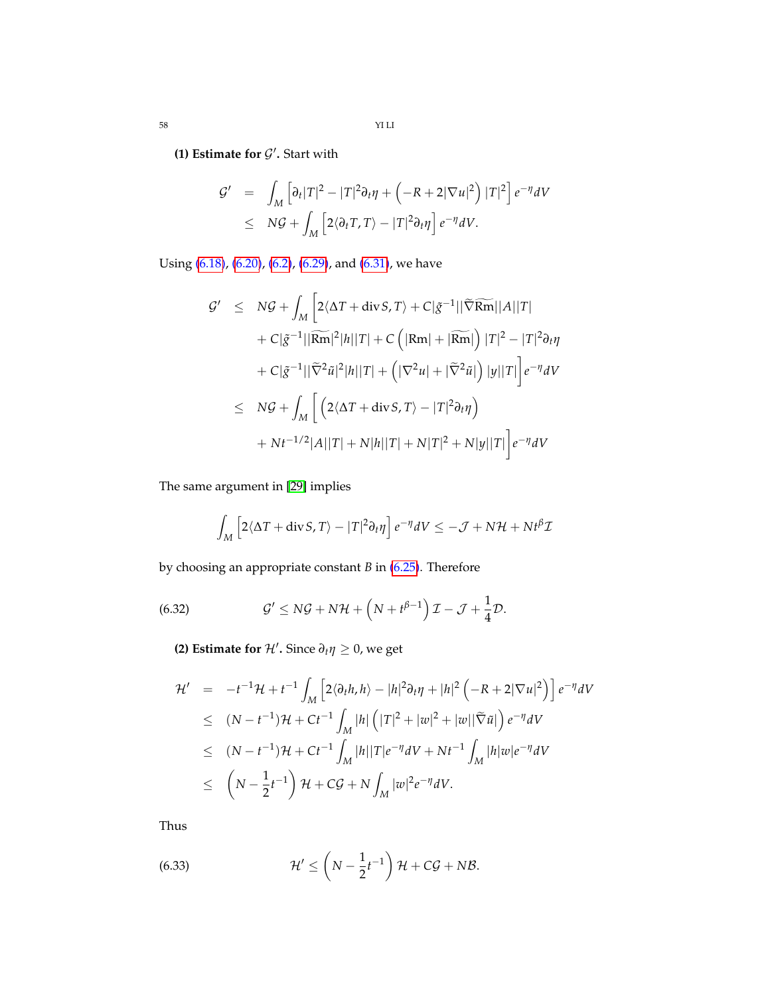58 YI LI

# **(1) Estimate for**  $\mathcal{G}'$ **. Start with**

$$
G' = \int_M \left[ \partial_t |T|^2 - |T|^2 \partial_t \eta + \left( -R + 2|\nabla u|^2 \right) |T|^2 \right] e^{-\eta} dV
$$
  
 
$$
\leq N \mathcal{G} + \int_M \left[ 2 \langle \partial_t T, T \rangle - |T|^2 \partial_t \eta \right] e^{-\eta} dV.
$$

Using [\(6.18\)](#page-54-5), [\(6.20\)](#page-54-6), [\(6.2\)](#page-52-1), [\(6.29\)](#page-56-1), and [\(6.31\)](#page-56-2), we have

$$
G' \leq NG + \int_M \left[ 2\langle \Delta T + \text{div} S, T \rangle + C|\tilde{g}^{-1}||\widetilde{\nabla}\widetilde{\mathbf{Rm}}||A||T| + C|\tilde{g}^{-1}||\widetilde{\mathbf{Rm}}||\widetilde{H}||T| + C\left(|\mathbf{Rm}| + |\widetilde{\mathbf{Rm}}|\right)|T|^2 - |T|^2\partial_t\eta + C|\tilde{g}^{-1}||\widetilde{\nabla}^2\tilde{u}|^2|h||T| + \left(|\nabla^2u| + |\widetilde{\nabla}^2\tilde{u}|\right)|y||T|\right]e^{-\eta}dV
$$
  
\n
$$
\leq NG + \int_M \left[ \left(2\langle \Delta T + \text{div} S, T \rangle - |T|^2\partial_t\eta\right) + Nt^{-1/2}|A||T| + N|h||T| + N|T|^2 + N|y||T|\right]e^{-\eta}dV
$$

The same argument in [\[29\]](#page-69-9) implies

<span id="page-57-0"></span>
$$
\int_M \left[2\langle \Delta T + \operatorname{div} S, T \rangle - |T|^2 \partial_t \eta\right] e^{-\eta} dV \le -\mathcal{J} + N\mathcal{H} + Nt^{\beta} \mathcal{I}
$$

by choosing an appropriate constant *B* in [\(6.25\)](#page-55-1). Therefore

(6.32) 
$$
\mathcal{G}' \leq N\mathcal{G} + N\mathcal{H} + \left(N + t^{\beta - 1}\right)\mathcal{I} - \mathcal{J} + \frac{1}{4}\mathcal{D}.
$$

**(2) Estimate for**  $\mathcal{H}'$ . Since  $\partial_t \eta \geq 0$ , we get

$$
\mathcal{H}' = -t^{-1}\mathcal{H} + t^{-1} \int_M \left[ 2\langle \partial_t h, h \rangle - |h|^2 \partial_t \eta + |h|^2 \left( -R + 2|\nabla u|^2 \right) \right] e^{-\eta} dV
$$
  
\n
$$
\leq (N - t^{-1})\mathcal{H} + Ct^{-1} \int_M |h| \left( |T|^2 + |w|^2 + |w||\widetilde{\nabla} \widetilde{u}| \right) e^{-\eta} dV
$$
  
\n
$$
\leq (N - t^{-1})\mathcal{H} + Ct^{-1} \int_M |h| |T| e^{-\eta} dV + Nt^{-1} \int_M |h| w| e^{-\eta} dV
$$
  
\n
$$
\leq \left( N - \frac{1}{2}t^{-1} \right) \mathcal{H} + C\mathcal{G} + N \int_M |w|^2 e^{-\eta} dV.
$$

Thus

(6.33) 
$$
\mathcal{H}' \leq \left(N - \frac{1}{2}t^{-1}\right)\mathcal{H} + C\mathcal{G} + N\mathcal{B}.
$$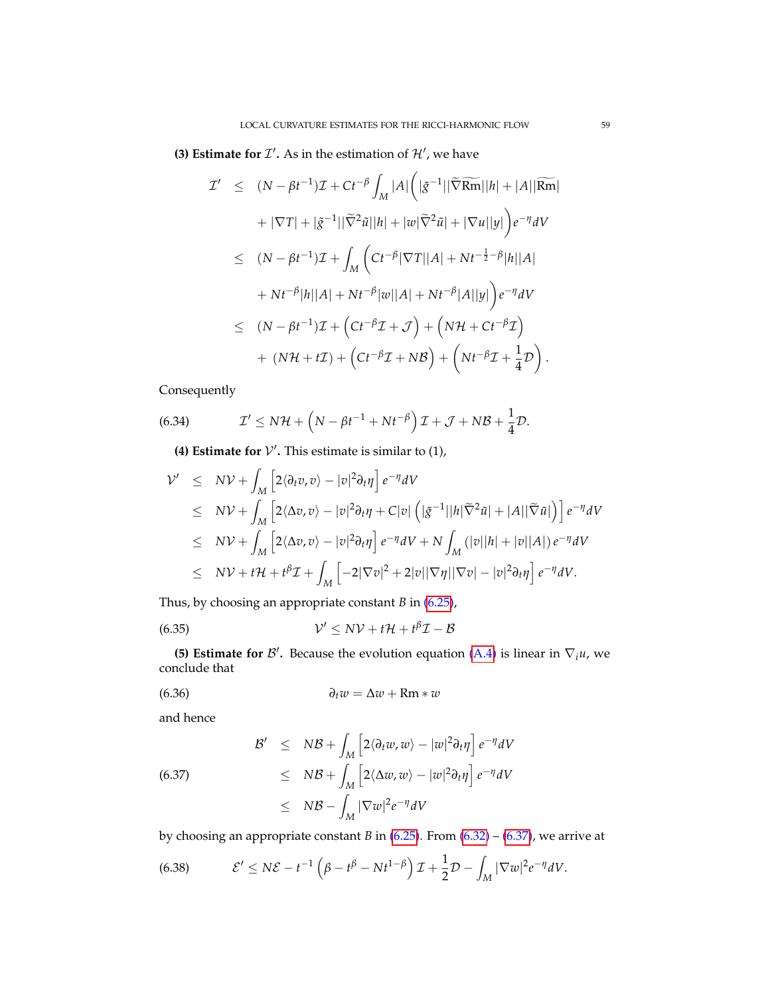**(3) Estimate for**  $\mathcal{I}'$ **. As in the estimation of**  $\mathcal{H}'$ **, we have** 

$$
\mathcal{I}' \leq (N - \beta t^{-1})\mathcal{I} + Ct^{-\beta} \int_M |A| \left( |\tilde{g}^{-1}||\tilde{\nabla}\widetilde{\mathbf{Rm}}||h| + |A||\widetilde{\mathbf{Rm}}| \n+ |\nabla T| + |\tilde{g}^{-1}||\tilde{\nabla}^2 \tilde{u}||h| + |w|\tilde{\nabla}^2 \tilde{u}| + |\nabla u||y| \right) e^{-\eta} dV
$$
\n
$$
\leq (N - \beta t^{-1})\mathcal{I} + \int_M \left( Ct^{-\beta}|\nabla T||A| + Nt^{-\frac{1}{2} - \beta}|h||A| \n+ Nt^{-\beta}|h||A| + Nt^{-\beta}|w||A| + Nt^{-\beta}|A||y| \right) e^{-\eta} dV
$$
\n
$$
\leq (N - \beta t^{-1})\mathcal{I} + \left( Ct^{-\beta}\mathcal{I} + \mathcal{J}\right) + \left( N\mathcal{H} + Ct^{-\beta}\mathcal{I}\right)
$$
\n
$$
+ (N\mathcal{H} + t\mathcal{I}) + \left( Ct^{-\beta}\mathcal{I} + N\mathcal{B}\right) + \left( Nt^{-\beta}\mathcal{I} + \frac{1}{4}\mathcal{D}\right).
$$

Consequently

(6.34) 
$$
\mathcal{I}' \leq N\mathcal{H} + \left(N - \beta t^{-1} + Nt^{-\beta}\right)\mathcal{I} + \mathcal{J} + N\mathcal{B} + \frac{1}{4}\mathcal{D}.
$$

**(4) Estimate for**  $V'$ **. This estimate is similar to**  $(1)$ **,** 

$$
\begin{array}{rcl}\n\mathcal{V}' & \leq & N\mathcal{V} + \int_{M} \left[ 2 \langle \partial_{t} v, v \rangle - |v|^{2} \partial_{t} \eta \right] e^{-\eta} dV \\
& \leq & N\mathcal{V} + \int_{M} \left[ 2 \langle \Delta v, v \rangle - |v|^{2} \partial_{t} \eta + C |v| \left( |\tilde{g}^{-1}||h| \widetilde{\nabla}^{2} \tilde{u}| + |A| | \widetilde{\nabla} \tilde{u}| \right) \right] e^{-\eta} dV \\
& \leq & N\mathcal{V} + \int_{M} \left[ 2 \langle \Delta v, v \rangle - |v|^{2} \partial_{t} \eta \right] e^{-\eta} dV + N \int_{M} \left( |v||h| + |v||A| \right) e^{-\eta} dV \\
& \leq & N\mathcal{V} + t\mathcal{H} + t^{\beta} \mathcal{I} + \int_{M} \left[ -2 |\nabla v|^{2} + 2 |v| |\nabla \eta| |\nabla v| - |v|^{2} \partial_{t} \eta \right] e^{-\eta} dV.\n\end{array}
$$

Thus, by choosing an appropriate constant *B* in [\(6.25\)](#page-55-1),

$$
(6.35) \t\t\t V' \leq NV + t\mathcal{H} + t^{\beta}\mathcal{I} - \mathcal{B}
$$

**(5) Estimate for**  $\mathcal{B}'$ . Because the evolution equation [\(A.4\)](#page-65-0) is linear in  $\nabla_i u$ , we conclude that

$$
(6.36) \t\t\t\t\t \partial_t w = \Delta w + Rm * w
$$

and hence

<span id="page-58-0"></span>(6.37)  
\n
$$
\mathcal{B}' \leq NB + \int_M \left[ 2 \langle \partial_t w, w \rangle - |w|^2 \partial_t \eta \right] e^{-\eta} dV
$$
\n
$$
\leq NB + \int_M \left[ 2 \langle \Delta w, w \rangle - |w|^2 \partial_t \eta \right] e^{-\eta} dV
$$
\n
$$
\leq NB - \int_M |\nabla w|^2 e^{-\eta} dV
$$

by choosing an appropriate constant *B* in [\(6.25\)](#page-55-1). From [\(6.32\)](#page-57-0) – [\(6.37\)](#page-58-0), we arrive at

<span id="page-58-1"></span>(6.38) 
$$
\mathcal{E}' \leq N\mathcal{E} - t^{-1} \left( \beta - t^{\beta} - Nt^{1-\beta} \right) \mathcal{I} + \frac{1}{2} \mathcal{D} - \int_M |\nabla w|^2 e^{-\eta} dV.
$$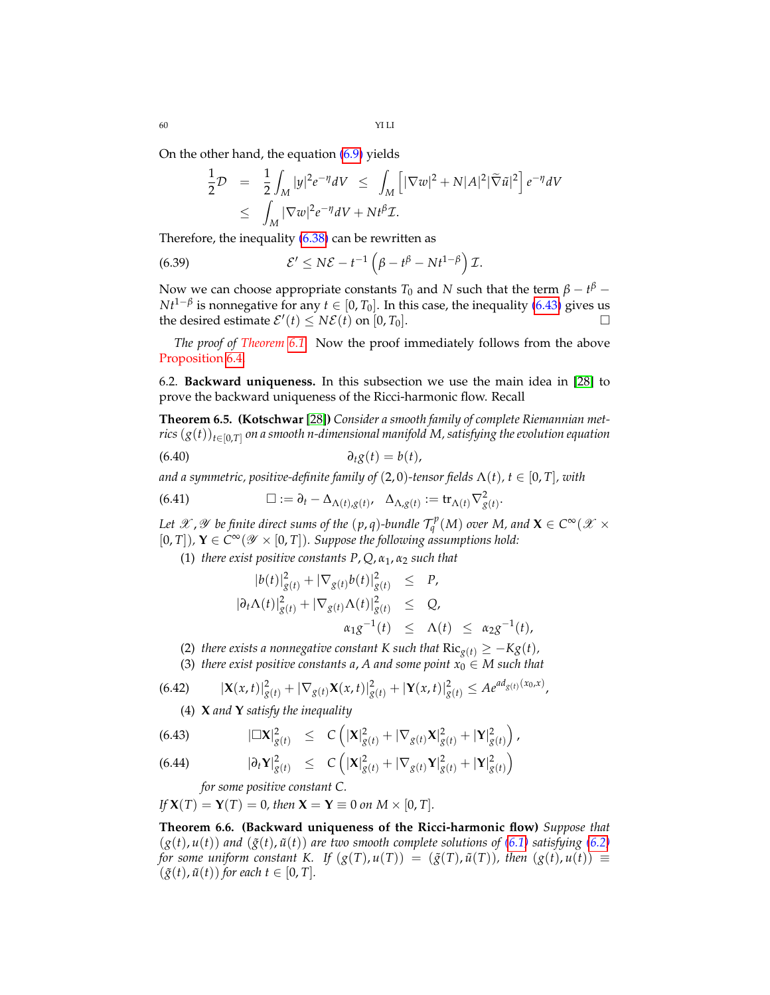60 YI LI

On the other hand, the equation [\(6.9\)](#page-52-2) yields

$$
\frac{1}{2}\mathcal{D} = \frac{1}{2} \int_M |y|^2 e^{-\eta} dV \le \int_M \left[ |\nabla w|^2 + N|A|^2 |\tilde{\nabla} \tilde{u}|^2 \right] e^{-\eta} dV
$$
  

$$
\le \int_M |\nabla w|^2 e^{-\eta} dV + Nt^{\beta} \mathcal{I}.
$$

Therefore, the inequality  $(6.38)$  can be rewritten as

(6.39) 
$$
\mathcal{E}' \leq N\mathcal{E} - t^{-1} \left( \beta - t^{\beta} - Nt^{1-\beta} \right) \mathcal{I}.
$$

Now we can choose appropriate constants  $T_0$  and  $N$  such that the term  $\beta-t^{\beta}-$ *Nt*<sup>1−β</sup> is nonnegative for any  $t \in [0, T_0]$ . In this case, the inequality [\(6.43\)](#page-59-0) gives us the desired estimate  $\mathcal{E}'(t) \leq N\mathcal{E}(t)$  on  $[0, T_0]$ .

*The proof of Theorem [6.1.](#page-52-3)* Now the proof immediately follows from the above Proposition [6.4.](#page-56-3)

6.2. **Backward uniqueness.** In this subsection we use the main idea in [\[28\]](#page-69-10) to prove the backward uniqueness of the Ricci-harmonic flow. Recall

<span id="page-59-2"></span>**Theorem 6.5. (Kotschwar** [\[28\]](#page-69-10)**)** *Consider a smooth family of complete Riemannian metrics* (*g*(*t*))*t*∈[0,*T*] *on a smooth n-dimensional manifold M, satisfying the evolution equation*

$$
(6.40) \t\t\t \t\t \partial_t g(t) = b(t),
$$

*and a symmetric, positive-definite family of* (2,0)-tensor fields  $\Lambda(t)$ ,  $t \in [0, T]$ , with

(6.41) 
$$
\Box := \partial_t - \Delta_{\Lambda(t),g(t)}, \quad \Delta_{\Lambda,g(t)} := \text{tr}_{\Lambda(t)} \nabla^2_{g(t)}
$$

Let  $\mathscr X$  ,  $\mathscr Y$  be finite direct sums of the  $(p,q)$ -bundle  $\mathcal{T}^p_q(M)$  over M, and  $\mathbf X\in C^\infty(\mathscr X\times L)$  $[0, T]$ ),  $Y \in C^{\infty}(\mathscr{Y} \times [0, T])$ . Suppose the following assumptions hold:

.

(1) *there exist positive constants P*, *Q*, *α*1, *α*<sup>2</sup> *such that*

$$
|b(t)|_{g(t)}^2 + |\nabla_{g(t)}b(t)|_{g(t)}^2 \leq P,
$$
  
\n
$$
|\partial_t \Lambda(t)|_{g(t)}^2 + |\nabla_{g(t)}\Lambda(t)|_{g(t)}^2 \leq Q,
$$
  
\n
$$
\alpha_1 g^{-1}(t) \leq \Lambda(t) \leq \alpha_2 g^{-1}(t),
$$

(2) *there exists a nonnegative constant* K such that  $\text{Ric}_{g(t)} \geq -Kg(t)$ *,* 

(3) *there exist positive constants a, A and some point*  $x_0 \in M$  *such that* 

(6.42) 
$$
|\mathbf{X}(x,t)|_{g(t)}^2 + |\nabla_{g(t)} \mathbf{X}(x,t)|_{g(t)}^2 + |\mathbf{Y}(x,t)|_{g(t)}^2 \leq A e^{ad_{g(t)}(x_0,x)},
$$

(4) **X** *and* **Y** *satisfy the inequality*

(6.43) 
$$
|\Box \mathbf{X}|^2_{g(t)} \leq C \left( |\mathbf{X}|^2_{g(t)} + |\nabla_{g(t)} \mathbf{X}|^2_{g(t)} + |\mathbf{Y}|^2_{g(t)} \right),
$$

(6.44) 
$$
|\partial_t \mathbf{Y}|^2_{g(t)} \leq C \left( |\mathbf{X}|^2_{g(t)} + |\nabla_{g(t)} \mathbf{Y}|^2_{g(t)} + |\mathbf{Y}|^2_{g(t)} \right)
$$

<span id="page-59-0"></span>*for some positive constant C.*

*If*  $X(T) = Y(T) = 0$ *, then*  $X = Y \equiv 0$  *on*  $M \times [0, T]$ *.* 

<span id="page-59-1"></span>**Theorem 6.6. (Backward uniqueness of the Ricci-harmonic flow)** *Suppose that*  $(g(t), u(t))$  and  $(\tilde{g}(t), \tilde{u}(t))$  are two smooth complete solutions of [\(6.1\)](#page-52-0) satisfying [\(6.2\)](#page-52-1) *for some uniform constant K. If*  $(g(T), u(T)) = (\tilde{g}(T), \tilde{u}(T))$ , then  $(g(t), u(t)) \equiv$  $(\tilde{g}(t), \tilde{u}(t))$  *for each*  $t \in [0, T]$ *.*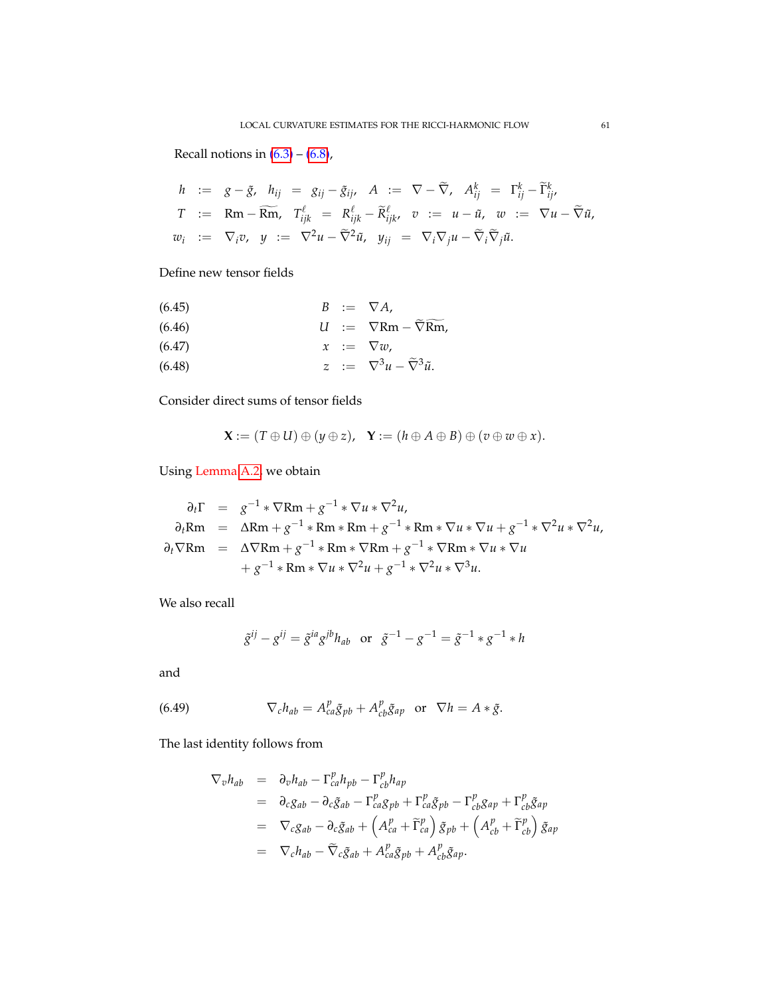Recall notions in  $(6.3) - (6.8)$  $(6.3) - (6.8)$  $(6.3) - (6.8)$ ,

$$
h := g - \tilde{g}, \quad h_{ij} = g_{ij} - \tilde{g}_{ij}, \quad A := \nabla - \widetilde{\nabla}, \quad A_{ij}^k = \Gamma_{ij}^k - \widetilde{\Gamma}_{ij}^k,
$$
\n
$$
T := \text{Rm} - \widetilde{\text{Rm}}, \quad T_{ijk}^\ell = R_{ijk}^\ell - \widetilde{R}_{ijk}^\ell, \quad v := u - \tilde{u}, \quad w := \nabla u - \widetilde{\nabla} \tilde{u},
$$
\n
$$
w_i := \nabla_i v, \quad y := \nabla^2 u - \widetilde{\nabla}^2 \tilde{u}, \quad y_{ij} = \nabla_i \nabla_j u - \widetilde{\nabla}_i \widetilde{\nabla}_j \tilde{u}.
$$

Define new tensor fields

| (6.45) | $B := \nabla A$ ,                                        |
|--------|----------------------------------------------------------|
| (6.46) | $U := \nabla Rm - \widetilde{\nabla}Rm$ ,                |
| (6.47) | $x := \nabla w$ ,                                        |
| (6.48) | $z := \nabla^3 u - \widetilde{\nabla}^3 \widetilde{u}$ . |

Consider direct sums of tensor fields

$$
\mathbf{X} := (T \oplus U) \oplus (y \oplus z), \quad \mathbf{Y} := (h \oplus A \oplus B) \oplus (v \oplus w \oplus x).
$$

Using Lemma [A.2,](#page-65-1) we obtain

$$
\partial_t \Gamma = g^{-1} * \nabla \mathbf{Rm} + g^{-1} * \nabla u * \nabla^2 u,
$$
  
\n
$$
\partial_t \mathbf{Rm} = \Delta \mathbf{Rm} + g^{-1} * \mathbf{Rm} * \mathbf{Rm} + g^{-1} * \mathbf{Rm} * \nabla u * \nabla u + g^{-1} * \nabla^2 u * \nabla^2 u,
$$
  
\n
$$
\partial_t \nabla \mathbf{Rm} = \Delta \nabla \mathbf{Rm} + g^{-1} * \mathbf{Rm} * \nabla \mathbf{Rm} + g^{-1} * \nabla \mathbf{Rm} * \nabla u * \nabla u
$$
  
\n
$$
+ g^{-1} * \mathbf{Rm} * \nabla u * \nabla^2 u + g^{-1} * \nabla^2 u * \nabla^3 u.
$$

We also recall

$$
\tilde{g}^{ij} - g^{ij} = \tilde{g}^{ia} g^{jb} h_{ab}
$$
 or  $\tilde{g}^{-1} - g^{-1} = \tilde{g}^{-1} * g^{-1} * h$ 

and

(6.49) 
$$
\nabla_c h_{ab} = A^p_{ca} \tilde{g}_{pb} + A^p_{cb} \tilde{g}_{ap} \text{ or } \nabla h = A * \tilde{g}.
$$

The last identity follows from

$$
\nabla_{v} h_{ab} = \partial_{v} h_{ab} - \Gamma_{ca}^{p} h_{pb} - \Gamma_{cb}^{p} h_{ap}
$$
  
\n
$$
= \partial_{c} g_{ab} - \partial_{c} \tilde{g}_{ab} - \Gamma_{ca}^{p} g_{pb} + \Gamma_{ca}^{p} \tilde{g}_{pb} - \Gamma_{cb}^{p} g_{ap} + \Gamma_{cb}^{p} \tilde{g}_{ap}
$$
  
\n
$$
= \nabla_{c} g_{ab} - \partial_{c} \tilde{g}_{ab} + (A_{ca}^{p} + \tilde{\Gamma}_{ca}^{p}) \tilde{g}_{pb} + (A_{cb}^{p} + \tilde{\Gamma}_{cb}^{p}) \tilde{g}_{ap}
$$
  
\n
$$
= \nabla_{c} h_{ab} - \tilde{\nabla}_{c} \tilde{g}_{ab} + A_{ca}^{p} \tilde{g}_{pb} + A_{cb}^{p} \tilde{g}_{ap}.
$$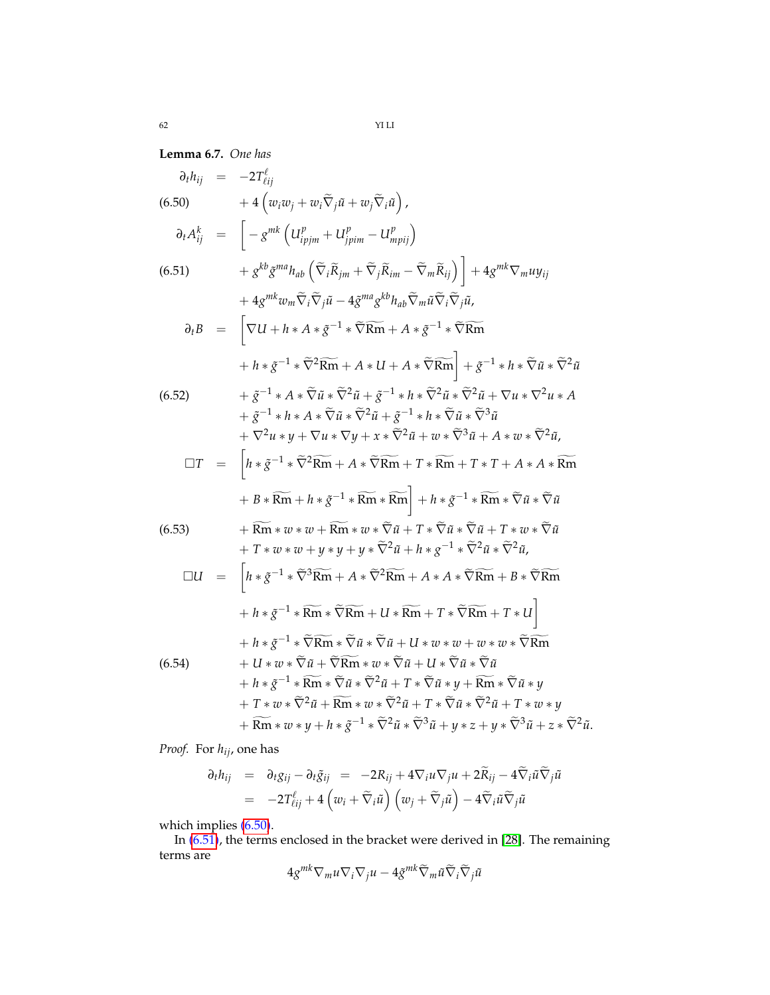**Lemma 6.7.** *One has*

<span id="page-61-0"></span>
$$
\partial_{t}h_{ij} = -2T_{\ell ij}^{\ell}
$$
\n
$$
+ 4 (w_{i}w_{j} + w_{i}\tilde{\nabla}_{j}\tilde{u} + w_{j}\tilde{\nabla}_{i}\tilde{u}) ,
$$
\n
$$
\partial_{t}A_{ij}^{k} = \begin{bmatrix} -g^{mk} (U_{i\mu j\mu}^{p} + U_{j\mu j\mu}^{p} - U_{i\mu j\mu}^{p}) \\ -g^{kk}g^{mn}h_{ab} (\tilde{\nabla}_{i}\tilde{R}_{jm} + \tilde{\nabla}_{j}\tilde{R}_{im} - \tilde{\nabla}_{m}\tilde{R}_{ij}) \end{bmatrix} + 4g^{mk}\nabla_{m}uy_{ij} + 4g^{mk}w_{m}\tilde{\nabla}_{i}\tilde{\nabla}_{j}\tilde{u} - 4g^{ma}g^{kb}h_{ab}\tilde{\nabla}_{m}\tilde{u}\tilde{\nabla}_{i}\tilde{\nabla}_{j}\tilde{u},
$$
\n
$$
\partial_{t}B = \begin{bmatrix} \nabla U + h \cdot A \cdot \tilde{g}^{-1} \cdot \tilde{\nabla}\tilde{R}\tilde{m} + A \cdot \tilde{g}^{-1} \cdot \tilde{\nabla}\tilde{R}\tilde{m} \\ \nabla U + h \cdot A \cdot \tilde{g}^{-1} \cdot \tilde{\nabla}\tilde{R}\tilde{m} + A \cdot \tilde{g}^{-1} \cdot \tilde{\nabla}\tilde{R}\tilde{m} \end{bmatrix} + g^{-1} \cdot h \cdot \tilde{\nabla} \tilde{u} \cdot \tilde{\nabla}^{2}\tilde{u}
$$
\n
$$
+ \tilde{g}^{-1} \cdot A \cdot \tilde{\nabla} \tilde{u} \cdot \tilde{\nabla}^{2}\tilde{u} + g^{-1} \cdot h \cdot \tilde{\nabla} \tilde{u} \cdot \tilde{\nabla}^{2}\tilde{u} + \nabla u \cdot \nabla^{2}u \cdot A + g^{-1} \cdot h \cdot A \cdot \tilde{\nabla} \tilde{u} \cdot \tilde{\nabla}^{2}\tilde{u} + \tilde{g}^{-1} \cdot h \cdot A \cdot \tilde{\nabla} \tilde{u} \cdot \tilde{\nabla}^{2}\tilde{u
$$

*Proof.* For *hij*, one has

$$
\partial_t h_{ij} = \partial_t g_{ij} - \partial_t \tilde{g}_{ij} = -2R_{ij} + 4\nabla_i u \nabla_j u + 2\tilde{R}_{ij} - 4\tilde{\nabla}_i \tilde{u} \tilde{\nabla}_j \tilde{u}
$$
  
= 
$$
-2T^{\ell}_{\ell ij} + 4\left(w_i + \tilde{\nabla}_i \tilde{u}\right)\left(w_j + \tilde{\nabla}_j \tilde{u}\right) - 4\tilde{\nabla}_i \tilde{u} \tilde{\nabla}_j \tilde{u}
$$

which implies [\(6.50\)](#page-61-0).

In [\(6.51\)](#page-61-0), the terms enclosed in the bracket were derived in [\[28\]](#page-69-10). The remaining terms are

$$
4g^{mk}\nabla_mu\nabla_i\nabla_ju-4\tilde{g}^{mk}\tilde{\nabla}_m\tilde{u}\tilde{\nabla}_i\tilde{\nabla}_j\tilde{u}
$$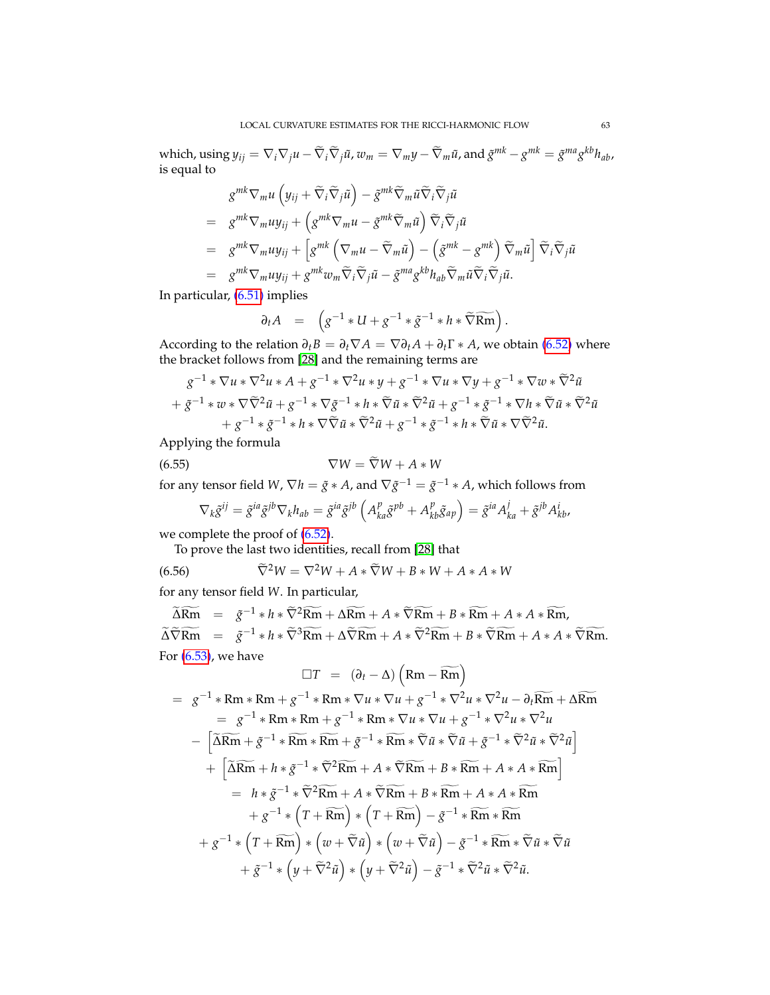which, using  $y_{ij} = \nabla_i \nabla_j u - \widetilde{\nabla}_i \widetilde{\nabla}_j \tilde{u}$ ,  $w_m = \nabla_m y - \widetilde{\nabla}_m \tilde{u}$ , and  $\tilde{g}^{mk} - g^{mk} = \tilde{g}^{ma} g^{kb} h_{ab}$ , is equal to

$$
g^{mk} \nabla_m u \left( y_{ij} + \tilde{\nabla}_i \tilde{\nabla}_j \tilde{u} \right) - \tilde{g}^{mk} \tilde{\nabla}_m \tilde{u} \tilde{\nabla}_i \tilde{\nabla}_j \tilde{u}
$$
  
\n
$$
= g^{mk} \nabla_m u y_{ij} + \left( g^{mk} \nabla_m u - \tilde{g}^{mk} \tilde{\nabla}_m \tilde{u} \right) \tilde{\nabla}_i \tilde{\nabla}_j \tilde{u}
$$
  
\n
$$
= g^{mk} \nabla_m u y_{ij} + \left[ g^{mk} \left( \nabla_m u - \tilde{\nabla}_m \tilde{u} \right) - \left( \tilde{g}^{mk} - g^{mk} \right) \tilde{\nabla}_m \tilde{u} \right] \tilde{\nabla}_i \tilde{\nabla}_j \tilde{u}
$$
  
\n
$$
= g^{mk} \nabla_m u y_{ij} + g^{mk} w_m \tilde{\nabla}_i \tilde{\nabla}_j \tilde{u} - \tilde{g}^{ma} g^{kb} h_{ab} \tilde{\nabla}_m \tilde{u} \tilde{\nabla}_i \tilde{\nabla}_j \tilde{u}.
$$

In particular, [\(6.51\)](#page-61-0) implies

$$
\partial_t A = \left( g^{-1} * U + g^{-1} * \tilde{g}^{-1} * h * \widetilde{\nabla} \widetilde{\mathsf{Rm}} \right).
$$

According to the relation  $\partial_t B = \partial_t \nabla A = \nabla \partial_t A + \partial_t \Gamma * A$ , we obtain [\(6.52\)](#page-61-0) where the bracket follows from [\[28\]](#page-69-10) and the remaining terms are

$$
g^{-1} * \nabla u * \nabla^2 u * A + g^{-1} * \nabla^2 u * y + g^{-1} * \nabla u * \nabla y + g^{-1} * \nabla w * \tilde{\nabla}^2 \tilde{u}
$$
  
+  $\tilde{g}^{-1} * w * \nabla \tilde{\nabla}^2 \tilde{u} + g^{-1} * \nabla \tilde{g}^{-1} * h * \tilde{\nabla} \tilde{u} * \tilde{\nabla}^2 \tilde{u} + g^{-1} * \tilde{g}^{-1} * \nabla h * \tilde{\nabla} \tilde{u} * \tilde{\nabla}^2 \tilde{u}$   
+  $g^{-1} * g^{-1} * h * \nabla \tilde{\nabla} \tilde{u} * \tilde{\nabla}^2 \tilde{u} + g^{-1} * \tilde{g}^{-1} * h * \tilde{\nabla} \tilde{u} * \nabla \tilde{\nabla}^2 \tilde{u}.$ 

Applying the formula

$$
\nabla W = \nabla W + A * W
$$

for any tensor field *W*,  $\nabla h = \tilde{g} * A$ , and  $\nabla \tilde{g}^{-1} = \tilde{g}^{-1} * A$ , which follows from

$$
\nabla_k \tilde{g}^{ij} = \tilde{g}^{ia} \tilde{g}^{jb} \nabla_k h_{ab} = \tilde{g}^{ia} \tilde{g}^{jb} \left( A^p_{ka} \tilde{g}^{pb} + A^p_{kb} \tilde{g}_{ap} \right) = \tilde{g}^{ia} A^j_{ka} + \tilde{g}^{jb} A^i_{kb},
$$

we complete the proof of [\(6.52\)](#page-61-0).

To prove the last two identities, recall from [\[28\]](#page-69-10) that

$$
(6.56) \qquad \qquad \widetilde{\nabla}^2 W = \nabla^2 W + A * \widetilde{\nabla} W + B * W + A * A * W
$$

for any tensor field *W*. In particular,

 $\widetilde{\Delta Rm}$  =  $\tilde{g}^{-1} * h * \widetilde{\nabla}^2 \widetilde{Rm} + \Delta \widetilde{Rm} + A * \widetilde{\nabla} \widetilde{Rm} + B * \widetilde{Rm} + A * A * \widetilde{Rm},$  $\widetilde{\Delta} \widetilde{\nabla} \widetilde{\mathsf{Rm}} = \widetilde{g}^{-1} * h * \widetilde{\nabla}^3 \widetilde{\mathsf{Rm}} + \Delta \widetilde{\nabla} \widetilde{\mathsf{Rm}} + A * \widetilde{\nabla}^2 \widetilde{\mathsf{Rm}} + B * \widetilde{\nabla} \widetilde{\mathsf{Rm}} + A * A * \widetilde{\nabla} \widetilde{\mathsf{Rm}}.$ For [\(6.53\)](#page-61-0), we have  $\mathcal{L}$  $\overline{\phantom{a}}$ 

$$
\Box T = (\partial_t - \Delta) \left( \mathrm{Rm} - \overline{\mathrm{Rm}} \right)
$$
  
\n
$$
= g^{-1} * \mathrm{Rm} * \mathrm{Rm} + g^{-1} * \mathrm{Rm} * \nabla u * \nabla u + g^{-1} * \nabla^2 u * \nabla^2 u - \partial_t \overline{\mathrm{Rm}} + \Delta \overline{\mathrm{Rm}}
$$
  
\n
$$
= g^{-1} * \mathrm{Rm} * \mathrm{Rm} + g^{-1} * \mathrm{Rm} * \nabla u * \nabla u + g^{-1} * \nabla^2 u * \nabla^2 u
$$
  
\n
$$
- \left[ \widetilde{\Delta} \overline{\mathrm{Rm}} + \tilde{g}^{-1} * \widetilde{\mathrm{Rm}} * \widetilde{\mathrm{Rm}} + \tilde{g}^{-1} * \widetilde{\mathrm{Rm}} * \widetilde{\nabla} \tilde{u} * \widetilde{\nabla} \tilde{u} + \tilde{g}^{-1} * \widetilde{\nabla}^2 \tilde{u} * \widetilde{\nabla}^2 \tilde{u} \right]
$$
  
\n
$$
+ \left[ \widetilde{\Delta} \overline{\mathrm{Rm}} + h * \tilde{g}^{-1} * \widetilde{\nabla}^2 \overline{\mathrm{Rm}} + A * \widetilde{\nabla} \overline{\mathrm{Rm}} + B * \overline{\mathrm{Rm}} + A * A * \overline{\mathrm{Rm}} \right]
$$
  
\n
$$
= h * \tilde{g}^{-1} * \widetilde{\nabla}^2 \overline{\mathrm{Rm}} + A * \widetilde{\nabla} \overline{\mathrm{Rm}} + B * \overline{\mathrm{Rm}} + A * A * \overline{\mathrm{Rm}}
$$
  
\n
$$
+ g^{-1} * \left( T + \overline{\mathrm{Rm}} \right) * \left( T + \overline{\mathrm{Rm}} \right) - \tilde{g}^{-1} * \overline{\mathrm{Rm}} * \overline{\mathrm{Rm}}
$$
  
\n
$$
+ g^{-1} * \left( T + \overline{\mathrm{Rm}} \right) * \left( w + \widetilde{\nabla} \tilde{u} \right) - \tilde{g}^{-1} * \overline{\mathrm{Rm}} * \widetilde{\nabla} \tilde{u} * \widetilde
$$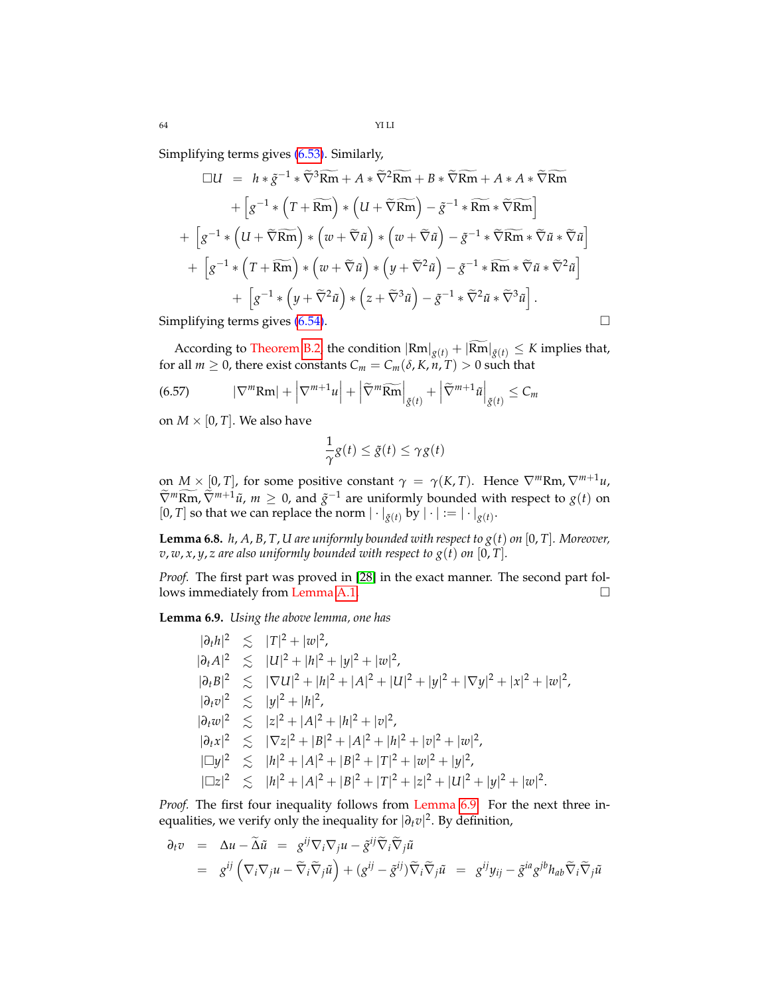Simplifying terms gives [\(6.53\)](#page-61-0). Similarly,

$$
\Box U = h * \tilde{g}^{-1} * \tilde{\nabla}^3 \widetilde{\mathbf{Rm}} + A * \tilde{\nabla}^2 \widetilde{\mathbf{Rm}} + B * \tilde{\nabla} \widetilde{\mathbf{Rm}} + A * A * \tilde{\nabla} \widetilde{\mathbf{Rm}}
$$
  
+ 
$$
\left[ g^{-1} * (T + \widetilde{\mathbf{Rm}}) * (U + \tilde{\nabla} \widetilde{\mathbf{Rm}}) - \tilde{g}^{-1} * \widetilde{\mathbf{Rm}} * \tilde{\nabla} \widetilde{\mathbf{Rm}} \right]
$$
  
+ 
$$
\left[ g^{-1} * (U + \tilde{\nabla} \widetilde{\mathbf{Rm}}) * (w + \tilde{\nabla} \tilde{u}) * (w + \tilde{\nabla} \tilde{u}) - \tilde{g}^{-1} * \widetilde{\nabla} \widetilde{\mathbf{Rm}} * \tilde{\nabla} \tilde{u} * \tilde{\nabla} \tilde{u} \right]
$$
  
+ 
$$
\left[ g^{-1} * (T + \widetilde{\mathbf{Rm}}) * (w + \tilde{\nabla} \tilde{u}) * (y + \tilde{\nabla}^2 \tilde{u}) - \tilde{g}^{-1} * \widetilde{\mathbf{Rm}} * \tilde{\nabla} \tilde{u} * \tilde{\nabla}^2 \tilde{u} \right]
$$
  
+ 
$$
\left[ g^{-1} * (y + \tilde{\nabla}^2 \tilde{u}) * (z + \tilde{\nabla}^3 \tilde{u}) - \tilde{g}^{-1} * \tilde{\nabla}^2 \tilde{u} * \tilde{\nabla}^3 \tilde{u} \right].
$$
  
Simplifying terms gives (6.54).

According to Theorem [B.2,](#page-67-0) the condition  $|Rm|_{g(t)} + |\widetilde{Rm}|_{\tilde{g}(t)} \leq K$  implies that, for all  $m \geq 0$ , there exist constants  $C_m = C_m(\delta, K, n, T) > 0$  such that

(6.57) 
$$
|\nabla^m \text{Rm}| + |\nabla^{m+1} u| + |\widetilde{\nabla}^m \widetilde{\text{Rm}}|_{\widetilde{g}(t)} + |\widetilde{\nabla}^{m+1} \widetilde{u}|_{\widetilde{g}(t)} \leq C_m
$$

on  $M \times [0, T]$ . We also have

$$
\frac{1}{\gamma}g(t) \le \tilde{g}(t) \le \gamma g(t)
$$

on  $M \times [0, T]$ , for some positive constant  $\gamma = \gamma(K, T)$ . Hence  $\nabla^m Rm$ ,  $\nabla^{m+1} u$ ,  $\widetilde{\nabla}^m \widetilde{\nabla} m, \widetilde{\nabla}^{m+1} \widetilde{u}$ ,  $m \ge 0$ , and  $\widetilde{g}^{-1}$  are uniformly bounded with respect to  $g(t)$  on [0, *T*] so that we can replace the norm  $|\cdot|_{\tilde{g}(t)}$  by  $|\cdot| := |\cdot|_{g(t)}$ .

<span id="page-63-1"></span>**Lemma 6.8.** *h*, *A*, *B*, *T*, *U* are uniformly bounded with respect to  $g(t)$  on  $[0, T]$ . Moreover,  $v, w, x, y, z$  are also uniformly bounded with respect to  $g(t)$  on [0, T].

*Proof.* The first part was proved in [\[28\]](#page-69-10) in the exact manner. The second part follows immediately from Lemma [A.1.](#page-65-2)

<span id="page-63-0"></span>**Lemma 6.9.** *Using the above lemma, one has*

 $|\partial_t h|^2 \le |T|^2 + |w|^2$ ,  $|\partial_t A|^2 \leq |U|^2 + |h|^2 + |y|^2 + |w|^2$ ,  $|\partial_t B|^2 \leq |\nabla U|^2 + |h|^2 + |A|^2 + |U|^2 + |y|^2 + |\nabla y|^2 + |x|^2 + |w|^2$ ,  $|\partial_t v|^2 \le |y|^2 + |h|^2$ ,  $|\partial_t w|^2 \leq |z|^2 + |A|^2 + |h|^2 + |v|^2$ ,  $|\partial_t x|^2 \leq |\nabla z|^2 + |B|^2 + |A|^2 + |h|^2 + |v|^2 + |w|^2$ ,  $|\Box y|^2 \le |h|^2 + |A|^2 + |B|^2 + |T|^2 + |w|^2 + |y|^2$ ,  $|\square z|^2 \leq |h|^2 + |A|^2 + |B|^2 + |T|^2 + |z|^2 + |U|^2 + |y|^2 + |w|^2.$ 

*Proof.* The first four inequality follows from Lemma [6.9.](#page-63-0) For the next three inequalities, we verify only the inequality for  $|\partial_t v|^2$ . By definition,

$$
\partial_t v = \Delta u - \widetilde{\Delta} \widetilde{u} = g^{ij} \nabla_i \nabla_j u - \widetilde{g}^{ij} \widetilde{\nabla}_i \widetilde{\nabla}_j \widetilde{u}
$$
  
=  $g^{ij} \left( \nabla_i \nabla_j u - \widetilde{\nabla}_i \widetilde{\nabla}_j \widetilde{u} \right) + (g^{ij} - \widetilde{g}^{ij}) \widetilde{\nabla}_i \widetilde{\nabla}_j \widetilde{u} = g^{ij} y_{ij} - \widetilde{g}^{ia} g^{jb} h_{ab} \widetilde{\nabla}_i \widetilde{\nabla}_j \widetilde{u}$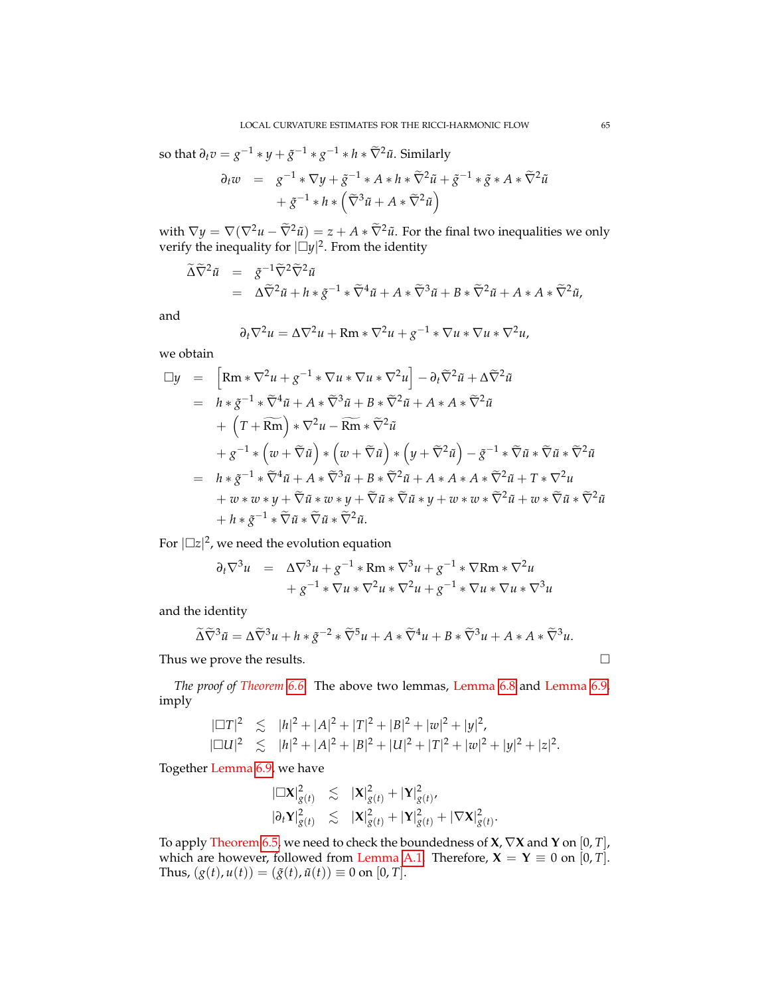so that  $\partial_t v = g^{-1} * y + \tilde{g}^{-1} * g^{-1} * h * \tilde{\nabla}^2 \tilde{u}$ . Similarly

$$
\partial_t w = g^{-1} * \nabla y + \tilde{g}^{-1} * A * h * \tilde{\nabla}^2 \tilde{u} + \tilde{g}^{-1} * \tilde{g} * A * \tilde{\nabla}^2 \tilde{u}
$$

$$
+ \tilde{g}^{-1} * h * (\tilde{\nabla}^3 \tilde{u} + A * \tilde{\nabla}^2 \tilde{u})
$$

with  $\nabla y = \nabla (\nabla^2 u - \tilde{\nabla}^2 \tilde{u}) = z + A * \tilde{\nabla}^2 \tilde{u}$ . For the final two inequalities we only verify the inequality for  $|\Box y|^2$ . From the identity

$$
\begin{array}{rcl}\n\widetilde{\Delta}\widetilde{\nabla}^2\widetilde{u} & = & \widetilde{g}^{-1}\widetilde{\nabla}^2\widetilde{\nabla}^2\widetilde{u} \\
& = & \Delta\widetilde{\nabla}^2\widetilde{u} + h * \widetilde{g}^{-1} * \widetilde{\nabla}^4\widetilde{u} + A * \widetilde{\nabla}^3\widetilde{u} + B * \widetilde{\nabla}^2\widetilde{u} + A * A * \widetilde{\nabla}^2\widetilde{u},\n\end{array}
$$

and

$$
\partial_t \nabla^2 u = \Delta \nabla^2 u + \mathbf{R} \mathbf{m} * \nabla^2 u + g^{-1} * \nabla u * \nabla u * \nabla^2 u,
$$

we obtain

$$
\Box y = \left[ \mathrm{Rm} * \nabla^2 u + g^{-1} * \nabla u * \nabla u * \nabla^2 u \right] - \partial_t \widetilde{\nabla}^2 \widetilde{u} + \Delta \widetilde{\nabla}^2 \widetilde{u}
$$
  
\n
$$
= h * \widetilde{g}^{-1} * \widetilde{\nabla}^4 \widetilde{u} + A * \widetilde{\nabla}^3 \widetilde{u} + B * \widetilde{\nabla}^2 \widetilde{u} + A * A * \widetilde{\nabla}^2 \widetilde{u}
$$
  
\n
$$
+ \left( T + \overline{\mathrm{Rm}} \right) * \nabla^2 u - \overline{\mathrm{Rm}} * \widetilde{\nabla}^2 \widetilde{u}
$$
  
\n
$$
+ g^{-1} * \left( w + \widetilde{\nabla} \widetilde{u} \right) * \left( w + \widetilde{\nabla} \widetilde{u} \right) * \left( y + \widetilde{\nabla}^2 \widetilde{u} \right) - \widetilde{g}^{-1} * \widetilde{\nabla} \widetilde{u} * \widetilde{\nabla} \widetilde{u} * \widetilde{\nabla}^2 \widetilde{u}
$$
  
\n
$$
= h * \widetilde{g}^{-1} * \widetilde{\nabla}^4 \widetilde{u} + A * \widetilde{\nabla}^3 \widetilde{u} + B * \widetilde{\nabla}^2 \widetilde{u} + A * A * A * \widetilde{\nabla}^2 \widetilde{u} + T * \nabla^2 u
$$
  
\n
$$
+ w * w * y + \widetilde{\nabla} \widetilde{u} * w * y + \widetilde{\nabla} \widetilde{u} * \widetilde{\nabla} \widetilde{u} * y + w * w * \widetilde{\nabla}^2 \widetilde{u} + w * \widetilde{\nabla} \widetilde{u} * \widetilde{\nabla}^2 \widetilde{u}
$$
  
\n
$$
+ h * \widetilde{g}^{-1} * \widetilde{\nabla} \widetilde{u} * \widetilde{\nabla} \widetilde{u} * \widetilde{\nabla}^2 \widetilde{u}.
$$

For  $|\Box z|^2$ , we need the evolution equation

$$
\partial_t \nabla^3 u = \Delta \nabla^3 u + g^{-1} * Rm * \nabla^3 u + g^{-1} * \nabla Rm * \nabla^2 u + g^{-1} * \nabla u * \nabla^2 u * \nabla^2 u + g^{-1} * \nabla u * \nabla u * \nabla^3 u
$$

and the identity

$$
\widetilde{\Delta}\widetilde{\nabla}^3\widetilde{u} = \Delta\widetilde{\nabla}^3 u + h * \widetilde{g}^{-2} * \widetilde{\nabla}^5 u + A * \widetilde{\nabla}^4 u + B * \widetilde{\nabla}^3 u + A * A * \widetilde{\nabla}^3 u.
$$

Thus we prove the results.  $\Box$ 

*The proof of Theorem [6.6.](#page-59-1)* The above two lemmas, Lemma [6.8](#page-63-1) and Lemma [6.9,](#page-63-0) imply

$$
|\Box T|^2 \le |h|^2 + |A|^2 + |T|^2 + |B|^2 + |w|^2 + |y|^2,
$$
  
\n
$$
|\Box U|^2 \le |h|^2 + |A|^2 + |B|^2 + |U|^2 + |T|^2 + |w|^2 + |y|^2 + |z|^2.
$$

Together Lemma [6.9,](#page-63-0) we have

$$
\begin{array}{rcl}\n|\Box \mathbf{X}|_{g(t)}^2 & \lesssim & |\mathbf{X}|_{g(t)}^2 + |\mathbf{Y}|_{g(t)}^2, \\
|\partial_t \mathbf{Y}|_{g(t)}^2 & \lesssim & |\mathbf{X}|_{g(t)}^2 + |\mathbf{Y}|_{g(t)}^2 + |\nabla \mathbf{X}|_{g(t)}^2.\n\end{array}
$$

To apply Theorem [6.5,](#page-59-2) we need to check the boundedness of **X**, ∇**X** and **Y** on [0, *T*], which are however, followed from Lemma [A.1.](#page-65-2) Therefore,  $X = Y \equiv 0$  on [0, *T*]. Thus,  $(g(t), u(t)) = (\tilde{g}(t), \tilde{u}(t)) \equiv 0$  on [0, *T*].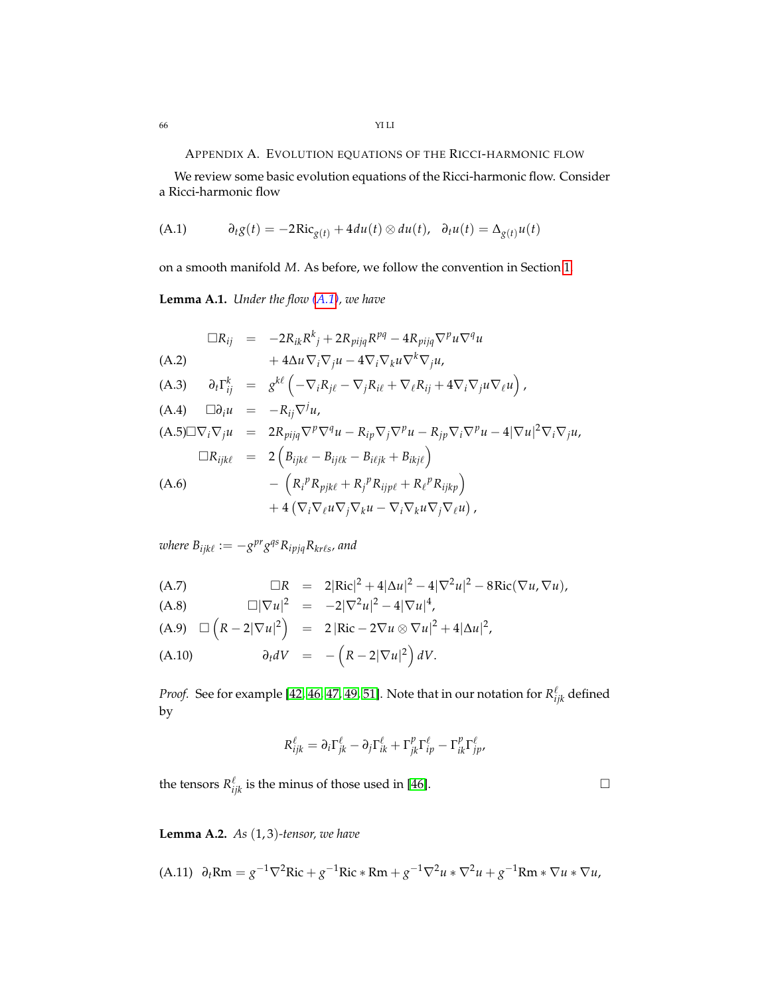APPENDIX A. EVOLUTION EQUATIONS OF THE RICCI-HARMONIC FLOW

We review some basic evolution equations of the Ricci-harmonic flow. Consider a Ricci-harmonic flow

<span id="page-65-3"></span>(A.1) 
$$
\partial_t g(t) = -2Ric_{g(t)} + 4du(t) \otimes du(t), \quad \partial_t u(t) = \Delta_{g(t)} u(t)
$$

on a smooth manifold *M*. As before, we follow the convention in Section [1.](#page-1-1)

<span id="page-65-2"></span>**Lemma A.1.** *Under the flow [\(A.1\)](#page-65-3), we have*

<span id="page-65-0"></span>
$$
\Box R_{ij} = -2R_{ik}R^{k}{}_{j} + 2R_{pijq}R^{pq} - 4R_{pijq}\nabla^{p}u\nabla^{q}u
$$
\n(A.2)  
\n
$$
+ 4\Delta u \nabla_{i}\nabla_{j}u - 4\nabla_{i}\nabla_{k}u\nabla^{k}\nabla_{j}u,
$$
\n(A.3)  
\n
$$
\partial_{t}\Gamma_{ij}^{k} = g^{k\ell} \left( -\nabla_{i}R_{j\ell} - \nabla_{j}R_{i\ell} + \nabla_{\ell}R_{ij} + 4\nabla_{i}\nabla_{j}u\nabla_{\ell}u \right),
$$
\n(A.4)  
\n
$$
\Box \partial_{i}u = -R_{ij}\nabla^{j}u,
$$
\n(A.5)
$$
\Box \nabla_{i}\nabla_{j}u = 2R_{pijq}\nabla^{p}\nabla^{q}u - R_{ip}\nabla_{j}\nabla^{p}u - R_{jp}\nabla_{i}\nabla^{p}u - 4|\nabla u|^{2}\nabla_{i}\nabla_{j}u,
$$
\n
$$
\Box R_{ijk\ell} = 2\left(B_{ijk\ell} - B_{ij\ell k} - B_{i\ell jk} + B_{ikj\ell}\right)
$$
\n(A.6)  
\n
$$
- \left(R_{i}{}^{p}R_{pjk\ell} + R_{j}{}^{p}R_{ijp\ell} + R_{\ell}{}^{p}R_{ijkp}\right)
$$
\n
$$
+ 4\left(\nabla_{i}\nabla_{\ell}u\nabla_{j}\nabla_{k}u - \nabla_{i}\nabla_{k}u\nabla_{j}\nabla_{\ell}u\right),
$$

 $w$ here  $B_{ijk\ell}:=-g^{pr}g^{qs}R_{ipjq}R_{kr\ell s}$ , and

(A.7)  
\n
$$
\Box R = 2|\text{Ric}|^2 + 4|\Delta u|^2 - 4|\nabla^2 u|^2 - 8\text{Ric}(\nabla u, \nabla u),
$$
\n(A.8)  
\n
$$
\Box |\nabla u|^2 = -2|\nabla^2 u|^2 - 4|\nabla u|^4,
$$
\n(A.9)  
\n
$$
\Box (R-2|\nabla u|^2) = 2|\text{Ric} - 2\nabla u \otimes \nabla u|^2 + 4|\Delta u|^2,
$$
\n(A.10)  
\n
$$
\partial_t dV = - (R-2|\nabla u|^2) dV.
$$

*Proof.* See for example [\[42,](#page-70-9) [46,](#page-70-10) [47,](#page-70-11) [49,](#page-70-12) [51\]](#page-70-13). Note that in our notation for  $R^{\ell}_{ijk}$  defined by

$$
R^{\ell}_{ijk} = \partial_i \Gamma^{\ell}_{jk} - \partial_j \Gamma^{\ell}_{ik} + \Gamma^p_{jk} \Gamma^{\ell}_{ip} - \Gamma^p_{ik} \Gamma^{\ell}_{jp}
$$

the tensors  $R^{\ell}_{ijk}$  is the minus of those used in [\[46\]](#page-70-10).

<span id="page-65-1"></span>**Lemma A.2.** *As* (1, 3)*-tensor, we have*

 $( A.11)$   $\partial_t Rm = g^{-1} \nabla^2 Ric + g^{-1} Ric * Rm + g^{-1} \nabla^2 u + g^{-1} Rm * \nabla u * \nabla u,$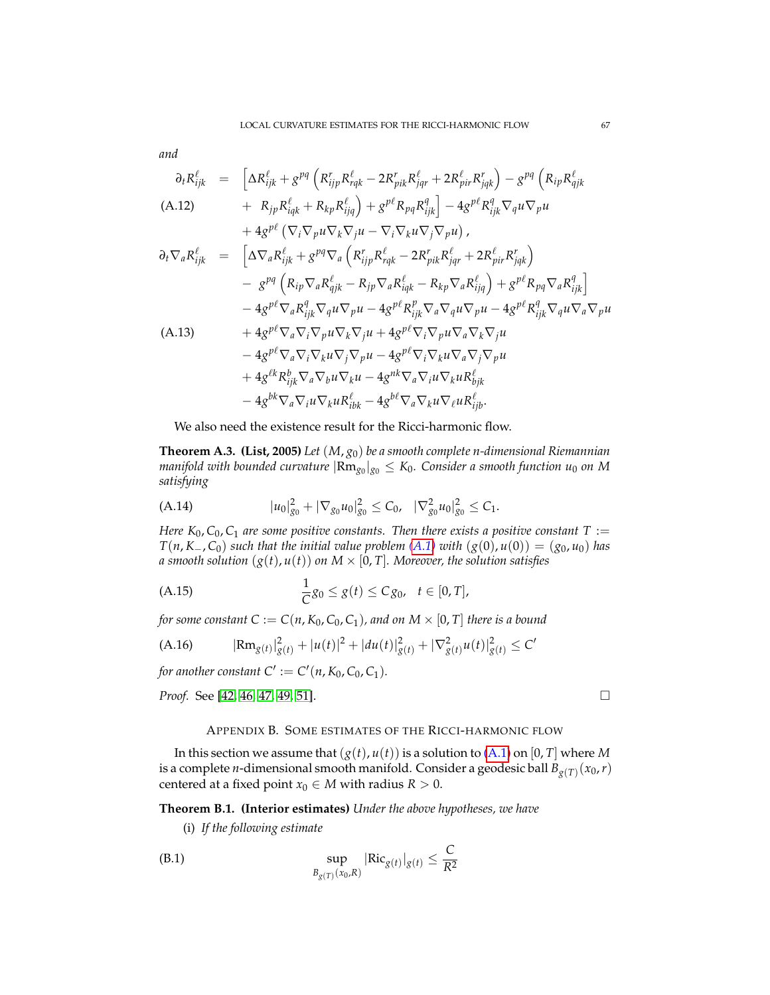*and*

$$
\partial_{t}R_{ijk}^{\ell} = \begin{bmatrix} \Delta R_{ijk}^{\ell} + g^{pq} \left( R_{ijp}^{r} R_{rqk}^{\ell} - 2R_{pik}^{r} R_{jqr}^{\ell} + 2R_{pir}^{\ell} R_{jqk}^{r} \right) - g^{pq} \left( R_{ip} R_{qjk}^{\ell} \right) \\ + R_{jp} R_{iqk}^{\ell} + R_{kp} R_{ijq}^{\ell} \right) + g^{p\ell} R_{pq} R_{ijk}^{\ell} \end{bmatrix} - 4 g^{p\ell} R_{ijk}^{\ell} \nabla_{q} u \nabla_{p} u
$$
\n
$$
\partial_{t} \nabla_{a} R_{ijk}^{\ell} = \begin{bmatrix} \Delta \nabla_{a} R_{ijk}^{\ell} + g^{pq} \nabla_{a} \left( R_{ijp}^{r} R_{rqk}^{\ell} - 2R_{pik}^{r} R_{jqr}^{\ell} + 2R_{pir}^{\ell} R_{jqk}^{\ell} \right) \\ - g^{pq} \left( R_{ip} \nabla_{a} R_{qjk}^{\ell} - R_{jp} \nabla_{a} R_{iqk}^{\ell} - R_{kp} \nabla_{a} R_{ijq}^{\ell} \right) + g^{p\ell} R_{pq} \nabla_{a} R_{ijk}^{\ell} \end{bmatrix}
$$
\n
$$
- 4 g^{p\ell} \nabla_{a} R_{ijk}^{\ell} \nabla_{q} u \nabla_{p} u - 4 g^{p\ell} R_{ijk}^{\ell} \nabla_{a} \nabla_{q} u \nabla_{p} u - 4 g^{p\ell} R_{ijk}^{\ell} \nabla_{q} u \nabla_{p} u - 4 g^{p\ell} R_{ijk}^{\ell} \nabla_{q} u \nabla_{a} \nabla_{p} u
$$
\n
$$
(A.13) \qquad + 4 g^{p\ell} \nabla_{a} \nabla_{i} \nabla_{p} u \nabla_{k} \nabla_{j} u + 4 g^{p\ell} \nabla_{i} \nabla_{p} u \nabla_{a} \nabla_{k} \nabla_{j} u
$$
\n
$$
- 4 g^{p\ell} \nabla_{a} \nabla_{i} \nabla_{k} u
$$

We also need the existence result for the Ricci-harmonic flow.

<span id="page-66-0"></span>**Theorem A.3. (List, 2005)** *Let* (*M*, *g*0) *be a smooth complete n-dimensional Riemannian manifold with bounded curvature* |Rm*g*<sup>0</sup> |*g*<sup>0</sup> ≤ *K*0*. Consider a smooth function u*<sup>0</sup> *on M satisfying*

<span id="page-66-1"></span>(A.14) 
$$
|u_0|_{g_0}^2 + |\nabla_{g_0} u_0|_{g_0}^2 \leq C_0, \quad |\nabla_{g_0}^2 u_0|_{g_0}^2 \leq C_1.
$$

*Here K*<sub>0</sub>,  $C_0$ ,  $C_1$  *are some positive constants. Then there exists a positive constant T* := *T*( $n, K$ −,  $C_0$ ) *such that the initial value problem* (*A.1*) *with* ( $g(0)$ ,  $u(0)$ ) = ( $g_0$ ,  $u_0$ ) *has a smooth solution*  $(g(t), u(t))$  *on*  $M \times [0, T]$ *. Moreover, the solution satisfies* 

(A.15) 
$$
\frac{1}{C}g_0 \leq g(t) \leq Cg_0, \quad t \in [0, T],
$$

*for some constant*  $C := C(n, K_0, C_0, C_1)$ *, and on*  $M \times [0, T]$  *there is a bound* 

$$
(A.16) \qquad |\text{Rm}_{g(t)}|_{g(t)}^2 + |u(t)|^2 + |du(t)|_{g(t)}^2 + |\nabla^2_{g(t)}u(t)|_{g(t)}^2 \le C'
$$

*for another constant*  $C' := C'(n, K_0, C_0, C_1)$ *.* 

*Proof.* See [\[42,](#page-70-9) [46,](#page-70-10) [47,](#page-70-11) [49,](#page-70-12) [51\]](#page-70-13). □

### APPENDIX B. SOME ESTIMATES OF THE RICCI-HARMONIC FLOW

In this section we assume that  $(g(t), u(t))$  is a solution to  $(A.1)$  on  $[0, T]$  where *M* is a complete *n*-dimensional smooth manifold. Consider a geodesic ball *Bg*(*T*) (*x*0,*r*) centered at a fixed point  $x_0 \in M$  with radius  $R > 0$ .

**Theorem B.1. (Interior estimates)** *Under the above hypotheses, we have*

<span id="page-66-2"></span>(i) *If the following estimate*

$$
\sup_{B_{g(T)}(x_0,R)} |\text{Ric}_{g(t)}|_{g(t)} \leq \frac{C}{R^2}
$$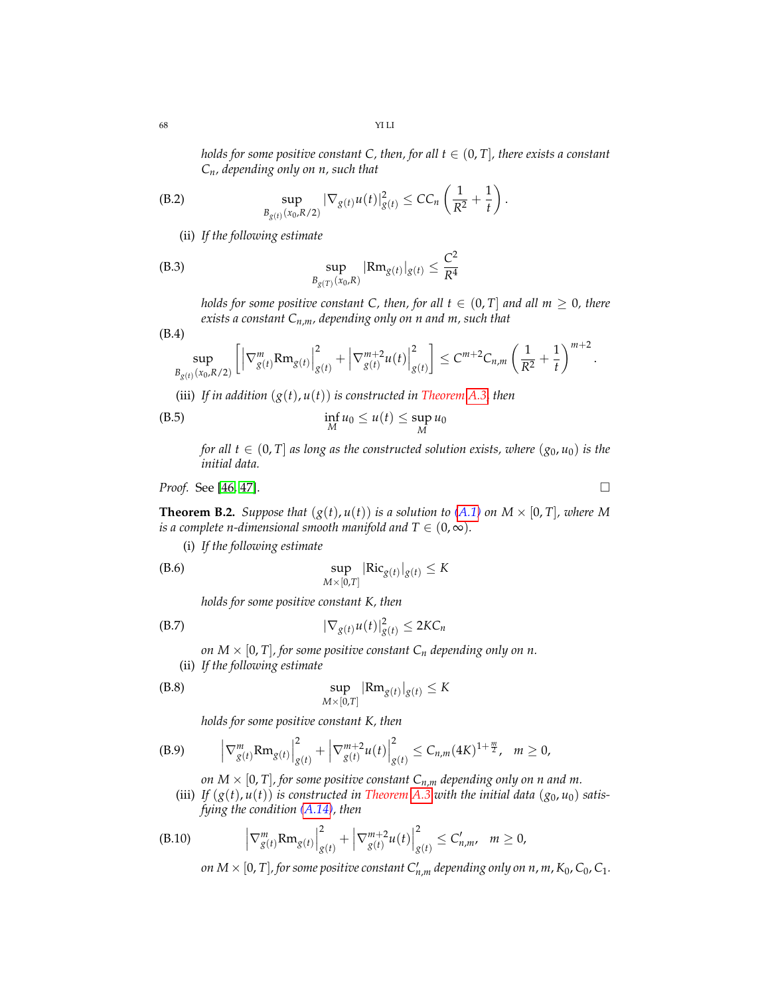*holds for some positive constant C, then, for all*  $t \in (0, T]$ *, there exists a constant Cn, depending only on n, such that*

(B.2) 
$$
\sup_{B_{g(t)}(x_0, R/2)} |\nabla_{g(t)} u(t)|^2_{g(t)} \leq C C_n \left( \frac{1}{R^2} + \frac{1}{t} \right).
$$

(ii) *If the following estimate*

(B.3) 
$$
\sup_{B_{g(T)}(x_0,R)} |\text{Rm}_{g(t)}|_{g(t)} \leq \frac{C^2}{R^4}
$$

*holds for some positive constant C, then, for all*  $t \in (0, T]$  *and all*  $m \geq 0$ *, there exists a constant Cn*,*m, depending only on n and m, such that*

$$
(B.4)
$$

<span id="page-67-2"></span>
$$
\sup_{B_{g(t)}(x_0, R/2)} \left[ \left| \nabla_{g(t)}^m \text{Rm}_{g(t)} \right|_{g(t)}^2 + \left| \nabla_{g(t)}^{m+2} u(t) \right|_{g(t)}^2 \right] \leq C^{m+2} C_{n,m} \left( \frac{1}{R^2} + \frac{1}{t} \right)^{m+2}.
$$

(iii) If in addition  $(g(t), u(t))$  is constructed in Theorem [A.3,](#page-66-0) then

$$
\inf_{M} u_0 \le u(t) \le \sup_{M} u_0
$$

*for all*  $t \in (0, T]$  *as long as the constructed solution exists, where*  $(g_0, u_0)$  *is the initial data.*

*Proof.* See [46, 47]. 
$$
\Box
$$

<span id="page-67-0"></span>**Theorem B.2.** *Suppose that*  $(g(t), u(t))$  *is a solution to*  $(A.1)$  *on*  $M \times [0, T]$ *, where* M *is a complete n-dimensional smooth manifold and*  $T \in (0, \infty)$ *.* 

(i) *If the following estimate*

(B.6) 
$$
\sup_{M \times [0,T]} |\text{Ric}_{g(t)}|_{g(t)} \leq K
$$

<span id="page-67-1"></span>*holds for some positive constant K, then*

$$
|\nabla_{g(t)} u(t)|_{g(t)}^2 \leq 2KC_n
$$

*on*  $M \times [0, T]$ , for some positive constant  $C_n$  depending only on n.

(ii) *If the following estimate*

$$
\sup_{M \times [0,T]} |\text{Rm}_{g(t)}|_{g(t)} \leq K
$$

*holds for some positive constant K, then*

$$
(B.9) \qquad \left|\nabla_{g(t)}^m R m_{g(t)}\right|_{g(t)}^2 + \left|\nabla_{g(t)}^{m+2} u(t)\right|_{g(t)}^2 \leq C_{n,m}(4K)^{1+\frac{m}{2}}, \quad m \geq 0,
$$

*on*  $M \times [0, T]$ , for some positive constant  $C_{n,m}$  depending only on n and m.

(iii) *If*  $(g(t), u(t))$  *is constructed in Theorem [A.3](#page-66-0) with the initial data*  $(g_0, u_0)$  *satisfying the condition [\(A.14\)](#page-66-1), then*

(B.10) 
$$
\left|\nabla_{g(t)}^m R m_{g(t)}\right|_{g(t)}^2 + \left|\nabla_{g(t)}^{m+2} u(t)\right|_{g(t)}^2 \leq C'_{n,m}, \quad m \geq 0,
$$

*on*  $M \times [0, T]$ *, for some positive constant*  $C'_{n,m}$  *depending only on n, m, K* $_0$ *, C* $_0$ *, C* $_1$ *.* 

$$
\Box
$$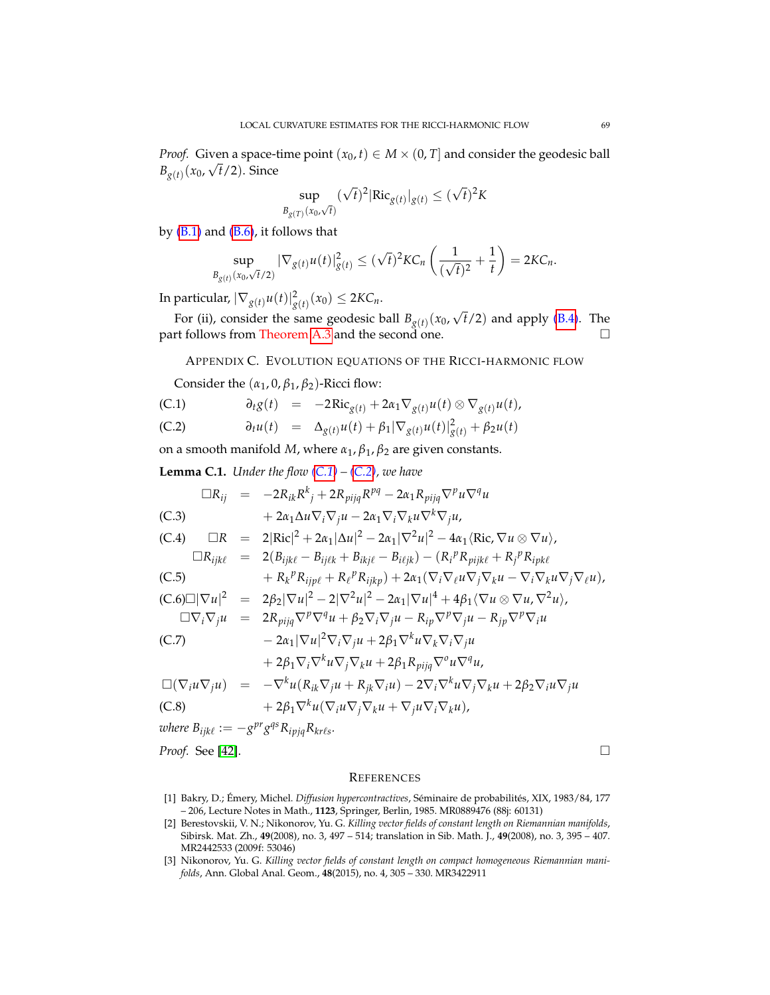*Proof.* Given a space-time point  $(x_0, t) \in M \times (0, T]$  and consider the geodesic ball  $B_{g(t)}$  (*x*<sub>0</sub>,  $\sqrt{t/2}$ ). Since

$$
\sup_{B_{g(T)}(x_0,\sqrt{t})} (\sqrt{t})^2 |\text{Ric}_{g(t)}|_{g(t)} \le (\sqrt{t})^2 K
$$

by  $(B.1)$  and  $(B.6)$ , it follows that

$$
\sup_{B_{g(t)}(x_0,\sqrt{t}/2)} |\nabla_{g(t)} u(t)|_{g(t)}^2 \le (\sqrt{t})^2 K C_n \left( \frac{1}{(\sqrt{t})^2} + \frac{1}{t} \right) = 2KC_n.
$$

In particular,  $|\nabla_{g(t)} u(t)|^2_{g(t)} (x_0) \leq 2K C_n$ .

For (ii), consider the same geodesic ball  $B_{g(t)}(x_0,$ √ *t*/2) and apply [\(B.4\)](#page-67-2). The part follows from Theorem [A.3](#page-66-0) and the second one.  $\Box$ 

APPENDIX C. EVOLUTION EQUATIONS OF THE RICCI-HARMONIC FLOW

<span id="page-68-2"></span>Consider the  $(\alpha_1, 0, \beta_1, \beta_2)$ -Ricci flow:

(C.1) 
$$
\partial_t g(t) = -2 \text{Ric}_{g(t)} + 2\alpha_1 \nabla_{g(t)} u(t) \otimes \nabla_{g(t)} u(t),
$$

(C.2) 
$$
\partial_t u(t) = \Delta_{g(t)} u(t) + \beta_1 |\nabla_{g(t)} u(t)|^2_{g(t)} + \beta_2 u(t)
$$

on a smooth manifold *M*, where *α*1, *β*1, *β*<sup>2</sup> are given constants.

**Lemma C.1.** *Under the flow*  $(C.1) - (C.2)$  $(C.1) - (C.2)$  $(C.1) - (C.2)$ *, we have* 

$$
\Box R_{ij} = -2R_{ik}R^{k}{}_{j} + 2R_{pijq}R^{pq} - 2\alpha_{1}R_{pijq}\nabla^{p}u\nabla^{q}u
$$
\n(C.3)  
\n
$$
+ 2\alpha_{1}\Delta u\nabla_{i}\nabla_{j}u - 2\alpha_{1}\nabla_{i}\nabla_{k}u\nabla^{k}\nabla_{j}u,
$$
\n(C.4)  
\n
$$
\Box R = 2|Ric|^{2} + 2\alpha_{1}|\Delta u|^{2} - 2\alpha_{1}|\nabla^{2}u|^{2} - 4\alpha_{1}\langle Ric, \nabla u \otimes \nabla u\rangle,
$$
\n
$$
\Box R_{ijk\ell} = 2(B_{ijk\ell} - B_{ij\ell k} + B_{ikj\ell} - B_{i\ell jk}) - (R_{i}{}^{p}R_{pijk\ell} + R_{j}{}^{p}R_{ipk\ell}
$$
\n(C.5)  
\n
$$
+ R_{k}{}^{p}R_{ijp\ell} + R_{\ell}{}^{p}R_{ijkp}) + 2\alpha_{1}(\nabla_{i}\nabla_{\ell}u\nabla_{j}\nabla_{k}u - \nabla_{i}\nabla_{k}u\nabla_{j}\nabla_{\ell}u),
$$
\n(C.6)
$$
\Box|\nabla u|^{2} = 2\beta_{2}|\nabla u|^{2} - 2|\nabla^{2}u|^{2} - 2\alpha_{1}|\nabla u|^{4} + 4\beta_{1}\langle\nabla u \otimes \nabla u, \nabla^{2}u\rangle,
$$
\n
$$
\Box\nabla_{i}\nabla_{j}u = 2R_{pijq}\nabla^{p}\nabla^{q}u + \beta_{2}\nabla_{i}\nabla_{j}u - R_{ip}\nabla^{p}\nabla_{j}u - R_{jp}\nabla^{p}\nabla_{i}u
$$
\n(C.7)  
\n
$$
- 2\alpha_{1}|\nabla u|^{2}\nabla_{i}\nabla_{j}u + 2\beta_{1}\nabla^{k}u\nabla_{k}\nabla_{i}\nabla_{j}u
$$
\n
$$
+ 2\beta_{1}\nabla_{i}\nabla^{k}u\nabla_{j}\nabla_{k}u + 2\beta_{1
$$

 $where B_{ijk\ell} := -g^{pr}g^{qs}R_{ipjq}R_{kr\ell s}.$ 

*Proof.* See [\[42\]](#page-70-9). □

#### **REFERENCES**

- <span id="page-68-0"></span>[1] Bakry, D.; Émery, Michel. *Diffusion hypercontractives*, Séminaire de probabilités, XIX, 1983/84, 177 – 206, Lecture Notes in Math., **1123**, Springer, Berlin, 1985. MR0889476 (88j: 60131)
- <span id="page-68-1"></span>[2] Berestovskii, V. N.; Nikonorov, Yu. G. *Killing vector fields of constant length on Riemannian manifolds*, Sibirsk. Mat. Zh., **49**(2008), no. 3, 497 – 514; translation in Sib. Math. J., **49**(2008), no. 3, 395 – 407. MR2442533 (2009f: 53046)
- [3] Nikonorov, Yu. G. *Killing vector fields of constant length on compact homogeneous Riemannian manifolds*, Ann. Global Anal. Geom., **48**(2015), no. 4, 305 – 330. MR3422911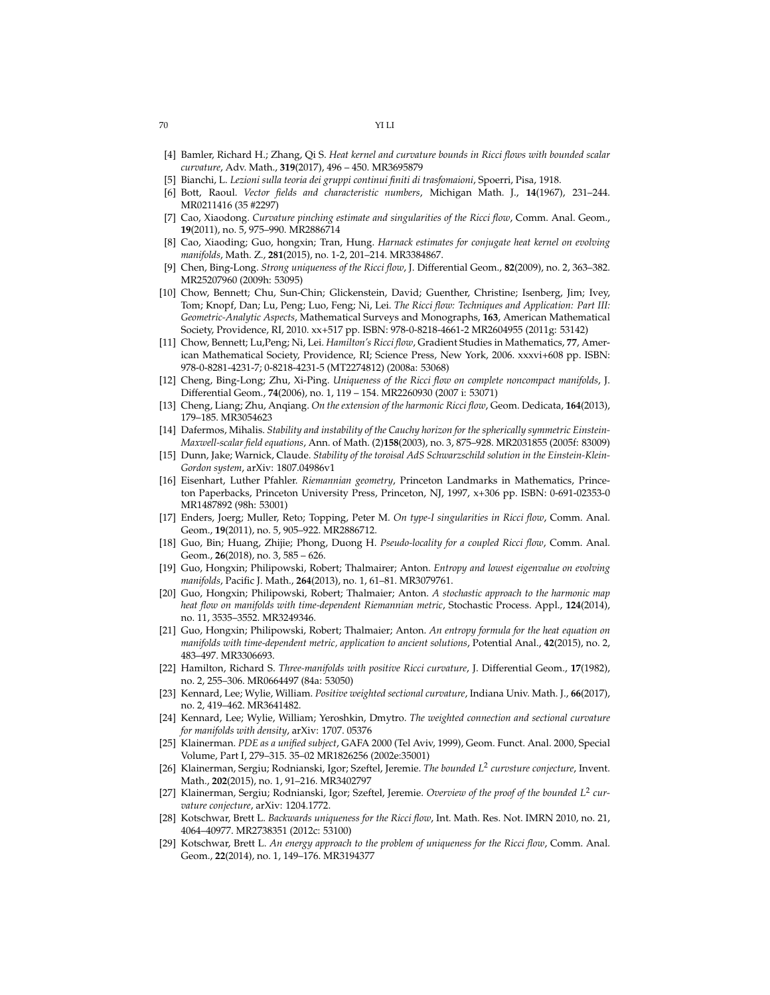- [4] Bamler, Richard H.; Zhang, Qi S. *Heat kernel and curvature bounds in Ricci flows with bounded scalar curvature*, Adv. Math., **319**(2017), 496 – 450. MR3695879
- <span id="page-69-7"></span>[5] Bianchi, L. *Lezioni sulla teoria dei gruppi continui finiti di trasfomaioni*, Spoerri, Pisa, 1918.
- <span id="page-69-8"></span>[6] Bott, Raoul. *Vector fields and characteristic numbers*, Michigan Math. J., **14**(1967), 231–244. MR0211416 (35 #2297)
- [7] Cao, Xiaodong. *Curvature pinching estimate and singularities of the Ricci flow*, Comm. Anal. Geom., **19**(2011), no. 5, 975–990. MR2886714
- [8] Cao, Xiaoding; Guo, hongxin; Tran, Hung. *Harnack estimates for conjugate heat kernel on evolving manifolds*, Math. Z., **281**(2015), no. 1-2, 201–214. MR3384867.
- [9] Chen, Bing-Long. *Strong uniqueness of the Ricci flow*, J. Differential Geom., **82**(2009), no. 2, 363–382. MR25207960 (2009h: 53095)
- [10] Chow, Bennett; Chu, Sun-Chin; Glickenstein, David; Guenther, Christine; Isenberg, Jim; Ivey, Tom; Knopf, Dan; Lu, Peng; Luo, Feng; Ni, Lei. *The Ricci flow: Techniques and Application: Part III: Geometric-Analytic Aspects*, Mathematical Surveys and Monographs, **163**, American Mathematical Society, Providence, RI, 2010. xx+517 pp. ISBN: 978-0-8218-4661-2 MR2604955 (2011g: 53142)
- [11] Chow, Bennett; Lu,Peng; Ni, Lei. *Hamilton's Ricci flow*, Gradient Studies in Mathematics, **77**, American Mathematical Society, Providence, RI; Science Press, New York, 2006. xxxvi+608 pp. ISBN: 978-0-8281-4231-7; 0-8218-4231-5 (MT2274812) (2008a: 53068)
- [12] Cheng, Bing-Long; Zhu, Xi-Ping. *Uniqueness of the Ricci flow on complete noncompact manifolds*, J. Differential Geom., **74**(2006), no. 1, 119 – 154. MR2260930 (2007 i: 53071)
- [13] Cheng, Liang; Zhu, Anqiang. *On the extension of the harmonic Ricci flow*, Geom. Dedicata, **164**(2013), 179–185. MR3054623
- <span id="page-69-1"></span>[14] Dafermos, Mihalis. *Stability and instability of the Cauchy horizon for the spherically symmetric Einstein-Maxwell-scalar field equations*, Ann. of Math. (2)**158**(2003), no. 3, 875–928. MR2031855 (2005f: 83009)
- <span id="page-69-2"></span>[15] Dunn, Jake; Warnick, Claude. *Stability of the toroisal AdS Schwarzschild solution in the Einstein-Klein-Gordon system*, arXiv: 1807.04986v1
- <span id="page-69-6"></span>[16] Eisenhart, Luther Pfahler. *Riemannian geometry*, Princeton Landmarks in Mathematics, Princeton Paperbacks, Princeton University Press, Princeton, NJ, 1997, x+306 pp. ISBN: 0-691-02353-0 MR1487892 (98h: 53001)
- [17] Enders, Joerg; Muller, Reto; Topping, Peter M. *On type-I singularities in Ricci flow*, Comm. Anal. Geom., **19**(2011), no. 5, 905–922. MR2886712.
- [18] Guo, Bin; Huang, Zhijie; Phong, Duong H. *Pseudo-locality for a coupled Ricci flow*, Comm. Anal. Geom., **26**(2018), no. 3, 585 – 626.
- [19] Guo, Hongxin; Philipowski, Robert; Thalmairer; Anton. *Entropy and lowest eigenvalue on evolving manifolds*, Pacific J. Math., **264**(2013), no. 1, 61–81. MR3079761.
- [20] Guo, Hongxin; Philipowski, Robert; Thalmaier; Anton. *A stochastic approach to the harmonic map heat flow on manifolds with time-dependent Riemannian metric*, Stochastic Process. Appl., **124**(2014), no. 11, 3535–3552. MR3249346.
- [21] Guo, Hongxin; Philipowski, Robert; Thalmaier; Anton. *An entropy formula for the heat equation on manifolds with time-dependent metric, application to ancient solutions*, Potential Anal., **42**(2015), no. 2, 483–497. MR3306693.
- [22] Hamilton, Richard S. *Three-manifolds with positive Ricci curvature*, J. Differential Geom., **17**(1982), no. 2, 255–306. MR0664497 (84a: 53050)
- <span id="page-69-4"></span>[23] Kennard, Lee; Wylie, William. *Positive weighted sectional curvature*, Indiana Univ. Math. J., **66**(2017), no. 2, 419–462. MR3641482.
- <span id="page-69-5"></span>[24] Kennard, Lee; Wylie, William; Yeroshkin, Dmytro. *The weighted connection and sectional curvature for manifolds with density*, arXiv: 1707. 05376
- <span id="page-69-3"></span>[25] Klainerman. *PDE as a unified subject*, GAFA 2000 (Tel Aviv, 1999), Geom. Funct. Anal. 2000, Special Volume, Part I, 279–315. 35–02 MR1826256 (2002e:35001)
- <span id="page-69-0"></span>[26] Klainerman, Sergiu; Rodnianski, Igor; Szeftel, Jeremie. *The bounded L*<sup>2</sup> *curvsture conjecture*, Invent. Math., **202**(2015), no. 1, 91–216. MR3402797
- [27] Klainerman, Sergiu; Rodnianski, Igor; Szeftel, Jeremie. *Overview of the proof of the bounded L<sup>2</sup> curvature conjecture*, arXiv: 1204.1772.
- <span id="page-69-10"></span>[28] Kotschwar, Brett L. *Backwards uniqueness for the Ricci flow*, Int. Math. Res. Not. IMRN 2010, no. 21, 4064–40977. MR2738351 (2012c: 53100)
- <span id="page-69-9"></span>[29] Kotschwar, Brett L. *An energy approach to the problem of uniqueness for the Ricci flow*, Comm. Anal. Geom., **22**(2014), no. 1, 149–176. MR3194377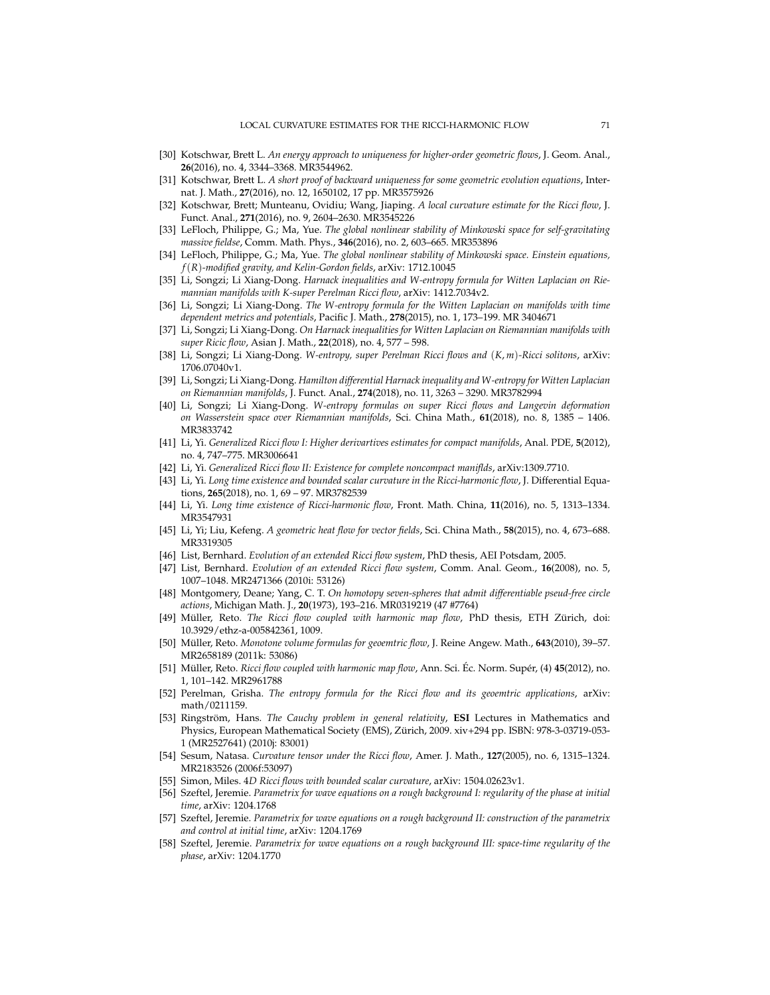- [30] Kotschwar, Brett L. *An energy approach to uniqueness for higher-order geometric flows*, J. Geom. Anal., **26**(2016), no. 4, 3344–3368. MR3544962.
- [31] Kotschwar, Brett L. *A short proof of backward uniqueness for some geometric evolution equations*, Internat. J. Math., **27**(2016), no. 12, 1650102, 17 pp. MR3575926
- [32] Kotschwar, Brett; Munteanu, Ovidiu; Wang, Jiaping. *A local curvature estimate for the Ricci flow*, J. Funct. Anal., **271**(2016), no. 9, 2604–2630. MR3545226
- <span id="page-70-5"></span>[33] LeFloch, Philippe, G.; Ma, Yue. *The global nonlinear stability of Minkowski space for self-gravitating massive fieldse*, Comm. Math. Phys., **346**(2016), no. 2, 603–665. MR353896
- <span id="page-70-6"></span>[34] LeFloch, Philippe, G.; Ma, Yue. *The global nonlinear stability of Minkowski space. Einstein equations, f*(*R*)*-modified gravity, and Kelin-Gordon fields*, arXiv: 1712.10045
- [35] Li, Songzi; Li Xiang-Dong. *Harnack inequalities and W-entropy formula for Witten Laplacian on Riemannian manifolds with K-super Perelman Ricci flow*, arXiv: 1412.7034v2.
- <span id="page-70-7"></span>[36] Li, Songzi; Li Xiang-Dong. *The W-entropy formula for the Witten Laplacian on manifolds with time dependent metrics and potentials*, Pacific J. Math., **278**(2015), no. 1, 173–199. MR 3404671
- [37] Li, Songzi; Li Xiang-Dong. *On Harnack inequalities for Witten Laplacian on Riemannian manifolds with super Ricic flow*, Asian J. Math., **22**(2018), no. 4, 577 – 598.
- [38] Li, Songzi; Li Xiang-Dong. *W-entropy, super Perelman Ricci flows and* (*K*, *m*)*-Ricci solitons*, arXiv: 1706.07040v1.
- [39] Li, Songzi; Li Xiang-Dong. *Hamilton differential Harnack inequality and W-entropy for Witten Laplacian on Riemannian manifolds*, J. Funct. Anal., **274**(2018), no. 11, 3263 – 3290. MR3782994
- [40] Li, Songzi; Li Xiang-Dong. *W-entropy formulas on super Ricci flows and Langevin deformation on Wasserstein space over Riemannian manifolds*, Sci. China Math., **61**(2018), no. 8, 1385 – 1406. MR3833742
- [41] Li, Yi. *Generalized Ricci flow I: Higher derivartives estimates for compact manifolds*, Anal. PDE, **5**(2012), no. 4, 747–775. MR3006641
- <span id="page-70-9"></span>[42] Li, Yi. *Generalized Ricci flow II: Existence for complete noncompact maniflds*, arXiv:1309.7710.
- <span id="page-70-0"></span>[43] Li, Yi. *Long time existence and bounded scalar curvature in the Ricci-harmonic flow*, J. Differential Equations, **265**(2018), no. 1, 69 – 97. MR3782539
- [44] Li, Yi. *Long time existence of Ricci-harmonic flow*, Front. Math. China, **11**(2016), no. 5, 1313–1334. MR3547931
- [45] Li, Yi; Liu, Kefeng. *A geometric heat flow for vector fields*, Sci. China Math., **58**(2015), no. 4, 673–688. MR3319305
- <span id="page-70-10"></span>[46] List, Bernhard. *Evolution of an extended Ricci flow system*, PhD thesis, AEI Potsdam, 2005.
- <span id="page-70-11"></span>[47] List, Bernhard. *Evolution of an extended Ricci flow system*, Comm. Anal. Geom., **16**(2008), no. 5, 1007–1048. MR2471366 (2010i: 53126)
- <span id="page-70-8"></span>[48] Montgomery, Deane; Yang, C. T. *On homotopy seven-spheres that admit differentiable pseud-free circle actions*, Michigan Math. J., **20**(1973), 193–216. MR0319219 (47 #7764)
- <span id="page-70-12"></span>[49] Müller, Reto. The Ricci flow coupled with harmonic map flow, PhD thesis, ETH Zürich, doi: 10.3929/ethz-a-005842361, 1009.
- [50] Müller, Reto. Monotone volume formulas for geoemtric flow, J. Reine Angew. Math., 643(2010), 39-57. MR2658189 (2011k: 53086)
- <span id="page-70-13"></span>[51] Müller, Reto. Ricci flow coupled with harmonic map flow, Ann. Sci. Éc. Norm. Supér, (4) 45(2012), no. 1, 101–142. MR2961788
- [52] Perelman, Grisha. *The entropy formula for the Ricci flow and its geoemtric applications*, arXiv: math/0211159.
- <span id="page-70-4"></span>[53] Ringström, Hans. The Cauchy problem in general relativity, ESI Lectures in Mathematics and Physics, European Mathematical Society (EMS), Zürich, 2009. xiv+294 pp. ISBN: 978-3-03719-053-1 (MR2527641) (2010j: 83001)
- [54] Sesum, Natasa. *Curvature tensor under the Ricci flow*, Amer. J. Math., **127**(2005), no. 6, 1315–1324. MR2183526 (2006f:53097)
- [55] Simon, Miles. 4*D Ricci flows with bounded scalar curvature*, arXiv: 1504.02623v1.
- <span id="page-70-1"></span>[56] Szeftel, Jeremie. *Parametrix for wave equations on a rough background I: regularity of the phase at initial time*, arXiv: 1204.1768
- <span id="page-70-2"></span>[57] Szeftel, Jeremie. *Parametrix for wave equations on a rough background II: construction of the parametrix and control at initial time*, arXiv: 1204.1769
- <span id="page-70-3"></span>[58] Szeftel, Jeremie. *Parametrix for wave equations on a rough background III: space-time regularity of the phase*, arXiv: 1204.1770